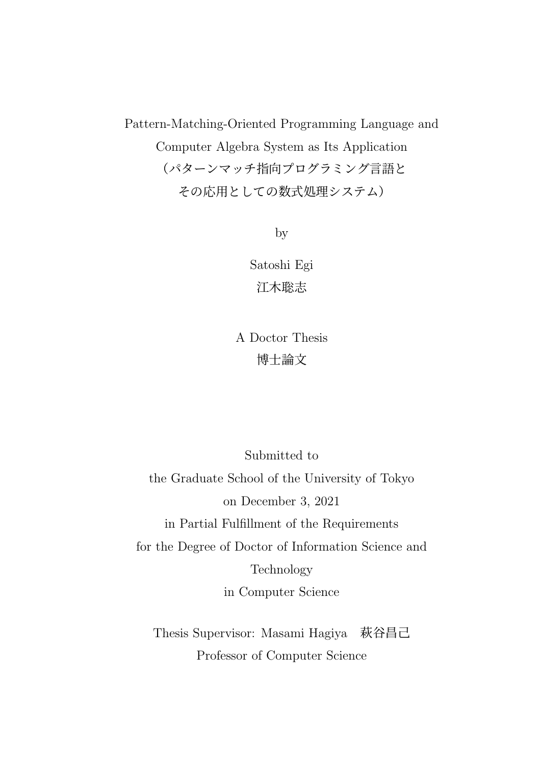Pattern-Matching-Oriented Programming Language and Computer Algebra System as Its Application (パターンマッチ指向プログラミング言語と その応用としての数式処理システム)

by

Satoshi Egi 江木聡志

A Doctor Thesis 博士論文

Submitted to the Graduate School of the University of Tokyo on December 3, 2021 in Partial Fulfillment of the Requirements for the Degree of Doctor of Information Science and Technology in Computer Science

Thesis Supervisor: Masami Hagiya 萩谷昌己 Professor of Computer Science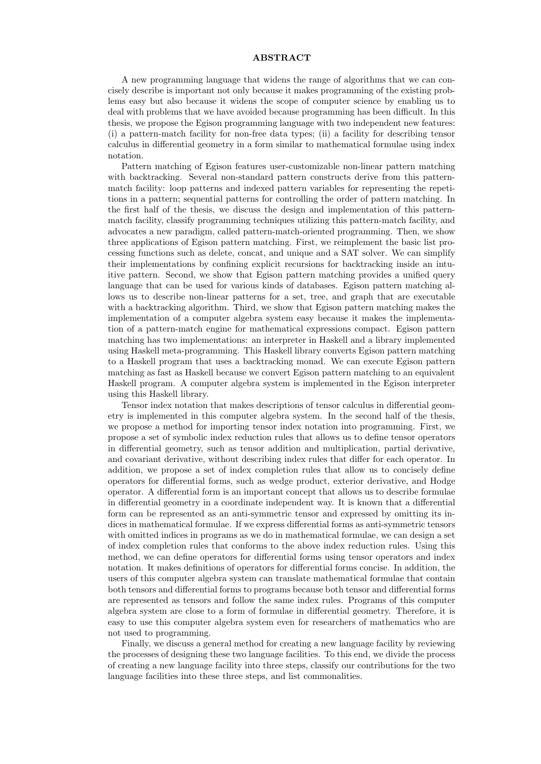#### **ABSTRACT**

A new programming language that widens the range of algorithms that we can concisely describe is important not only because it makes programming of the existing problems easy but also because it widens the scope of computer science by enabling us to deal with problems that we have avoided because programming has been difficult. In this thesis, we propose the Egison programming language with two independent new features: (i) a pattern-match facility for non-free data types; (ii) a facility for describing tensor calculus in differential geometry in a form similar to mathematical formulae using index notation.

Pattern matching of Egison features user-customizable non-linear pattern matching with backtracking. Several non-standard pattern constructs derive from this patternmatch facility: loop patterns and indexed pattern variables for representing the repetitions in a pattern; sequential patterns for controlling the order of pattern matching. In the first half of the thesis, we discuss the design and implementation of this patternmatch facility, classify programming techniques utilizing this pattern-match facility, and advocates a new paradigm, called pattern-match-oriented programming. Then, we show three applications of Egison pattern matching. First, we reimplement the basic list processing functions such as delete, concat, and unique and a SAT solver. We can simplify their implementations by confining explicit recursions for backtracking inside an intuitive pattern. Second, we show that Egison pattern matching provides a unified query language that can be used for various kinds of databases. Egison pattern matching allows us to describe non-linear patterns for a set, tree, and graph that are executable with a backtracking algorithm. Third, we show that Egison pattern matching makes the implementation of a computer algebra system easy because it makes the implementation of a pattern-match engine for mathematical expressions compact. Egison pattern matching has two implementations: an interpreter in Haskell and a library implemented using Haskell meta-programming. This Haskell library converts Egison pattern matching to a Haskell program that uses a backtracking monad. We can execute Egison pattern matching as fast as Haskell because we convert Egison pattern matching to an equivalent Haskell program. A computer algebra system is implemented in the Egison interpreter using this Haskell library.

Tensor index notation that makes descriptions of tensor calculus in differential geometry is implemented in this computer algebra system. In the second half of the thesis, we propose a method for importing tensor index notation into programming. First, we propose a set of symbolic index reduction rules that allows us to define tensor operators in differential geometry, such as tensor addition and multiplication, partial derivative, and covariant derivative, without describing index rules that differ for each operator. In addition, we propose a set of index completion rules that allow us to concisely define operators for differential forms, such as wedge product, exterior derivative, and Hodge operator. A differential form is an important concept that allows us to describe formulae in differential geometry in a coordinate independent way. It is known that a differential form can be represented as an anti-symmetric tensor and expressed by omitting its indices in mathematical formulae. If we express differential forms as anti-symmetric tensors with omitted indices in programs as we do in mathematical formulae, we can design a set of index completion rules that conforms to the above index reduction rules. Using this method, we can define operators for differential forms using tensor operators and index notation. It makes definitions of operators for differential forms concise. In addition, the users of this computer algebra system can translate mathematical formulae that contain both tensors and differential forms to programs because both tensor and differential forms are represented as tensors and follow the same index rules. Programs of this computer algebra system are close to a form of formulae in differential geometry. Therefore, it is easy to use this computer algebra system even for researchers of mathematics who are not used to programming.

Finally, we discuss a general method for creating a new language facility by reviewing the processes of designing these two language facilities. To this end, we divide the process of creating a new language facility into three steps, classify our contributions for the two language facilities into these three steps, and list commonalities.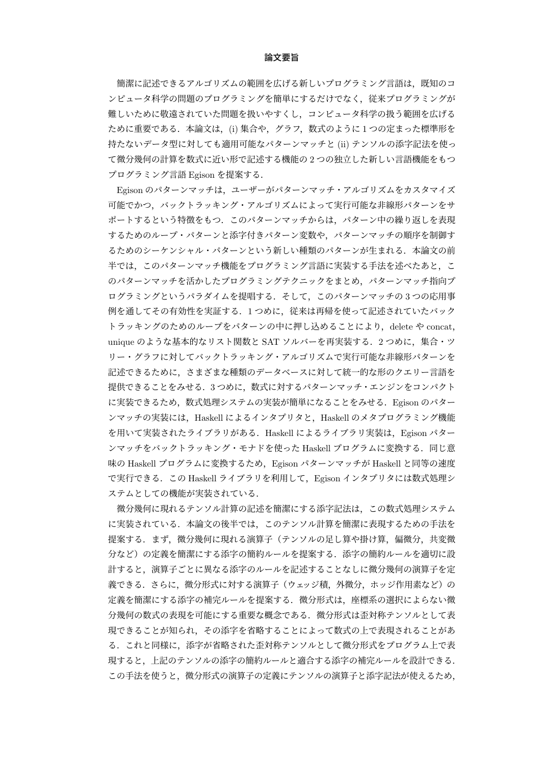#### 論文要旨

簡潔に記述できるアルゴリズムの範囲を広げる新しいプログラミング言語は、既知のコ ンピュータ科学の問題のプログラミングを簡単にするだけでなく,従来プログラミングが 難しいために敬遠されていた問題を扱いやすくし,コンピュータ科学の扱う範囲を広げる ために重要である.本論文は,(i) 集合や,グラフ,数式のように 1 つの定まった標準形を 持たないデータ型に対しても適用可能なパターンマッチと (ii) テンソルの添字記法を使っ て微分幾何の計算を数式に近い形で記述する機能の 2 つの独立した新しい言語機能をもつ プログラミング言語 Egison を提案する.

Egison のパターンマッチは,ユーザーがパターンマッチ・アルゴリズムをカスタマイズ 可能でかつ,バックトラッキング・アルゴリズムによって実行可能な非線形パターンをサ ポートするという特徴をもつ. このパターンマッチからは、パターン中の繰り返しを表現 するためのループ・パターンと添字付きパターン変数や,パターンマッチの順序を制御す るためのシーケンシャル・パターンという新しい種類のパターンが生まれる.本論文の前 半では、このパターンマッチ機能をプログラミング言語に実装する手法を述べたあと、こ のパターンマッチを活かしたプログラミングテクニックをまとめ,パターンマッチ指向プ ログラミングというパラダイムを提唱する.そして,このパターンマッチの 3 つの応用事 例を通してその有効性を実証する.1 つめに,従来は再帰を使って記述されていたバック トラッキングのためのループをパターンの中に押し込めることにより、delete や concat, unique のような基本的なリスト関数と SAT ソルバーを再実装する. 2 つめに,集合・ツ リー・グラフに対してバックトラッキング・アルゴリズムで実行可能な非線形パターンを 記述できるために,さまざまな種類のデータベースに対して統一的な形のクエリー言語を 提供できることをみせる. 3つめに、数式に対するパターンマッチ・エンジンをコンパクト に実装できるため、数式処理システムの実装が簡単になることをみせる. Egison のパター ンマッチの実装には、Haskell によるインタプリタと, Haskell のメタプログラミング機能 を用いて実装されたライブラリがある.Haskell によるライブラリ実装は,Egison パター ンマッチをバックトラッキング・モナドを使った Haskell プログラムに変換する.同じ意 味の Haskell プログラムに変換するため、Egison パターンマッチが Haskell と同等の速度 で実行できる.この Haskell ライブラリを利用して,Egison インタプリタには数式処理シ ステムとしての機能が実装されている.

微分幾何に現れるテンソル計算の記述を簡潔にする添字記法は,この数式処理システム に実装されている.本論文の後半では,このテンソル計算を簡潔に表現するための手法を 提案する.まず,微分幾何に現れる演算子(テンソルの足し算や掛け算,偏微分,共変微 分など)の定義を簡潔にする添字の簡約ルールを提案する.添字の簡約ルールを適切に設 計すると,演算子ごとに異なる添字のルールを記述することなしに微分幾何の演算子を定 義できる.さらに,微分形式に対する演算子(ウェッジ積,外微分,ホッジ作用素など)の 定義を簡潔にする添字の補完ルールを提案する.微分形式は,座標系の選択によらない微 分幾何の数式の表現を可能にする重要な概念である.微分形式は歪対称テンソルとして表 現できることが知られ,その添字を省略することによって数式の上で表現されることがあ る.これと同様に,添字が省略された歪対称テンソルとして微分形式をプログラム上で表 現すると,上記のテンソルの添字の簡約ルールと適合する添字の補完ルールを設計できる. この手法を使うと,微分形式の演算子の定義にテンソルの演算子と添字記法が使えるため,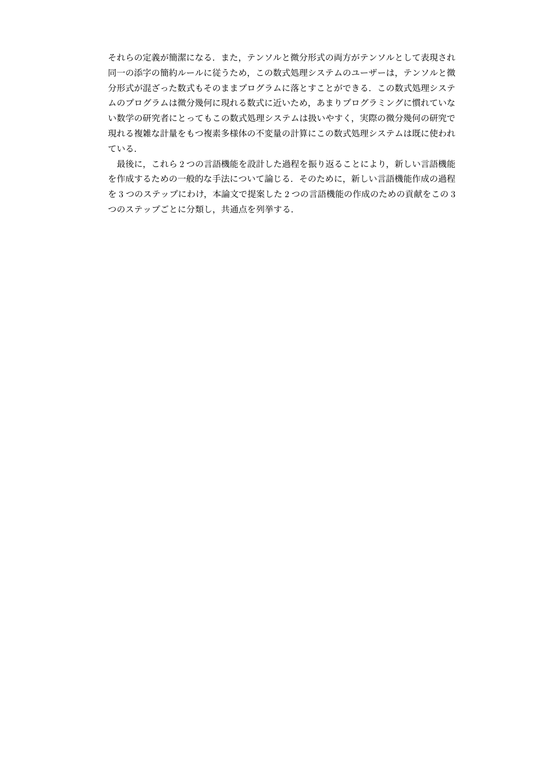それらの定義が簡潔になる.また,テンソルと微分形式の両方がテンソルとして表現され 同一の添字の簡約ルールに従うため,この数式処理システムのユーザーは,テンソルと微 分形式が混ざった数式もそのままプログラムに落とすことができる.この数式処理システ ムのプログラムは微分幾何に現れる数式に近いため,あまりプログラミングに慣れていな い数学の研究者にとってもこの数式処理システムは扱いやすく,実際の微分幾何の研究で 現れる複雑な計量をもつ複素多様体の不変量の計算にこの数式処理システムは既に使われ ている.

最後に,これら 2 つの言語機能を設計した過程を振り返ることにより,新しい言語機能 を作成するための一般的な手法について論じる.そのために,新しい言語機能作成の過程 を 3 つのステップにわけ,本論文で提案した 2 つの言語機能の作成のための貢献をこの 3 つのステップごとに分類し,共通点を列挙する.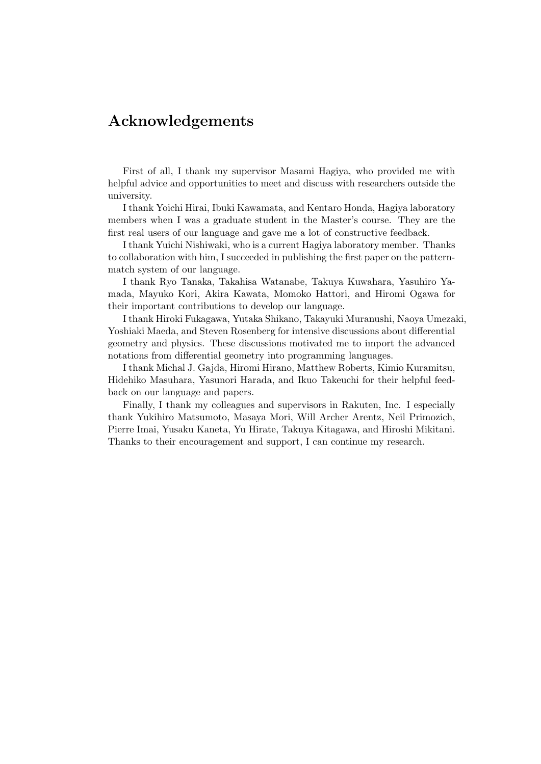# **Acknowledgements**

First of all, I thank my supervisor Masami Hagiya, who provided me with helpful advice and opportunities to meet and discuss with researchers outside the university.

I thank Yoichi Hirai, Ibuki Kawamata, and Kentaro Honda, Hagiya laboratory members when I was a graduate student in the Master's course. They are the first real users of our language and gave me a lot of constructive feedback.

I thank Yuichi Nishiwaki, who is a current Hagiya laboratory member. Thanks to collaboration with him, I succeeded in publishing the first paper on the patternmatch system of our language.

I thank Ryo Tanaka, Takahisa Watanabe, Takuya Kuwahara, Yasuhiro Yamada, Mayuko Kori, Akira Kawata, Momoko Hattori, and Hiromi Ogawa for their important contributions to develop our language.

I thank Hiroki Fukagawa, Yutaka Shikano, Takayuki Muranushi, Naoya Umezaki, Yoshiaki Maeda, and Steven Rosenberg for intensive discussions about differential geometry and physics. These discussions motivated me to import the advanced notations from differential geometry into programming languages.

I thank Michal J. Gajda, Hiromi Hirano, Matthew Roberts, Kimio Kuramitsu, Hidehiko Masuhara, Yasunori Harada, and Ikuo Takeuchi for their helpful feedback on our language and papers.

Finally, I thank my colleagues and supervisors in Rakuten, Inc. I especially thank Yukihiro Matsumoto, Masaya Mori, Will Archer Arentz, Neil Primozich, Pierre Imai, Yusaku Kaneta, Yu Hirate, Takuya Kitagawa, and Hiroshi Mikitani. Thanks to their encouragement and support, I can continue my research.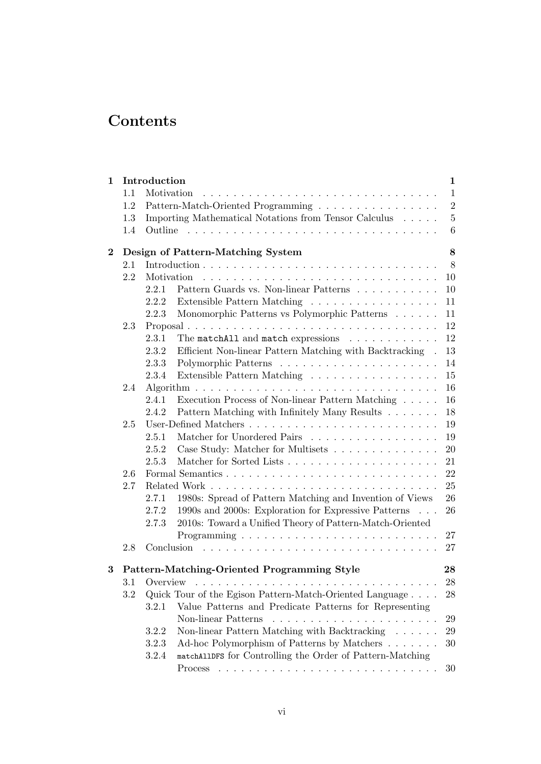# **Contents**

| $\mathbf{1}$ |         | Introduction                                                                  | $\mathbf{1}$ |  |  |  |  |  |
|--------------|---------|-------------------------------------------------------------------------------|--------------|--|--|--|--|--|
|              | 1.1     | Motivation                                                                    | $\mathbf{1}$ |  |  |  |  |  |
|              | 1.2     | Pattern-Match-Oriented Programming                                            | $\sqrt{2}$   |  |  |  |  |  |
|              | 1.3     | Importing Mathematical Notations from Tensor Calculus                         | $\bf 5$      |  |  |  |  |  |
|              | 1.4     |                                                                               | 6            |  |  |  |  |  |
| $\bf{2}$     |         | Design of Pattern-Matching System                                             | 8            |  |  |  |  |  |
|              | 2.1     |                                                                               | 8            |  |  |  |  |  |
|              | 2.2     | Motivation                                                                    | 10           |  |  |  |  |  |
|              |         | Pattern Guards vs. Non-linear Patterns $\ldots \ldots \ldots \ldots$<br>2.2.1 | 10           |  |  |  |  |  |
|              |         | Extensible Pattern Matching<br>2.2.2                                          | 11           |  |  |  |  |  |
|              |         | Monomorphic Patterns vs Polymorphic Patterns<br>2.2.3                         | 11           |  |  |  |  |  |
|              | 2.3     | Proposal                                                                      | 12           |  |  |  |  |  |
|              |         | The matchAll and match expressions<br>2.3.1                                   | 12           |  |  |  |  |  |
|              |         | Efficient Non-linear Pattern Matching with Backtracking.<br>2.3.2             | 13           |  |  |  |  |  |
|              |         | 2.3.3                                                                         | 14           |  |  |  |  |  |
|              |         | 2.3.4<br>Extensible Pattern Matching                                          | 15           |  |  |  |  |  |
|              | 2.4     |                                                                               | 16           |  |  |  |  |  |
|              |         | Execution Process of Non-linear Pattern Matching $\ldots \ldots$<br>2.4.1     | 16           |  |  |  |  |  |
|              |         | Pattern Matching with Infinitely Many Results<br>2.4.2                        | 18           |  |  |  |  |  |
|              | 2.5     |                                                                               | 19           |  |  |  |  |  |
|              |         | Matcher for Unordered Pairs<br>2.5.1                                          | 19           |  |  |  |  |  |
|              |         | Case Study: Matcher for Multisets<br>2.5.2                                    | 20           |  |  |  |  |  |
|              |         | 2.5.3                                                                         | 21           |  |  |  |  |  |
|              | 2.6     |                                                                               |              |  |  |  |  |  |
|              | 2.7     |                                                                               |              |  |  |  |  |  |
|              |         | 1980s: Spread of Pattern Matching and Invention of Views<br>2.7.1             | 26           |  |  |  |  |  |
|              |         | 2.7.2<br>1990s and 2000s: Exploration for Expressive Patterns                 | 26           |  |  |  |  |  |
|              |         | 2010s: Toward a Unified Theory of Pattern-Match-Oriented<br>2.7.3             |              |  |  |  |  |  |
|              |         | $Programming \ldots \ldots \ldots \ldots \ldots \ldots \ldots \ldots$         | 27           |  |  |  |  |  |
|              | 2.8     | Conclusion                                                                    | 27           |  |  |  |  |  |
| 3            |         | Pattern-Matching-Oriented Programming Style                                   | 28           |  |  |  |  |  |
|              |         | ${\bf 28}$<br>3.1 Overview                                                    |              |  |  |  |  |  |
|              | $3.2\,$ | Quick Tour of the Egison Pattern-Match-Oriented Language                      | 28           |  |  |  |  |  |
|              |         | Value Patterns and Predicate Patterns for Representing<br>3.2.1               |              |  |  |  |  |  |
|              |         | Non-linear Patterns                                                           | 29           |  |  |  |  |  |
|              |         | Non-linear Pattern Matching with Backtracking<br>3.2.2                        | $\,29$       |  |  |  |  |  |
|              |         | 3.2.3<br>Ad-hoc Polymorphism of Patterns by Matchers                          | 30           |  |  |  |  |  |
|              |         | 3.2.4<br>matchAllDFS for Controlling the Order of Pattern-Matching            |              |  |  |  |  |  |
|              |         |                                                                               | 30           |  |  |  |  |  |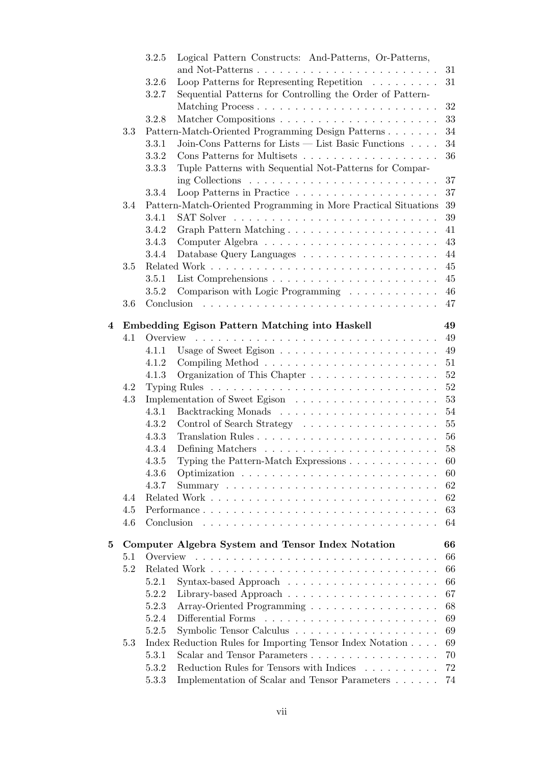|   |     | 3.2.5      | Logical Pattern Constructs: And-Patterns, Or-Patterns,                    |    |
|---|-----|------------|---------------------------------------------------------------------------|----|
|   |     |            |                                                                           | 31 |
|   |     | 3.2.6      | Loop Patterns for Representing Repetition $\ldots \ldots \ldots$          | 31 |
|   |     | 3.2.7      | Sequential Patterns for Controlling the Order of Pattern-                 |    |
|   |     |            | Matching Process                                                          | 32 |
|   |     | 3.2.8      |                                                                           | 33 |
|   | 3.3 |            | Pattern-Match-Oriented Programming Design Patterns                        | 34 |
|   |     | 3.3.1      | Join-Cons Patterns for Lists — List Basic Functions                       | 34 |
|   |     | 3.3.2      |                                                                           | 36 |
|   |     | 3.3.3      | Tuple Patterns with Sequential Not-Patterns for Compar-                   |    |
|   |     |            | ing Collections $\ldots \ldots \ldots \ldots \ldots \ldots \ldots \ldots$ | 37 |
|   |     | 3.3.4      |                                                                           | 37 |
|   | 3.4 |            | Pattern-Match-Oriented Programming in More Practical Situations           | 39 |
|   |     | 3.4.1      |                                                                           | 39 |
|   |     | 3.4.2      | Graph Pattern Matching                                                    | 41 |
|   |     | 3.4.3      |                                                                           | 43 |
|   |     | 3.4.4      |                                                                           | 44 |
|   | 3.5 |            |                                                                           | 45 |
|   |     | 3.5.1      |                                                                           | 45 |
|   |     | 3.5.2      | Comparison with Logic Programming                                         | 46 |
|   | 3.6 |            |                                                                           | 47 |
|   |     |            |                                                                           |    |
| 4 |     |            | Embedding Egison Pattern Matching into Haskell                            | 49 |
|   | 4.1 |            |                                                                           | 49 |
|   |     | 4.1.1      |                                                                           | 49 |
|   |     | 4.1.2      |                                                                           | 51 |
|   |     | 4.1.3      | Organization of This Chapter                                              | 52 |
|   | 4.2 |            |                                                                           | 52 |
|   | 4.3 |            |                                                                           | 53 |
|   |     | 4.3.1      |                                                                           | 54 |
|   |     | 4.3.2      |                                                                           | 55 |
|   |     | 4.3.3      |                                                                           | 56 |
|   |     | 4.3.4      |                                                                           | 58 |
|   |     | 4.3.5      |                                                                           | 60 |
|   |     | 4.3.6      |                                                                           | 60 |
|   |     | 4.3.7      |                                                                           | 62 |
|   | 4.4 |            |                                                                           | 62 |
|   | 4.5 |            | Performance                                                               | 63 |
|   | 4.6 | Conclusion |                                                                           | 64 |
|   |     |            |                                                                           |    |
| 5 |     |            | Computer Algebra System and Tensor Index Notation                         | 66 |
|   | 5.1 | Overview   |                                                                           | 66 |
|   | 5.2 |            |                                                                           | 66 |
|   |     | 5.2.1      |                                                                           | 66 |
|   |     | 5.2.2      |                                                                           | 67 |
|   |     | 5.2.3      | Array-Oriented Programming                                                | 68 |
|   |     | 5.2.4      |                                                                           | 69 |
|   |     | 5.2.5      |                                                                           | 69 |
|   | 5.3 |            | Index Reduction Rules for Importing Tensor Index Notation                 | 69 |
|   |     | 5.3.1      | Scalar and Tensor Parameters                                              | 70 |
|   |     | 5.3.2      | Reduction Rules for Tensors with Indices                                  | 72 |
|   |     | 5.3.3      | Implementation of Scalar and Tensor Parameters                            | 74 |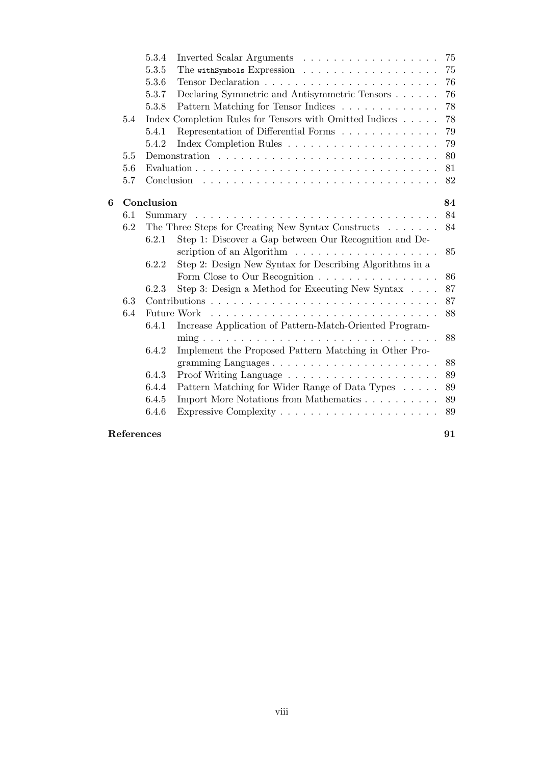|   |            | 5.3.4      |                                                                 | 75 |
|---|------------|------------|-----------------------------------------------------------------|----|
|   |            | 5.3.5      |                                                                 | 75 |
|   |            | 5.3.6      |                                                                 | 76 |
|   |            | 5.3.7      | Declaring Symmetric and Antisymmetric Tensors                   | 76 |
|   |            | 5.3.8      | Pattern Matching for Tensor Indices                             | 78 |
|   | 5.4        |            | Index Completion Rules for Tensors with Omitted Indices         | 78 |
|   |            | 5.4.1      | Representation of Differential Forms                            | 79 |
|   |            | 5.4.2      |                                                                 | 79 |
|   | 5.5        |            |                                                                 | 80 |
|   | 5.6        |            |                                                                 | 81 |
|   | 5.7        |            |                                                                 | 82 |
| 6 |            | Conclusion |                                                                 | 84 |
|   | 6.1        | Summary    |                                                                 | 84 |
|   | 6.2        |            | The Three Steps for Creating New Syntax Constructs              | 84 |
|   |            | 6.2.1      | Step 1: Discover a Gap between Our Recognition and De-          |    |
|   |            |            | scription of an Algorithm $\dots \dots \dots \dots \dots \dots$ | 85 |
|   |            | 6.2.2      | Step 2: Design New Syntax for Describing Algorithms in a        |    |
|   |            |            | Form Close to Our Recognition                                   | 86 |
|   |            | 6.2.3      | Step 3: Design a Method for Executing New Syntax $\ldots$ .     | 87 |
|   | 6.3        |            |                                                                 | 87 |
|   | 6.4        |            |                                                                 | 88 |
|   |            | 6.4.1      | Increase Application of Pattern-Match-Oriented Program-         |    |
|   |            |            |                                                                 | 88 |
|   |            | 6.4.2      | Implement the Proposed Pattern Matching in Other Pro-           |    |
|   |            |            |                                                                 | 88 |
|   |            | 6.4.3      |                                                                 | 89 |
|   |            | 6.4.4      | Pattern Matching for Wider Range of Data Types                  | 89 |
|   |            | 6.4.5      | Import More Notations from Mathematics                          | 89 |
|   |            | 6.4.6      |                                                                 | 89 |
|   | References |            |                                                                 | 91 |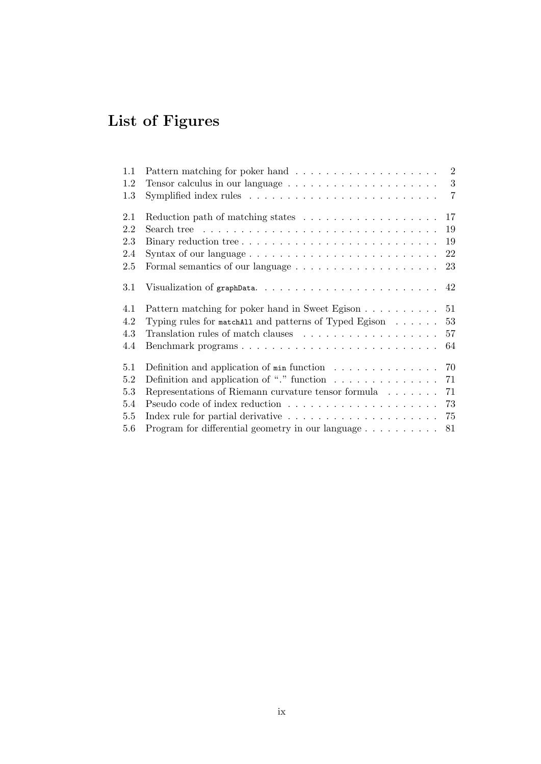# **List of Figures**

| Symplified index rules $\ldots \ldots \ldots \ldots \ldots \ldots \ldots \ldots \ldots$ | $\overline{2}$<br>3<br>$\overline{7}$                                                                                                                                                                                                                                              |
|-----------------------------------------------------------------------------------------|------------------------------------------------------------------------------------------------------------------------------------------------------------------------------------------------------------------------------------------------------------------------------------|
|                                                                                         |                                                                                                                                                                                                                                                                                    |
| Search tree $\ldots \ldots \ldots \ldots \ldots \ldots \ldots \ldots \ldots \ldots$     |                                                                                                                                                                                                                                                                                    |
| Binary reduction tree                                                                   |                                                                                                                                                                                                                                                                                    |
| Syntax of our language $\dots \dots \dots \dots \dots \dots \dots \dots \dots \dots$    |                                                                                                                                                                                                                                                                                    |
|                                                                                         |                                                                                                                                                                                                                                                                                    |
|                                                                                         |                                                                                                                                                                                                                                                                                    |
|                                                                                         |                                                                                                                                                                                                                                                                                    |
| Typing rules for matchall and patterns of Typed Egison $\dots \dots$                    |                                                                                                                                                                                                                                                                                    |
|                                                                                         |                                                                                                                                                                                                                                                                                    |
| Benchmark programs                                                                      |                                                                                                                                                                                                                                                                                    |
|                                                                                         |                                                                                                                                                                                                                                                                                    |
| Definition and application of "." function $\ldots \ldots \ldots \ldots$                |                                                                                                                                                                                                                                                                                    |
| Representations of Riemann curvature tensor formula $\ldots \ldots$                     |                                                                                                                                                                                                                                                                                    |
|                                                                                         |                                                                                                                                                                                                                                                                                    |
| Index rule for partial derivative $\ldots \ldots \ldots \ldots \ldots \ldots$           |                                                                                                                                                                                                                                                                                    |
|                                                                                         |                                                                                                                                                                                                                                                                                    |
|                                                                                         | 17<br>Reduction path of matching states $\dots \dots \dots \dots \dots \dots$<br>19<br>19<br>22<br>23<br>Pattern matching for poker hand in Sweet Egison $\ldots \ldots \ldots 51$<br>53<br>57<br>64<br>Definition and application of $min$ function<br>70<br>71<br>71<br>73<br>75 |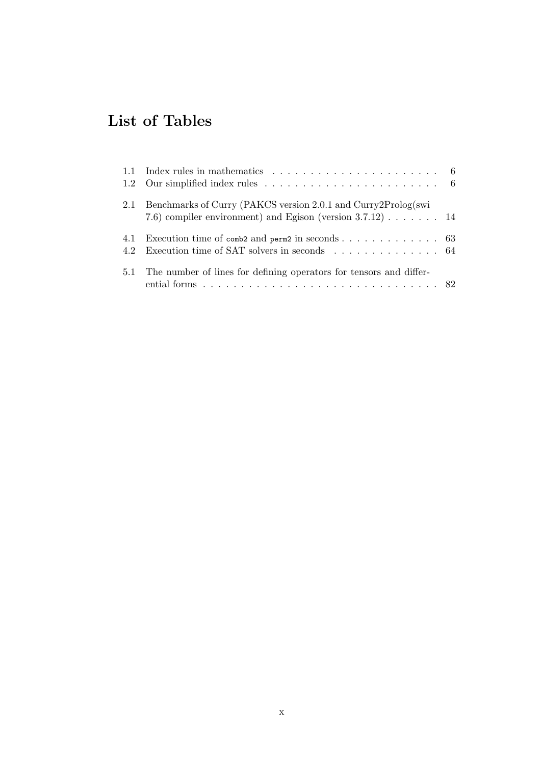# **List of Tables**

|     | 1.1 Index rules in mathematics $\ldots \ldots \ldots \ldots \ldots \ldots \ldots \ldots \ldots$              |  |
|-----|--------------------------------------------------------------------------------------------------------------|--|
|     |                                                                                                              |  |
| 2.1 | Benchmarks of Curry (PAKCS version 2.0.1 and Curry 2Prolog(swi                                               |  |
|     | 7.6) compiler environment) and Egison (version $3.7.12$ ) $\ldots$ $\ldots$ 14                               |  |
|     | 4.1 Execution time of $\cosh 2$ and $\text{perm2}$ in $\text{seconds} \ldots \ldots \ldots \ldots \ldots$ 63 |  |
|     | 4.2 Execution time of SAT solvers in seconds 64                                                              |  |
|     | 5.1 The number of lines for defining operators for tensors and differ-                                       |  |
|     | ential forms $\ldots \ldots \ldots \ldots \ldots \ldots \ldots \ldots \ldots \ldots \ldots$                  |  |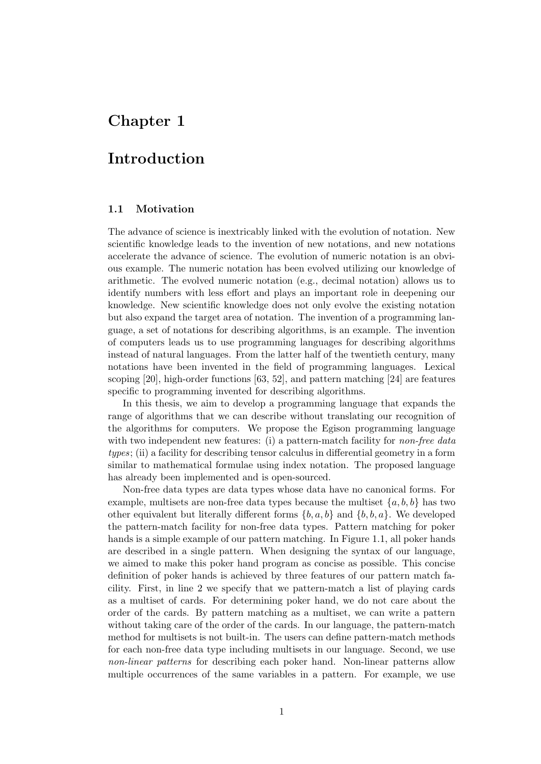# <span id="page-10-0"></span>**Chapter 1**

# **Introduction**

#### **1.1 Motivation**

<span id="page-10-1"></span>The advance of science is inextricably linked with the evolution of notation. New scientific knowledge leads to the invention of new notations, and new notations accelerate the advance of science. The evolution of numeric notation is an obvious example. The numeric notation has been evolved utilizing our knowledge of arithmetic. The evolved numeric notation (e.g., decimal notation) allows us to identify numbers with less effort and plays an important role in deepening our knowledge. New scientific knowledge does not only evolve the existing notation but also expand the target area of notation. The invention of a programming language, a set of notations for describing algorithms, is an example. The invention of computers leads us to use programming languages for describing algorithms instead of natural languages. From the latter half of the twentieth century, many notations have been invented in the field of programming languages. Lexical scoping [20], high-order functions [63, 52], and pattern matching [24] are features specific to programming invented for describing algorithms.

In this thesis, we aim to develop a programming language that expands the range of algorithms that we can describe without translating our recognition of the algo[rith](#page-101-0)ms for computers. [We p](#page-104-0)[rop](#page-103-0)ose the Egison progra[mmi](#page-101-1)ng language with two independent new features: (i) a pattern-match facility for *non-free data types*; (ii) a facility for describing tensor calculus in differential geometry in a form similar to mathematical formulae using index notation. The proposed language has already been implemented and is open-sourced.

Non-free data types are data types whose data have no canonical forms. For example, multisets are non-free data types because the multiset  $\{a, b, b\}$  has two other equivalent but literally different forms *{b, a, b}* and *{b, b, a}*. We developed the pattern-match facility for non-free data types. Pattern matching for poker hands is a simple example of our pattern matching. In Figure 1.1, all poker hands are described in a single pattern. When designing the syntax of our language, we aimed to make this poker hand program as concise as possible. This concise definition of poker hands is achieved by three features of our pattern match facility. First, in line 2 we specify that we pattern-match al[ist o](#page-11-1)f playing cards as a multiset of cards. For determining poker hand, we do not care about the order of the cards. By pattern matching as a multiset, we can write a pattern without taking care of the order of the cards. In our language, the pattern-match method for multisets is not built-in. The users can define pattern-match methods for each non-free data type including multisets in our language. Second, we use *non-linear patterns* for describing each poker hand. Non-linear patterns allow multiple occurrences of the same variables in a pattern. For example, we use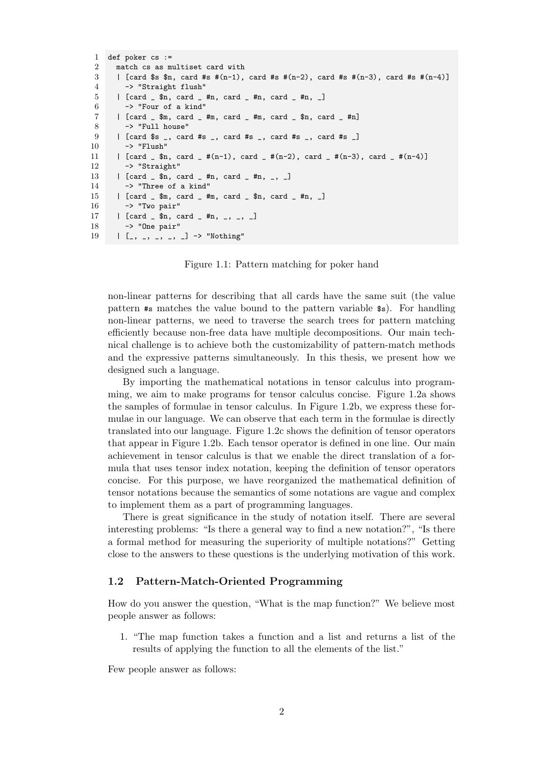```
1 def poker cs :=
 2 match cs as multiset card with
 3 | [card $s $n, card #s #(n-1), card #s #(n-2), card #s #(n-3), card #s #(n-4)]
 4 -> "Straight flush"
 5 | [card _ $n, card _ #n, card _ #n, card _ #n, _]
 6 \rightarrow "Four of a kind"
 7 | [card \frac{1}{2} \, card \frac{1}{2} \, card \frac{1}{2} \, card \frac{1}{2} \, card \frac{1}{2} \, fm \frac{1}{2}8 -> "Full house"
 9 | [card $s _, card #s _, card #s _, card #s _, card #s _]
10 \rightarrow "Flush"
11 | [card _{\underline{}} $n, card _{\underline{}} +(n-1), card _{\underline{}} +(n-2), card _{\underline{}} +(n-3), card _{\underline{}} +(n-4)]12 -> "Straight"
13 | [card \frac{1}{2} $n, card \frac{1}{2} #n, card \frac{1}{2} #n, \frac{1}{2} |
14 -> "Three of a kind"
15 | [card _ $m, card _ #m, card _ $n, card _ #n, _]
16 -> "Two pair"
17 | [card _ $n, card _ #n, _, _, _]
18 -> "One pair"
19 | [-, -, -, -, -] -> "Nothing"
```
Figure 1.1: Pattern matching for poker hand

non-linear patterns for describing that all cards have the same suit (the value pattern #s matches the value bound to the pattern variable \$s). For handling non-linear patterns, we need to traverse the search trees for pattern matching efficiently because non-free data have multiple decompositions. Our main technical challenge is to achieve both the customizability of pattern-match methods and the expressive patterns simultaneously. In this thesis, we present how we designed such a language.

By importing the mathematical notations in tensor calculus into programming, we aim to make programs for tensor calculus concise. Figure 1.2a shows the samples of formulae in tensor calculus. In Figure 1.2b, we express these formulae in our language. We can observe that each term in the formulae is directly translated into our language. Figure 1.2c shows the definition of tensor operators that appear in Figure 1.2b. Each tensor operator is defined in one line[. Ou](#page-12-0)r main achievement in tensor calculus is that we enable the [direc](#page-12-0)t translation of a formula that uses tensor index notation, keeping the definition of tensor operators concise. For this purpose, we have [reor](#page-12-0)ganized the mathematical definition of tensor notations beca[use t](#page-12-0)he semantics of some notations are vague and complex to implement them as a part of programming languages.

There is great significance in the study of notation itself. There are several interesting problems: "Is there a general way to find a new notation?", "Is there a formal method for measuring the superiority of multiple notations?" Getting close to the answers to these questions is the underlying motivation of this work.

#### **1.2 Pattern-Match-Oriented Programming**

<span id="page-11-0"></span>How do you answer the question, "What is the map function?" We believe most people answer as follows:

1. "The map function takes a function and a list and returns a list of the results of applying the function to all the elements of the list."

Few people answer as follows: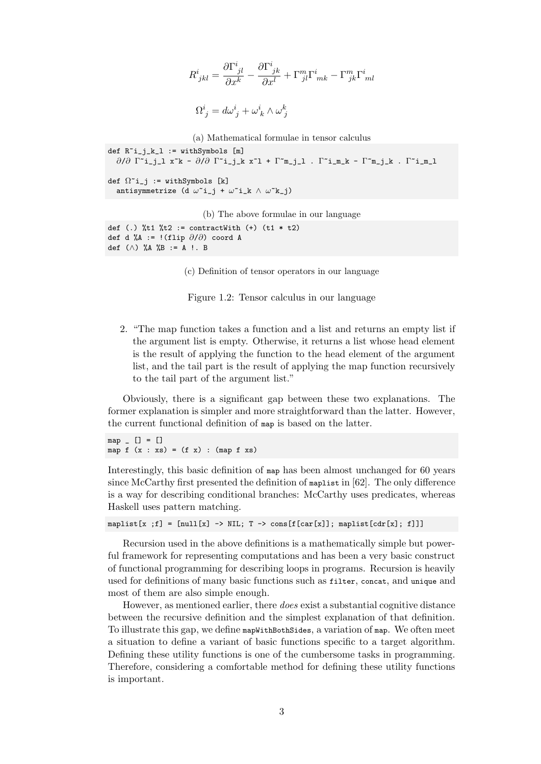$$
\begin{array}{l} R^i_{\phantom{i}jkl}=\displaystyle\frac{\partial\Gamma^i_{\phantom{i}jl}}{\partial x^k}-\displaystyle\frac{\partial\Gamma^i_{\phantom{i}jk}}{\partial x^l}+\Gamma^m_{\phantom{m}jl}\Gamma^i_{\phantom{i}mk}-\Gamma^m_{\phantom{m}jk}\Gamma^i_{\phantom{i}ml}\\ \\ \Omega^i_{\phantom{i}j}=d\omega^i_{\phantom{i}j}+\omega^i_{\phantom{i}k}\wedge\omega^k_{\phantom{k}j} \end{array}
$$

(a) Mathematical formulae in tensor calculus

<span id="page-12-0"></span>def  $R^i_j_k_l := \text{with}$ Symbols  $[m]$ *∂*/*∂* Γ~i\_j\_l x~k - *∂*/*∂* Γ~i\_j\_k x~l + Γ~m\_j\_l . Γ~i\_m\_k - Γ~m\_j\_k . Γ~i\_m\_l def  $\Omega$ <sup> $\sim$ </sup>i\_j := withSymbols [k] antisymmetrize (d *ω*~i\_j + *ω*~i\_k *∧ ω*~k\_j)

(b) The above formulae in our language

def (.)  $%t1$   $t2 :=$  contractWith  $(+)$   $(t1 * t2)$ def d %A := !(flip *∂*/*∂*) coord A def (*∧*) %A %B := A !. B

(c) Definition of tensor operators in our language

Figure 1.2: Tensor calculus in our language

2. "The map function takes a function and a list and returns an empty list if the argument list is empty. Otherwise, it returns a list whose head element is the result of applying the function to the head element of the argument list, and the tail part is the result of applying the map function recursively to the tail part of the argument list."

Obviously, there is a significant gap between these two explanations. The former explanation is simpler and more straightforward than the latter. However, the current functional definition of map is based on the latter.

 $map [ ] = [ ]$ map  $f(x : xs) = (f x) : (map f xs)$ 

Interestingly, this basic definition of map has been almost unchanged for 60 years since McCarthy first presented the definition of maplist in [62]. The only difference is a way for describing conditional branches: McCarthy uses predicates, whereas Haskell uses pattern matching.

map[list](#page-104-1)[x ;f] = [null[x] -> NIL; T -> cons[f[car[x]]; maplist[cdr[x]; f]]]

Recursion used in the above definitions is a mathematically simple but powerful framework for representing computations and has been a very basic construct of functional programming for describing loops in programs. Recursion is heavily used for definitions of many basic functions such as filter, concat, and unique and most of them are also simple enough.

However, as mentioned earlier, there *does* exist a substantial cognitive distance between the recursive definition and the simplest explanation of that definition. To illustrate this gap, we define mapWithBothSides, a variation of map. We often meet a situation to define a variant of basic functions specific to a target algorithm. Defining these utility functions is one of the cumbersome tasks in programming. Therefore, considering a comfortable method for defining these utility functions is important.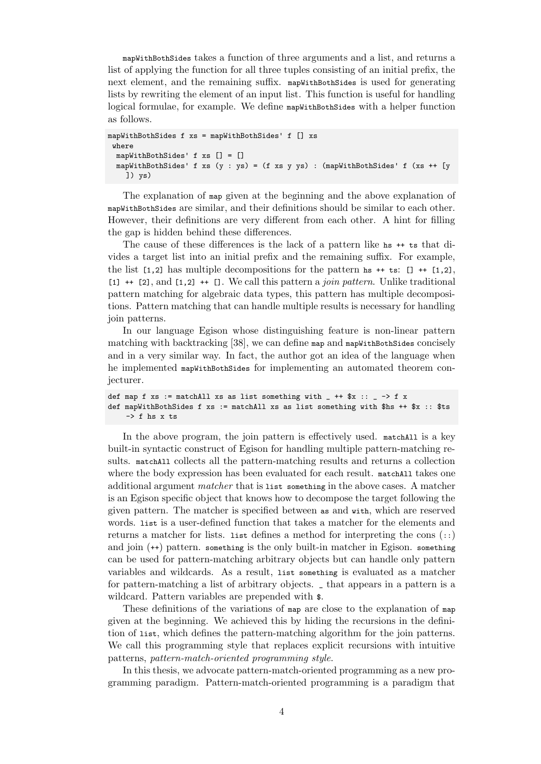mapWithBothSides takes a function of three arguments and a list, and returns a list of applying the function for all three tuples consisting of an initial prefix, the next element, and the remaining suffix. mapWithBothSides is used for generating lists by rewriting the element of an input list. This function is useful for handling logical formulae, for example. We define mapWithBothSides with a helper function as follows.

```
mapWithBothSides f xs = mapWithBothSides' f [] xs
where
 mapWithBothSides' f xs [] = []
 mapWithBothSides' f xs (y : ys) = (f xs y ys) : (mapWithBothSides' f (xs ++ [y
    ]) ys)
```
The explanation of map given at the beginning and the above explanation of mapWithBothSides are similar, and their definitions should be similar to each other. However, their definitions are very different from each other. A hint for filling the gap is hidden behind these differences.

The cause of these differences is the lack of a pattern like hs ++ ts that divides a target list into an initial prefix and the remaining suffix. For example, the list  $[1,2]$  has multiple decompositions for the pattern is  $**$  ts:  $[1, 2]$ , [1] ++ [2], and [1,2] ++ []. We call this pattern a *join pattern*. Unlike traditional pattern matching for algebraic data types, this pattern has multiple decompositions. Pattern matching that can handle multiple results is necessary for handling join patterns.

In our language Egison whose distinguishing feature is non-linear pattern matching with backtracking [38], we can define map and mapWithBothSides concisely and in a very similar way. In fact, the author got an idea of the language when he implemented mapWithBothSides for implementing an automated theorem conjecturer.

```
def map f xs := matchAll xs as list something with _ ++ x :: _ -> f x
def mapWithBothSides f xs := matchAll xs as list something with $hs ++ $x :: $ts
    -> f hs x ts
```
In the above program, the join pattern is effectively used. matchAll is a key built-in syntactic construct of Egison for handling multiple pattern-matching results. matchAll collects all the pattern-matching results and returns a collection where the body expression has been evaluated for each result. matchall takes one additional argument *matcher* that is list something in the above cases. A matcher is an Egison specific object that knows how to decompose the target following the given pattern. The matcher is specified between as and with, which are reserved words. list is a user-defined function that takes a matcher for the elements and returns a matcher for lists. list defines a method for interpreting the cons (::) and join (++) pattern. something is the only built-in matcher in Egison. something can be used for pattern-matching arbitrary objects but can handle only pattern variables and wildcards. As a result, list something is evaluated as a matcher for pattern-matching a list of arbitrary objects. \_ that appears in a pattern is a wildcard. Pattern variables are prepended with \$.

These definitions of the variations of map are close to the explanation of map given at the beginning. We achieved this by hiding the recursions in the definition of list, which defines the pattern-matching algorithm for the join patterns. We call this programming style that replaces explicit recursions with intuitive patterns, *pattern-match-oriented programming style*.

In this thesis, we advocate pattern-match-oriented programming as a new programming paradigm. Pattern-match-oriented programming is a paradigm that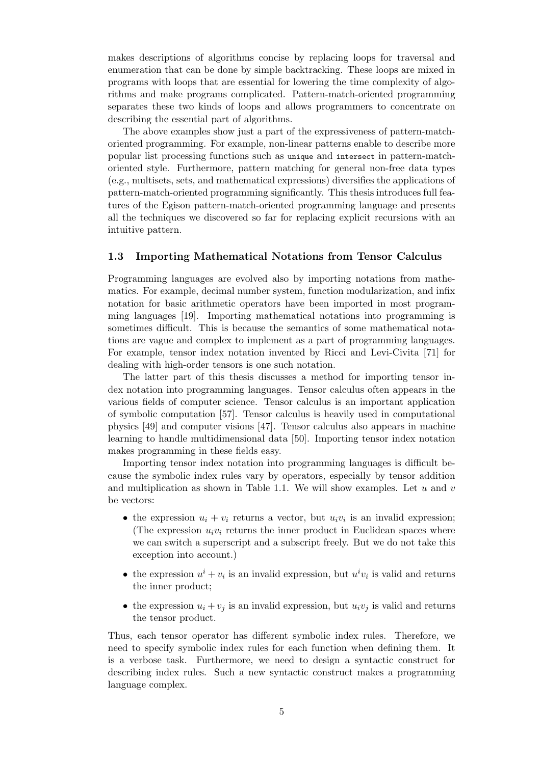makes descriptions of algorithms concise by replacing loops for traversal and enumeration that can be done by simple backtracking. These loops are mixed in programs with loops that are essential for lowering the time complexity of algorithms and make programs complicated. Pattern-match-oriented programming separates these two kinds of loops and allows programmers to concentrate on describing the essential part of algorithms.

The above examples show just a part of the expressiveness of pattern-matchoriented programming. For example, non-linear patterns enable to describe more popular list processing functions such as unique and intersect in pattern-matchoriented style. Furthermore, pattern matching for general non-free data types (e.g., multisets, sets, and mathematical expressions) diversifies the applications of pattern-match-oriented programming significantly. This thesis introduces full features of the Egison pattern-match-oriented programming language and presents all the techniques we discovered so far for replacing explicit recursions with an intuitive pattern.

#### **1.3 Importing Mathematical Notations from Tensor Calculus**

<span id="page-14-0"></span>Programming languages are evolved also by importing notations from mathematics. For example, decimal number system, function modularization, and infix notation for basic arithmetic operators have been imported in most programming languages [19]. Importing mathematical notations into programming is sometimes difficult. This is because the semantics of some mathematical notations are vague and complex to implement as a part of programming languages. For example, tensor index notation invented by Ricci and Levi-Civita [71] for dealing with high[-or](#page-101-2)der tensors is one such notation.

The latter part of this thesis discusses a method for importing tensor index notation into programming languages. Tensor calculus often appears in the various fields of computer science. Tensor calculus is an important appl[ica](#page-104-2)tion of symbolic computation [57]. Tensor calculus is heavily used in computational physics [49] and computer visions [47]. Tensor calculus also appears in machine learning to handle multidimensional data [50]. Importing tensor index notation makes programming in these fields easy.

Importing tensor inde[x n](#page-103-1)otation into programming languages is difficult because th[e s](#page-103-2)ymbolic index rules var[y b](#page-103-3)y operators, especially by tensor addition and multiplication as shown in Table 1.1. [We](#page-103-4) will show examples. Let *u* and *v* be vectors:

- the expression  $u_i + v_i$  returns a vector, but  $u_i v_i$  is an invalid expression; (The expression  $u_i v_i$  returns th[e inn](#page-15-1)er product in Euclidean spaces where we can switch a superscript and a subscript freely. But we do not take this exception into account.)
- the expression  $u^i + v_i$  is an invalid expression, but  $u^i v_i$  is valid and returns the inner product;
- the expression  $u_i + v_j$  is an invalid expression, but  $u_i v_j$  is valid and returns the tensor product.

Thus, each tensor operator has different symbolic index rules. Therefore, we need to specify symbolic index rules for each function when defining them. It is a verbose task. Furthermore, we need to design a syntactic construct for describing index rules. Such a new syntactic construct makes a programming language complex.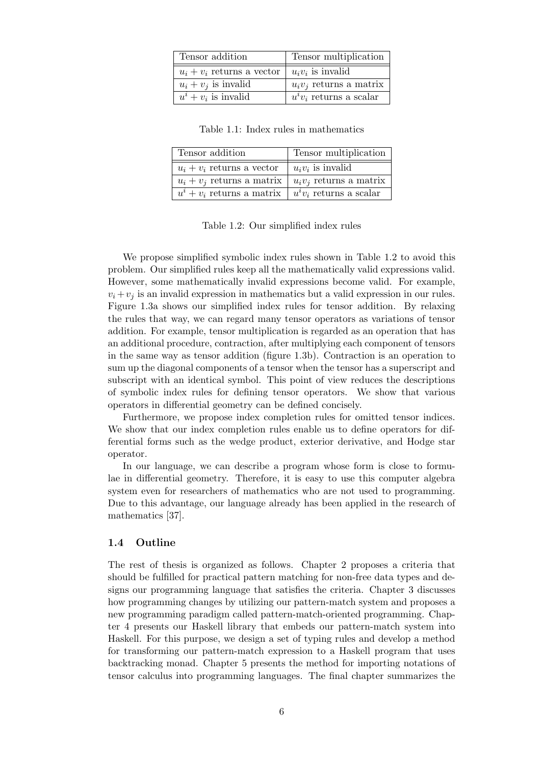<span id="page-15-1"></span>

| Tensor addition              | Tensor multiplication      |
|------------------------------|----------------------------|
| $u_i + v_i$ returns a vector | $u_i v_i$ is invalid       |
| $u_i + v_j$ is invalid       | $u_i v_j$ returns a matrix |
| $u^i + v_i$ is invalid       | $u^i v_i$ returns a scalar |

Table 1.1: Index rules in mathematics

| Tensor addition                  | Tensor multiplication      |
|----------------------------------|----------------------------|
| $u_i + v_i$ returns a vector     | $u_i v_i$ is invalid       |
| $u_i + v_j$ returns a matrix     | $u_i v_i$ returns a matrix |
| $u^{i} + v_{i}$ returns a matrix | $u^i v_i$ returns a scalar |

Table 1.2: Our simplified index rules

<span id="page-15-2"></span>We propose simplified symbolic index rules shown in Table 1.2 to avoid this problem. Our simplified rules keep all the mathematically valid expressions valid. However, some mathematically invalid expressions become valid. For example,  $v_i + v_j$  is an invalid expression in mathematics but a valid expression in our rules. Figure 1.3a shows our simplified index rules for tensor additi[on.](#page-15-2) By relaxing the rules that way, we can regard many tensor operators as variations of tensor addition. For example, tensor multiplication is regarded as an operation that has an additional procedure, contraction, after multiplying each component of tensors in thes[ame](#page-16-0) way as tensor addition (figure 1.3b). Contraction is an operation to sum up the diagonal components of a tensor when the tensor has a superscript and subscript with an identical symbol. This point of view reduces the descriptions of symbolic index rules for defining tensor operators. We show that various operators in differential geometry can be d[efine](#page-16-0)d concisely.

Furthermore, we propose index completion rules for omitted tensor indices. We show that our index completion rules enable us to define operators for differential forms such as the wedge product, exterior derivative, and Hodge star operator.

In our language, we can describe a program whose form is close to formulae in differential geometry. Therefore, it is easy to use this computer algebra system even for researchers of mathematics who are not used to programming. Due to this advantage, our language already has been applied in the research of mathematics [37].

#### **1.4 Outline**

<span id="page-15-0"></span>The rest of t[hes](#page-102-0)is is organized as follows. Chapter 2 proposes a criteria that should be fulfilled for practical pattern matching for non-free data types and designs our programming language that satisfies the criteria. Chapter 3 discusses how programming changes by utilizing our pattern-match system and proposes a new programming paradigm called pattern-match-ori[en](#page-17-0)ted programming. Chapter 4 presents our Haskell library that embeds our pattern-match system into Haskell. For this purpose, we design a set of typing rules and develo[p](#page-37-0) a method for transforming our pattern-match expression to a Haskell program that uses backtracking monad. Chapter 5 presents the method for importing notations of ten[so](#page-58-0)r calculus into programming languages. The final chapter summarizes the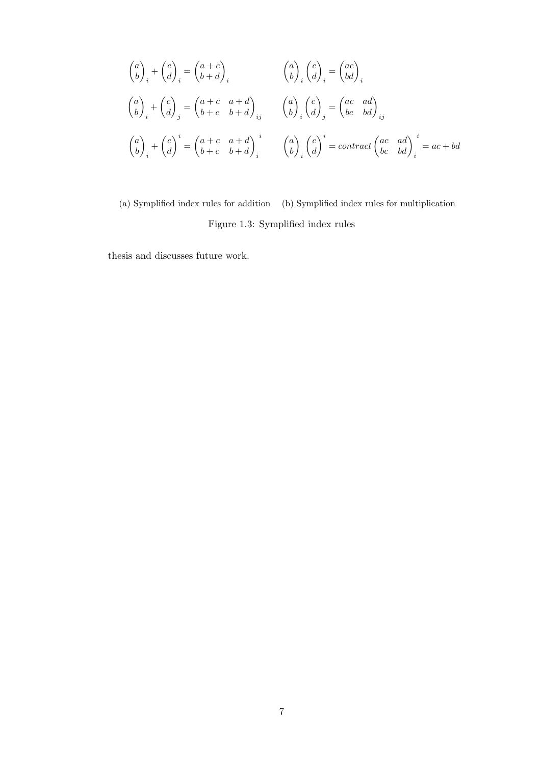<span id="page-16-0"></span>
$$
\begin{pmatrix} a \\ b \end{pmatrix}_{i} + \begin{pmatrix} c \\ d \end{pmatrix}_{i} = \begin{pmatrix} a+c \\ b+d \end{pmatrix}_{i} \qquad \qquad \begin{pmatrix} a \\ b \end{pmatrix}_{i} \begin{pmatrix} c \\ d \end{pmatrix}_{i} = \begin{pmatrix} ac \\ bd \end{pmatrix}_{i}
$$

$$
\begin{pmatrix} a \\ b \end{pmatrix}_{i} + \begin{pmatrix} c \\ d \end{pmatrix}_{j} = \begin{pmatrix} a+c & a+d \\ b+c & b+d \end{pmatrix}_{ij} \qquad \begin{pmatrix} a \\ b \end{pmatrix}_{i} \begin{pmatrix} c \\ d \end{pmatrix}_{j} = \begin{pmatrix} ac & ad \\ bc & bd \end{pmatrix}_{ij}
$$

$$
\begin{pmatrix} a \\ b \end{pmatrix}_{i} + \begin{pmatrix} c \\ d \end{pmatrix}^{i} = \begin{pmatrix} a+c & a+d \\ b+c & b+d \end{pmatrix}_{i}^{i} \qquad \begin{pmatrix} a \\ b \end{pmatrix}_{i} \begin{pmatrix} c \\ d \end{pmatrix}^{i} = contract \begin{pmatrix} ac & ad \\ bc & bd \end{pmatrix}_{i}^{i} = ac + bd
$$

(a) Symplified index rules for addition (b) Symplified index rules for multiplication Figure 1.3: Symplified index rules

thesis and discusses future work.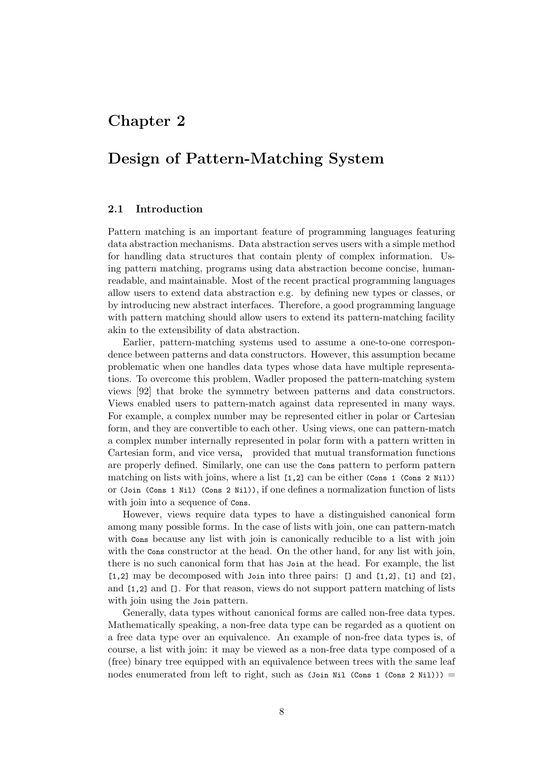### <span id="page-17-0"></span>**Chapter 2**

### **Design of Pattern-Matching System**

### **2.1 Introduction**

<span id="page-17-1"></span>Pattern matching is an important feature of programming languages featuring data abstraction mechanisms. Data abstraction serves users with a simple method for handling data structures that contain plenty of complex information. Using pattern matching, programs using data abstraction become concise, humanreadable, and maintainable. Most of the recent practical programming languages allow users to extend data abstraction e.g. by defining new types or classes, or by introducing new abstract interfaces. Therefore, a good programming language with pattern matching should allow users to extend its pattern-matching facility akin to the extensibility of data abstraction.

Earlier, pattern-matching systems used to assume a one-to-one correspondence between patterns and data constructors. However, this assumption became problematic when one handles data types whose data have multiple representations. To overcome this problem, Wadler proposed the pattern-matching system views [92] that broke the symmetry between patterns and data constructors. Views enabled users to pattern-match against data represented in many ways. For example, a complex number may be represented either in polar or Cartesian form, and they are convertible to each other. Using views, one can pattern-match a com[plex](#page-106-0) number internally represented in polar form with a pattern written in Cartesian form, and vice versa, provided that mutual transformation functions are properly defined. Similarly, one can use the Cons pattern to perform pattern matching on lists with joins, where a list [1,2] can be either (Cons 1 (Cons 2 Nil)) or (Join (Cons 1 Nil) (Cons 2 Nil)), if one defines a normalization function of lists with join into a sequence of  $\cos$ .

However, views require data types to have a distinguished canonical form among many possible forms. In the case of lists with join, one can pattern-match with  $\cos$  because any list with join is canonically reducible to a list with join with the Cons constructor at the head. On the other hand, for any list with join, there is no such canonical form that has Join at the head. For example, the list  $[1,2]$  may be decomposed with Join into three pairs:  $[1,2]$ ,  $[1]$  and  $[2]$ , and [1,2] and []. For that reason, views do not support pattern matching of lists with join using the *Join* pattern.

Generally, data types without canonical forms are called non-free data types. Mathematically speaking, a non-free data type can be regarded as a quotient on a free data type over an equivalence. An example of non-free data types is, of course, a list with join: it may be viewed as a non-free data type composed of a (free) binary tree equipped with an equivalence between trees with the same leaf nodes enumerated from left to right, such as  $(Join Nil (Cons 2 Nil))) =$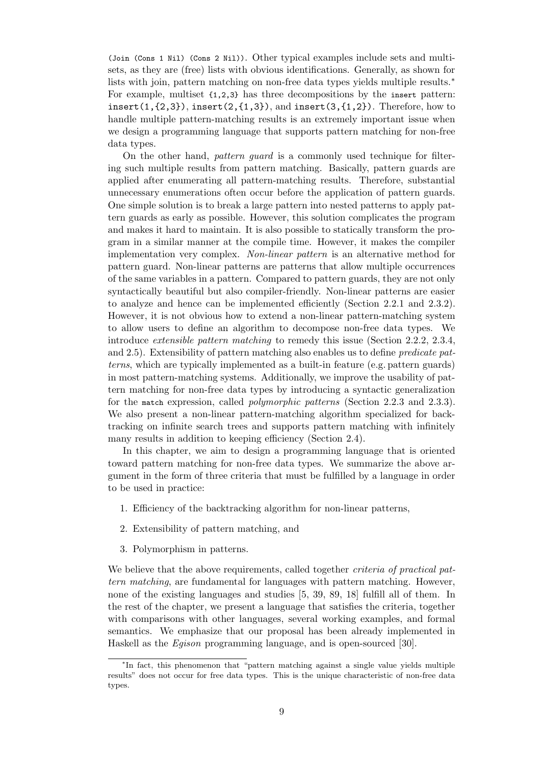(Join (Cons 1 Nil) (Cons 2 Nil)). Other typical examples include sets and multisets, as they are (free) lists with obvious identifications. Generally, as shown for lists with join, pattern matching on non-free data types yields multiple results.<sup>∗</sup> For example, multiset {1,2,3} has three decompositions by the insert pattern: insert $(1,\{2,3\})$ , insert $(2,\{1,3\})$ , and insert $(3,\{1,2\})$ . Therefore, how to handle multiple pattern-matching results is an extremely important issue when we design a programming language that supports pattern matching for non-free data types.

On the other hand, *pattern guard* is a commonly used technique for filtering such multiple results from pattern matching. Basically, pattern guards are applied after enumerating all pattern-matching results. Therefore, substantial unnecessary enumerations often occur before the application of pattern guards. One simple solution is to break a large pattern into nested patterns to apply pattern guards as early as possible. However, this solution complicates the program and makes it hard to maintain. It is also possible to statically transform the program in a similar manner at the compile time. However, it makes the compiler implementation very complex. *Non-linear pattern* is an alternative method for pattern guard. Non-linear patterns are patterns that allow multiple occurrences of the same variables in a pattern. Compared to pattern guards, they are not only syntactically beautiful but also compiler-friendly. Non-linear patterns are easier to analyze and hence can be implemented efficiently (Section 2.2.1 and 2.3.2). However, it is not obvious how to extend a non-linear pattern-matching system to allow users to define an algorithm to decompose non-free data types. We introduce *extensible pattern matching* to remedy this issue (Section 2.2.2, 2.3.4, and 2.5). Extensibility of pattern matching also enables us to de[fine](#page-19-1) *predica[te pat](#page-22-0)terns*, which are typically implemented as a built-in feature (e.g. pattern guards) in most pattern-matching systems. Additionally, we improve the usability of pattern matching for non-free data types by introducing a syntactic ge[nerali](#page-20-0)[zation](#page-24-0) for [the](#page-28-0) match expression, called *polymorphic patterns* (Section 2.2.3 and 2.3.3). We also present a non-linear pattern-matching algorithm specialized for backtracking on infinite search trees and supports pattern matching with infinitely many results in addition to keeping efficiency (Section 2.4).

In this chapter, we aim to design a programming language [that](#page-20-1) is o[riente](#page-23-0)d toward pattern matching for non-free data types. We summarize the above argument in the form of three criteria that must be fulfill[ed b](#page-25-0)y a language in order to be used in practice:

- 1. Efficiency of the backtracking algorithm for non-linear patterns,
- 2. Extensibility of pattern matching, and
- 3. Polymorphism in patterns.

We believe that the above requirements, called together *criteria of practical pattern matching*, are fundamental for languages with pattern matching. However, none of the existing languages and studies [5, 39, 89, 18] fulfill all of them. In the rest of the chapter, we present a language that satisfies the criteria, together with comparisons with other languages, several working examples, and formal semantics. We emphasize that our proposal has been already implemented in Haskell as the *Egison* programming languag[e,](#page-100-0) [and](#page-102-1) [is o](#page-106-1)[pen](#page-101-3)-sourced [30].

<sup>∗</sup> In fact, this phenomenon that "pattern matching against a single value yields multiple results" does not occur for free data types. This is the unique characteristic of non-free data types.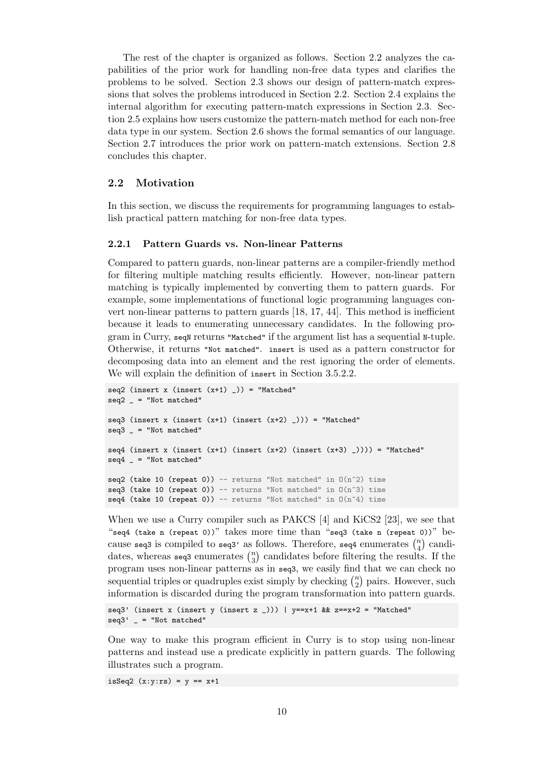The rest of the chapter is organized as follows. Section 2.2 analyzes the capabilities of the prior work for handling non-free data types and clarifies the problems to be solved. Section 2.3 shows our design of pattern-match expressions that solves the problems introduced in Section 2.2. Section 2.4 explains the internal algorithm for executing pattern-match expressions [in S](#page-19-0)ection 2.3. Section 2.5 explains how users customize the pattern-match method for each non-free data type in our system. Section [2.6](#page-21-0) shows the formal semantics of our language. Section 2.7 introduces the prior work on pattern-m[atch](#page-19-0) extensi[ons.](#page-25-0) S[ectio](#page-21-0)n 2.8 concludes this chapter.

#### **2.2 [Mot](#page-34-0)ivation**

<span id="page-19-0"></span>In this section, we discuss the requirements for programming languages to establish practical pattern matching for non-free data types.

#### **2.2.1 Pattern Guards vs. Non-linear Patterns**

<span id="page-19-1"></span>Compared to pattern guards, non-linear patterns are a compiler-friendly method for filtering multiple matching results efficiently. However, non-linear pattern matching is typically implemented by converting them to pattern guards. For example, some implementations of functional logic programming languages convert non-linear patterns to pattern guards [18, 17, 44]. This method is inefficient because it leads to enumerating unnecessary candidates. In the following program in Curry, seqN returns "Matched" if the argument list has a sequential N-tuple. Otherwise, it returns "Not matched". insert is used as a pattern constructor for decomposing data into an element and th[e re](#page-101-3)[st i](#page-101-4)[gno](#page-103-5)ring the order of elements. We will explain the definition of insert in Section 3.5.2.2.

```
seq2 (insert x (insert (x+1)) = "Matched"
seq2 = "Not matched"
seq3 (insert x (insert (x+1) (insert (x+2)Matched"
seq3 = "Not matched"
seq4 (insert x (insert (x+1) (insert (x+2) (insert (x+3) _)))) = "Matched"
seq4 = "Not matched"seq2 (take 10 (repeat 0)) -- returns "Not matched" in O(n^2) time
seq3 (take 10 (repeat 0)) -- returns "Not matched" in O(n^3) time
seq4 (take 10 (repeat 0)) -- returns "Not matched" in O(n^4) time
```
When we use a Curry compiler such as PAKCS [4] and KiCS2 [23], we see that "seq4 (take n (repeat 0))" takes more time than "seq3 (take n (repeat 0))" because seq3 is compiled to seq3' as follows. Therefore, seq4 enumerates  $\binom{n}{4}$  $\binom{n}{4}$  candidates, whereas seq3 enumerates  $\binom{n}{3}$  $\binom{n}{3}$  candidates before filtering the results. If the program uses non-linear patterns as in seq3, wee[as](#page-100-1)ily find that [we](#page-101-5) can check no sequential triples or quadruples exist simply by checking  $\binom{n}{2}$  $n \choose 2$  pairs. However, such information is discarded during the program transformation into pattern guards.

```
seq3' (insert x (insert y (insert z _))) | y = x + 1 & z = x + 2 = "Matched"
seq3' = "Not matched"
```
One way to make this program efficient in Curry is to stop using non-linear patterns and instead use a predicate explicitly in pattern guards. The following illustrates such a program.

isSeq2  $(x:y:rs) = y == x+1$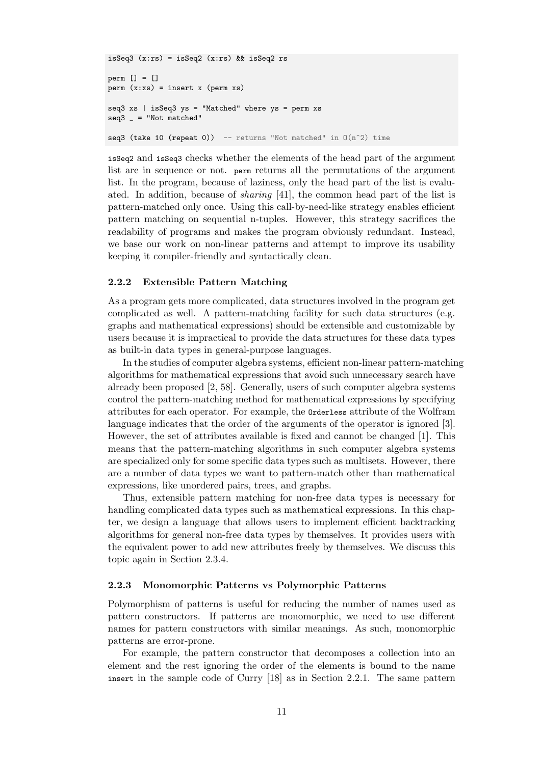```
isSeq3 (x:rs) = isSeq2 (x:rs) && isSeq2 rs
perm [] = []
perm(x:xs) = insert x (perm xs)seq3 xs | isSeq3 ys = "Matched" where ys = perm xs
seq3 = "Not matched"
seq3 (take 10 (repeat 0)) -- returns "Not matched" in O(n^2) time
```
isSeq2 and isSeq3 checks whether the elements of the head part of the argument list are in sequence or not. perm returns all the permutations of the argument list. In the program, because of laziness, only the head part of the list is evaluated. In addition, because of *sharing* [41], the common head part of the list is pattern-matched only once. Using this call-by-need-like strategy enables efficient pattern matching on sequential n-tuples. However, this strategy sacrifices the readability of programs and makes the program obviously redundant. Instead, we base our work on non-linear patte[rns](#page-102-2) and attempt to improve its usability keeping it compiler-friendly and syntactically clean.

#### **2.2.2 Extensible Pattern Matching**

<span id="page-20-0"></span>As a program gets more complicated, data structures involved in the program get complicated as well. A pattern-matching facility for such data structures (e.g. graphs and mathematical expressions) should be extensible and customizable by users because it is impractical to provide the data structures for these data types as built-in data types in general-purpose languages.

In the studies of computer algebra systems, efficient non-linear pattern-matching algorithms for mathematical expressions that avoid such unnecessary search have already been proposed [2, 58]. Generally, users of such computer algebra systems control the pattern-matching method for mathematical expressions by specifying attributes for each operator. For example, the Orderless attribute of the Wolfram language indicates that the order of the arguments of the operator is ignored [3]. However, the set of att[rib](#page-100-2)[ute](#page-104-3)s available is fixed and cannot be changed [1]. This means that the pattern-matching algorithms in such computer algebra systems are specialized only for some specific data types such as multisets. However, there are a number of data types we want to pattern-match other than math[em](#page-100-4)ati[ca](#page-100-3)l expressions, like unordered pairs, trees, and graphs.

Thus, extensible pattern matching for non-free data types is necessary for handling complicated data types such as mathematical expressions. In this chapter, we design a language that allows users to implement efficient backtracking algorithms for general non-free data types by themselves. It provides users with the equivalent power to add new attributes freely by themselves. We discuss this topic again in Section 2.3.4.

#### **2.2.3 Monomorphic Patterns vs Polymorphic Patterns**

<span id="page-20-1"></span>Polymorphism of patt[erns](#page-24-0) is useful for reducing the number of names used as pattern constructors. If patterns are monomorphic, we need to use different names for pattern constructors with similar meanings. As such, monomorphic patterns are error-prone.

For example, the pattern constructor that decomposes a collection into an element and the rest ignoring the order of the elements is bound to the name insert in the sample code of Curry [18] as in Section 2.2.1. The same pattern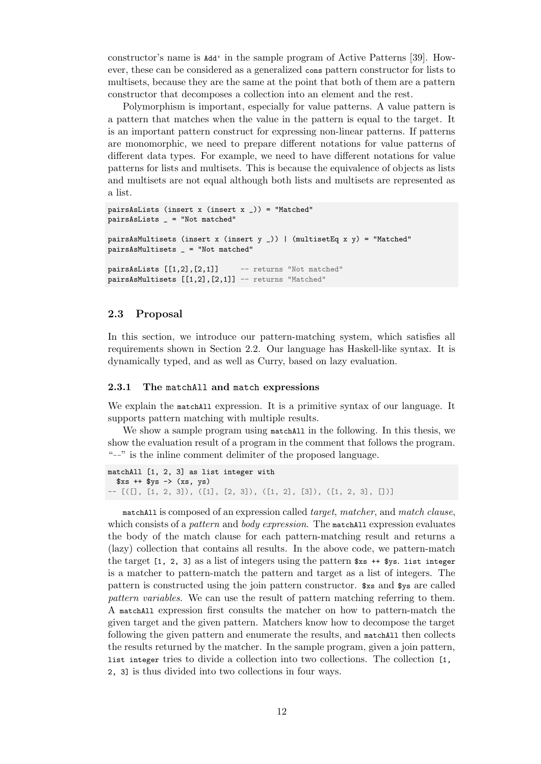constructor's name is Add' in the sample program of Active Patterns [39]. However, these can be considered as a generalized cons pattern constructor for lists to multisets, because they are the same at the point that both of them are a pattern constructor that decomposes a collection into an element and the rest.

Polymorphism is important, especially for value patterns. A value [pa](#page-102-1)ttern is a pattern that matches when the value in the pattern is equal to the target. It is an important pattern construct for expressing non-linear patterns. If patterns are monomorphic, we need to prepare different notations for value patterns of different data types. For example, we need to have different notations for value patterns for lists and multisets. This is because the equivalence of objects as lists and multisets are not equal although both lists and multisets are represented as a list.

```
pairsAsLists (insert x (insert x _)) = "Matched"
pairsAsLists _ = "Not matched"
pairsAsMultisets (insert x (insert y _)) | (multisetEq x y) = "Matched"
pairsAsMultisets _ = "Not matched"
pairsAsLists [1,2], [2,1]] -- returns "Not matched"
pairsAsMultisets [[1,2], [2,1]] -- returns "Matched"
```
#### **2.3 Proposal**

<span id="page-21-0"></span>In this section, we introduce our pattern-matching system, which satisfies all requirements shown in Section 2.2. Our language has Haskell-like syntax. It is dynamically typed, and as well as Curry, based on lazy evaluation.

#### **2.3.1 The** matchAll **and** ma[tch](#page-19-0) **expressions**

<span id="page-21-1"></span>We explain the matchall expression. It is a primitive syntax of our language. It supports pattern matching with multiple results.

We show a sample program using matchall in the following. In this thesis, we show the evaluation result of a program in the comment that follows the program. "--" is the inline comment delimiter of the proposed language.

```
matchAll [1, 2, 3] as list integer with
  xs + fys \rightarrow (xs, ys)-- [([], [1, 2, 3]), ([1], [2, 3]), ([1, 2], [3]), ([1, 2, 3], [])]
```
matchAll is composed of an expression called *target*, *matcher*, and *match clause*, which consists of a *pattern* and *body expression*. The matchAll expression evaluates the body of the match clause for each pattern-matching result and returns a (lazy) collection that contains all results. In the above code, we pattern-match the target  $[1, 2, 3]$  as a list of integers using the pattern  $x_s + \frac{1}{3}$ . list integer is a matcher to pattern-match the pattern and target as a list of integers. The pattern is constructed using the join pattern constructor. \$xs and \$ys are called *pattern variables*. We can use the result of pattern matching referring to them. A matchAll expression first consults the matcher on how to pattern-match the given target and the given pattern. Matchers know how to decompose the target following the given pattern and enumerate the results, and matchAll then collects the results returned by the matcher. In the sample program, given a join pattern, list integer tries to divide a collection into two collections. The collection [1, 2, 3] is thus divided into two collections in four ways.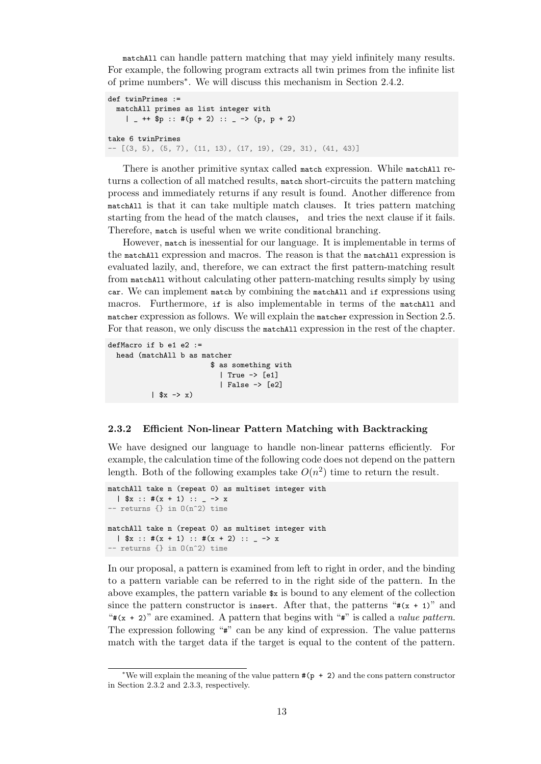matchAll can handle pattern matching that may yield infinitely many results. For example, the following program extracts all twin primes from the infinite list of prime numbers<sup>∗</sup> . We will discuss this mechanism in Section 2.4.2.

```
def twinPrimes :=matchAll primes as list integer with
    | - ++ $p :: #(p + 2) :: - -> (p, p + 2)
take 6 twinPrimes
-- [(3, 5), (5, 7), (11, 13), (17, 19), (29, 31), (41, 43)]
```
There is another primitive syntax called match expression. While matchAll returns a collection of all matched results, match short-circuits the pattern matching process and immediately returns if any result is found. Another difference from matchAll is that it can take multiple match clauses. It tries pattern matching starting from the head of the match clauses, and tries the next clause if it fails. Therefore, match is useful when we write conditional branching.

However, match is inessential for our language. It is implementable in terms of the matchAll expression and macros. The reason is that the matchAll expression is evaluated lazily, and, therefore, we can extract the first pattern-matching result from matchAll without calculating other pattern-matching results simply by using car. We can implement match by combining the matchAll and if expressions using macros. Furthermore, if is also implementable in terms of the matchAll and matcher expression as follows. We will explain the matcher expression in Section 2.5. For that reason, we only discuss the matchAll expression in the rest of the chapter.

```
defMacro if b e1 e2 :=
 head (matchAll b as matcher
                         $ as something with
                           | True -> [e1]
                           | False -> [e2]
          | $x -> x)
```
#### **2.3.2 Efficient Non-linear Pattern Matching with Backtracking**

<span id="page-22-0"></span>We have designed our language to handle non-linear patterns efficiently. For example, the calculation time of the following code does not depend on the pattern length. Both of the following examples take  $O(n^2)$  time to return the result.

```
matchAll take n (repeat 0) as multiset integer with
  |\ $x :: #(x + 1) :: _ -> x
-- returns \{\}\in 0(n^2) time
matchAll take n (repeat 0) as multiset integer with
  | $x :: #(x + 1) :: #(x + 2) :: _ -> x
-- returns \{\} in O(n^2) time
```
In our proposal, a pattern is examined from left to right in order, and the binding to a pattern variable can be referred to in the right side of the pattern. In the above examples, the pattern variable  $x$  is bound to any element of the collection since the pattern constructor is insert. After that, the patterns " $*(x + 1)$ " and  $"*(x + 2)"$  are examined. A pattern that begins with " $*"$ " is called a *value pattern*. The expression following "#" can be any kind of expression. The value patterns match with the target data if the target is equal to the content of the pattern.

<sup>∗</sup>We will explain the meaning of the value pattern #(p + 2) and the cons pattern constructor in Section 2.3.2 and 2.3.3, respectively.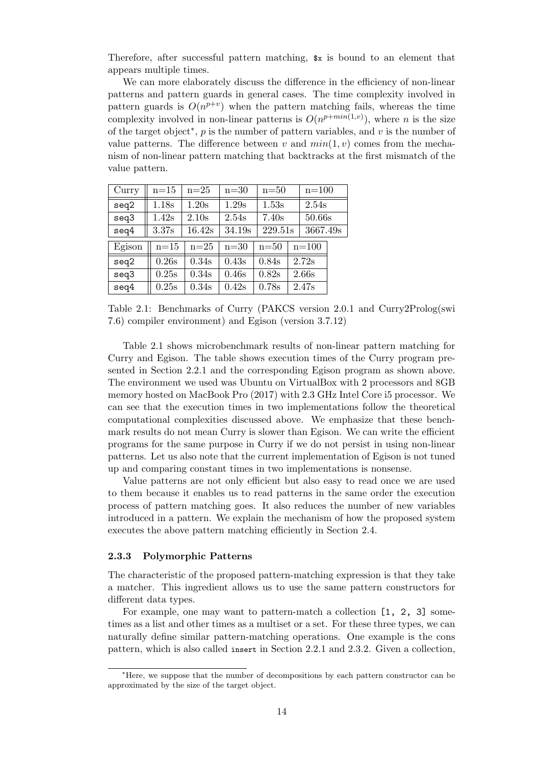Therefore, after successful pattern matching, \$x is bound to an element that appears multiple times.

We can more elaborately discuss the difference in the efficiency of non-linear patterns and pattern guards in general cases. The time complexity involved in pattern guards is  $O(n^{p+v})$  when the pattern matching fails, whereas the time complexity involved in non-linear patterns is  $O(n^{p+min(1,v)})$ , where *n* is the size of the target object<sup>∗</sup> , *p* is the number of pattern variables, and *v* is the number of value patterns. The difference between  $v$  and  $min(1, v)$  comes from the mechanism of non-linear pattern matching that backtracks at the first mismatch of the value pattern.

<span id="page-23-1"></span>

| Curry  | $n=15$ | $n=25$ | $n=30$ | $n=50$  | $n = 100$ |  |
|--------|--------|--------|--------|---------|-----------|--|
| seq2   | 1.18s  | 1.20s  | 1.29s  | 1.53s   | 2.54s     |  |
| seq3   | 1.42s  | 2.10s  | 2.54s  | 7.40s   | 50.66s    |  |
| seq4   | 3.37s  | 16.42s | 34.19s | 229.51s | 3667.49s  |  |
| Egison | $n=15$ | $n=25$ | $n=30$ | $n=50$  | $n = 100$ |  |
| seq2   | 0.26s  | 0.34s  | 0.43s  | 0.84s   | 2.72s     |  |
| seq3   | 0.25s  | 0.34s  | 0.46s  | 0.82s   | 2.66s     |  |
| seq4   | 0.25s  | 0.34s  | 0.42s  | 0.78s   | 2.47s     |  |

Table 2.1: Benchmarks of Curry (PAKCS version 2.0.1 and Curry2Prolog(swi 7.6) compiler environment) and Egison (version 3.7.12)

Table 2.1 shows microbenchmark results of non-linear pattern matching for Curry and Egison. The table shows execution times of the Curry program presented in Section 2.2.1 and the corresponding Egison program as shown above. The environment we used was Ubuntu on VirtualBox with 2 processors and 8GB memory [host](#page-23-1)ed on MacBook Pro (2017) with 2.3 GHz Intel Core i5 processor. We can see that the execution times in two implementations follow the theoretical computational co[mplex](#page-19-1)ities discussed above. We emphasize that these benchmark results do not mean Curry is slower than Egison. We can write the efficient programs for the same purpose in Curry if we do not persist in using non-linear patterns. Let us also note that the current implementation of Egison is not tuned up and comparing constant times in two implementations is nonsense.

Value patterns are not only efficient but also easy to read once we are used to them because it enables us to read patterns in the same order the execution process of pattern matching goes. It also reduces the number of new variables introduced in a pattern. We explain the mechanism of how the proposed system executes the above pattern matching efficiently in Section 2.4.

#### **2.3.3 Polymorphic Patterns**

<span id="page-23-0"></span>The characteristic of the proposed pattern-matching expre[ssio](#page-25-0)n is that they take a matcher. This ingredient allows us to use the same pattern constructors for different data types.

For example, one may want to pattern-match a collection [1, 2, 3] sometimes as a list and other times as a multiset or a set. For these three types, we can naturally define similar pattern-matching operations. One example is the cons pattern, which is also called insert in Section 2.2.1 and 2.3.2. Given a collection,

<sup>∗</sup>Here, we suppose that the number of decompositions by each pattern constructor can be approximated by the size of the target object.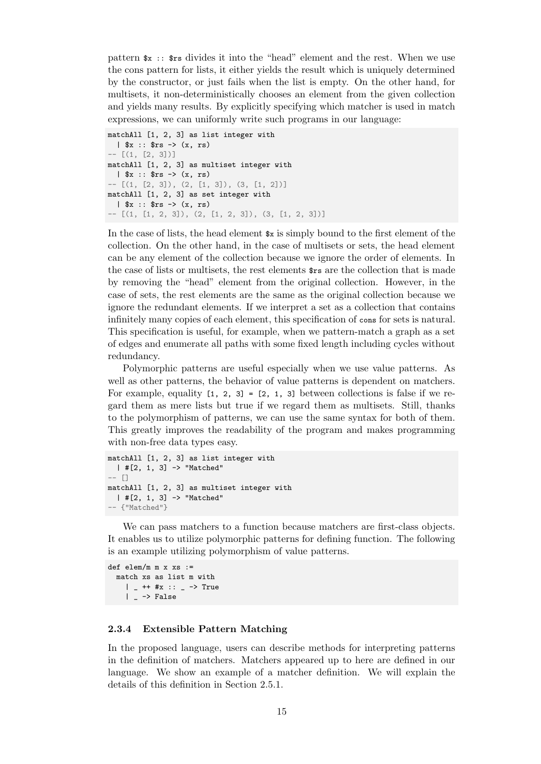pattern \$x :: \$rs divides it into the "head" element and the rest. When we use the cons pattern for lists, it either yields the result which is uniquely determined by the constructor, or just fails when the list is empty. On the other hand, for multisets, it non-deterministically chooses an element from the given collection and yields many results. By explicitly specifying which matcher is used in match expressions, we can uniformly write such programs in our language:

```
matchAll [1, 2, 3] as list integer with
  | x : x = (x, rs)- [(1, [2, 3])]
matchAll [1, 2, 3] as multiset integer with
  | x : x = (x, rs)- [(1, [2, 3]), (2, [1, 3]), (3, [1, 2])]matchAll [1, 2, 3] as set integer with
  | $x :: $rs -> (x, rs)
- [(1, [1, 2, 3]), (2, [1, 2, 3]), (3, [1, 2, 3])]
```
In the case of lists, the head element  $x$  is simply bound to the first element of the collection. On the other hand, in the case of multisets or sets, the head element can be any element of the collection because we ignore the order of elements. In the case of lists or multisets, the rest elements \$rs are the collection that is made by removing the "head" element from the original collection. However, in the case of sets, the rest elements are the same as the original collection because we ignore the redundant elements. If we interpret a set as a collection that contains infinitely many copies of each element, this specification of cons for sets is natural. This specification is useful, for example, when we pattern-match a graph as a set of edges and enumerate all paths with some fixed length including cycles without redundancy.

Polymorphic patterns are useful especially when we use value patterns. As well as other patterns, the behavior of value patterns is dependent on matchers. For example, equality  $[1, 2, 3] = [2, 1, 3]$  between collections is false if we regard them as mere lists but true if we regard them as multisets. Still, thanks to the polymorphism of patterns, we can use the same syntax for both of them. This greatly improves the readability of the program and makes programming with non-free data types easy.

```
matchAll [1, 2, 3] as list integer with
  | #[2, 1, 3] -> "Matched"
-- []
matchAll [1, 2, 3] as multiset integer with
  | #[2, 1, 3] -> "Matched"
-- {"Matched"}
```
We can pass matchers to a function because matchers are first-class objects. It enables us to utilize polymorphic patterns for defining function. The following is an example utilizing polymorphism of value patterns.

```
def elem/m m x xs :=
 match xs as list m with
    | - ++ #x :: - -> True
    | - -> False
```
#### **2.3.4 Extensible Pattern Matching**

<span id="page-24-0"></span>In the proposed language, users can describe methods for interpreting patterns in the definition of matchers. Matchers appeared up to here are defined in our language. We show an example of a matcher definition. We will explain the details of this definition in Section 2.5.1.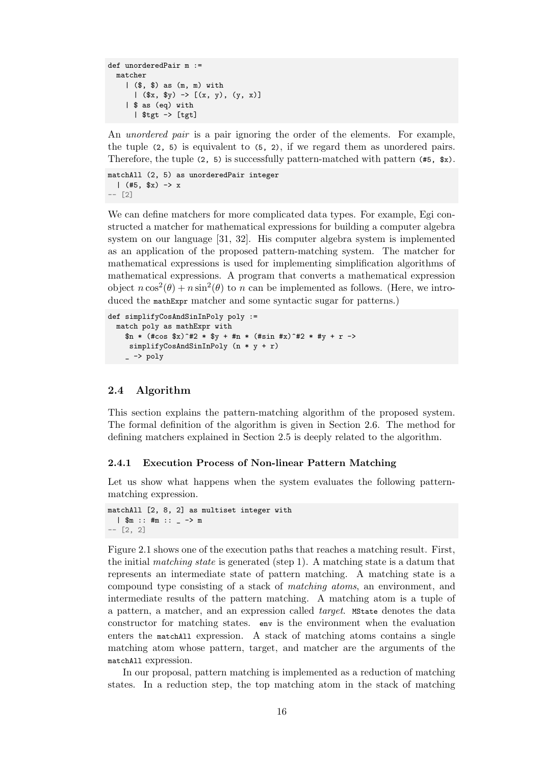```
def unorderedPair m :=
 matcher
    | ($, $) as (m, m) with
      | (\$x, $y) \rightarrow [(x, y), (y, x)]| $ as (eq) with
      | $tgt -> [tgt]
```
An *unordered pair* is a pair ignoring the order of the elements. For example, the tuple (2, 5) is equivalent to (5, 2), if we regard them as unordered pairs. Therefore, the tuple  $(2, 5)$  is successfully pattern-matched with pattern  $(\texttt{#5}, \texttt{*})$ .

```
matchAll (2, 5) as unorderedPair integer
  | (*5, $x) \rightarrow x-- [2]
```
We can define matchers for more complicated data types. For example, Egi constructed a matcher for mathematical expressions for building a computer algebra system on our language [31, 32]. His computer algebra system is implemented as an application of the proposed pattern-matching system. The matcher for mathematical expressions is used for implementing simplification algorithms of mathematical expressions. A program that converts a mathematical expression object  $n \cos^2(\theta) + n \sin^2(\theta)$  $n \cos^2(\theta) + n \sin^2(\theta)$  to *n* can be implemented as follows. (Here, we introduced the mathExpr matcher and some syntactic sugar for patterns.)

```
def simplifyCosAndSinInPoly poly :=
 match poly as mathExpr with
    \sin * (#cos x^2+2 * xy + \tan * (#sin #x)^#2 * #y + r ->
     simplifyCosAndSinInPoly (n * y + r)
    - \rightarrow \text{poly}
```
#### **2.4 Algorithm**

<span id="page-25-0"></span>This section explains the pattern-matching algorithm of the proposed system. The formal definition of the algorithm is given in Section 2.6. The method for defining matchers explained in Section 2.5 is deeply related to the algorithm.

#### **2.4.1 Execution Process of Non-linear Pattern M[atch](#page-31-0)ing**

<span id="page-25-1"></span>Let us show what happens when the [sys](#page-28-0)tem evaluates the following patternmatching expression.

```
matchAll [2, 8, 2] as multiset integer with
  | $m :: #m :: _ -> m
-- [2, 2]
```
Figure 2.1 shows one of the execution paths that reaches a matching result. First, the initial *matching state* is generated (step 1). A matching state is a datum that represents an intermediate state of pattern matching. A matching state is a compound type consisting of a stack of *matching atoms*, an environment, and interm[edia](#page-26-0)te results of the pattern matching. A matching atom is a tuple of a pattern, a matcher, and an expression called *target*. MState denotes the data constructor for matching states. env is the environment when the evaluation enters the matchAll expression. A stack of matching atoms contains a single matching atom whose pattern, target, and matcher are the arguments of the matchAll expression.

In our proposal, pattern matching is implemented as a reduction of matching states. In a reduction step, the top matching atom in the stack of matching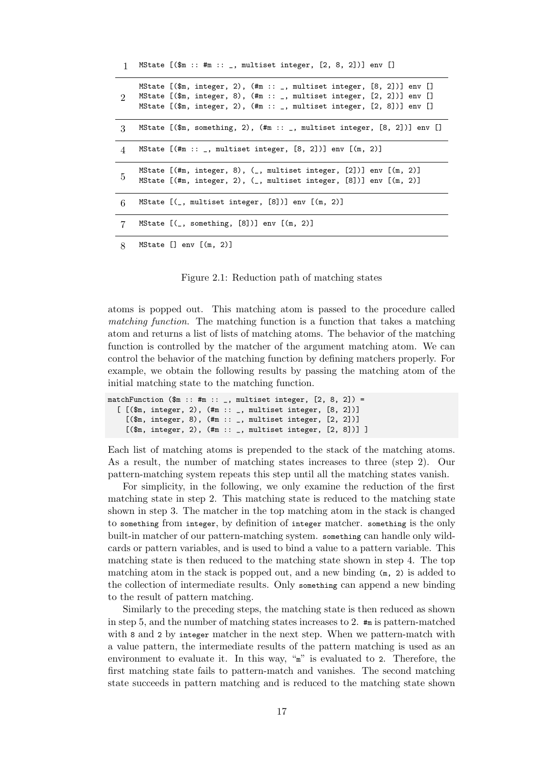<span id="page-26-0"></span>1 MState [(\$m :: #m :: \_, multiset integer, [2, 8, 2])] env []  $\overline{2}$ MState [(\$m, integer, 2), (#m :: \_, multiset integer, [8, 2])] env [] MState  $[(\text{Im}, \text{integer}, 8), (\text{Im} :: \_, \text{multiset integer}, [2, 2])]$  env  $[]$ MState  $[(\text{Im}, \text{integer}, 2), (\text{Im} :: \_, \text{multiset integer}, [2, 8])]$  env  $[]$ 3 MState [(\$m, something, 2), (#m :: \_, multiset integer, [8, 2])] env [] 4 MState [(#m :: \_, multiset integer, [8, 2])] env [(m, 2)] 5 MState [(#m, integer, 8), (\_, multiset integer, [2])] env [(m, 2)] MState [(#m, integer, 2), (\_, multiset integer, [8])] env [(m, 2)]  $6$  MState  $[$ (\_, multiset integer,  $[8]$ )] env  $[$ (m, 2)] 7 MState [(\_, something, [8])] env [(m, 2)] 8 MState [] env [(m, 2)]

Figure 2.1: Reduction path of matching states

atoms is popped out. This matching atom is passed to the procedure called *matching function*. The matching function is a function that takes a matching atom and returns a list of lists of matching atoms. The behavior of the matching function is controlled by the matcher of the argument matching atom. We can control the behavior of the matching function by defining matchers properly. For example, we obtain the following results by passing the matching atom of the initial matching state to the matching function.

```
matchFunction (\text{Im} :: \text{Im} :: \_, multiset integer, [2, 8, 2]) =[ [ (\text{Im}, \text{integer}, 2), (\text{Im} :: \_, multiset integer, [8, 2])][($m, integer, 8), (#m :: _, multiset integer, [2, 2])]
     [($m, integer, 2), (#m :: _, multiset integer, [2, 8])] ]
```
Each list of matching atoms is prepended to the stack of the matching atoms. As a result, the number of matching states increases to three (step 2). Our pattern-matching system repeats this step until all the matching states vanish.

For simplicity, in the following, we only examine the reduction of the first matching state in step 2. This matching state is reduced to the matching state shown in step 3. The matcher in the top matching atom in the stack is changed to something from integer, by definition of integer matcher. something is the only built-in matcher of our pattern-matching system. something can handle only wildcards or pattern variables, and is used to bind a value to a pattern variable. This matching state is then reduced to the matching state shown in step 4. The top matching atom in the stack is popped out, and a new binding  $(m, 2)$  is added to the collection of intermediate results. Only something can append a new binding to the result of pattern matching.

Similarly to the preceding steps, the matching state is then reduced as shown in step 5, and the number of matching states increases to 2. #m is pattern-matched with 8 and 2 by integer matcher in the next step. When we pattern-match with a value pattern, the intermediate results of the pattern matching is used as an environment to evaluate it. In this way, " $\mathbf{m}$ " is evaluated to 2. Therefore, the first matching state fails to pattern-match and vanishes. The second matching state succeeds in pattern matching and is reduced to the matching state shown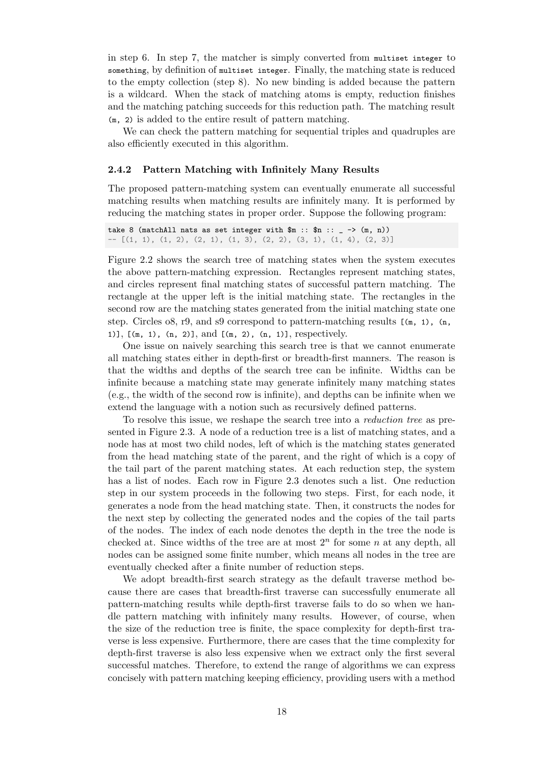in step 6. In step 7, the matcher is simply converted from multiset integer to something, by definition of multiset integer. Finally, the matching state is reduced to the empty collection (step 8). No new binding is added because the pattern is a wildcard. When the stack of matching atoms is empty, reduction finishes and the matching patching succeeds for this reduction path. The matching result (m, 2) is added to the entire result of pattern matching.

We can check the pattern matching for sequential triples and quadruples are also efficiently executed in this algorithm.

#### **2.4.2 Pattern Matching with Infinitely Many Results**

<span id="page-27-0"></span>The proposed pattern-matching system can eventually enumerate all successful matching results when matching results are infinitely many. It is performed by reducing the matching states in proper order. Suppose the following program:

take 8 (matchAll nats as set integer with  $m ::$   $m ::$   $\rightarrow$   $(m, n)$ )  $[(1, 1), (1, 2), (2, 1), (1, 3), (2, 2), (3, 1), (1, 4), (2, 3)]$ 

Figure 2.2 shows the search tree of matching states when the system executes the above pattern-matching expression. Rectangles represent matching states, and circles represent final matching states of successful pattern matching. The rectangle at the upper left is the initial matching state. The rectangles in the second [row](#page-28-2) are the matching states generated from the initial matching state one step. Circles  $\delta$ , r9, and s9 correspond to pattern-matching results  $[(m, 1), (n,$ 1)], [(m, 1), (n, 2)], and [(m, 2), (n, 1)], respectively.

One issue on naively searching this search tree is that we cannot enumerate all matching states either in depth-first or breadth-first manners. The reason is that the widths and depths of the search tree can be infinite. Widths can be infinite because a matching state may generate infinitely many matching states (e.g., the width of the second row is infinite), and depths can be infinite when we extend the language with a notion such as recursively defined patterns.

To resolve this issue, we reshape the search tree into a *reduction tree* as presented in Figure 2.3. A node of a reduction tree is a list of matching states, and a node has at most two child nodes, left of which is the matching states generated from the head matching state of the parent, and the right of which is a copy of the tail part of the parent matching states. At each reduction step, the system has a list of no[des.](#page-28-2) Each row in Figure 2.3 denotes such a list. One reduction step in our system proceeds in the following two steps. First, for each node, it generates a node from the head matching state. Then, it constructs the nodes for the next step by collecting the generated nodes and the copies of the tail parts of the nodes. The index of each node de[not](#page-28-2)es the depth in the tree the node is checked at. Since widths of the tree are at most  $2^n$  for some *n* at any depth, all nodes can be assigned some finite number, which means all nodes in the tree are eventually checked after a finite number of reduction steps.

We adopt breadth-first search strategy as the default traverse method because there are cases that breadth-first traverse can successfully enumerate all pattern-matching results while depth-first traverse fails to do so when we handle pattern matching with infinitely many results. However, of course, when the size of the reduction tree is finite, the space complexity for depth-first traverse is less expensive. Furthermore, there are cases that the time complexity for depth-first traverse is also less expensive when we extract only the first several successful matches. Therefore, to extend the range of algorithms we can express concisely with pattern matching keeping efficiency, providing users with a method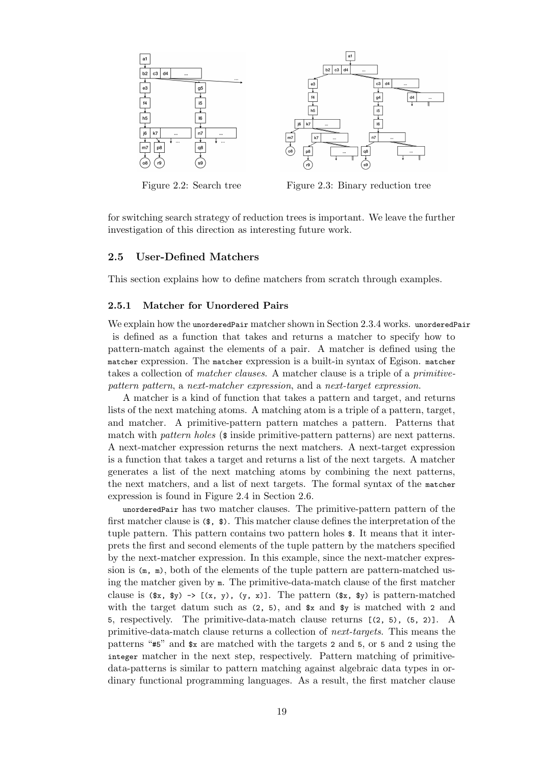<span id="page-28-2"></span>

Figure 2.2: Search tree Figure 2.3: Binary reduction tree

for switching search strategy of reduction trees is important. We leave the further investigation of this direction as interesting future work.

#### **2.5 User-Defined Matchers**

<span id="page-28-0"></span>This section explains how to define matchers from scratch through examples.

#### **2.5.1 Matcher for Unordered Pairs**

<span id="page-28-1"></span>We explain how the unorderedPair matcher shown in Section 2.3.4 works. unorderedPair is defined as a function that takes and returns a matcher to specify how to pattern-match against the elements of a pair. A matcher is defined using the matcher expression. The matcher expression is a built-in syntax of Egison. matcher takes a collection of *matcher clauses*. A matcher clause is [a trip](#page-24-0)le of a *primitivepattern pattern*, a *next-matcher expression*, and a *next-target expression*.

A matcher is a kind of function that takes a pattern and target, and returns lists of the next matching atoms. A matching atom is a triple of a pattern, target, and matcher. A primitive-pattern pattern matches a pattern. Patterns that match with *pattern holes* (\$ inside primitive-pattern patterns) are next patterns. A next-matcher expression returns the next matchers. A next-target expression is a function that takes a target and returns a list of the next targets. A matcher generates a list of the next matching atoms by combining the next patterns, the next matchers, and a list of next targets. The formal syntax of the matcher expression is found in Figure 2.4 in Section 2.6.

unorderedPair has two matcher clauses. The primitive-pattern pattern of the first matcher clause is (\$, \$). This matcher clause defines the interpretation of the tuple pattern. This pattern contains two pattern holes \$. It means that it interprets the first and second ele[ment](#page-31-1)s of the tu[ple](#page-31-0) pattern by the matchers specified by the next-matcher expression. In this example, since the next-matcher expression is  $(m, m)$ , both of the elements of the tuple pattern are pattern-matched using the matcher given by m. The primitive-data-match clause of the first matcher clause is  $(*x, *y) \rightarrow [({x, y}, ({y, x})]$ . The pattern  $(*x, *y)$  is pattern-matched with the target datum such as  $(2, 5)$ , and  $x$  and  $y$  is matched with 2 and 5, respectively. The primitive-data-match clause returns [(2, 5), (5, 2)]. A primitive-data-match clause returns a collection of *next-targets*. This means the patterns "#5" and \$x are matched with the targets 2 and 5, or 5 and 2 using the integer matcher in the next step, respectively. Pattern matching of primitivedata-patterns is similar to pattern matching against algebraic data types in ordinary functional programming languages. As a result, the first matcher clause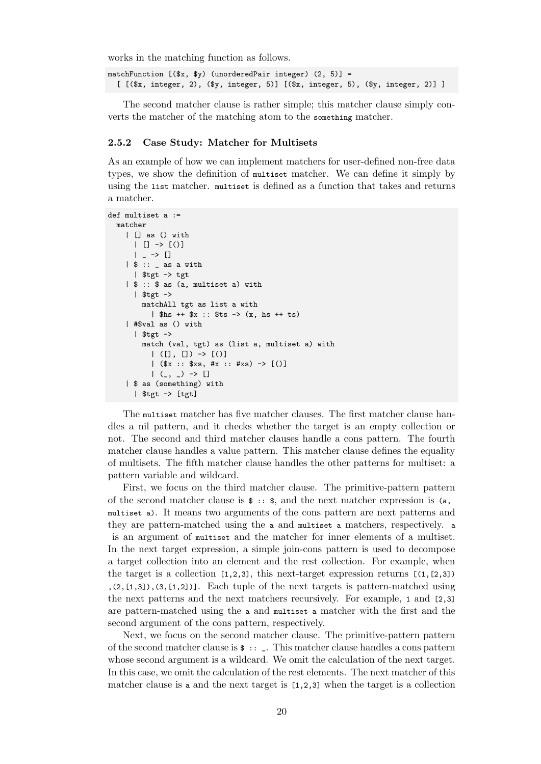works in the matching function as follows.

matchFunction  $[(\$x, \$y)$  (unorderedPair integer)  $(2, 5)] =$ [ [(\$x, integer, 2), (\$y, integer, 5)] [(\$x, integer, 5), (\$y, integer, 2)] ]

The second matcher clause is rather simple; this matcher clause simply converts the matcher of the matching atom to the something matcher.

#### <span id="page-29-0"></span>**2.5.2 Case Study: Matcher for Multisets**

As an example of how we can implement matchers for user-defined non-free data types, we show the definition of multiset matcher. We can define it simply by using the list matcher. multiset is defined as a function that takes and returns a matcher.

```
def multiset a :=
   matcher
      | [] as () with
         | [ ] \rightarrow [ () ]| - -> []
      | $ :: _{-} as a with
         | $tgt -> tgt
      | $ :: $ as (a, multiset a) with
         | $tgt ->
            matchAll tgt as list a with
                | h_s + f_x :: f_s - \langle x, h_s + f_s \rangle| #$val as () with
         | $tgt ->
            match (val, tgt) as (list a, multiset a) with
                |(1, 1) \rightarrow |0|( x :: x = 1 (x = 1) (x = 1) (x = 2) (x = 3) (x = 1) (x = 1) (x = 1) (x = 1) (x = 2) (x = 1) (x = 1) (x = 1) (x = 1) (x = 1) (x = 1) (x = 1) (x = 1) (x = 1) (x = 1) (x = 1) (x = 1) (x = 1) (x = 1) (x = 1) (x = 1) (x = | (, ) -> || $ as (something) with
         | $tgt -> [tgt]
```
The multiset matcher has five matcher clauses. The first matcher clause handles a nil pattern, and it checks whether the target is an empty collection or not. The second and third matcher clauses handle a cons pattern. The fourth matcher clause handles a value pattern. This matcher clause defines the equality of multisets. The fifth matcher clause handles the other patterns for multiset: a pattern variable and wildcard.

First, we focus on the third matcher clause. The primitive-pattern pattern of the second matcher clause is  $\hat{\mathbf{s}}$  ::  $\hat{\mathbf{s}}$ , and the next matcher expression is (a, multiset a). It means two arguments of the cons pattern are next patterns and they are pattern-matched using the a and multiset a matchers, respectively. a is an argument of multiset and the matcher for inner elements of a multiset. In the next target expression, a simple join-cons pattern is used to decompose a target collection into an element and the rest collection. For example, when the target is a collection  $[1,2,3]$ , this next-target expression returns  $[(1, [2,3])$  $(2,[1,3])$ , $(3,[1,2])$ ]. Each tuple of the next targets is pattern-matched using the next patterns and the next matchers recursively. For example, 1 and [2,3] are pattern-matched using the a and multiset a matcher with the first and the second argument of the cons pattern, respectively.

Next, we focus on the second matcher clause. The primitive-pattern pattern of the second matcher clause is  $\epsilon$ :  $\epsilon$ . This matcher clause handles a conspattern whose second argument is a wildcard. We omit the calculation of the next target. In this case, we omit the calculation of the rest elements. The next matcher of this matcher clause is a and the next target is [1,2,3] when the target is a collection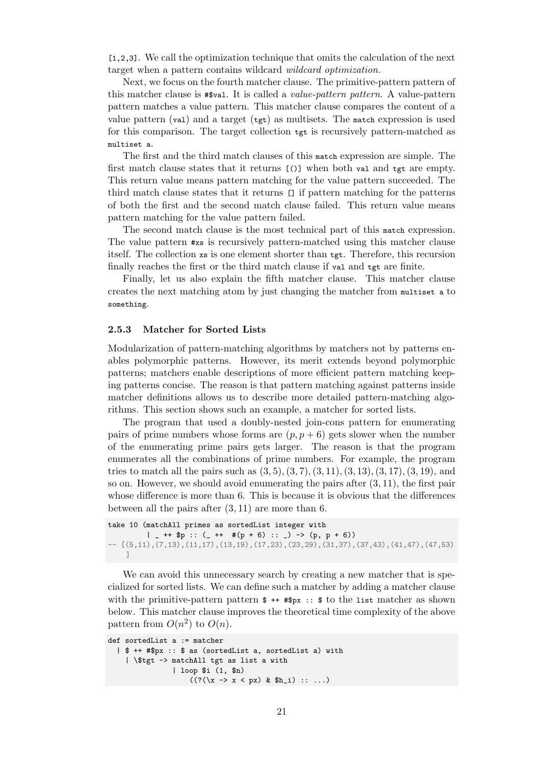[1,2,3]. We call the optimization technique that omits the calculation of the next target when a pattern contains wildcard *wildcard optimization*.

Next, we focus on the fourth matcher clause. The primitive-pattern pattern of this matcher clause is #\$val. It is called a *value-pattern pattern*. A value-pattern pattern matches a value pattern. This matcher clause compares the content of a value pattern (val) and a target ( $tgt$ ) as multisets. The match expression is used for this comparison. The target collection tgt is recursively pattern-matched as multiset a.

The first and the third match clauses of this match expression are simple. The first match clause states that it returns [()] when both val and tgt are empty. This return value means pattern matching for the value pattern succeeded. The third match clause states that it returns [] if pattern matching for the patterns of both the first and the second match clause failed. This return value means pattern matching for the value pattern failed.

The second match clause is the most technical part of this match expression. The value pattern #xs is recursively pattern-matched using this matcher clause itself. The collection xs is one element shorter than tgt. Therefore, this recursion finally reaches the first or the third match clause if val and tgt are finite.

Finally, let us also explain the fifth matcher clause. This matcher clause creates the next matching atom by just changing the matcher from multiset a to something.

#### <span id="page-30-0"></span>**2.5.3 Matcher for Sorted Lists**

Modularization of pattern-matching algorithms by matchers not by patterns enables polymorphic patterns. However, its merit extends beyond polymorphic patterns; matchers enable descriptions of more efficient pattern matching keeping patterns concise. The reason is that pattern matching against patterns inside matcher definitions allows us to describe more detailed pattern-matching algorithms. This section shows such an example, a matcher for sorted lists.

The program that used a doubly-nested join-cons pattern for enumerating pairs of prime numbers whose forms are  $(p, p + 6)$  gets slower when the number of the enumerating prime pairs gets larger. The reason is that the program enumerates all the combinations of prime numbers. For example, the program tries to match all the pairs such as (3*,* 5)*,*(3*,* 7)*,*(3*,* 11)*,*(3*,* 13)*,*(3*,* 17)*,*(3*,* 19), and so on. However, we should avoid enumerating the pairs after (3*,* 11), the first pair whose difference is more than 6. This is because it is obvious that the differences between all the pairs after (3*,* 11) are more than 6.

```
take 10 (matchAll primes as sortedList integer with
         | - ++ p :: (- ++ \#(p + 6) :: -) -> (p, p + 6))
- [(5,11), (7,13), (11,17), (13,19), (17,23), (23,29), (31,37), (37,43), (41,47), (47,53)]
```
We can avoid this unnecessary search by creating a new matcher that is specialized for sorted lists. We can define such a matcher by adding a matcher clause with the primitive-pattern pattern  $\ast$  ++  $\ast$ px ::  $\ast$  to the list matcher as shown below. This matcher clause improves the theoretical time complexity of the above pattern from  $O(n^2)$  to  $O(n)$ .

```
def sortedList a := matcher
  | $ ++ #$px :: $ as (sortedList a, sortedList a) with
    | \$tgt -> matchAll tgt as list a with
                | loop $i (1, $n)
                    ((?(\x \rightarrow x < px) \& \$h_i) :: ...)
```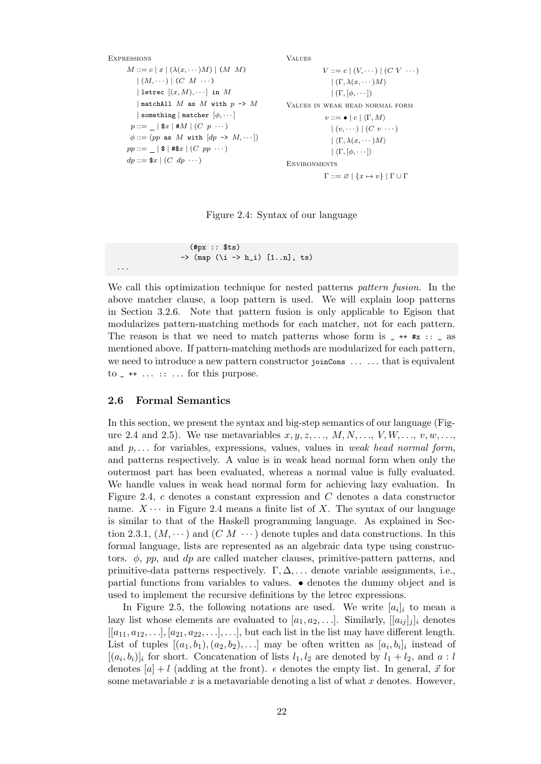```
EXPRESSIONS
       M ::= c | x | (\lambda(x, \dots)M) | (M \ M)| (M, \dots) | (C \ M \dots)| letrec [(x, M), \cdots] in M| matchAll M as M with p -> M
           | something | matcher [ϕ, · · · ]
        p ::= \_ | \ x | \# M | (C p \cdots)
        \phi ::= (pp \text{ as } M \text{ with } [dp \rightarrow M, \cdots])pp ::= \_ | \ 1 #$x | (C pp \cdots)dp ::= \$x \mid (C \ dp \cdots)Values
                                                                                       V ::= c \mid (V, \dots) \mid (CV \dots)| (Γ, λ(x, · · · )M)
                                                                                          |\left(\Gamma,[\phi,\cdots]\right)|Values in weak head normal form
                                                                                       v ::= \bullet \mid c \mid \langle \Gamma, M \rangle| (v, \dots) | (C v, \dots) || \langle \Gamma, \lambda(x, \cdots) M \rangle| \langle \Gamma, [\phi, \cdots] \rangleENVIRONMENTS
                                                                                       Γ ::= ∅ | {x 7→ v} | Γ ∪ Γ
```
Figure 2.4: Syntax of our language

(#px :: \$ts)  $\rightarrow$  (map (\i -> h\_i) [1..n], ts)

We call this optimization technique for nested patterns *pattern fusion*. In the above matcher clause, a loop pattern is used. We will explain loop patterns in Section 3.2.6. Note that pattern fusion is only applicable to Egison that modularizes pattern-matching methods for each matcher, not for each pattern. The reason is that we need to match patterns whose form is  $-$  ++  $\#$ x ::  $-$  as mentioned above. If pattern-matching methods are modularized for each pattern, we need to [introd](#page-40-1)uce a new pattern constructor joinCons  $\dots$  ... that is equivalent  $\text{to }$   $\text{-}$  +  $\ldots$   $\text{...}$  for this purpose.

#### **2.6 Formal Semantics**

...

<span id="page-31-0"></span>In this section, we present the syntax and big-step semantics of our language (Figure 2.4 and 2.5). We use metavariables  $x, y, z, \ldots, M, N, \ldots, V, W, \ldots, v, w, \ldots$ and *p, . . .* for variables, expressions, values, values in *weak head normal form*, and patterns respectively. A value is in weak head normal form when only the outermost part has been evaluated, whereas a normal value is fully evaluated. We [han](#page-31-1)dle [valu](#page-32-0)es in weak head normal form for achieving lazy evaluation. In Figure 2.4, *c* denotes a constant expression and *C* denotes a data constructor name.  $X \cdots$  in Figure 2.4 means a finite list of X. The syntax of our language is similar to that of the Haskell programming language. As explained in Section 2.3.1,  $(M, \dots)$  and  $(C M \dots)$  denote tuples and data constructions. In this formal [lan](#page-31-1)guage, lists are represented as an algebraic data type using constructors. *ϕ*, *pp*, and *dp* ar[e ca](#page-31-1)lled matcher clauses, primitive-pattern patterns, and primitive-data patterns respectively. Γ*,* ∆*, . . .* denote variable assignments, i.e., part[ial fu](#page-21-1)nctions from variables to values. *•* denotes the dummy object and is used to implement the recursive definitions by the letrec expressions.

In Figure 2.5, the following notations are used. We write  $[a_i]_i$  to mean a lazy list whose elements are evaluated to  $[a_1, a_2, \ldots]$ . Similarly,  $[[a_{ij}]_j]_i$  denotes  $[[a_{11}, a_{12}, \ldots], [a_{21}, a_{22}, \ldots], \ldots]$ , but each list in the list may have different length. List of tuples  $[(a_1, b_1), (a_2, b_2), \ldots]$  may be often written as  $[a_i, b_i]_i$  instead of  $[(a_i, b_i)]_i$  $[(a_i, b_i)]_i$  $[(a_i, b_i)]_i$  for s[hor](#page-32-0)t. Concatenation of lists  $l_1, l_2$  are denoted by  $l_1 + l_2$ , and  $a : l$ denotes  $[a] + l$  (adding at the front).  $\epsilon$  denotes the empty list. In general,  $\vec{x}$  for some metavariable *x* is a metavariable denoting a list of what *x* denotes. However,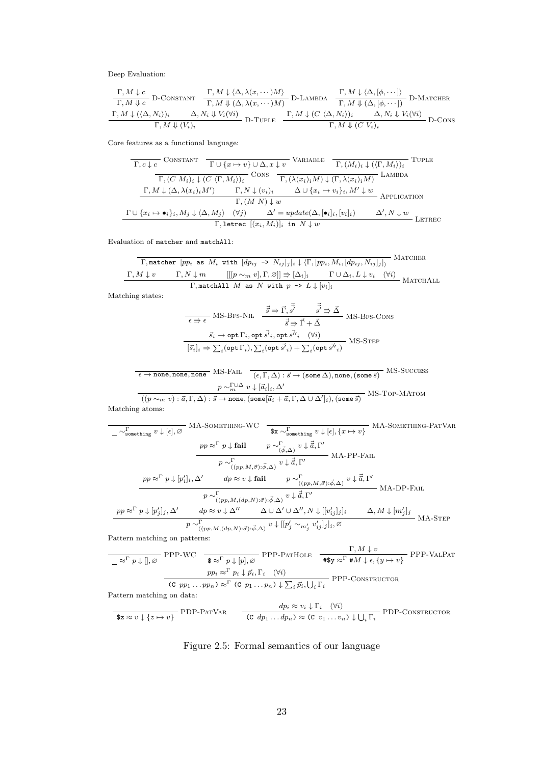<span id="page-32-0"></span>Deep Evaluation:

$$
\frac{\Gamma, M \downarrow c}{\Gamma, M \downarrow c} \text{D-Constant} \quad \frac{\Gamma, M \downarrow \langle \Delta, \lambda(x, \dots)M \rangle}{\Gamma, M \downarrow (\Delta, \lambda(x, \dots)M)} \text{D-Lambda} \quad \frac{\Gamma, M \downarrow \langle \Delta, [\phi, \dots] \rangle}{\Gamma, M \downarrow (\Delta, [\phi, \dots])} \text{D-Mactier}
$$
\n
$$
\frac{\Gamma, M \downarrow (\langle \Delta, N_i \rangle)_i \qquad \Delta, N_i \downarrow V_i(\forall i)}{\Gamma, M \downarrow (\langle \Delta, N_i \rangle)_i} \text{D-Tuple} \quad \frac{\Gamma, M \downarrow (C \langle \Delta, N_i \rangle)_i \qquad \Delta, N_i \downarrow V_i(\forall i)}{\Gamma, M \downarrow (C V_i)_i} \text{D-Cons}
$$

Core features as a functional language:

$$
\frac{\Gamma, c \downarrow c \quad \text{ConsTrant} \quad \frac{\Gamma \cup \{x \mapsto v\} \cup \Delta, x \downarrow v}{\Gamma, (M_i)_i \downarrow ((\Gamma, M_i))_i} \quad \text{TUTE}}{\Gamma, (C M_i)_i \downarrow (C \langle \Gamma, M_i \rangle)_i} \quad \text{Cons} \quad \frac{\Gamma, (\lambda(x_i)_i M) \downarrow (\Gamma, \lambda(x_i)_i M)}{\Gamma, (\lambda(x_i)_i M) \downarrow (\Gamma, \lambda(x_i)_i M)} \quad \text{Lambba}
$$
\n
$$
\frac{\Gamma, M \downarrow (\Delta, \lambda(x_i)_i M') \qquad \Gamma, N \downarrow (v_i)_i \qquad \Delta \cup \{x_i \mapsto v_i\}_i, M' \downarrow w}{\Gamma, (M N) \downarrow w} \quad \text{APPLICATION}
$$
\n
$$
\frac{\Gamma \cup \{x_i \mapsto \bullet_i\}_i, M_j \downarrow \langle \Delta, M_j \rangle \quad (\forall j) \qquad \Delta' = update(\Delta, [\bullet_i]_i, [v_i]_i) \qquad \Delta', N \downarrow w}{\Gamma, \text{letrec} \quad [(x_i, M_i)]_i \text{ in } N \downarrow w} \quad \text{LETREC}
$$

Evaluation of matcher and matchAll:

| $\Gamma$ , matter [pp <sub>i</sub> as $M_i$ with $[dp_{ij} \rightarrow N_{ij}]_j]_i \downarrow \langle \Gamma, [pp_i, M_i, [dp_{ij}, N_{ij}]_j] \rangle$ | MATCHER                  |                                                                |                                          |               |
|----------------------------------------------------------------------------------------------------------------------------------------------------------|--------------------------|----------------------------------------------------------------|------------------------------------------|---------------|
| $\Gamma, M \downarrow v$                                                                                                                                 | $\Gamma, N \downarrow m$ | $[[[p \sim_m v], \Gamma, \emptyset]] \Rightarrow [\Delta_i]_i$ | $\Gamma \cup \Delta_i, L \downarrow v_i$ | $(\forall i)$ |
| $\Gamma$ , matchAll $M$ as $N$ with $p \rightarrow L \downarrow [v_i]_i$                                                                                 | MATCHALL                 |                                                                |                                          |               |

Matching states:

$$
\frac{\vec{s} \Rightarrow \vec{r}, \vec{s'} \qquad \vec{s'} \Rightarrow \vec{\Delta}}{(\vec{s}_i)_i \Rightarrow \vec{r} \Rightarrow \vec{r} \Rightarrow \vec{r} \Rightarrow \vec{\Delta}} MS-BFS-CONS
$$
\n
$$
\frac{\vec{s_i} \rightarrow \text{opt } \Gamma_i, \text{opt } \vec{s'}_i, \text{opt } \vec{s''}_i \quad (\forall i)}{[\vec{s}_i]_i \Rightarrow \sum_i (\text{opt } \Gamma_i), \sum_i (\text{opt } \vec{s'}_i) + \sum_i (\text{opt } \vec{s''}_i)} MS-STEP
$$

$$
\frac{\epsilon \to \text{none, none, none}}{(e, \Gamma, \Delta) : \vec{s} \to (\text{some } \Delta), \text{none, (some } \vec{s})} \text{ MS-SUCCES}
$$
\n
$$
\frac{p \sim_n^{\Gamma \cup \Delta} v \downarrow [\vec{a}_i]_i, \Delta'}{((p \sim_m v) : \vec{a}, \Gamma, \Delta) : \vec{s} \to \text{none, (some}[\vec{a}_i + \vec{a}, \Gamma, \Delta \cup \Delta']_i), (\text{some } \vec{s})} \text{MS-Top-MArom}
$$

Matching atoms:

MA-Something-WC *∼*<sup>Γ</sup> something *v ↓* [*ϵ*]*,* ∅ MA-Something-PatVar \$x *∼*<sup>Γ</sup> something *v ↓* [*ϵ*]*, {x 7→ v} pp ≈*<sup>Γ</sup> *p ↓* **fail** *p ∼*<sup>Γ</sup> (*ϕ, ⃗* ∆) *v ↓ ⃗⃗a,* Γ *′* MA-PP-Fail *p ∼*<sup>Γ</sup> ((*pp,M,⃗σ*):*ϕ, ⃗* ∆) *v ↓ ⃗⃗a,* Γ *′ pp ≈*<sup>Γ</sup> *p ↓* [*p ′ i* ]*i,* ∆*′ dp ≈ v ↓* **fail** *p ∼*<sup>Γ</sup> ((*pp,M,⃗σ*):*ϕ, ⃗* ∆) *v ↓ ⃗⃗a,* Γ *′* MA-DP-Fail *p ∼*<sup>Γ</sup> ((*pp,M,*(*dp,N*):*⃗σ*):*ϕ, ⃗* ∆) *v ↓ ⃗⃗a,* Γ *′ pp ≈*<sup>Γ</sup> *p ↓* [*p ′ j* ]*<sup>j</sup> ,* ∆*′ dp ≈ v ↓* ∆*′′* ∆ *∪* ∆*′ ∪* ∆*′′, N ↓* [[*v ′ ij* ]*<sup>j</sup>* ]*<sup>i</sup>* ∆*, M ↓* [*m′ j* ]*j* MA-Step *p ∼*<sup>Γ</sup> ((*pp,M,*(*dp,N*):*⃗σ*):*ϕ, ⃗* ∆) *v ↓* [[*p ′ <sup>j</sup> ∼m′ j v ′ ij* ]*<sup>j</sup>* ]*i,* ∅

Pattern matching on patterns:

PPP-WC *≈*<sup>Γ</sup> *p ↓* []*,* ∅ PPP-PatHole \$ *≈*<sup>Γ</sup> *p ↓* [*p*]*,* ∅ Γ*, M ↓ v* PPP-ValPat #\$y *≈*<sup>Γ</sup> #*M ↓ ϵ, {y 7→ v} pp<sup>i</sup> ≈*<sup>Γ</sup> *p<sup>i</sup> ↓ ⃗pi,* Γ*<sup>i</sup>* (*∀i*) PPP-Constructor (C *pp*<sup>1</sup> *. . . ppn*) *≈*<sup>Γ</sup> (C *p*<sup>1</sup> *. . . pn*) *↓* ∑ *i ⃗pi,* ∪ *<sup>i</sup>* Γ*<sup>i</sup>* Pattern matching on data: PDP-PatVar \$<sup>z</sup> *<sup>≈</sup> <sup>v</sup> ↓ {<sup>z</sup> 7→ <sup>v</sup>} dp<sup>i</sup> ≈ v<sup>i</sup> ↓* Γ*<sup>i</sup>* (*∀i*) PDP-Constructor (C *dp*<sup>1</sup> *. . . dpn*) *<sup>≈</sup>* (C *<sup>v</sup>*<sup>1</sup> *. . . vn*) *<sup>↓</sup>* ∪ *<sup>i</sup>* Γ*<sup>i</sup>*

Figure 2.5: Formal semantics of our language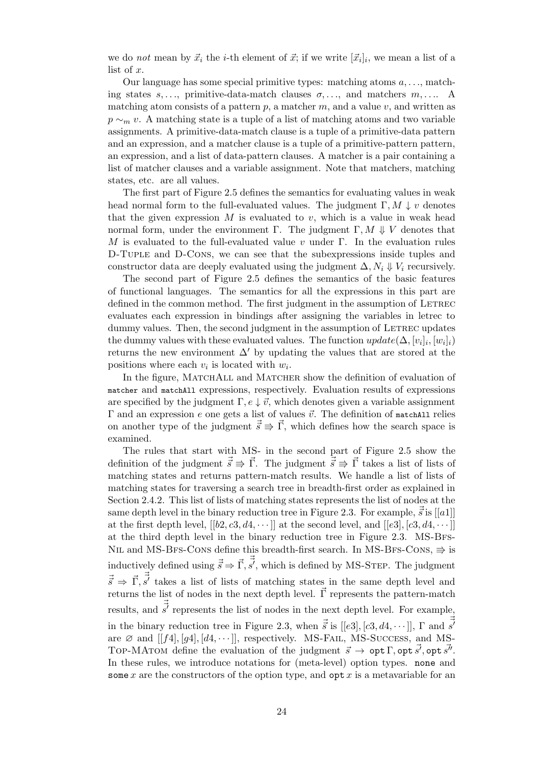we do *not* mean by  $\vec{x}_i$  the *i*-th element of  $\vec{x}$ ; if we write  $[\vec{x}_i]_i$ , we mean a list of a list of *x*.

Our language has some special primitive types: matching atoms *a, . . .*, matching states  $s, \ldots$ , primitive-data-match clauses  $\sigma, \ldots$ , and matchers  $m, \ldots$ . A matching atom consists of a pattern *p*, a matcher *m*, and a value *v*, and written as *p* ∼<sub>*m*</sub> *v*. A matching state is a tuple of a list of matching atoms and two variable assignments. A primitive-data-match clause is a tuple of a primitive-data pattern and an expression, and a matcher clause is a tuple of a primitive-pattern pattern, an expression, and a list of data-pattern clauses. A matcher is a pair containing a list of matcher clauses and a variable assignment. Note that matchers, matching states, etc. are all values.

The first part of Figure 2.5 defines the semantics for evaluating values in weak head normal form to the full-evaluated values. The judgment  $\Gamma, M \downarrow v$  denotes that the given expression  $M$  is evaluated to  $v$ , which is a value in weak head normal form, under the environment Γ. The judgment Γ,  $M \Downarrow V$  denotes that *M* is evaluated to the ful[l-eva](#page-32-0)luated value *v* under Γ. In the evaluation rules D-Tuple and D-Cons, we can see that the subexpressions inside tuples and constructor data are deeply evaluated using the judgment  $\Delta$ ,  $N_i \Downarrow V_i$  recursively.

The second part of Figure 2.5 defines the semantics of the basic features of functional languages. The semantics for all the expressions in this part are defined in the common method. The first judgment in the assumption of LETREC evaluates each expression in bindings after assigning the variables in letrec to dummy values. Then, the secon[d jud](#page-32-0)gment in the assumption of LETREC updates the dummy values with these evaluated values. The function  $update(\Delta, [v_i]_i, [w_i]_i)$ returns the new environment  $\Delta'$  by updating the values that are stored at the positions where each  $v_i$  is located with  $w_i$ .

In the figure, MATCHALL and MATCHER show the definition of evaluation of matcher and matchAll expressions, respectively. Evaluation results of expressions are specified by the judgment  $\Gamma, e \downarrow \vec{v}$ , which denotes given a variable assignment Γ and an expression *e* one gets a list of values  $\vec{v}$ . The definition of matchAll relies on another type of the judgment  $\vec{s} \Rightarrow \vec{\Gamma}$ , which defines how the search space is examined.

The rules that start with MS- in the second part of Figure 2.5 show the definition of the judgment  $\vec{s} \Rightarrow \vec{\Gamma}$ . The judgment  $\vec{s} \Rightarrow \vec{\Gamma}$  takes a list of lists of matching states and returns pattern-match results. We handle a list of lists of matching states for traversing a search tree in breadth-first order as explained in Section 2.4.2. This list of lists of matching states represents the listo[f no](#page-32-0)des at the same depth level in the binary reduction tree in Figure 2.3. For example,  $\vec{\vec{s}}$  is [[a1]] at the first depth level,  $[[b2, c3, d4, \cdots]]$  at the second level, and  $[[e3], [c3, d4, \cdots]]$ at the third depth level in the binary reduction tree in Figure 2.3. MS-Bfs-NIL and [MS](#page-27-0)-BFS-CONS define this breadth-first search. In MS-BFS-CONS,  $\Rightarrow$  is inductively defined using  $\vec{\vec{s}} \Rightarrow \vec{\Gamma}, \vec{\vec{s'}}$ , which is defined by [M](#page-28-2)S-STEP. The judgment  $\vec{s} \Rightarrow \vec{\Gamma}, \vec{s'}$  takes a list of lists of matching states in the same [dept](#page-28-2)h level and returns the list of nodes in the next depth level. *⃗*Γ represents the pattern-match results, and  $\vec{s'}$  represents the list of nodes in the next depth level. For example, in the binary reduction tree in Figure 2.3, when  $\vec{\vec{s}}$  is [[e3], [c3, d4,  $\cdots$ ]],  $\Gamma$  and  $\vec{\vec{s}}$ are  $\varnothing$  and  $[[f4],[g4],[d4,\cdots]],$  respectively. MS-FAIL, MS-Success, and MS-TOP-MATOM define the evaluation of the judgment  $\vec{s} \to \text{opt } \Gamma$ , opt  $\vec{s'}$ , opt  $\vec{s''}$ . In these rules, we introduce notations for (meta-level) option types. none and some *x* are the constructors of the optio[n ty](#page-28-2)pe, and opt *x* is a metavariable for an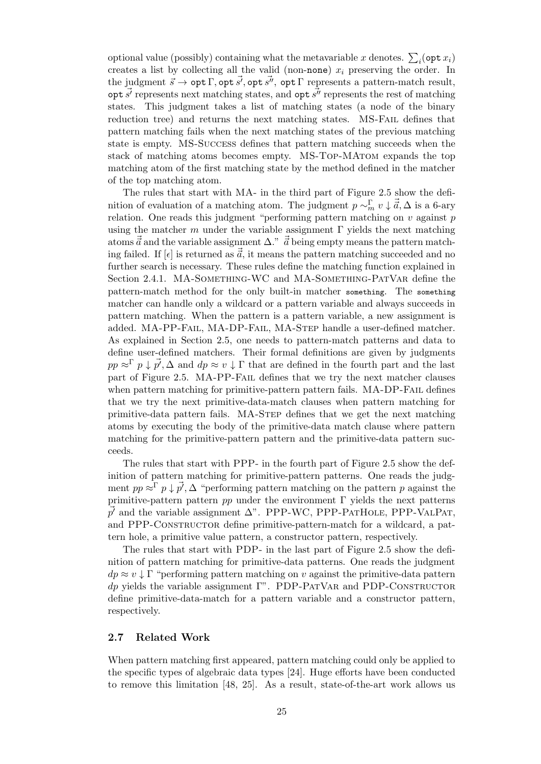optional value (possibly) containing what the metavariable *x* denotes.  $\sum_i (\text{opt } x_i)$ creates a list by collecting all the valid (non-none) *x<sup>i</sup>* preserving the order. In the judgment  $\vec{s} \to \text{opt } \Gamma$ ,  $\text{opt } \vec{s'}$ ,  $\text{opt } \vec{s''}$ ,  $\text{opt } \Gamma$  represents a pattern-match result,  $\overrightarrow{g'}$  represents next matching states, and  $\overrightarrow{opt} \cdot \overrightarrow{s'}$  represents the rest of matching states. This judgment takes a list of matching states (a node of the binary reduction tree) and returns the next matching states. MS-Fail defines that pattern matching fails when the next matching states of the previous matching state is empty. MS-Success defines that pattern matching succeeds when the stack of matching atoms becomes empty. MS-Top-MAtom expands the top matching atom of the first matching state by the method defined in the matcher of the top matching atom.

The rules that start with MA- in the third part of Figure 2.5 show the definition of evaluation of a matching atom. The judgment  $p \sim_m^{\Gamma} v \downarrow \vec{a}, \Delta$  is a 6-ary relation. One reads this judgment "performing pattern matching on *v* against *p* using the matcher *m* under the variable assignment  $\Gamma$  yields the next matching atoms  $\vec{\vec{a}}$  and the variable assignment  $\Delta$ ."  $\vec{\vec{a}}$  being empty means [the p](#page-32-0)attern matching failed. If  $\epsilon$  is returned as  $\vec{a}$ , it means the pattern matching succeeded and no further search is necessary. These rules define the matching function explained in Section 2.4.1. MA-SOMETHING-WC and MA-SOMETHING-PATVAR define the pattern-match method for the only built-in matcher something. The something matcher can handle only a wildcard or a pattern variable and always succeeds in pattern matching. When the pattern is a pattern variable, a new assignment is added. [MA-P](#page-25-1)P-Fail, MA-DP-Fail, MA-Step handle a user-defined matcher. As explained in Section 2.5, one needs to pattern-match patterns and data to define user-defined matchers. Their formal definitions are given by judgments  $pp \approx \bar{p}$  *p*  $\downarrow \vec{p'}$ ,  $\Delta$  and  $dp \approx v \downarrow \Gamma$  that are defined in the fourth part and the last part of Figure 2.5. MA-PP-Fail defines that we try the next matcher clauses whenpattern matching f[or p](#page-28-0)rimitive-pattern pattern fails. MA-DP-FAIL defines that we try the next primitive-data-match clauses when pattern matching for primitive-data pattern fails. MA-Step defines that we get the next matching atoms by exec[utin](#page-32-0)g the body of the primitive-data match clause where pattern matching for the primitive-pattern pattern and the primitive-data pattern succeeds.

The rules that start with PPP- in the fourth part of Figure 2.5 show the definition of pattern matching for primitive-pattern patterns. One reads the judgment  $pp \approx \bar{p}$   $p \downarrow \vec{p'}$ ,  $\Delta$  "performing pattern matching on the pattern *p* against the primitive-pattern pattern  $pp$  under the environment  $\Gamma$  yields the next patterns  $\vec{p'}$  and the variable assignment  $\Delta$ ". [P](#page-32-0)PP-WC, PPP-PATHOLE, PPP-VALPAT, and PPP-CONSTRUCTOR define primitive-pattern-match for a wildcard, a pattern hole, a primitive value pattern, a constructor pattern, respectively.

The rules that start with PDP- in the last part of Figure 2.5 show the definition of pattern matching for primitive-data patterns. One reads the judgment  $dp \approx v \downarrow \Gamma$  "performing pattern matching on *v* against the primitive-data pattern *dp* yields the variable assignment Γ". PDP-PATVAR and PDP-CONSTRUCTOR define primitive-data-match for a pattern variable and a co[nstr](#page-32-0)uctor pattern, respectively.

#### **2.7 Related Work**

<span id="page-34-0"></span>When pattern matching first appeared, pattern matching could only be applied to the specific types of algebraic data types [24]. Huge efforts have been conducted to remove this limitation [48, 25]. As a result, state-of-the-art work allows us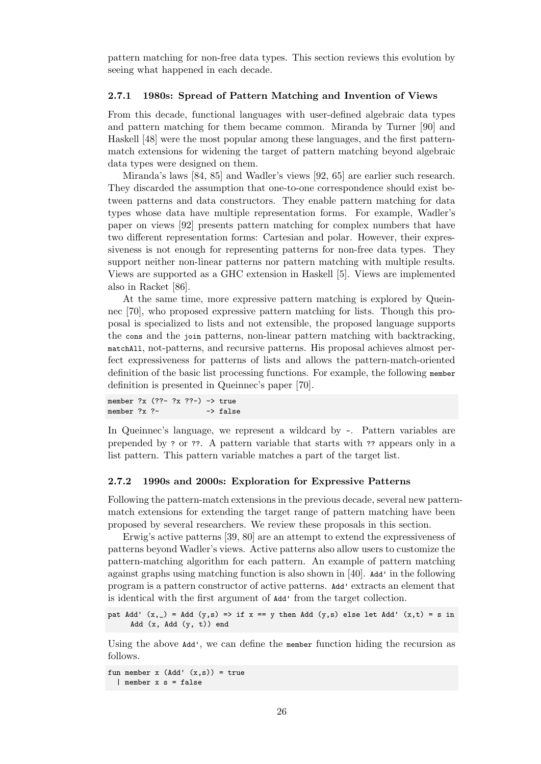pattern matching for non-free data types. This section reviews this evolution by seeing what happened in each decade.

#### **2.7.1 1980s: Spread of Pattern Matching and Invention of Views**

<span id="page-35-0"></span>From this decade, functional languages with user-defined algebraic data types and pattern matching for them became common. Miranda by Turner [90] and Haskell [48] were the most popular among these languages, and the first patternmatch extensions for widening the target of pattern matching beyond algebraic data types were designed on them.

Miranda's laws [84, 85] and Wadler's views [92, 65] are earlier suchr[ese](#page-106-2)arch. They di[sca](#page-103-6)rded the assumption that one-to-one correspondence should exist between patterns and data constructors. They enable pattern matching for data types whose data have multiple representation forms. For example, Wadler's paper on views [92] [pr](#page-105-0)[ese](#page-105-1)nts pattern matching [for](#page-106-0) [co](#page-104-4)mplex numbers that have two different representation forms: Cartesian and polar. However, their expressiveness is not enough for representing patterns for non-free data types. They support neither non-linear patterns nor pattern matching with multiple results. Views are suppo[rted](#page-106-0) as a GHC extension in Haskell [5]. Views are implemented also in Racket [86].

At the same time, more expressive pattern matching is explored by Queinnec [70], who proposed expressive pattern matching for lists. Though this proposal is specialized to lists and not extensible, the p[ro](#page-100-0)posed language supports the cons and t[he](#page-105-2) join patterns, non-linear pattern matching with backtracking, matchAll, not-patterns, and recursive patterns. His proposal achieves almost perfect [exp](#page-104-5)ressiveness for patterns of lists and allows the pattern-match-oriented definition of the basic list processing functions. For example, the following member definition is presented in Queinnec's paper [70].

member ?x (??- ?x ??-) -> true member  $?x ?$ - -> false

In Queinnec's language, we represent a w[ildc](#page-104-5)ard by -. Pattern variables are prepended by ? or ??. A pattern variable that starts with ?? appears only in a list pattern. This pattern variable matches a part of the target list.

#### **2.7.2 1990s and 2000s: Exploration for Expressive Patterns**

<span id="page-35-1"></span>Following the pattern-match extensions in the previous decade, several new patternmatch extensions for extending the target range of pattern matching have been proposed by several researchers. We review these proposals in this section.

Erwig's active patterns [39, 80] are an attempt to extend the expressiveness of patterns beyond Wadler's views. Active patterns also allow users to customize the pattern-matching algorithm for each pattern. An example of pattern matching against graphs using matching function is also shown in [40]. Add' in the following program is a pattern constr[uct](#page-102-1)[or o](#page-105-3)f active patterns. Add' extracts an element that is identical with the first argument of Add' from the target collection.

pat Add'  $(x, )$  = Add  $(y, s)$  => if  $x = y$  then Add  $(y, s)$  e[lse](#page-102-5) let Add'  $(x, t)$  = s in Add (x, Add (y, t)) end

Using the above Add', we can define the member function hiding the recursion as follows.

fun member  $x$  (Add'  $(x, s)$ ) = true | member x s = false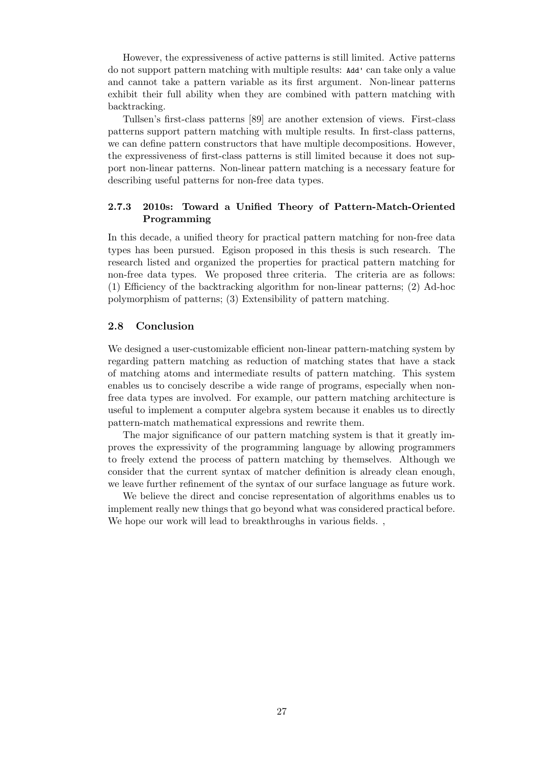However, the expressiveness of active patterns is still limited. Active patterns do not support pattern matching with multiple results: Add' can take only a value and cannot take a pattern variable as its first argument. Non-linear patterns exhibit their full ability when they are combined with pattern matching with backtracking.

Tullsen's first-class patterns [89] are another extension of views. First-class patterns support pattern matching with multiple results. In first-class patterns, we can define pattern constructors that have multiple decompositions. However, the expressiveness of first-class patterns is still limited because it does not support non-linear patterns. Non-li[near](#page-106-0) pattern matching is a necessary feature for describing useful patterns for non-free data types.

## **2.7.3 2010s: Toward a Unified Theory of Pattern-Match-Oriented Programming**

In this decade, a unified theory for practical pattern matching for non-free data types has been pursued. Egison proposed in this thesis is such research. The research listed and organized the properties for practical pattern matching for non-free data types. We proposed three criteria. The criteria are as follows: (1) Efficiency of the backtracking algorithm for non-linear patterns; (2) Ad-hoc polymorphism of patterns; (3) Extensibility of pattern matching.

## **2.8 Conclusion**

We designed a user-customizable efficient non-linear pattern-matching system by regarding pattern matching as reduction of matching states that have a stack of matching atoms and intermediate results of pattern matching. This system enables us to concisely describe a wide range of programs, especially when nonfree data types are involved. For example, our pattern matching architecture is useful to implement a computer algebra system because it enables us to directly pattern-match mathematical expressions and rewrite them.

The major significance of our pattern matching system is that it greatly improves the expressivity of the programming language by allowing programmers to freely extend the process of pattern matching by themselves. Although we consider that the current syntax of matcher definition is already clean enough, we leave further refinement of the syntax of our surface language as future work.

We believe the direct and concise representation of algorithms enables us to implement really new things that go beyond what was considered practical before. We hope our work will lead to breakthroughs in various fields.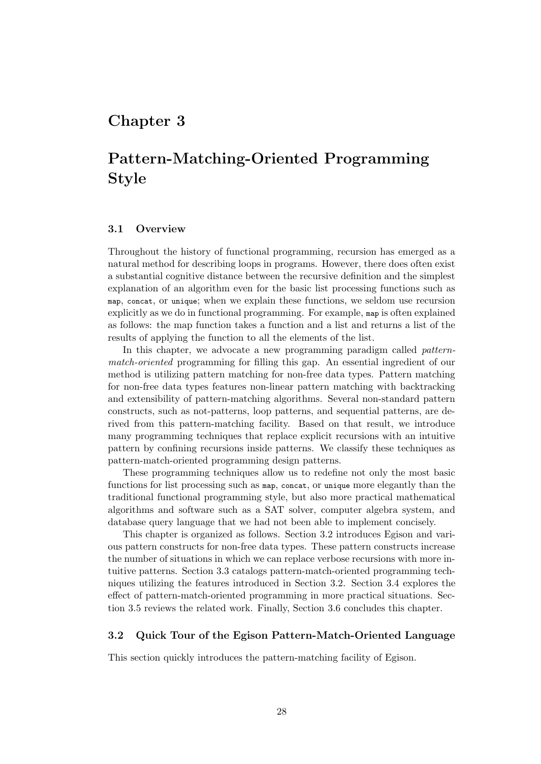# **Chapter 3**

# **Pattern-Matching-Oriented Programming Style**

## **3.1 Overview**

Throughout the history of functional programming, recursion has emerged as a natural method for describing loops in programs. However, there does often exist a substantial cognitive distance between the recursive definition and the simplest explanation of an algorithm even for the basic list processing functions such as map, concat, or unique; when we explain these functions, we seldom use recursion explicitly as we do in functional programming. For example, map is often explained as follows: the map function takes a function and a list and returns a list of the results of applying the function to all the elements of the list.

In this chapter, we advocate a new programming paradigm called *patternmatch-oriented* programming for filling this gap. An essential ingredient of our method is utilizing pattern matching for non-free data types. Pattern matching for non-free data types features non-linear pattern matching with backtracking and extensibility of pattern-matching algorithms. Several non-standard pattern constructs, such as not-patterns, loop patterns, and sequential patterns, are derived from this pattern-matching facility. Based on that result, we introduce many programming techniques that replace explicit recursions with an intuitive pattern by confining recursions inside patterns. We classify these techniques as pattern-match-oriented programming design patterns.

These programming techniques allow us to redefine not only the most basic functions for list processing such as map, concat, or unique more elegantly than the traditional functional programming style, but also more practical mathematical algorithms and software such as a SAT solver, computer algebra system, and database query language that we had not been able to implement concisely.

This chapter is organized as follows. Section 3.2 introduces Egison and various pattern constructs for non-free data types. These pattern constructs increase the number of situations in which we can replace verbose recursions with more intuitive patterns. Section 3.3 catalogs pattern-match-oriented programming techniques utilizing the features introduced in Secti[on](#page-37-0) 3.2. Section 3.4 explores the effect of pattern-match-oriented programming in more practical situations. Section 3.5 reviews the relat[ed](#page-43-0) work. Finally, Section 3.6 concludes this chapter.

## **3.2 Quick Tour of the Egison Pattern-M[atc](#page-37-0)h-Orien[ted](#page-48-0) Language**

<span id="page-37-0"></span>This [sec](#page-54-0)tion quickly introduces the pattern-matchi[ng](#page-56-0) facility of Egison.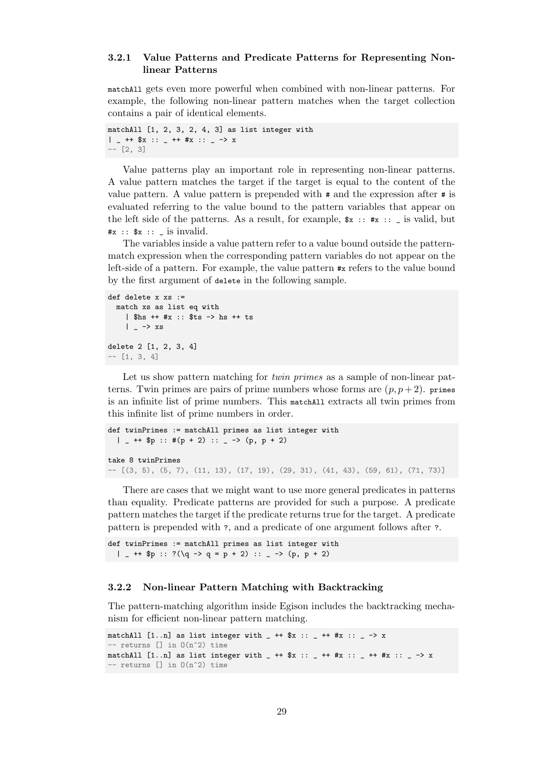## **3.2.1 Value Patterns and Predicate Patterns for Representing Nonlinear Patterns**

matchAll gets even more powerful when combined with non-linear patterns. For example, the following non-linear pattern matches when the target collection contains a pair of identical elements.

```
matchAll [1, 2, 3, 2, 4, 3] as list integer with
| = ++ $x :: = ++ #x :: = -> x
-- [2, 3]
```
Value patterns play an important role in representing non-linear patterns. A value pattern matches the target if the target is equal to the content of the value pattern. A value pattern is prepended with # and the expression after # is evaluated referring to the value bound to the pattern variables that appear on the left side of the patterns. As a result, for example,  $x : : x : : \mathbb{R}$  is valid, but  $\#x ::$   $\#x ::$   $\exists$  is invalid.

The variables inside a value pattern refer to a value bound outside the patternmatch expression when the corresponding pattern variables do not appear on the left-side of a pattern. For example, the value pattern #x refers to the value bound by the first argument of delete in the following sample.

```
def delete x xs :=
  match xs as list eq with
    | $hs ++ #x :: $ts -> hs ++ ts
    | - \rangle xs
delete 2 [1, 2, 3, 4]
-- [1, 3, 4]
```
Let us show pattern matching for *twin primes* as a sample of non-linear patterns. Twin primes are pairs of prime numbers whose forms are  $(p, p+2)$ . primes is an infinite list of prime numbers. This matchAll extracts all twin primes from this infinite list of prime numbers in order.

```
def twinPrimes := matchAll primes as list integer with
  | - ++ $p :: #(p + 2) :: - > (p, p + 2)
take 8 twinPrimes
- [(3, 5), (5, 7), (11, 13), (17, 19), (29, 31), (41, 43), (59, 61), (71, 73)]
```
There are cases that we might want to use more general predicates in patterns than equality. Predicate patterns are provided for such a purpose. A predicate pattern matches the target if the predicate returns true for the target. A predicate pattern is prepended with ?, and a predicate of one argument follows after ?.

```
def twinPrimes := matchAll primes as list integer with
 | _{-} ++ $p :: ?(\q -> q = p + 2) :: _{-} -> (p, p + 2)
```
#### **3.2.2 Non-linear Pattern Matching with Backtracking**

The pattern-matching algorithm inside Egison includes the backtracking mechanism for efficient non-linear pattern matching.

```
matchAll [1..n] as list integer with - ++ $x :: - ++ #x :: - -> x
-- returns [] in 0(n^2) time
matchAll [1..n] as list integer with _ ++ $x :: _ ++ #x :: _ ++ #x :: _ -> x
-- returns \lceil \rceil in 0(n^2) time
```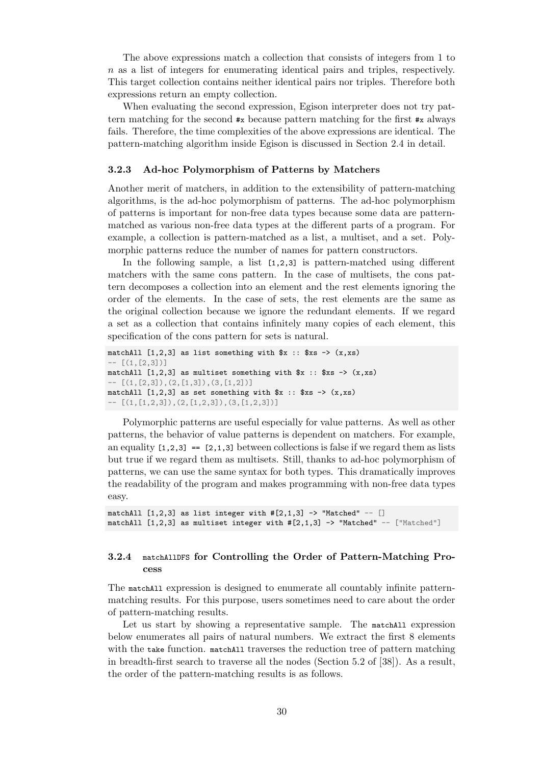The above expressions match a collection that consists of integers from 1 to *n* as a list of integers for enumerating identical pairs and triples, respectively. This target collection contains neither identical pairs nor triples. Therefore both expressions return an empty collection.

When evaluating the second expression, Egison interpreter does not try pattern matching for the second  $\#x$  because pattern matching for the first  $\#x$  always fails. Therefore, the time complexities of the above expressions are identical. The pattern-matching algorithm inside Egison is discussed in Section 2.4 in detail.

## **3.2.3 Ad-hoc Polymorphism of Patterns by Matchers**

Another merit of matchers, in addition to the extensibility of pa[tter](#page-25-0)n-matching algorithms, is the ad-hoc polymorphism of patterns. The ad-hoc polymorphism of patterns is important for non-free data types because some data are patternmatched as various non-free data types at the different parts of a program. For example, a collection is pattern-matched as a list, a multiset, and a set. Polymorphic patterns reduce the number of names for pattern constructors.

In the following sample, a list [1,2,3] is pattern-matched using different matchers with the same cons pattern. In the case of multisets, the cons pattern decomposes a collection into an element and the rest elements ignoring the order of the elements. In the case of sets, the rest elements are the same as the original collection because we ignore the redundant elements. If we regard a set as a collection that contains infinitely many copies of each element, this specification of the cons pattern for sets is natural.

```
matchAll [1,2,3] as list something with x :: x = \times (x, xs)-- [(1,[2,3])]
matchAll [1,2,3] as multiset something with x :: x = > (x,x)- [(1,[2,3]),(2,[1,3]),(3,[1,2])]
matchAll [1,2,3] as set something with x :: x = \times (x, xs)- [(1,[1,2,3]),(2,[1,2,3]),(3,[1,2,3])]
```
Polymorphic patterns are useful especially for value patterns. As well as other patterns, the behavior of value patterns is dependent on matchers. For example, an equality  $[1,2,3] = [2,1,3]$  between collections is false if we regard them as lists but true if we regard them as multisets. Still, thanks to ad-hoc polymorphism of patterns, we can use the same syntax for both types. This dramatically improves the readability of the program and makes programming with non-free data types easy.

matchAll  $[1,2,3]$  as list integer with  $\#[2,1,3]$  -> "Matched" --  $[]$ matchAll  $[1,2,3]$  as multiset integer with  $\#[2,1,3]$  -> "Matched" --  $[$ "Matched"]

## **3.2.4** matchAllDFS **for Controlling the Order of Pattern-Matching Process**

The matchAll expression is designed to enumerate all countably infinite patternmatching results. For this purpose, users sometimes need to care about the order of pattern-matching results.

Let us start by showing a representative sample. The matchAll expression below enumerates all pairs of natural numbers. We extract the first 8 elements with the take function. matchAll traverses the reduction tree of pattern matching in breadth-first search to traverse all the nodes (Section 5.2 of [38]). As a result, the order of the pattern-matching results is as follows.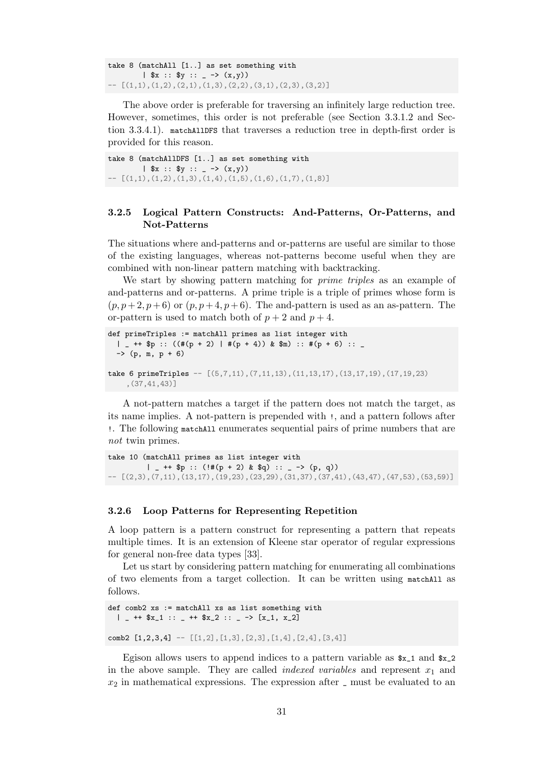take 8 (matchAll [1..] as set something with |  $x :: xy :: - - \geq (x,y)$  $[(1,1), (1,2), (2,1), (1,3), (2,2), (3,1), (2,3), (3,2)]$ 

The above order is preferable for traversing an infinitely large reduction tree. However, sometimes, this order is not preferable (see Section 3.3.1.2 and Section 3.3.4.1). matchAllDFS that traverses a reduction tree in depth-first order is provided for this reason.

take 8 (matchAllDFS [1..] as set something with |  $x :: xy :: - \rightarrow (x,y)$  $[(1,1), (1,2), (1,3), (1,4), (1,5), (1,6), (1,7), (1,8)]$ 

## **3.2.5 Logical Pattern Constructs: And-Patterns, Or-Patterns, and Not-Patterns**

The situations where and-patterns and or-patterns are useful are similar to those of the existing languages, whereas not-patterns become useful when they are combined with non-linear pattern matching with backtracking.

We start by showing pattern matching for *prime triples* as an example of and-patterns and or-patterns. A prime triple is a triple of primes whose form is  $(p, p+2, p+6)$  or  $(p, p+4, p+6)$ . The and-pattern is used as an as-pattern. The or-pattern is used to match both of  $p + 2$  and  $p + 4$ .

```
def primeTriples := matchAll primes as list integer with
  \vert \vert ++ $p :: ((#(p + 2) | #(p + 4)) & $m) :: #(p + 6) :: \vert\rightarrow (p, m, p + 6)
take 6 primeTriples - [(5,7,11), (7,11,13), (11,13,17), (13,17,19), (17,19,23),(37,41,43)]
```
A not-pattern matches a target if the pattern does not match the target, as its name implies. A not-pattern is prepended with !, and a pattern follows after !. The following matchAll enumerates sequential pairs of prime numbers that are *not* twin primes.

```
take 10 (matchAll primes as list integer with
         | _ ++ p :: (!#(p + 2) & q) :: _ -> (p, q))
 - [(2,3),(7,11),(13,17),(19,23),(23,29),(31,37),(37,41),(43,47),(47,53),(53,59)]
```
#### **3.2.6 Loop Patterns for Representing Repetition**

<span id="page-40-0"></span>A loop pattern is a pattern construct for representing a pattern that repeats multiple times. It is an extension of Kleene star operator of regular expressions for general non-free data types [33].

Let us start by considering pattern matching for enumerating all combinations of two elements from a target collection. It can be written using matchAll as follows.

```
def comb2 xs := matchAll xs as list something with
  | - ++ x_1 :: - ++ x_2 :: - -> [x_1, x_2]comb2 [1,2,3,4] -- [[1,2],[1,3],[2,3],[1,4],[2,4],[3,4]]
```
Egison allows users to append indices to a pattern variable as  $x_1$  and  $x_2$ in the above sample. They are called *indexed variables* and represent *x*<sup>1</sup> and *x*<sup>2</sup> in mathematical expressions. The expression after \_ must be evaluated to an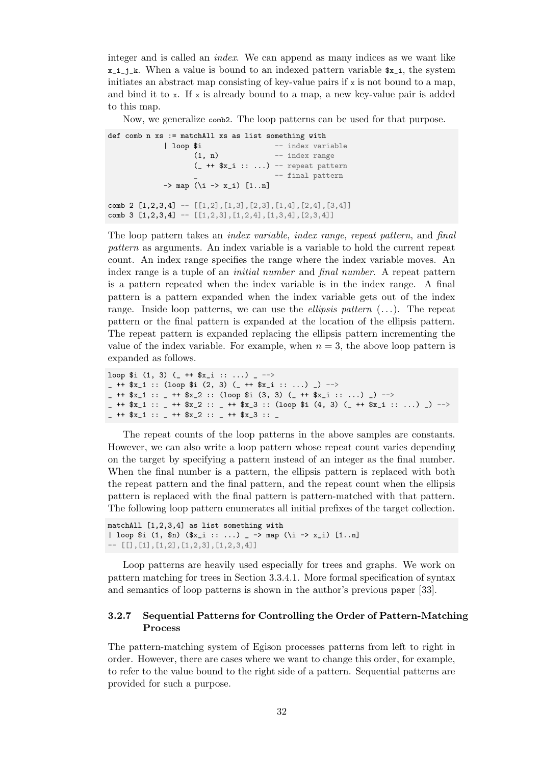integer and is called an *index*. We can append as many indices as we want like  $x_i$ <sub>i</sub>,  $k$ . When a value is bound to an indexed pattern variable  $x_i$ , the system initiates an abstract map consisting of key-value pairs if  $x$  is not bound to a map, and bind it to  $x$ . If  $x$  is already bound to a map, a new key-value pair is added to this map.

Now, we generalize comb2. The loop patterns can be used for that purpose.

def comb n xs := matchAll xs as list something with | loop \$i -- index variable  $(1, n)$  -- index range  $(- + + \$  x\_i : : ... ) -- repeat pattern -- final pattern  $\rightarrow$  map (\i -> x\_i) [1..n] comb 2 [1,2,3,4] -- [[1,2],[1,3],[2,3],[1,4],[2,4],[3,4]] comb 3 [1,2,3,4] -- [[1,2,3],[1,2,4],[1,3,4],[2,3,4]]

The loop pattern takes an *index variable*, *index range*, *repeat pattern*, and *final pattern* as arguments. An index variable is a variable to hold the current repeat count. An index range specifies the range where the index variable moves. An index range is a tuple of an *initial number* and *final number*. A repeat pattern is a pattern repeated when the index variable is in the index range. A final pattern is a pattern expanded when the index variable gets out of the index range. Inside loop patterns, we can use the *ellipsis pattern* (...). The repeat pattern or the final pattern is expanded at the location of the ellipsis pattern. The repeat pattern is expanded replacing the ellipsis pattern incrementing the value of the index variable. For example, when  $n=3$ , the above loop pattern is expanded as follows.

```
loop $i (1, 3) ( ++ $x<sub>1</sub> :: ...) - -->
\_ ++ x_1 :: (loop x_1 (2, 3) ( ++ x_1 :: ...) \_) -->
- ++ x_1 :: - ++ x_2 :: (loop $i (3, 3) (- ++ x_1 :: ...) -) -->
_ ++ $x_1 :: _ ++ $x_2 :: _ ++ $x_3 :: (loop $i (4, 3) (_ ++ $x_i :: ...) _) -->
\_ ++ x_1 :: \_ ++ x_2 :: \_ ++ x_3 :: \_
```
The repeat counts of the loop patterns in the above samples are constants. However, we can also write a loop pattern whose repeat count varies depending on the target by specifying a pattern instead of an integer as the final number. When the final number is a pattern, the ellipsis pattern is replaced with both the repeat pattern and the final pattern, and the repeat count when the ellipsis pattern is replaced with the final pattern is pattern-matched with that pattern. The following loop pattern enumerates all initial prefixes of the target collection.

```
matchAll [1,2,3,4] as list something with
| loop $i (1, $n) ($x_i :: ...) _ -> map (\i -> x_i) [1..n]
- [[],[1],[1,2],[1,2,3],[1,2,3,4]]
```
Loop patterns are heavily used especially for trees and graphs. We work on pattern matching for trees in Section 3.3.4.1. More formal specification of syntax and semantics of loop patterns is shown in the author's previous paper [33].

## **3.2.7 Sequential Patterns for C[ontroll](#page-46-0)ing the Order of Pattern-Matching Process**

The pattern-matching system of Egison processes patterns from left to right in order. However, there are cases where we want to change this order, for example, to refer to the value bound to the right side of a pattern. Sequential patterns are provided for such a purpose.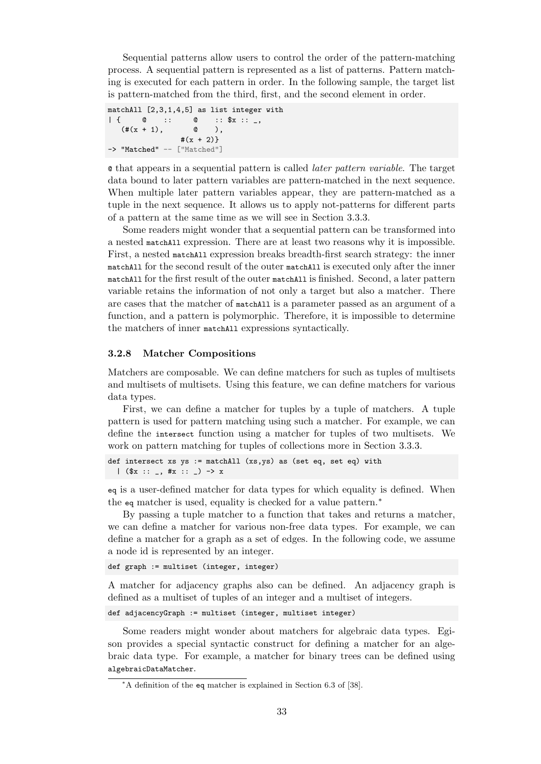Sequential patterns allow users to control the order of the pattern-matching process. A sequential pattern is represented as a list of patterns. Pattern matching is executed for each pattern in order. In the following sample, the target list is pattern-matched from the third, first, and the second element in order.

```
matchAll [2,3,1,4,5] as list integer with
| { @ :: @ :: $x :: _,
  (*(x + 1), \t 0),#(x + 2)-> "Matched" -- ["Matched"]
```
@ that appears in a sequential pattern is called *later pattern variable*. The target data bound to later pattern variables are pattern-matched in the next sequence. When multiple later pattern variables appear, they are pattern-matched as a tuple in the next sequence. It allows us to apply not-patterns for different parts of a pattern at the same time as we will see in Section 3.3.3.

Some readers might wonder that a sequential pattern can be transformed into a nested matchAll expression. There are at least two reasons why it is impossible. First, a nested matchAll expression breaks breadth-first search strategy: the inner matchAll for the second result of the outer matchAll is exe[cuted](#page-46-1) only after the inner matchAll for the first result of the outer matchAll is finished. Second, a later pattern variable retains the information of not only a target but also a matcher. There are cases that the matcher of matchAll is a parameter passed as an argument of a function, and a pattern is polymorphic. Therefore, it is impossible to determine the matchers of inner matchAll expressions syntactically.

### **3.2.8 Matcher Compositions**

<span id="page-42-0"></span>Matchers are composable. We can define matchers for such as tuples of multisets and multisets of multisets. Using this feature, we can define matchers for various data types.

First, we can define a matcher for tuples by a tuple of matchers. A tuple pattern is used for pattern matching using such a matcher. For example, we can define the intersect function using a matcher for tuples of two multisets. We work on pattern matching for tuples of collections more in Section 3.3.3.

```
def intersect xs ys := matchAll (xs,ys) as (set eq, set eq) with
  | (\$x :: _, #x :: _) -> x
```
eq is a user-defined matcher for data types for which equality is d[efined](#page-46-1). When the eq matcher is used, equality is checked for a value pattern.<sup>∗</sup>

By passing a tuple matcher to a function that takes and returns a matcher, we can define a matcher for various non-free data types. For example, we can define a matcher for a graph as a set of edges. In the following code, we assume a node id is represented by an integer.

```
def graph := multiset (integer, integer)
```
A matcher for adjacency graphs also can be defined. An adjacency graph is defined as a multiset of tuples of an integer and a multiset of integers.

def adjacencyGraph := multiset (integer, multiset integer)

Some readers might wonder about matchers for algebraic data types. Egison provides a special syntactic construct for defining a matcher for an algebraic data type. For example, a matcher for binary trees can be defined using algebraicDataMatcher.

<sup>∗</sup>A definition of the eq matcher is explained in Section 6.3 of [38].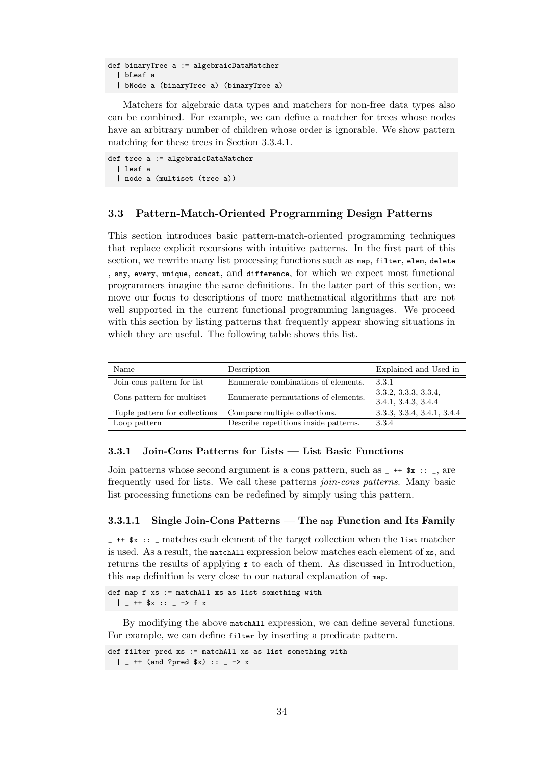```
def binaryTree a := algebraicDataMatcher
  | bLeaf a
  | bNode a (binaryTree a) (binaryTree a)
```
Matchers for algebraic data types and matchers for non-free data types also can be combined. For example, we can define a matcher for trees whose nodes have an arbitrary number of children whose order is ignorable. We show pattern matching for these trees in Section 3.3.4.1.

```
def tree a := algebraicDataMatcher
  | leaf a
  | node a (multiset (tree a))
```
## **3.3 Pattern-Match-Oriented Programming Design Patterns**

<span id="page-43-0"></span>This section introduces basic pattern-match-oriented programming techniques that replace explicit recursions with intuitive patterns. In the first part of this section, we rewrite many list processing functions such as map, filter, elem, delete , any, every, unique, concat, and difference, for which we expect most functional programmers imagine the same definitions. In the latter part of this section, we move our focus to descriptions of more mathematical algorithms that are not well supported in the current functional programming languages. We proceed with this section by listing patterns that frequently appear showing situations in which they are useful. The following table shows this list.

| Name                          | Description                           | Explained and Used in                       |
|-------------------------------|---------------------------------------|---------------------------------------------|
| Join-cons pattern for list    | Enumerate combinations of elements.   | 3.3.1                                       |
| Cons pattern for multiset     | Enumerate permutations of elements.   | 3.3.2, 3.3.3, 3.3.4,<br>3.4.1, 3.4.3, 3.4.4 |
| Tuple pattern for collections | Compare multiple collections.         | 3.3.3, 3.3.4, 3.4.1, 3.4.4                  |
| Loop pattern                  | Describe repetitions inside patterns. | 3.3.4                                       |

#### **3.3.1 Join-Cons Patterns for Lists — List Basic Fun[ction](#page-48-1)[s](#page-52-0)**

<span id="page-43-1"></span>Join patterns whose second argument is a cons pattern, such as  $-$  ++  $x : z$ , are frequently used for lists. We call these patterns *join-cons patterns*. Many basic list processing functions can be redefined by simply using this pattern.

#### **3.3.1.1 Single Join-Cons Patterns — The** map **Function and Its Family**

 $\frac{1}{2}$  ++  $\$ x ::  $\frac{1}{2}$  matches each element of the target collection when the list matcher is used. As a result, the matchAll expression below matches each element of xs, and returns the results of applying f to each of them. As discussed in Introduction, this map definition is very close to our natural explanation of map.

def map f xs := matchAll xs as list something with  $|$  \_ ++ \$x :: \_ -> f x

By modifying the above matchAll expression, we can define several functions. For example, we can define filter by inserting a predicate pattern.

```
def filter pred xs := matchAll xs as list something with
  | = ++ (and ?pred $x) :: = -> x
```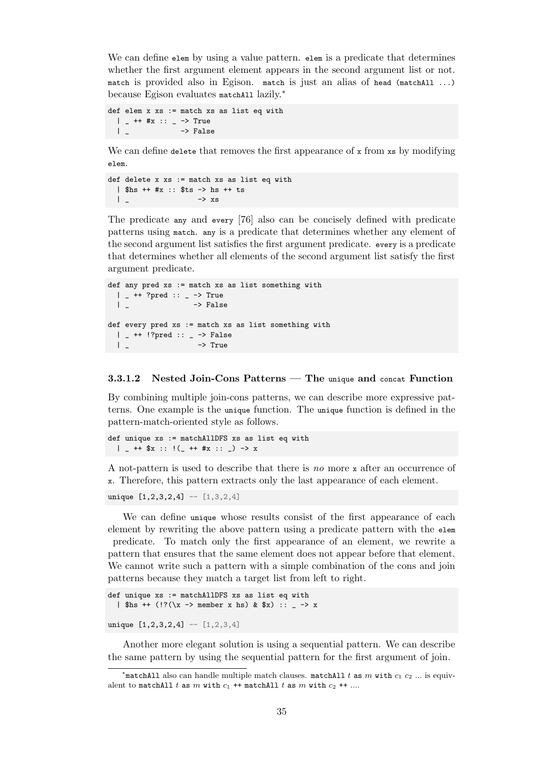We can define elem by using a value pattern. elem is a predicate that determines whether the first argument element appears in the second argument list or not. match is provided also in Egison. match is just an alias of head (matchAll ...) because Egison evaluates matchAll lazily.<sup>∗</sup>

```
def elem x xs := match xs as list eq with
  | - ++ #x :: - -> True
  | _{-} \rightarrow False
```
We can define delete that removes the first appearance of  $x$  from  $xs$  by modifying elem.

```
def delete x xs := match xs as list eq with
 | $hs ++ #x :: $ts -> hs ++ ts
 | _ -> xs
```
The predicate any and every [76] also can be concisely defined with predicate patterns using match. any is a predicate that determines whether any element of the second argument list satisfies the first argument predicate. every is a predicate that determines whether all el[eme](#page-105-0)nts of the second argument list satisfy the first argument predicate.

```
def any pred xs := match xs as list something with
 | _ ++ ?pred :: _ -> True
 | _ -> False
def every pred xs := match xs as list something with
 | _ ++ !?pred :: _ -> False
 | _ -> True
```
#### **3.3.1.2 Nested Join-Cons Patterns — The** unique **and** concat **Function**

By combining multiple join-cons patterns, we can describe more expressive patterns. One example is the unique function. The unique function is defined in the pattern-match-oriented style as follows.

```
def unique xs := matchAllDFS xs as list eq with
  | _ ++ $x :: !(_ ++ #x :: _) -> x
```
A not-pattern is used to describe that there is *no* more x after an occurrence of x. Therefore, this pattern extracts only the last appearance of each element.

unique  $[1,2,3,2,4]$  --  $[1,3,2,4]$ 

We can define unique whose results consist of the first appearance of each element by rewriting the above pattern using a predicate pattern with the elem predicate. To match only the first appearance of an element, we rewrite a pattern that ensures that the same element does not appear before that element. We cannot write such a pattern with a simple combination of the cons and join patterns because they match a target list from left to right.

```
def unique xs := matchAllDFS xs as list eq with
  | $hs ++ (!?(\x \rightarrow) \text{ member x hs}) \& $x) :: _ - \rightarrow x
```

```
unique [1,2,3,2,4] -- [1,2,3,4]
```
Another more elegant solution is using a sequential pattern. We can describe the same pattern by using the sequential pattern for the first argument of join.

<sup>∗</sup> matchAll also can handle multiple match clauses. matchAll *t* as *m* with *c*<sup>1</sup> *c*<sup>2</sup> *...* is equivalent to matchAll  $t$  as  $m$  with  $c_1$  ++ matchAll  $t$  as  $m$  with  $c_2$  ++ ....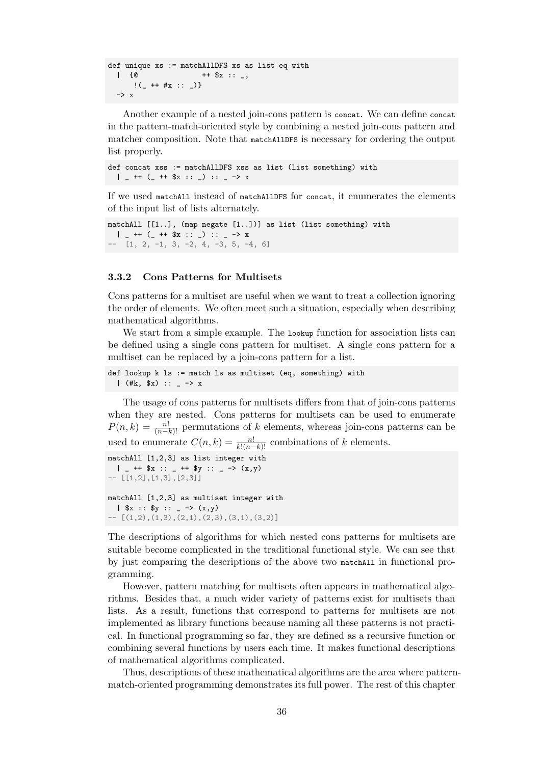```
def unique xs := matchAllDFS xs as list eq with
 | {0} ++ $x :: _! ( + + #x :: _) }
  \rightarrow x
```
Another example of a nested join-cons pattern is concat. We can define concat in the pattern-match-oriented style by combining a nested join-cons pattern and matcher composition. Note that matchAllDFS is necessary for ordering the output list properly.

```
def concat xss := matchAllDFS xss as list (list something) with
  | = ++ (= ++ \frac{6}{3}x :: =) :: = -> x
```
If we used matchAll instead of matchAllDFS for concat, it enumerates the elements of the input list of lists alternately.

```
matchAll [[1..], (map negate [1..])] as list (list something) with
 | _ ++ (_ ++ $x :: _) :: _ -> x
- [1, 2, -1, 3, -2, 4, -3, 5, -4, 6]
```
#### <span id="page-45-0"></span>**3.3.2 Cons Patterns for Multisets**

Cons patterns for a multiset are useful when we want to treat a collection ignoring the order of elements. We often meet such a situation, especially when describing mathematical algorithms.

We start from a simple example. The lookup function for association lists can be defined using a single cons pattern for multiset. A single cons pattern for a multiset can be replaced by a join-cons pattern for a list.

```
def lookup k ls := match ls as multiset (eq, something) with
  | (**, \$x) :: _ - > x
```
The usage of cons patterns for multisets differs from that of join-cons patterns when they are nested. Cons patterns for multisets can be used to enumerate  $P(n, k) = \frac{n!}{(n-k)!}$  permutations of *k* elements, whereas join-cons patterns can be used to enumerate  $C(n, k) = \frac{n!}{k!(n-k)!}$  combinations of *k* elements.

```
matchAll [1,2,3] as list integer with
 | - ++ x : - ++ y : - -> (x,y)- [[1,2],[1,3],[2,3]]
matchAll [1,2,3] as multiset integer with
  | x :: xy :: - \rightarrow (x,y)- [(1,2),(1,3),(2,1),(2,3),(3,1),(3,2)]
```
The descriptions of algorithms for which nested cons patterns for multisets are suitable become complicated in the traditional functional style. We can see that by just comparing the descriptions of the above two matchAll in functional programming.

However, pattern matching for multisets often appears in mathematical algorithms. Besides that, a much wider variety of patterns exist for multisets than lists. As a result, functions that correspond to patterns for multisets are not implemented as library functions because naming all these patterns is not practical. In functional programming so far, they are defined as a recursive function or combining several functions by users each time. It makes functional descriptions of mathematical algorithms complicated.

Thus, descriptions of these mathematical algorithms are the area where patternmatch-oriented programming demonstrates its full power. The rest of this chapter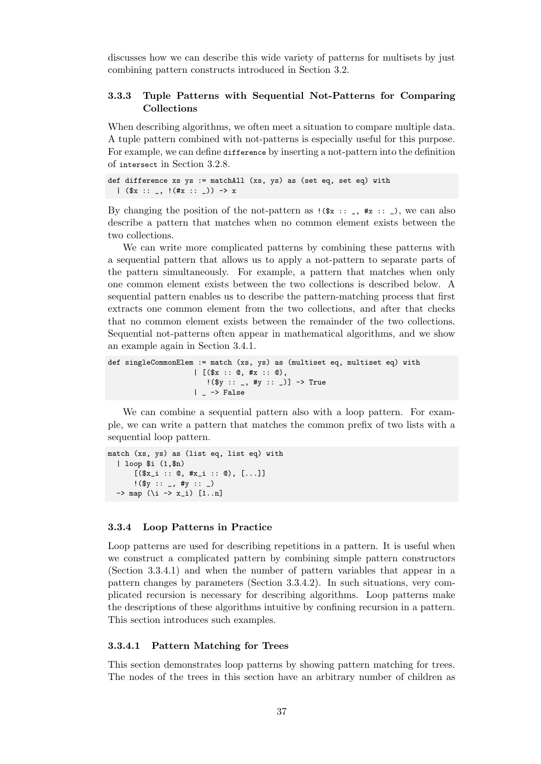discusses how we can describe this wide variety of patterns for multisets by just combining pattern constructs introduced in Section 3.2.

## **3.3.3 Tuple Patterns with Sequential Not-Patterns for Comparing Collections**

<span id="page-46-1"></span>When describing algorithms, we often meet a situation to compare multiple data. A tuple pattern combined with not-patterns is especially useful for this purpose. For example, we can define difference by inserting a not-pattern into the definition of intersect in Section 3.2.8.

```
def difference xs ys := matchAll (xs, ys) as (set eq, set eq) with
  |( ($x :: _, !(#x :: _)) -> x
```
By changing the posit[ion of](#page-42-0) the not-pattern as  $(\hat{x} : z : z, \hat{z} : z)$ , we can also describe a pattern that matches when no common element exists between the two collections.

We can write more complicated patterns by combining these patterns with a sequential pattern that allows us to apply a not-pattern to separate parts of the pattern simultaneously. For example, a pattern that matches when only one common element exists between the two collections is described below. A sequential pattern enables us to describe the pattern-matching process that first extracts one common element from the two collections, and after that checks that no common element exists between the remainder of the two collections. Sequential not-patterns often appear in mathematical algorithms, and we show an example again in Section 3.4.1.

```
def singleCommonElem := match (xs, ys) as (multiset eq, multiset eq) with
                    | [ (*x : : 0, #x : : 0),!(\ :: _, #y :: _)] -> True
                    | - \ranglelse
```
We can combine a sequential pattern also with a loop pattern. For example, we can write a pattern that matches the common prefix of two lists with a sequential loop pattern.

```
match (xs, ys) as (list eq, list eq) with
  | loop $i (1,$n)
       [(\$x_i : : @, #x_i : : @), [...]]!(\ y :: _{-}, \# y :: _{-})\Rightarrow map (\iota \rightarrow x_i) [1..n]
```
## **3.3.4 Loop Patterns in Practice**

<span id="page-46-2"></span>Loop patterns are used for describing repetitions in a pattern. It is useful when we construct a complicated pattern by combining simple pattern constructors (Section 3.3.4.1) and when the number of pattern variables that appear in a pattern changes by parameters (Section 3.3.4.2). In such situations, very complicated recursion is necessary for describing algorithms. Loop patterns make the descriptions of these algorithms intuitive by confining recursion in a pattern. This sect[ion intr](#page-46-0)oduces such examples.

#### **3.3.4.1 Pattern Matching for Trees**

<span id="page-46-0"></span>This section demonstrates loop patterns by showing pattern matching for trees. The nodes of the trees in this section have an arbitrary number of children as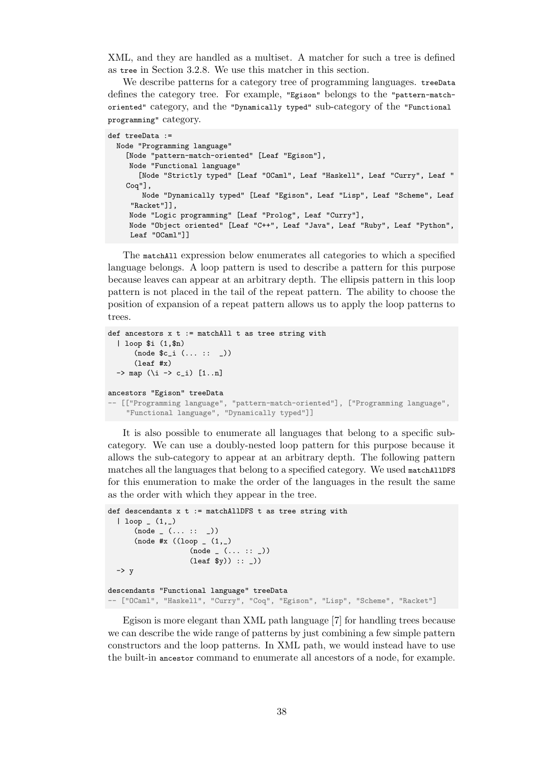XML, and they are handled as a multiset. A matcher for such a tree is defined as tree in Section 3.2.8. We use this matcher in this section.

We describe patterns for a category tree of programming languages. treeData defines the category tree. For example, "Egison" belongs to the "pattern-matchoriented" category, and the "Dynamically typed" sub-category of the "Functional programming" categ[ory.](#page-42-0)

```
def treeData :=
 Node "Programming language"
    [Node "pattern-match-oriented" [Leaf "Egison"],
    Node "Functional language"
       [Node "Strictly typed" [Leaf "OCaml", Leaf "Haskell", Leaf "Curry", Leaf "
    Coq"],
       Node "Dynamically typed" [Leaf "Egison", Leaf "Lisp", Leaf "Scheme", Leaf
     "Racket"]],
    Node "Logic programming" [Leaf "Prolog", Leaf "Curry"],
    Node "Object oriented" [Leaf "C++", Leaf "Java", Leaf "Ruby", Leaf "Python",
     Leaf "OCaml"]]
```
The matchAll expression below enumerates all categories to which a specified language belongs. A loop pattern is used to describe a pattern for this purpose because leaves can appear at an arbitrary depth. The ellipsis pattern in this loop pattern is not placed in the tail of the repeat pattern. The ability to choose the position of expansion of a repeat pattern allows us to apply the loop patterns to trees.

```
def ancestors x t := matchAll t as tree string with
  | loop $i (1,$n)
      (node $c_i (... :: _))
      (leaf #x)
 \rightarrow map (\i -> c_i) [1..n]
ancestors "Egison" treeData
-- [["Programming language", "pattern-match-oriented"], ["Programming language",
    "Functional language", "Dynamically typed"]]
```
It is also possible to enumerate all languages that belong to a specific subcategory. We can use a doubly-nested loop pattern for this purpose because it allows the sub-category to appear at an arbitrary depth. The following pattern matches all the languages that belong to a specified category. We used matchAllDFS for this enumeration to make the order of the languages in the result the same as the order with which they appear in the tree.

```
def descendants x t := matchAllDFS t as tree string with
  | loop (1, )(node_-(...::_-))(node #x ((loop (1, ))(node_{-}(\ldots ::_{-}))(\text{leaf } $y)) :: _{\_})\rightarrow y
descendants "Functional language" treeData
-- ["OCaml", "Haskell", "Curry", "Coq", "Egison", "Lisp", "Scheme", "Racket"]
```
<span id="page-47-0"></span>Egison is more elegant than XML path language [7] for handling trees because we can describe the wide range of patterns by just combining a few simple pattern constructors and the loop patterns. In XML path, we would instead have to use the built-in ancestor command to enumerate all ancestors of a node, for example.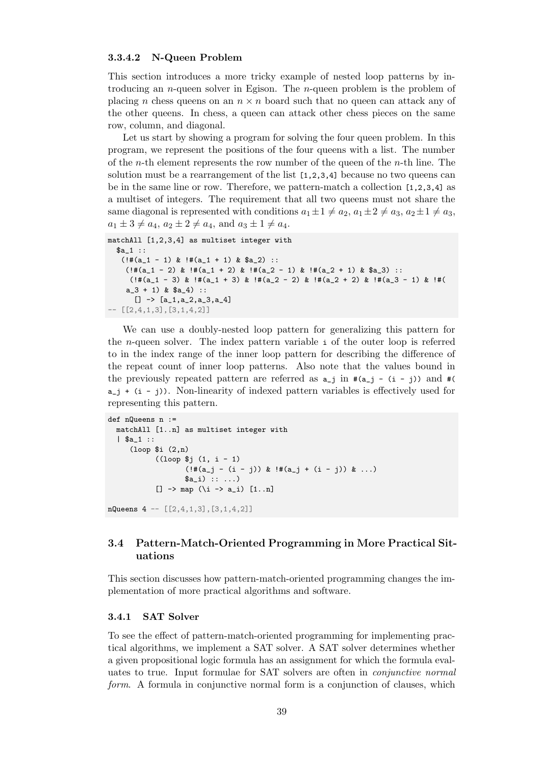## **3.3.4.2 N-Queen Problem**

This section introduces a more tricky example of nested loop patterns by introducing an *n*-queen solver in Egison. The *n*-queen problem is the problem of placing *n* chess queens on an *n × n* board such that no queen can attack any of the other queens. In chess, a queen can attack other chess pieces on the same row, column, and diagonal.

Let us start by showing a program for solving the four queen problem. In this program, we represent the positions of the four queens with a list. The number of the *n*-th element represents the row number of the queen of the *n*-th line. The solution must be a rearrangement of the list  $[1,2,3,4]$  because no two queens can be in the same line or row. Therefore, we pattern-match a collection [1,2,3,4] as a multiset of integers. The requirement that all two queens must not share the same diagonal is represented with conditions  $a_1 \pm 1 \neq a_2$ ,  $a_1 \pm 2 \neq a_3$ ,  $a_2 \pm 1 \neq a_3$ ,  $a_1 \pm 3 \neq a_4$ ,  $a_2 \pm 2 \neq a_4$ , and  $a_3 \pm 1 \neq a_4$ .

```
matchAll [1,2,3,4] as multiset integer with
  $a_1 ::
   (!\#(a_1 - 1) \& !\#(a_1 + 1) \& $a_2) ::(!\#(a_1 - 2) \& !\#(a_1 + 2) \& !\#(a_2 - 1) \& !\#(a_2 + 1) \& $a_3):
     (!\n\#(a_1 - 3) \& \#(a_1 + 3) \& \#(a_2 - 2) \& \#(a_2 + 2) \& \#(a_3 - 1) \& \#(4)a_3 + 1) & a_4) ::
      [] \rightarrow [a_1, a_2, a_3, a_4]-- [[2,4,1,3],[3,1,4,2]]
```
We can use a doubly-nested loop pattern for generalizing this pattern for the *n*-queen solver. The index pattern variable i of the outer loop is referred to in the index range of the inner loop pattern for describing the difference of the repeat count of inner loop patterns. Also note that the values bound in the previously repeated pattern are referred as  $a_{-j}$  in  $\#(a_{-j} - (i - j))$  and  $\#($  $a_i + (i - j)$ . Non-linearity of indexed pattern variables is effectively used for representing this pattern.

```
def nQueens n :=
  matchAll [1..n] as multiset integer with
  | $a_1 ::
     (loop $i (2,n)
            ((loop $j (1, i - 1)
                    (!\#(a_j - (i - j)) \& !\#(a_j + (i - j)) \& ...)a_i) :: ...[ ] \rightarrow map (\iota \rightarrow a_i) [1..n]
```
nQueens  $4 - [2, 4, 1, 3], [3, 1, 4, 2]$ 

## <span id="page-48-0"></span>**3.4 Pattern-Match-Oriented Programming in More Practical Situations**

This section discusses how pattern-match-oriented programming changes the implementation of more practical algorithms and software.

## <span id="page-48-1"></span>**3.4.1 SAT Solver**

To see the effect of pattern-match-oriented programming for implementing practical algorithms, we implement a SAT solver. A SAT solver determines whether a given propositional logic formula has an assignment for which the formula evaluates to true. Input formulae for SAT solvers are often in *conjunctive normal form*. A formula in conjunctive normal form is a conjunction of clauses, which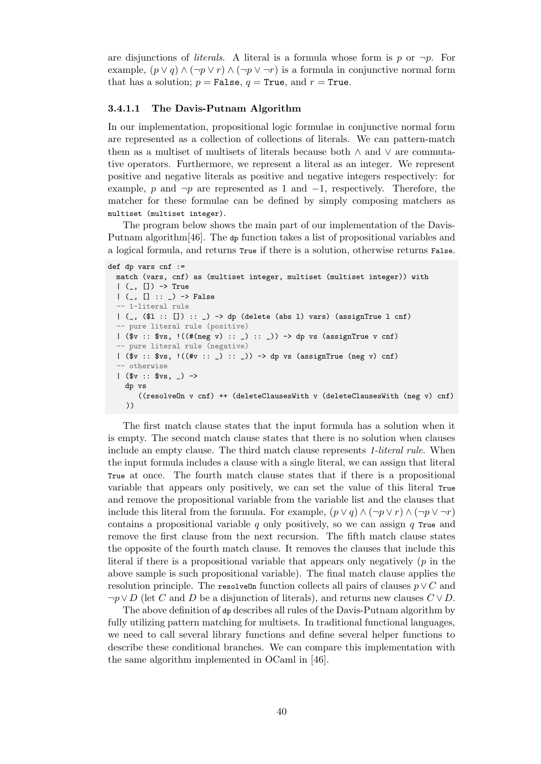are disjunctions of *literals*. A literal is a formula whose form is  $p$  or  $\neg p$ . For example,  $(p \lor q) \land (\neg p \lor r) \land (\neg p \lor \neg r)$  is a formula in conjunctive normal form that has a solution;  $p =$  **False**,  $q =$  **True**, and  $r =$  **True.** 

#### **3.4.1.1 The Davis-Putnam Algorithm**

In our implementation, propositional logic formulae in conjunctive normal form are represented as a collection of collections of literals. We can pattern-match them as a multiset of multisets of literals because both *∧* and *∨* are commutative operators. Furthermore, we represent a literal as an integer. We represent positive and negative literals as positive and negative integers respectively: for example, *p* and *¬p* are represented as 1 and *−*1, respectively. Therefore, the matcher for these formulae can be defined by simply composing matchers as multiset (multiset integer).

The program below shows the main part of our implementation of the Davis-Putnam algorithm[46]. The dp function takes a list of propositional variables and a logical formula, and returns True if there is a solution, otherwise returns False.

```
def dp vars cnf :=
  match (vars, cnf) as (multiset integer, multiset (multiset integer)) with
  | (-, []) \rightarrow True| (-, [ ] : : ] -> False
  -- 1-literal rule
  | (-, ( $1 : : [] ) : : ) \rightarrow dp (delete (abs 1) vars) (assignTrue 1 cnf)
  -- pure literal rule (positive)
  | (\$v :: $vs, !((\#(\text{neg } v) : : _{\_}) : : \_)) \rightarrow dp vs (\text{assignTrue } v \text{ cnf})-- pure literal rule (negative)
  | ($v :: $vs, !((#v :: _) :: _)) -> dp vs (assignTrue (neg v) cnf)
   - otherwise
  |( v : : v s, -) ->
    dp vs
        ((resolveOn v cnf) ++ (deleteClausesWith v (deleteClausesWith (neg v) cnf)
    ))
```
The first match clause states that the input formula has a solution when it is empty. The second match clause states that there is no solution when clauses include an empty clause. The third match clause represents *1-literal rule*. When the input formula includes a clause with a single literal, we can assign that literal True at once. The fourth match clause states that if there is a propositional variable that appears only positively, we can set the value of this literal True and remove the propositional variable from the variable list and the clauses that include this literal from the formula. For example,  $(p \lor q) \land (\neg p \lor r) \land (\neg p \lor \neg r)$ contains a propositional variable *q* only positively, so we can assign *q* True and remove the first clause from the next recursion. The fifth match clause states the opposite of the fourth match clause. It removes the clauses that include this literal if there is a propositional variable that appears only negatively (*p* in the above sample is such propositional variable). The final match clause applies the resolution principle. The resolve On function collects all pairs of clauses  $p \vee C$  and *¬p∨ D* (let *C* and *D* be a disjunction of literals), and returns new clauses *C ∨ D*.

The above definition of dp describes all rules of the Davis-Putnam algorithm by fully utilizing pattern matching for multisets. In traditional functional languages, we need to call several library functions and define several helper functions to describe these conditional branches. We can compare this implementation with the same algorithm implemented in OCaml in [46].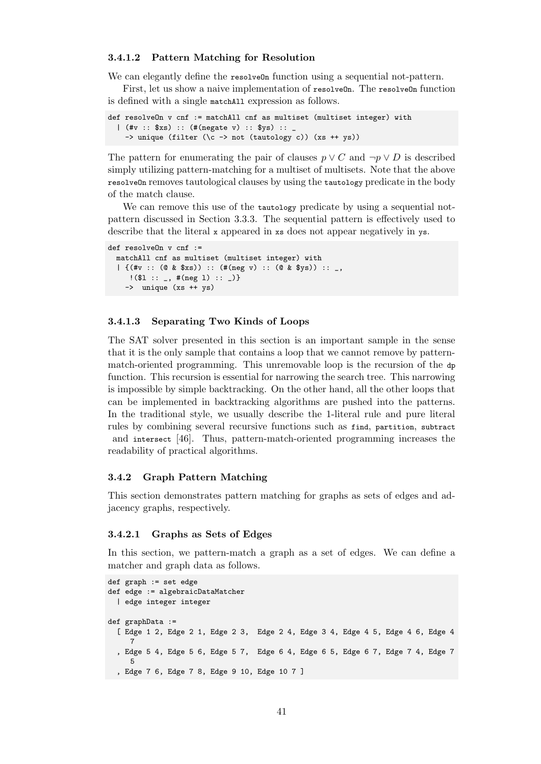#### **3.4.1.2 Pattern Matching for Resolution**

We can elegantly define the resolve On function using a sequential not-pattern.

First, let us show a naive implementation of resolveOn. The resolveOn function is defined with a single matchAll expression as follows.

```
def resolveOn v cnf := matchAll cnf as multiset (multiset integer) with
  | (#v :: $xs) :: (#(negate v) :: $ys) :: _
    \rightarrow unique (filter (\c -> not (tautology c)) (xs ++ ys))
```
The pattern for enumerating the pair of clauses  $p \vee C$  and  $\neg p \vee D$  is described simply utilizing pattern-matching for a multiset of multisets. Note that the above resolveOn removes tautological clauses by using the tautology predicate in the body of the match clause.

We can remove this use of the tautology predicate by using a sequential notpattern discussed in Section 3.3.3. The sequential pattern is effectively used to describe that the literal x appeared in xs does not appear negatively in ys.

```
def resolveOn v cnf :=
 matchAll cnf as multiset (multiset integer) with
  | {(#v :: (@ & $xs)) :: (#(neg v) :: (@ & $ys)) :: _,
     !(\$1 :: _-, *_{\text{neg 1}) :: _})-> unique (xs ++ ys)
```
#### **3.4.1.3 Separating Two Kinds of Loops**

The SAT solver presented in this section is an important sample in the sense that it is the only sample that contains a loop that we cannot remove by patternmatch-oriented programming. This unremovable loop is the recursion of the dp function. This recursion is essential for narrowing the search tree. This narrowing is impossible by simple backtracking. On the other hand, all the other loops that can be implemented in backtracking algorithms are pushed into the patterns. In the traditional style, we usually describe the 1-literal rule and pure literal rules by combining several recursive functions such as find, partition, subtract and intersect [46]. Thus, pattern-match-oriented programming increases the readability of practical algorithms.

#### **3.4.2 Graph [Pa](#page-103-0)ttern Matching**

This section demonstrates pattern matching for graphs as sets of edges and adjacency graphs, respectively.

#### **3.4.2.1 Graphs as Sets of Edges**

In this section, we pattern-match a graph as a set of edges. We can define a matcher and graph data as follows.

```
def graph := set edge
def edge := algebraicDataMatcher
  | edge integer integer
def graphData :=
  [ Edge 1 2, Edge 2 1, Edge 2 3, Edge 2 4, Edge 3 4, Edge 4 5, Edge 4 6, Edge 4
     7
  , Edge 5 4, Edge 5 6, Edge 5 7, Edge 6 4, Edge 6 5, Edge 6 7, Edge 7 4, Edge 7
     5
  , Edge 7 6, Edge 7 8, Edge 9 10, Edge 10 7 ]
```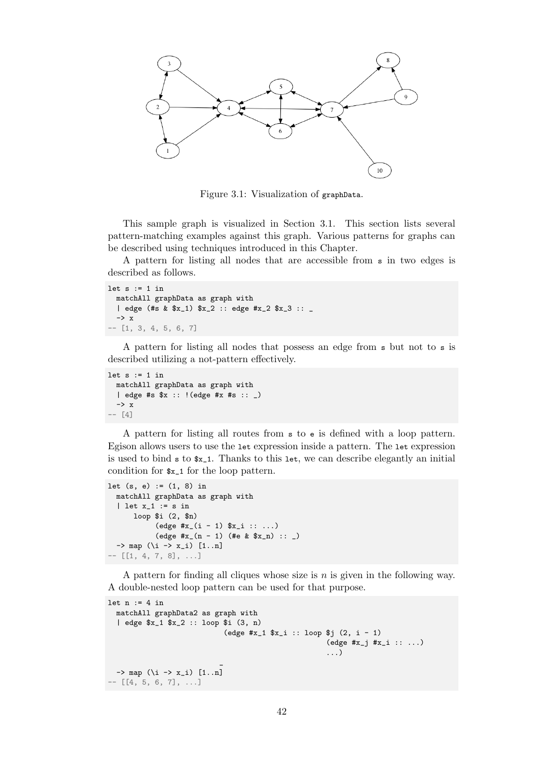<span id="page-51-0"></span>

Figure 3.1: Visualization of graphData.

This sample graph is visualized in Section 3.1. This section lists several pattern-matching examples against this graph. Various patterns for graphs can be described using techniques introduced in this Chapter.

A pattern for listing all nodes that are ac[cessi](#page-51-0)ble from s in two edges is described as follows.

```
let s := 1 in
 matchAll graphData as graph with
  | edge (#s & $x_1) $x_2 :: edge #x_2 $x_3 :: _
 -> x
-- [1, 3, 4, 5, 6, 7]
```
A pattern for listing all nodes that possess an edge from s but not to s is described utilizing a not-pattern effectively.

```
let s := 1 in
 matchAll graphData as graph with
  | edge #s $x :: !(edge #x #s :: _)
 -> x
-- [4]
```
A pattern for listing all routes from s to e is defined with a loop pattern. Egison allows users to use the let expression inside a pattern. The let expression is used to bind  $s$  to  $x_1$ . Thanks to this let, we can describe elegantly an initial condition for \$x\_1 for the loop pattern.

```
let (s, e) := (1, 8) in
  matchAll graphData as graph with
   | let x_1 := s in
        loop $i (2, $n)
                \text{(edge } \#x_{i} \text{ (i - 1) } \$x_{i} \text{ :: } ... \text{)}\text{(edge } \#x_{-}(n-1) \text{ (#e & $x_n$): : _ )\rightarrow map (\iota \rightarrow x_i) [1..n]
-- [[1, 4, 7, 8], ...]
```
A pattern for finding all cliques whose size is *n* is given in the following way. A double-nested loop pattern can be used for that purpose.

```
let n := 4 in
  matchAll graphData2 as graph with
  | edge $x_1 $x_2 :: loop $i (3, n)
                             (edge #x_1 $x_i :: loop $j (2, i - 1)
                                                      (edge #x_j #x_i :: ...)
                                                       ...)
                            _
 \rightarrow map (\i -> x_i) [1..n]
- [[4, 5, 6, 7], ...]
```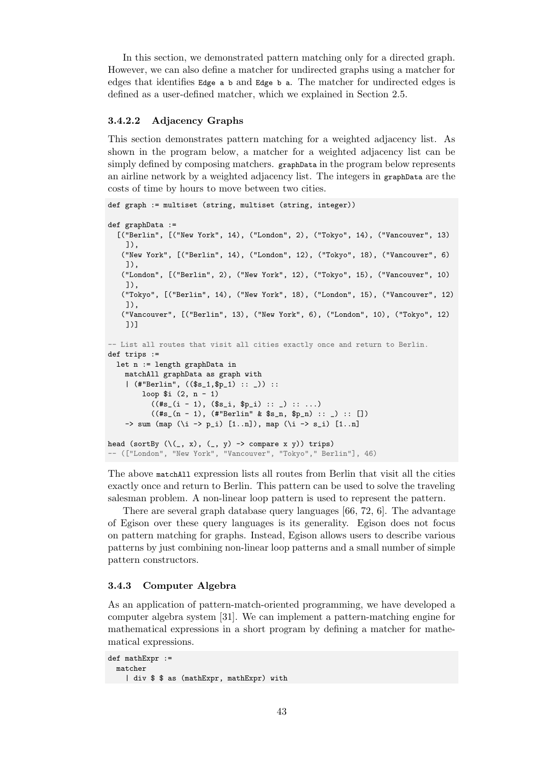In this section, we demonstrated pattern matching only for a directed graph. However, we can also define a matcher for undirected graphs using a matcher for edges that identifies Edge a b and Edge b a. The matcher for undirected edges is defined as a user-defined matcher, which we explained in Section 2.5.

## **3.4.2.2 Adjacency Graphs**

This section demonstrates pattern matching for a weighted adj[acen](#page-28-0)cy list. As shown in the program below, a matcher for a weighted adjacency list can be simply defined by composing matchers. graphData in the program below represents an airline network by a weighted adjacency list. The integers in graphData are the costs of time by hours to move between two cities.

```
def graph := multiset (string, multiset (string, integer))
```

```
def graphData :=
  [("Berlin", [("New York", 14), ("London", 2), ("Tokyo", 14), ("Vancouver", 13)
    ]),
   ("New York", [("Berlin", 14), ("London", 12), ("Tokyo", 18), ("Vancouver", 6)
    ]),
   ("London", [("Berlin", 2), ("New York", 12), ("Tokyo", 15), ("Vancouver", 10)
    ]),
   ("Tokyo", [("Berlin", 14), ("New York", 18), ("London", 15), ("Vancouver", 12)
    ]),
   ("Vancouver", [("Berlin", 13), ("New York", 6), ("London", 10), ("Tokyo", 12)
    ])]
-- List all routes that visit all cities exactly once and return to Berlin.
def trips :=
 let n := length graphData in
    matchAll graphData as graph with
    | (#"Berlin", (($s_1,$p_1) :: _)) ::
        loop $i (2, n - 1)
           ((\#s_{i}(i - 1), (\$s_{i}, \$p_{i}): : _{\cdot}, \cdot : \dots))((\#s_{-}(n - 1), (\# "Berlin" & s_{-n}, \; sp_{-n}) :: ...) :: []-> sum (map (\iota \rightarrow p_i) [1..n]), map (\iota \rightarrow s_i) [1..n]
head (sortBy (\setminus (, x), (, y) -> compare x y)) trips)
-- (["London", "New York", "Vancouver", "Tokyo"," Berlin"], 46)
```
The above matchAll expression lists all routes from Berlin that visit all the cities exactly once and return to Berlin. This pattern can be used to solve the traveling salesman problem. A non-linear loop pattern is used to represent the pattern.

There are several graph database query languages [66, 72, 6]. The advantage of Egison over these query languages is its generality. Egison does not focus on pattern matching for graphs. Instead, Egison allows users to describe various patterns by just combining non-linear loop patterns an[d a](#page-104-0)s[ma](#page-105-1)l[l](#page-100-0) number of simple pattern constructors.

#### **3.4.3 Computer Algebra**

<span id="page-52-0"></span>As an application of pattern-match-oriented programming, we have developed a computer algebra system [31]. We can implement a pattern-matching engine for mathematical expressions in a short program by defining a matcher for mathematical expressions.

```
def mathExpr :=
 matcher
   | div $ $ as (mathExpr, mathExpr) with
```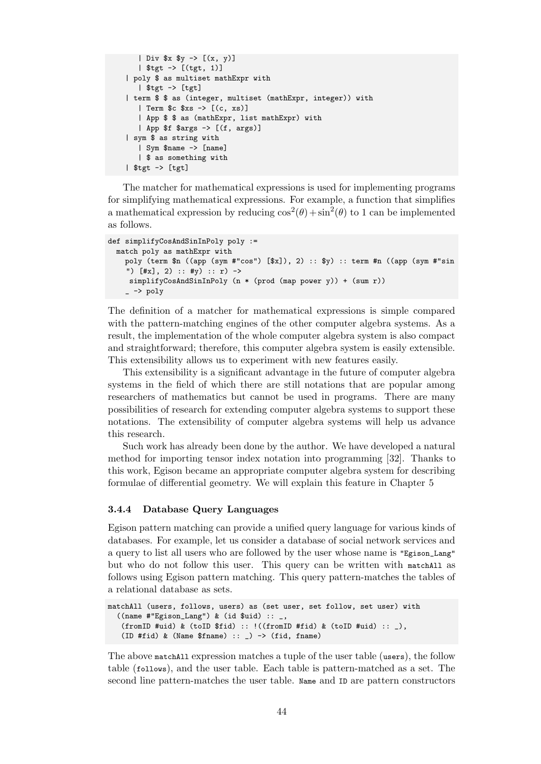```
| Div $x $y -> [(x, y)]
   | $tgt -> [(tgt, 1)]
| poly $ as multiset mathExpr with
   | $tgt -> [tgt]
| term $ $ as (integer, multiset (mathExpr, integer)) with
   | Term $c $xs -> [(c, xs)]
  | App $ $ as (mathExpr, list mathExpr) with
  | App $f $args -> [(f, args)]
| sym $ as string with
   | Sym $name -> [name]
  | $ as something with
| $tgt -> [tgt]
```
The matcher for mathematical expressions is used for implementing programs for simplifying mathematical expressions. For example, a function that simplifies a mathematical expression by reducing  $\cos^2(\theta) + \sin^2(\theta)$  to 1 can be implemented as follows.

```
def simplifyCosAndSinInPoly poly :=
 match poly as mathExpr with
   poly (term n ((app (sym #"cos") [x]), 2) :: y) :: term #n ((app (sym #"sin
    ") [#x], 2) :: #y) :: r) ->
    simplifyCosAndSinInPoly (n * (prod (map power y)) + (sum r))
    - \rightarrow poly
```
The definition of a matcher for mathematical expressions is simple compared with the pattern-matching engines of the other computer algebra systems. As a result, the implementation of the whole computer algebra system is also compact and straightforward; therefore, this computer algebra system is easily extensible. This extensibility allows us to experiment with new features easily.

This extensibility is a significant advantage in the future of computer algebra systems in the field of which there are still notations that are popular among researchers of mathematics but cannot be used in programs. There are many possibilities of research for extending computer algebra systems to support these notations. The extensibility of computer algebra systems will help us advance this research.

Such work has already been done by the author. We have developed a natural method for importing tensor index notation into programming [32]. Thanks to this work, Egison became an appropriate computer algebra system for describing formulae of differential geometry. We will explain this feature in Chapter 5

## **3.4.4 Database Query Languages**

Egison pattern matching can provide a unified query language for various k[in](#page-75-0)ds of databases. For example, let us consider a database of social network services and a query to list all users who are followed by the user whose name is "Egison\_Lang" but who do not follow this user. This query can be written with matchAll as follows using Egison pattern matching. This query pattern-matches the tables of a relational database as sets.

```
matchAll (users, follows, users) as (set user, set follow, set user) with
  ((name #"Egison_Lang") & (id $uid) :: _,
   (fromID #uid) & (toID $fid) :: !((fromID #fid) & (toID #uid) :: ...),
   (ID #fid) & (Name $frame) :: _) -> (fid, fname)
```
The above matchAll expression matches a tuple of the user table (users), the follow table (follows), and the user table. Each table is pattern-matched as a set. The second line pattern-matches the user table. Name and ID are pattern constructors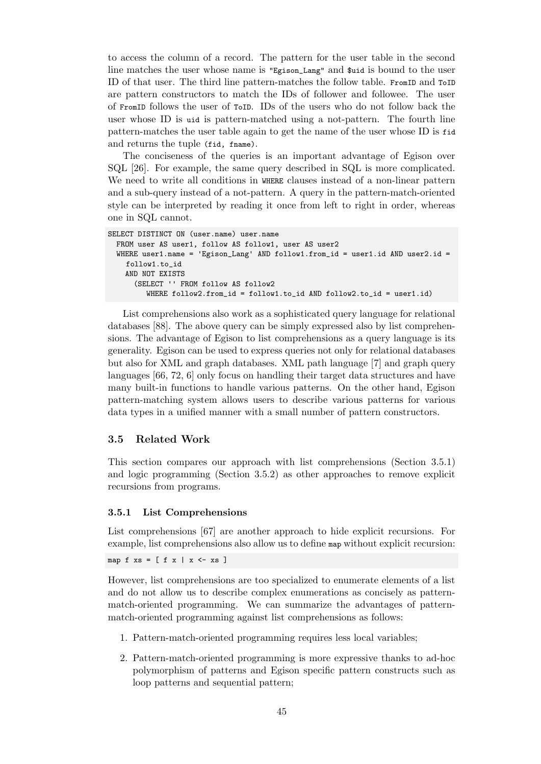to access the column of a record. The pattern for the user table in the second line matches the user whose name is "Egison\_Lang" and \$uid is bound to the user ID of that user. The third line pattern-matches the follow table. FromID and ToID are pattern constructors to match the IDs of follower and followee. The user of FromID follows the user of ToID. IDs of the users who do not follow back the user whose ID is uid is pattern-matched using a not-pattern. The fourth line pattern-matches the user table again to get the name of the user whose ID is fid and returns the tuple (fid, fname).

The conciseness of the queries is an important advantage of Egison over SQL [26]. For example, the same query described in SQL is more complicated. We need to write all conditions in WHERE clauses instead of a non-linear pattern and a sub-query instead of a not-pattern. A query in the pattern-match-oriented style can be interpreted by reading it once from left to right in order, whereas one i[n SQ](#page-101-0)L cannot.

```
SELECT DISTINCT ON (user.name) user.name
 FROM user AS user1, follow AS follow1, user AS user2
 WHERE user1.name = 'Egison_Lang' AND follow1.from_id = user1.id AND user2.id =
    follow1.to_id
   AND NOT EXISTS
      (SELECT '' FROM follow AS follow2
         WHERE follow2.from_id = follow1.to_id AND follow2.to_id = user1.id)
```
List comprehensions also work as a sophisticated query language for relational databases [88]. The above query can be simply expressed also by list comprehensions. The advantage of Egison to list comprehensions as a query language is its generality. Egison can be used to express queries not only for relational databases but also for XML and graph databases. XML path language [7] and graph query languages [\[66](#page-106-1), 72, 6] only focus on handling their target data structures and have many built-in functions to handle various patterns. On the other hand, Egison pattern-matching system allows users to describe various patterns for various data types [in](#page-104-0) [a u](#page-105-1)[nifi](#page-100-0)ed manner with a small number of patte[rn](#page-100-1) constructors.

## **3.5 Related Work**

<span id="page-54-0"></span>This section compares our approach with list comprehensions (Section 3.5.1) and logic programming (Section 3.5.2) as other approaches to remove explicit recursions from programs.

#### **3.5.1 List Comprehensions**

List comprehensions [67] are another approach to hide explicit recursions. For example, list comprehensions also allow us to define map without explicit recursion:

map f  $xs = [ f x | x \leftarrow xs ]$ 

However, list compre[hen](#page-104-1)sions are too specialized to enumerate elements of a list and do not allow us to describe complex enumerations as concisely as patternmatch-oriented programming. We can summarize the advantages of patternmatch-oriented programming against list comprehensions as follows:

- 1. Pattern-match-oriented programming requires less local variables;
- 2. Pattern-match-oriented programming is more expressive thanks to ad-hoc polymorphism of patterns and Egison specific pattern constructs such as loop patterns and sequential pattern;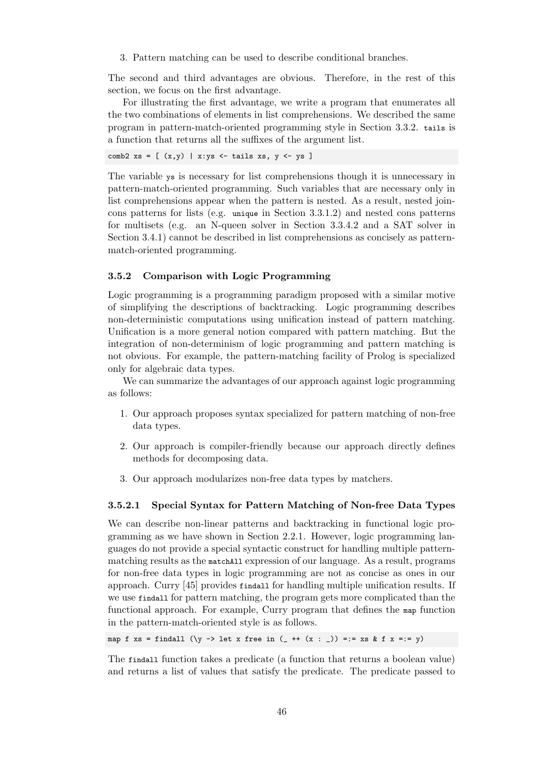3. Pattern matching can be used to describe conditional branches.

The second and third advantages are obvious. Therefore, in the rest of this section, we focus on the first advantage.

For illustrating the first advantage, we write a program that enumerates all the two combinations of elements in list comprehensions. We described the same program in pattern-match-oriented programming style in Section 3.3.2. tails is a function that returns all the suffixes of the argument list.

comb2  $xs = [ (x,y) | x:ys \leftarrow tails xs, y \leftarrow ys ]$ 

The variable ys is necessary for list comprehensions though it is [unnec](#page-45-0)essary in pattern-match-oriented programming. Such variables that are necessary only in list comprehensions appear when the pattern is nested. As a result, nested joincons patterns for lists (e.g. unique in Section 3.3.1.2) and nested cons patterns for multisets (e.g. an N-queen solver in Section 3.3.4.2 and a SAT solver in Section 3.4.1) cannot be described in list comprehensions as concisely as patternmatch-oriented programming.

## **3.5.2 [Com](#page-48-1)parison with Logic Programmin[g](#page-47-0)**

Logic programming is a programming paradigm proposed with a similar motive of simplifying the descriptions of backtracking. Logic programming describes non-deterministic computations using unification instead of pattern matching. Unification is a more general notion compared with pattern matching. But the integration of non-determinism of logic programming and pattern matching is not obvious. For example, the pattern-matching facility of Prolog is specialized only for algebraic data types.

We can summarize the advantages of our approach against logic programming as follows:

- 1. Our approach proposes syntax specialized for pattern matching of non-free data types.
- 2. Our approach is compiler-friendly because our approach directly defines methods for decomposing data.
- 3. Our approach modularizes non-free data types by matchers.

#### **3.5.2.1 Special Syntax for Pattern Matching of Non-free Data Types**

<span id="page-55-0"></span>We can describe non-linear patterns and backtracking in functional logic programming as we have shown in Section 2.2.1. However, logic programming languages do not provide a special syntactic construct for handling multiple patternmatching results as the matchAll expression of our language. As a result, programs for non-free data types in logic programming are not as concise as ones in our approach. Curry [45] provides findall fo[r hand](#page-19-0)ling multiple unification results. If we use findall for pattern matching, the program gets more complicated than the functional approach. For example, Curry program that defines the map function in the pattern-match-oriented style is as follows.

map f xs = findall ( $\y \rightarrow$  let x free in (\_ ++ (x : \_)) =:= xs & f x =:= y)

The findall function takes a predicate (a function that returns a boolean value) and returns a list of values that satisfy the predicate. The predicate passed to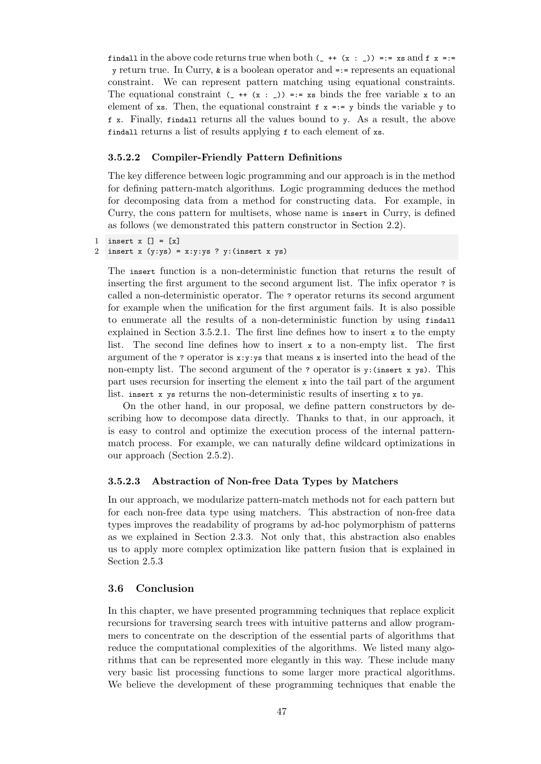findall in the above code returns true when both  $(\_ + + (\_ x : \_ )) =:= x \text{ s and f } x ==$ y return true. In Curry,  $\boldsymbol{\ast}$  is a boolean operator and  $=$ := represents an equational constraint. We can represent pattern matching using equational constraints. The equational constraint  $($  ++  $(x : )$ ) =:= xs binds the free variable x to an element of xs. Then, the equational constraint  $f(x) = y$  binds the variable y to f x. Finally, findall returns all the values bound to y. As a result, the above findall returns a list of results applying f to each element of xs.

#### **3.5.2.2 Compiler-Friendly Pattern Definitions**

The key difference between logic programming and our approach is in the method for defining pattern-match algorithms. Logic programming deduces the method for decomposing data from a method for constructing data. For example, in Curry, the cons pattern for multisets, whose name is insert in Curry, is defined as follows (we demonstrated this pattern constructor in Section 2.2).

```
1 insert x [] = [x]2 insert x(y:ys) = x: y:ys ? y: (insert x ys)
```
The insert function is a non-deterministic function that retur[ns](#page-19-1) the result of inserting the first argument to the second argument list. The infix operator ? is called a non-deterministic operator. The ? operator returns its second argument for example when the unification for the first argument fails. It is also possible to enumerate all the results of a non-deterministic function by using findall explained in Section 3.5.2.1. The first line defines how to insert x to the empty list. The second line defines how to insert  $x$  to a non-empty list. The first argument of the ? operator is  $x:y:ys$  that means x is inserted into the head of the non-empty list. The second argument of the ? operator is  $y$ : (insert x  $y s$ ). This part uses recursion f[or inser](#page-55-0)ting the element  $x$  into the tail part of the argument list. insert x ys returns the non-deterministic results of inserting x to ys.

On the other hand, in our proposal, we define pattern constructors by describing how to decompose data directly. Thanks to that, in our approach, it is easy to control and optimize the execution process of the internal patternmatch process. For example, we can naturally define wildcard optimizations in our approach (Section 2.5.2).

#### **3.5.2.3 Abstraction of Non-free Data Types by Matchers**

In our approach, we m[odula](#page-29-0)rize pattern-match methods not for each pattern but for each non-free data type using matchers. This abstraction of non-free data types improves the readability of programs by ad-hoc polymorphism of patterns as we explained in Section 2.3.3. Not only that, this abstraction also enables us to apply more complex optimization like pattern fusion that is explained in Section 2.5.3

## **3.6 Conclusion**

<span id="page-56-0"></span>In this [chapt](#page-30-0)er, we have presented programming techniques that replace explicit recursions for traversing search trees with intuitive patterns and allow programmers to concentrate on the description of the essential parts of algorithms that reduce the computational complexities of the algorithms. We listed many algorithms that can be represented more elegantly in this way. These include many very basic list processing functions to some larger more practical algorithms. We believe the development of these programming techniques that enable the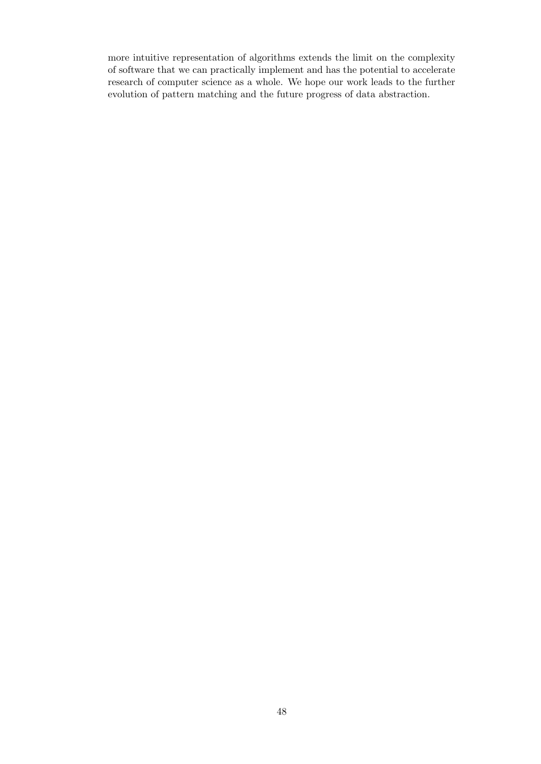more intuitive representation of algorithms extends the limit on the complexity of software that we can practically implement and has the potential to accelerate research of computer science as a whole. We hope our work leads to the further evolution of pattern matching and the future progress of data abstraction.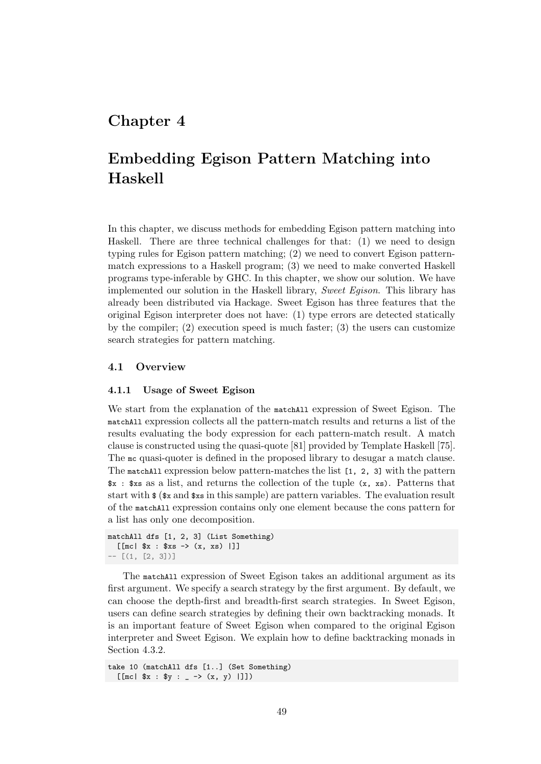## **Chapter 4**

# **Embedding Egison Pattern Matching into Haskell**

In this chapter, we discuss methods for embedding Egison pattern matching into Haskell. There are three technical challenges for that: (1) we need to design typing rules for Egison pattern matching; (2) we need to convert Egison patternmatch expressions to a Haskell program; (3) we need to make converted Haskell programs type-inferable by GHC. In this chapter, we show our solution. We have implemented our solution in the Haskell library, *Sweet Egison*. This library has already been distributed via Hackage. Sweet Egison has three features that the original Egison interpreter does not have: (1) type errors are detected statically by the compiler;  $(2)$  execution speed is much faster;  $(3)$  the users can customize search strategies for pattern matching.

## **4.1 Overview**

## **4.1.1 Usage of Sweet Egison**

<span id="page-58-0"></span>We start from the explanation of the matchall expression of Sweet Egison. The matchAll expression collects all the pattern-match results and returns a list of the results evaluating the body expression for each pattern-match result. A match clause is constructed using the quasi-quote [81] provided by Template Haskell [75]. The mc quasi-quoter is defined in the proposed library to desugar a match clause. The matchAll expression below pattern-matches the list [1, 2, 3] with the pattern \$x : \$xs as a list, and returns the collection of the tuple (x, xs). Patterns that start with  $\frac{1}{2}$  ( $\frac{1}{2}$  and  $\frac{1}{2}$  in this sample) are p[att](#page-105-2)ern variables. The evaluation re[sul](#page-105-3)t of the matchAll expression contains only one element because the cons pattern for a list has only one decomposition.

```
matchAll dfs [1, 2, 3] (List Something)
  [[[mc| x : xs -> (x, xs)]]
-- [(1, [2, 3])]
```
The matchAll expression of Sweet Egison takes an additional argument as its first argument. We specify a search strategy by the first argument. By default, we can choose the depth-first and breadth-first search strategies. In Sweet Egison, users can define search strategies by defining their own backtracking monads. It is an important feature of Sweet Egison when compared to the original Egison interpreter and Sweet Egison. We explain how to define backtracking monads in Section 4.3.2.

```
take 10 (matchAll dfs [1..] (Set Something)
  [[mc| x : xy : _ - \rightarrow (x, y) |]])
```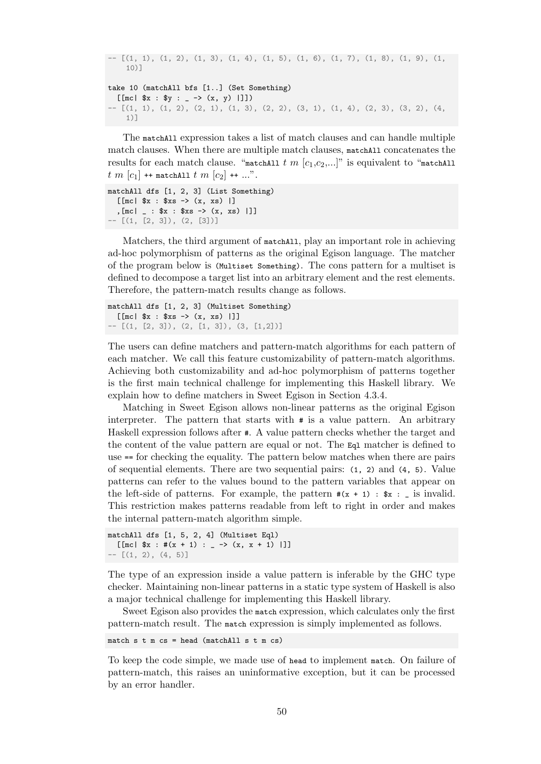```
- - [(1, 1), (1, 2), (1, 3), (1, 4), (1, 5), (1, 6), (1, 7), (1, 8), (1, 9), (1, 7)10)1take 10 (matchAll bfs [1..] (Set Something)
  [[mc| x : xy : - (x, y) |]])
- [(1, 1), (1, 2), (2, 1), (1, 3), (2, 2), (3, 1), (1, 4), (2, 3), (3, 2), (4,1)]
```
The matchAll expression takes a list of match clauses and can handle multiple match clauses. When there are multiple match clauses, matchAll concatenates the results for each match clause. "matchAll  $t$  m  $[c_1,c_2,...]$ " is equivalent to "matchAll  $t \, m \, [c_1]$  ++ matchAll  $t \, m \, [c_2]$  ++ ...".

```
matchAll dfs [1, 2, 3] (List Something)
  [[mc| $x : $xs -> (x, xs) |]
  , [mc] : x : xs \rightarrow (x, xs) |]]
- - [(1, [2, 3]), (2, [3])]
```
Matchers, the third argument of matchAll, play an important role in achieving ad-hoc polymorphism of patterns as the original Egison language. The matcher of the program below is (Multiset Something). The cons pattern for a multiset is defined to decompose a target list into an arbitrary element and the rest elements. Therefore, the pattern-match results change as follows.

matchAll dfs [1, 2, 3] (Multiset Something)  $[$ [[mc|  $x : xs$  ->  $(x, xs)$ ]]  $-$  [(1, [2, 3]), (2, [1, 3]), (3, [1,2])]

The users can define matchers and pattern-match algorithms for each pattern of each matcher. We call this feature customizability of pattern-match algorithms. Achieving both customizability and ad-hoc polymorphism of patterns together is the first main technical challenge for implementing this Haskell library. We explain how to define matchers in Sweet Egison in Section 4.3.4.

Matching in Sweet Egison allows non-linear patterns as the original Egison interpreter. The pattern that starts with # is a value pattern. An arbitrary Haskell expression follows after #. A value pattern checks whether the target and the content of the value pattern are equal or not. The Eql [matc](#page-67-0)her is defined to use == for checking the equality. The pattern below matches when there are pairs of sequential elements. There are two sequential pairs: (1, 2) and (4, 5). Value patterns can refer to the values bound to the pattern variables that appear on the left-side of patterns. For example, the pattern  $\#(x + 1) :$   $\#x :$  \_ is invalid. This restriction makes patterns readable from left to right in order and makes the internal pattern-match algorithm simple.

```
matchAll dfs [1, 5, 2, 4] (Multiset Eql)
   \left[ \begin{array}{ccc} \text{[mc} & \text{ $}\$x : #(x + 1) : & -> (x, x + 1) \end{array} \right]- [(1, 2), (4, 5)]
```
The type of an expression inside a value pattern is inferable by the GHC type checker. Maintaining non-linear patterns in a static type system of Haskell is also a major technical challenge for implementing this Haskell library.

Sweet Egison also provides the match expression, which calculates only the first pattern-match result. The match expression is simply implemented as follows.

match  $s$  t m  $cs$  = head (matchAll  $s$  t m  $cs$ )

To keep the code simple, we made use of head to implement match. On failure of pattern-match, this raises an uninformative exception, but it can be processed by an error handler.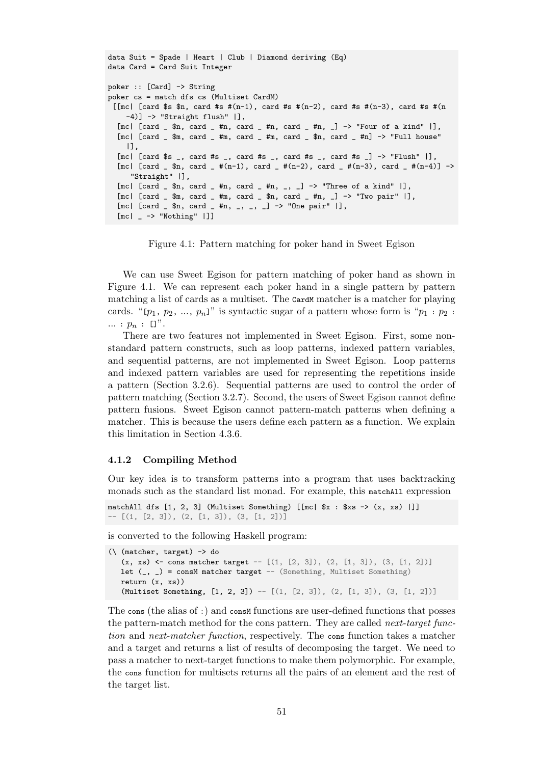```
data Suit = Spade | Heart | Club | Diamond deriving (Eq)
data Card = Card Suit Integer
poker :: [Card] -> String
poker cs = match dfs cs (Multiset CardM)
 [[mc| [card $s $n, card #s \#(n-1), card #s \#(n-2), card #s \#(n-3), card #s \#(n)-4)] -> "Straight flush" |],
  [mc] [card_ = $n, card_ = #n, card_ = #n, card_ = #n, ] \rightarrow "Four of a kind" ],[mc] [card _ $m, card _ #m, card _ #m, card _ $n, card _ #n] -> "Full house"
     |],
  [mc| [card $s _, card #s _, card #s _, card #s _, card #s _] -> "Flush" |],
  [mc] [card _m $n, card _m #(n-1), card _m #(n-2), card _m #(n-3), card _m #(n-4)] ->
      "Straight" |],
  [\text{mc} \mid [\text{card}_{\text{a}}, \text{sin}] \text{card}_{\text{a}}, \text{tan}] [\text{cm} \cdot \text{tan}] [\text{cm} \cdot \text{tan}] [\text{cm} \cdot \text{tan}][mc] \lceil [card \lceil $m, card \lceil #m, card \lceil $n, card \lceil #n, \lceil \rceil \lceil > "Two pair" \lceil],
  [mc] [card _g $n, card _g #n, _g, _g, _g] -> "One pair" |],
  [mc] -> "Nothing" []
```
Figure 4.1: Pattern matching for poker hand in Sweet Egison

We can use Sweet Egison for pattern matching of poker hand as shown in Figure 4.1. We can represent each poker hand in a single pattern by pattern matching a list of cards as a multiset. The cardM matcher is a matcher for playing cards. "[ $p_1, p_2, ..., p_n$ ]" is syntactic sugar of a pattern whose form is " $p_1 : p_2 :$ *...* : *p<sup>n</sup>* : []".

The[re a](#page-60-0)re two features not implemented in Sweet Egison. First, some nonstandard pattern constructs, such as loop patterns, indexed pattern variables, and sequential patterns, are not implemented in Sweet Egison. Loop patterns and indexed pattern variables are used for representing the repetitions inside a pattern (Section 3.2.6). Sequential patterns are used to control the order of pattern matching (Section 3.2.7). Second, the users of Sweet Egison cannot define pattern fusions. Sweet Egison cannot pattern-match patterns when defining a matcher. This is because the users define each pattern as a function. We explain this limitation in S[ection](#page-40-0) 4.3.6.

#### **4.1.2 Compiling Method**

Our key idea is to trans[form](#page-69-0) patterns into a program that uses backtracking monads such as the standard list monad. For example, this matchAll expression

```
matchAll dfs [1, 2, 3] (Multiset Something) [[mc| $x : $xs -> (x, xs) |]]
- [(1, [2, 3]), (2, [1, 3]), (3, [1, 2])]
```
is converted to the following Haskell program:

```
(\ (matcher, target) -> do
   (x, xs) <- cons matcher target -- [(1, [2, 3]), (2, [1, 3]), (3, [1, 2])]let (\_,) = consM matcher target - (Something, Multiset Something)
  return (x, xs))
   (Multiset Something, [1, 2, 3]) -- [(1, [2, 3]), (2, [1, 3]), (3, [1, 2])]
```
The cons (the alias of :) and consm functions are user-defined functions that posses the pattern-match method for the cons pattern. They are called *next-target function* and *next-matcher function*, respectively. The cons function takes a matcher and a target and returns a list of results of decomposing the target. We need to pass a matcher to next-target functions to make them polymorphic. For example, the cons function for multisets returns all the pairs of an element and the rest of the target list.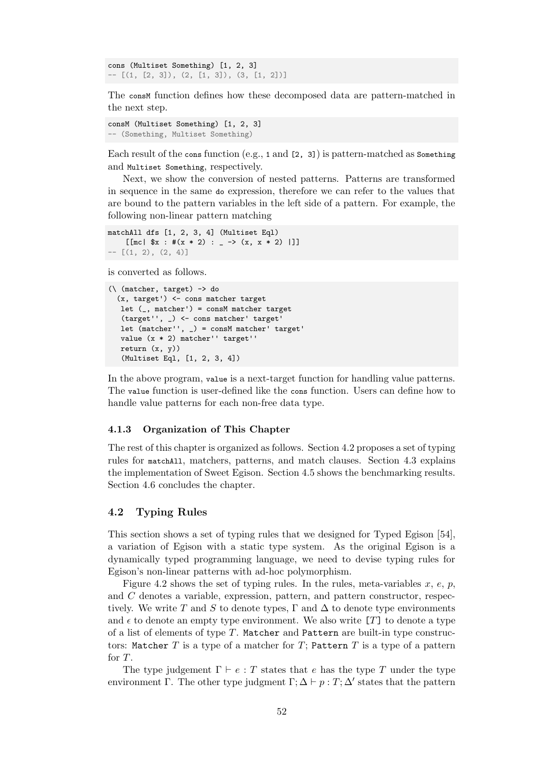```
cons (Multiset Something) [1, 2, 3]
- [(1, [2, 3]), (2, [1, 3]), (3, [1, 2])]
```
The consm function defines how these decomposed data are pattern-matched in the next step.

```
consM (Multiset Something) [1, 2, 3]
-- (Something, Multiset Something)
```
Each result of the cons function (e.g., 1 and [2, 3]) is pattern-matched as Something and Multiset Something, respectively.

Next, we show the conversion of nested patterns. Patterns are transformed in sequence in the same do expression, therefore we can refer to the values that are bound to the pattern variables in the left side of a pattern. For example, the following non-linear pattern matching

```
matchAll dfs [1, 2, 3, 4] (Multiset Eql)
    [[mc| x : #(x * 2) : _ - > (x, x * 2) ]]]
-- [(1, 2), (2, 4)]
```
is converted as follows.

```
(\ (matcher, target) -> do
 (x, target') <- cons matcher target
  let (_, matcher') = consM matcher target
  (target'', _) <- cons matcher' target'
  let (matcher'', _) = consM matcher' target'
  value (x * 2) matcher'' target''
  return (x, y))
  (Multiset Eql, [1, 2, 3, 4])
```
In the above program, value is a next-target function for handling value patterns. The value function is user-defined like the cons function. Users can define how to handle value patterns for each non-free data type.

#### **4.1.3 Organization of This Chapter**

The rest of this chapter is organized as follows. Section 4.2 proposes a set of typing rules for matchAll, matchers, patterns, and match clauses. Section 4.3 explains the implementation of Sweet Egison. Section 4.5 shows the benchmarking results. Section 4.6 concludes the chapter.

#### **4.2 Typing Rules**

This se[ction](#page-73-0) shows a set of typing rules that we designed for Typed Egison [54], a variation of Egison with a static type system. As the original Egison is a dynamically typed programming language, we need to devise typing rules for Egison's non-linear patterns with ad-hoc polymorphism.

Figure 4.2 shows the set of typing rules. In the rules, meta-variables *x*, *e*[,](#page-103-1) *p*, and *C* denotes a variable, expression, pattern, and pattern constructor, respectively. We write T and S to denote types,  $\Gamma$  and  $\Delta$  to denote type environments and  $\epsilon$  to denote an empty type environment. We also write [*T*] to denote a type of a list of [elem](#page-62-0)ents of type *T*. Matcher and Pattern are built-in type constructors: Matcher *T* is a type of a matcher for *T*; Pattern *T* is a type of a pattern for *T*.

The type judgement  $\Gamma \vdash e : T$  states that *e* has the type *T* under the type environment Γ. The other type judgment  $\Gamma$ ;  $\Delta \vdash p : T$ ;  $\Delta'$  states that the pattern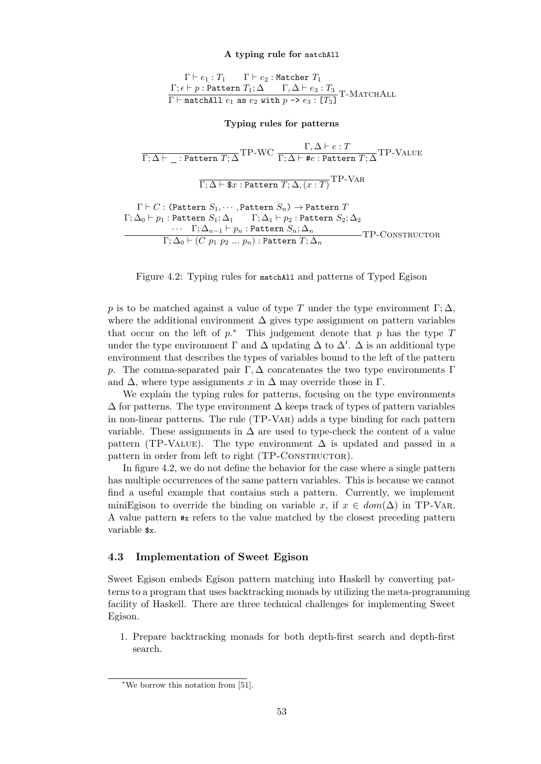## **A typing rule for** matchAll

 $\Gamma \vdash e_1 : T_1 \quad \quad \Gamma \vdash e_2 : \mathtt{Matcher}\ T_1$  $Γ; ε ⊢ p :$  Pattern  $T_1; ∆ ⊂ Γ, ∆ ⊢ e_3 : T_3$  $\Gamma$   $\vdash$  matchAll  $e_1$  as  $e_2$  with  $p \rightarrow e_3 : [T_3]$ T-MATCHALL

**Typing rules for patterns**

<span id="page-62-0"></span> $\frac{\Gamma,\Delta\vdash e:T}{\Gamma;\Delta\vdash\bot}$ : Pattern  $T;\Delta$   $\Gamma{\rm P\text{-}WC}\ \frac{\Gamma,\Delta\vdash e:T}{\Gamma;\Delta\vdash\#e:\texttt{Pattern }T;\Delta} \texttt{TP\text{-}VALUE}$  $\Gamma ; \Delta \vdash \$x : {\tt Pattern}\ T ; \Delta, (x : T)$ TP-Var  $\Gamma \vdash C$  : (Pattern  $S_1, \cdots,$  Pattern  $S_n$ )  $\rightarrow$  Pattern  $T$  $Γ; Δ₀ ⊢ p₁ :$  Pattern  $S₁; Δ₁$   $Γ; Δ₁ ⊢ p₂ :$  Pattern  $S₂; Δ₂$ *· · ·* Γ; ∆*n−*<sup>1</sup> *⊢ p<sup>n</sup>* : Pattern *Sn*; ∆*<sup>n</sup>*  $\Gamma; \Delta_0 \vdash (C\; p_1\; p_2\; ...\; p_n)$  : Pattern  $T; \Delta_n$ TP-Constructor

Figure 4.2: Typing rules for matchAll and patterns of Typed Egison

*p* is to be matched against a value of type *T* under the type environment  $\Gamma$ ;  $\Delta$ , where the additional environment  $\Delta$  gives type assignment on pattern variables that occur on the left of  $p.*$  This judgement denote that  $p$  has the type  $T$ under the type environment  $\Gamma$  and  $\Delta$  updating  $\Delta$  to  $\Delta'$ .  $\Delta$  is an additional type environment that describes the types of variables bound to the left of the pattern *p*. The comma-separated pair Γ*,* ∆ concatenates the two type environments Γ and  $\Delta$ , where type assignments x in  $\Delta$  may override those in  $\Gamma$ .

We explain the typing rules for patterns, focusing on the type environments  $\Delta$  for patterns. The type environment  $\Delta$  keeps track of types of pattern variables in non-linear patterns. The rule (TP-Var) adds a type binding for each pattern variable. These assignments in  $\Delta$  are used to type-check the content of a value pattern (TP-Value). The type environment  $\Delta$  is updated and passed in a pattern in order from left to right (TP-CONSTRUCTOR).

In figure 4.2, we do not define the behavior for the case where a single pattern has multiple occurrences of the same pattern variables. This is because we cannot find a useful example that contains such a pattern. Currently, we implement miniEgison to override the binding on variable x, if  $x \in dom(\Delta)$  in TP-VAR. A value pat[tern](#page-62-0) #x refers to the value matched by the closest preceding pattern variable \$x.

#### **4.3 Implementation of Sweet Egison**

Sweet Egison embeds Egison pattern matching into Haskell by converting patterns to a program that uses backtracking monads by utilizing the meta-programming facility of Haskell. There are three technical challenges for implementing Sweet Egison.

1. Prepare backtracking monads for both depth-first search and depth-first search.

<sup>∗</sup>We borrow this notation from [51].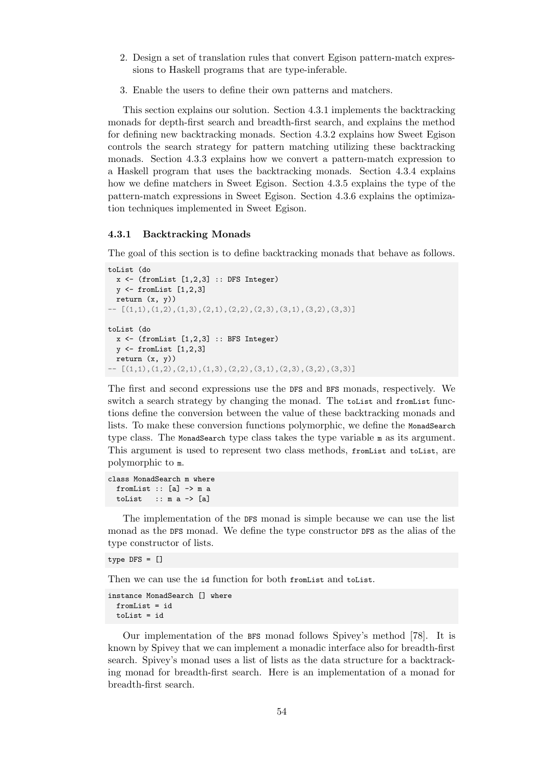- 2. Design a set of translation rules that convert Egison pattern-match expressions to Haskell programs that are type-inferable.
- 3. Enable the users to define their own patterns and matchers.

This section explains our solution. Section 4.3.1 implements the backtracking monads for depth-first search and breadth-first search, and explains the method for defining new backtracking monads. Section 4.3.2 explains how Sweet Egison controls the search strategy for pattern matching utilizing these backtracking monads. Section 4.3.3 explains how we conv[ert a](#page-63-0) pattern-match expression to a Haskell program that uses the backtracking monads. Section 4.3.4 explains how we define matchers in Sweet Egison. Secti[on](#page-64-0) 4.3.5 explains the type of the pattern-match expressions in Sweet Egison. Section 4.3.6 explains the optimization techniques i[mplem](#page-65-0)ented in Sweet Egison.

#### **4.3.1 Backtracking Monads**

The goal of this section is to define backtracking monads that behave as follows.

```
toList (do
 x \leftarrow (fromList [1,2,3] :: DFS Integer)
  y \leftarrow from List [1, 2, 3]return (x, y))
- [(1,1),(1,2),(1,3),(2,1),(2,2),(2,3),(3,1),(3,2),(3,3)]toList (do
 x \leftarrow (fromList [1,2,3] :: BFS Integer)
 y <- fromList [1,2,3]
 return (x, y))
 - [(1,1),(1,2),(2,1),(1,3),(2,2),(3,1),(2,3),(3,2),(3,3)]
```
The first and second expressions use the DFS and BFS monads, respectively. We switch a search strategy by changing the monad. The toList and fromList functions define the conversion between the value of these backtracking monads and lists. To make these conversion functions polymorphic, we define the MonadSearch type class. The MonadSearch type class takes the type variable m as its argument. This argument is used to represent two class methods, fromList and toList, are polymorphic to m.

```
class MonadSearch m where
  fromList :: [a] \rightarrow m a
  toList \therefore m a \rightarrow [a]
```
The implementation of the DFS monad is simple because we can use the list monad as the DFS monad. We define the type constructor DFS as the alias of the type constructor of lists.

type DFS = []

Then we can use the id function for both fromList and toList.

```
instance MonadSearch [] where
  fromList = id
  toList = id
```
Our implementation of the BFS monad follows Spivey's method [78]. It is known by Spivey that we can implement a monadic interface also for breadth-first search. Spivey's monad uses a list of lists as the data structure for a backtracking monad for breadth-first search. Here is an implementation of a monad for breadth-first search.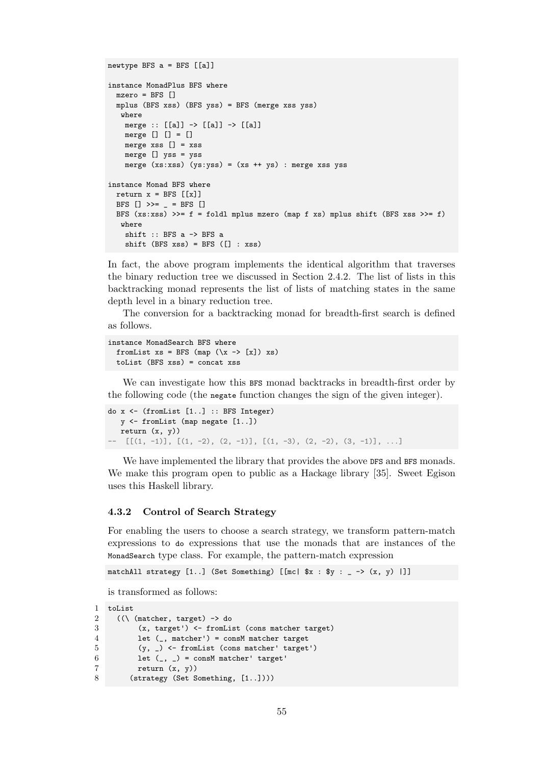```
newtype BFS a = BFS [[a]]
instance MonadPlus BFS where
 mzero = BFS []
 mplus (BFS xss) (BFS yss) = BFS (merge xss yss)
  where
   merge :: [[a]] -> [[a]] -> [[a]]
   merge [] [] = []merge xss [] = xss
   merge [] yss = yss
    merge (xs:xss) (ys:yss) = (xs + ys): merge xss yss
instance Monad BFS where
 return x = BFS [[x]]
 BFS [] \gg = \_ = \text{BFS} []BFS (xs:xss) >>= f = foldl mplus mzero (map f xs) mplus shift (BFS xss >>= f)
  where
    shift :: BFS a -> BFS a
    shift (BFS xss) = BFS ([] : xss)
```
In fact, the above program implements the identical algorithm that traverses the binary reduction tree we discussed in Section 2.4.2. The list of lists in this backtracking monad represents the list of lists of matching states in the same depth level in a binary reduction tree.

The conversion for a backtracking monad for [bread](#page-27-0)th-first search is defined as follows.

```
instance MonadSearch BFS where
 fromList xs = BFS (map (\x -> [x]) xs)toList (BFS xss) = concat xss
```
We can investigate how this BFS monad backtracks in breadth-first order by the following code (the negate function changes the sign of the given integer).

```
do x <- (fromList [1..] :: BFS Integer)
  y <- fromList (map negate [1..])
  return (x, y))
  [[(1, -1)], [[(1, -2), (2, -1)], [[(1, -3), (2, -2), (3, -1)], ...]
```
We have implemented the library that provides the above DFS and BFS monads. We make this program open to public as a Hackage library [35]. Sweet Egison uses this Haskell library.

#### **4.3.2 Control of Search Strategy**

<span id="page-64-0"></span>For enabling the users to choose a search strategy, we transform pattern-match expressions to do expressions that use the monads that are instances of the MonadSearch type class. For example, the pattern-match expression

```
matchAll strategy [1..] (Set Something) [[mc| $x : $y : _ -> (x, y) |]]
```
is transformed as follows:

```
1 toList
2 ((\n\sqrt{2} + \text{tangent}) \rightarrow \text{do})3 (x, target') <- fromList (cons matcher target)
4 let (_, matcher') = consM matcher target
5 (y, _) <- fromList (cons matcher' target')
6 let (\_ , \_ ) = consM matcher' target'
7 return (x, y)8 (strategy (Set Something, [1..])))
```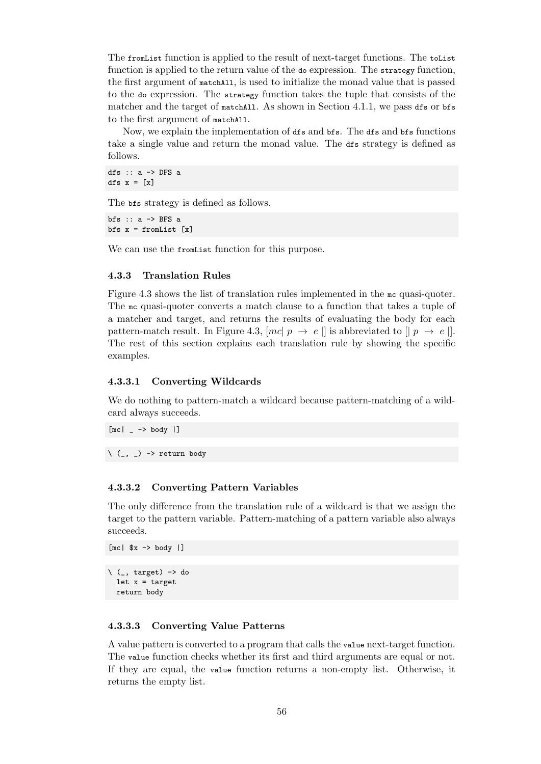The fromList function is applied to the result of next-target functions. The toList function is applied to the return value of the do expression. The strategy function, the first argument of matchAll, is used to initialize the monad value that is passed to the do expression. The strategy function takes the tuple that consists of the matcher and the target of matchAll. As shown in Section 4.1.1, we pass dfs or bfs to the first argument of matchAll.

Now, we explain the implementation of dfs and bfs. The dfs and bfs functions take a single value and return the monad value. The dfs [str](#page-58-0)ategy is defined as follows.

dfs  $:: a \rightarrow$  DFS a dfs  $x = \lfloor x \rfloor$ 

The bfs strategy is defined as follows.

bfs  $:: a \rightarrow BFS a$ bfs  $x =$  from List  $[x]$ 

We can use the from List function for this purpose.

## **4.3.3 Translation Rules**

<span id="page-65-0"></span>Figure 4.3 shows the list of translation rules implemented in the mc quasi-quoter. The mc quasi-quoter converts a match clause to a function that takes a tuple of a matcher and target, and returns the results of evaluating the body for each pattern-match result. In Figure 4.3,  $[mc|p \rightarrow e]$  is abbreviated to  $[|p \rightarrow e]$ . The re[st o](#page-66-0)f this section explains each translation rule by showing the specific examples.

#### **4.3.3.1 Converting Wildca[rds](#page-66-0)**

We do nothing to pattern-match a wildcard because pattern-matching of a wildcard always succeeds.

 $[mc]$   $\rightarrow$  body  $|]$ 

 $\langle$  (\_, \_) -> return body

#### **4.3.3.2 Converting Pattern Variables**

The only difference from the translation rule of a wildcard is that we assign the target to the pattern variable. Pattern-matching of a pattern variable also always succeeds.

```
\ (_, target) -> do
 let x = targetreturn body
```
 $[mc| $x \rightarrow \text{body} ]$ 

#### **4.3.3.3 Converting Value Patterns**

A value pattern is converted to a program that calls the value next-target function. The value function checks whether its first and third arguments are equal or not. If they are equal, the value function returns a non-empty list. Otherwise, it returns the empty list.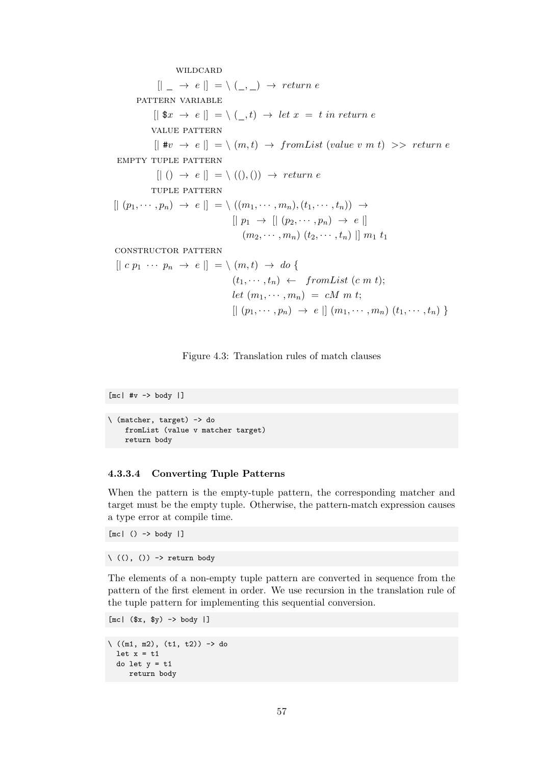wildcard

<span id="page-66-0"></span> $[| \ ] \rightarrow e \ ] = \ \ ( \ ] \rightarrow return e$ 

PATTERN VARIABLE

 $[|$  \$x  $\rightarrow e|$  = \ (,,t)  $\rightarrow$  *let x* = *t in return e* 

value pattern

 $[| \text{#}v \rightarrow e |] = \langle (m, t) \rightarrow fromList (value v m t) \rangle$  *return e* empty tuple pattern

 $[| (x + b) \rightarrow e] = \langle (0, 0) \rightarrow return e$ 

tuple pattern

 $[|(p_1, \cdots, p_n) \rightarrow e |] = \langle ((m_1, \cdots, m_n), (t_1, \cdots, t_n)) \rightarrow$  $[| p_1 \rightarrow | [ (p_2, \cdots, p_n) \rightarrow e |]$  $(m_2, \dots, m_n)$   $(t_2, \dots, t_n)$  ||  $m_1$   $t_1$ 

constructor pattern

$$
[ | \ c \ p_1 \ \cdots \ p_n \ \rightarrow \ e \ ] ] = \backslash \ (m, t) \ \rightarrow \ do \ \{
$$
  

$$
(t_1, \cdots, t_n) \ \leftarrow \ from List \ (c \ m \ t);
$$
  

$$
let \ (m_1, \cdots, m_n) = cM \ m \ t; \qquad \qquad [ | \ (p_1, \cdots, p_n) \ \rightarrow \ e \ ] \ (m_1, \cdots, m_n) \ (t_1, \cdots, t_n) \ \}
$$

Figure 4.3: Translation rules of match clauses

 $[mc|$  #v  $\rightarrow$  body  $|]$ 

```
\ (matcher, target) -> do
   fromList (value v matcher target)
   return body
```
## **4.3.3.4 Converting Tuple Patterns**

When the pattern is the empty-tuple pattern, the corresponding matcher and target must be the empty tuple. Otherwise, the pattern-match expression causes a type error at compile time.

 $[mc]$  ()  $\rightarrow$  body |]

 $\langle$  ((), ()) -> return body

The elements of a non-empty tuple pattern are converted in sequence from the pattern of the first element in order. We use recursion in the translation rule of the tuple pattern for implementing this sequential conversion.

 $[mc]$   $($x, $y) \rightarrow body$  |]

```
\langle ((m1, m2), (t1, t2)) -> do
 let x = t1do let y = t1
     return body
```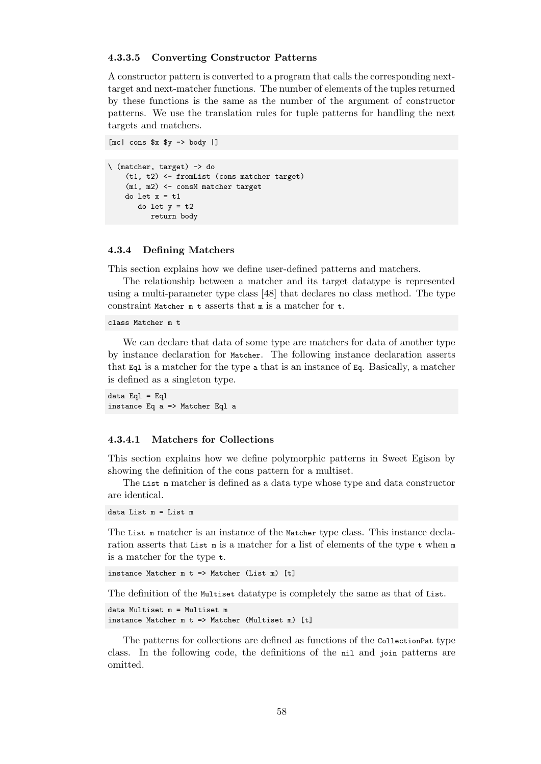#### **4.3.3.5 Converting Constructor Patterns**

A constructor pattern is converted to a program that calls the corresponding nexttarget and next-matcher functions. The number of elements of the tuples returned by these functions is the same as the number of the argument of constructor patterns. We use the translation rules for tuple patterns for handling the next targets and matchers.

 $[mc| \text{cons } $x $y \rightarrow \text{body } ]$ 

```
\ (matcher, target) -> do
    (t1, t2) <- fromList (cons matcher target)
    (m1, m2) <- consM matcher target
   do let x = t1
      do let y = t2
         return body
```
## **4.3.4 Defining Matchers**

This section explains how we define user-defined patterns and matchers.

<span id="page-67-0"></span>The relationship between a matcher and its target datatype is represented using a multi-parameter type class [48] that declares no class method. The type constraint Matcher m t asserts that m is a matcher for t.

class Matcher m t

We can declare that data of som[e t](#page-103-2)ype are matchers for data of another type by instance declaration for Matcher. The following instance declaration asserts that Eql is a matcher for the type a that is an instance of Eq. Basically, a matcher is defined as a singleton type.

data  $Eq1 = Eq1$ instance Eq a => Matcher Eql a

## **4.3.4.1 Matchers for Collections**

This section explains how we define polymorphic patterns in Sweet Egison by showing the definition of the cons pattern for a multiset.

The List  $\mathbf{m}$  matcher is defined as a data type whose type and data constructor are identical.

data List m = List m

The List m matcher is an instance of the Matcher type class. This instance declaration asserts that List m is a matcher for a list of elements of the type  $t$  when m is a matcher for the type t.

instance Matcher m t => Matcher (List m) [t]

The definition of the Multiset datatype is completely the same as that of List.

```
data Multiset m = Multiset m
instance Matcher m t => Matcher (Multiset m) [t]
```
The patterns for collections are defined as functions of the CollectionPat type class. In the following code, the definitions of the nil and join patterns are omitted.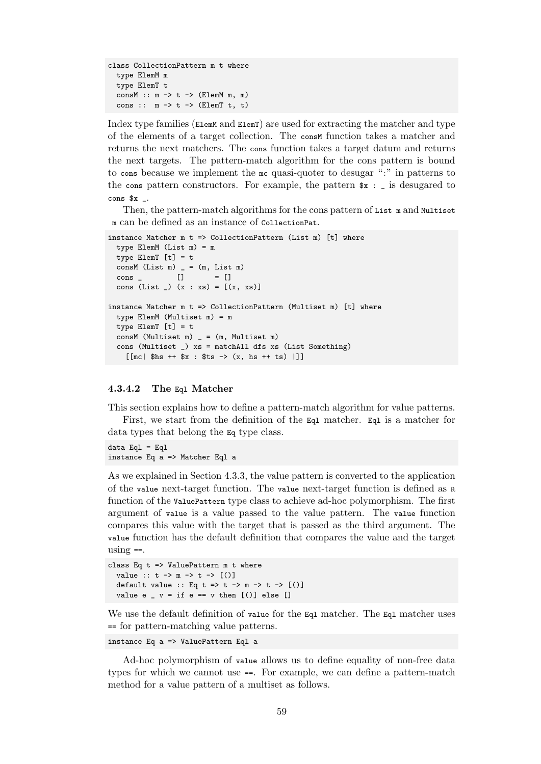```
class CollectionPattern m t where
  type ElemM m
  type ElemT t
  consM :: m \rightarrow t \rightarrow (ElemM m, m)
  cons :: m \rightarrow t \rightarrow (ElemT t, t)
```
Index type families (ElemM and ElemT) are used for extracting the matcher and type of the elements of a target collection. The consM function takes a matcher and returns the next matchers. The cons function takes a target datum and returns the next targets. The pattern-match algorithm for the cons pattern is bound to cons because we implement the mc quasi-quoter to desugar ":" in patterns to the constructors. For example, the pattern  $\hat{x}$  : \_ is desugared to cons  $x$  \_.

Then, the pattern-match algorithms for the cons pattern of List m and Multiset m can be defined as an instance of CollectionPat.

```
instance Matcher m t => CollectionPattern (List m) [t] where
  type ElemM (List m) = m
 type ElemT [t] = t
 consM (List m) = (m, List m)
 cons \t[ ] = []cons (List \lrcorner) (x : xs) = [(x, xs)]instance Matcher m t => CollectionPattern (Multiset m) [t] where
  type ElemM (Multiset m) = m
 type ElemT [t] = t
 consM (Multiset m) = (m, Multiset m)
  cons (Multiset _) xs = matchAll dfs xs (List Something)
    [[mc| $hs ++ $x : $ts -> (x, hs ++ ts) |]]
```
#### **4.3.4.2 The** Eql **Matcher**

This section explains how to define a pattern-match algorithm for value patterns.

First, we start from the definition of the Eq1 matcher. Eq1 is a matcher for data types that belong the Eq type class.

data  $Eq1 = Eq1$ instance Eq a => Matcher Eql a

As we explained in Section 4.3.3, the value pattern is converted to the application of the value next-target function. The value next-target function is defined as a function of the ValuePattern type class to achieve ad-hoc polymorphism. The first argument of value is a value passed to the value pattern. The value function compares this value with [the ta](#page-65-0)rget that is passed as the third argument. The value function has the default definition that compares the value and the target using  $==$ .

```
class Eq t => ValuePattern m t where
  value :: t \to m \to t \to [()]default value :: Eq t \Rightarrow t \Rightarrow m \Rightarrow t \Rightarrow [()]value e \sqrt{v} = if e == v then [(\n)] else []
```
We use the default definition of value for the Eql matcher. The Eql matcher uses == for pattern-matching value patterns.

```
instance Eq a => ValuePattern Eql a
```
Ad-hoc polymorphism of value allows us to define equality of non-free data types for which we cannot use ==. For example, we can define a pattern-match method for a value pattern of a multiset as follows.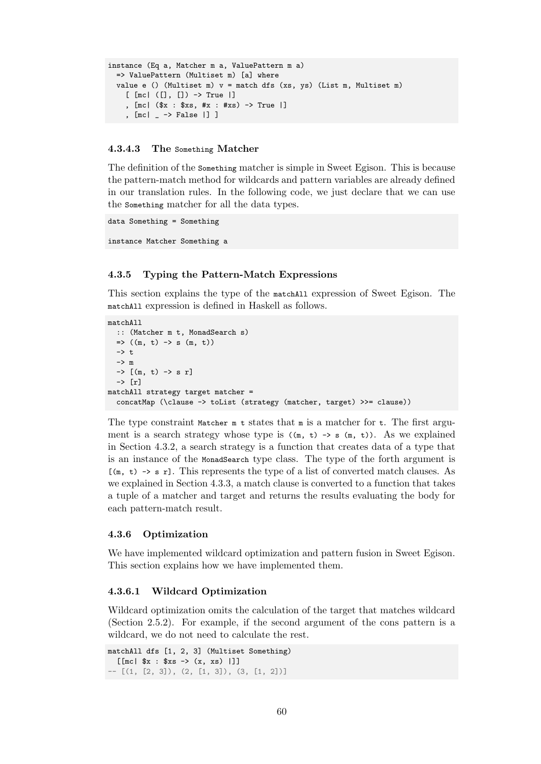```
instance (Eq a, Matcher m a, ValuePattern m a)
 => ValuePattern (Multiset m) [a] where
 value e () (Multiset m) v = match dfs (xs, ys) (List m, Multiset m)
    [ [mc| ([], []) -> True |]
    , [mc| ($x : $xs, #x : #xs) -> True |]
    , [mc| _ -> False |] ]
```
## **4.3.4.3 The** Something **Matcher**

The definition of the Something matcher is simple in Sweet Egison. This is because the pattern-match method for wildcards and pattern variables are already defined in our translation rules. In the following code, we just declare that we can use the Something matcher for all the data types.

```
data Something = Something
```

```
instance Matcher Something a
```
## **4.3.5 Typing the Pattern-Match Expressions**

This section explains the type of the matchAll expression of Sweet Egison. The matchAll expression is defined in Haskell as follows.

```
matchAll
```

```
:: (Matcher m t, MonadSearch s)
  \Rightarrow ((m, t) -> s (m, t))
  \rightarrow t.
  -> m
 \rightarrow [(m, t) \rightarrow s r]
  -> [r]
matchAll strategy target matcher =
  concatMap (\clause -> toList (strategy (matcher, target) >>= clause))
```
The type constraint Matcher  $m \neq 1$  states that  $m \neq 0$  and matcher for  $\pm$ . The first argument is a search strategy whose type is  $((m, t) \rightarrow s (m, t))$ . As we explained in Section 4.3.2, a search strategy is a function that creates data of a type that is an instance of the MonadSearch type class. The type of the forth argument is  $[(m, t) \rightarrow s \rceil]$ . This represents the type of a list of converted match clauses. As we explained in Section 4.3.3, a match clause is converted to a function that takes a tuple of [a ma](#page-64-0)tcher and target and returns the results evaluating the body for each pattern-match result.

## **4.3.6 Optimization**

<span id="page-69-0"></span>We have implemented wildcard optimization and pattern fusion in Sweet Egison. This section explains how we have implemented them.

#### **4.3.6.1 Wildcard Optimization**

Wildcard optimization omits the calculation of the target that matches wildcard (Section 2.5.2). For example, if the second argument of the cons pattern is a wildcard, we do not need to calculate the rest.

```
matchAll dfs [1, 2, 3] (Multiset Something)
 [[[mc| x : xs -> (x, xs)]]
- 3]), (2, [1, 3]), (3, [1, 2])]
```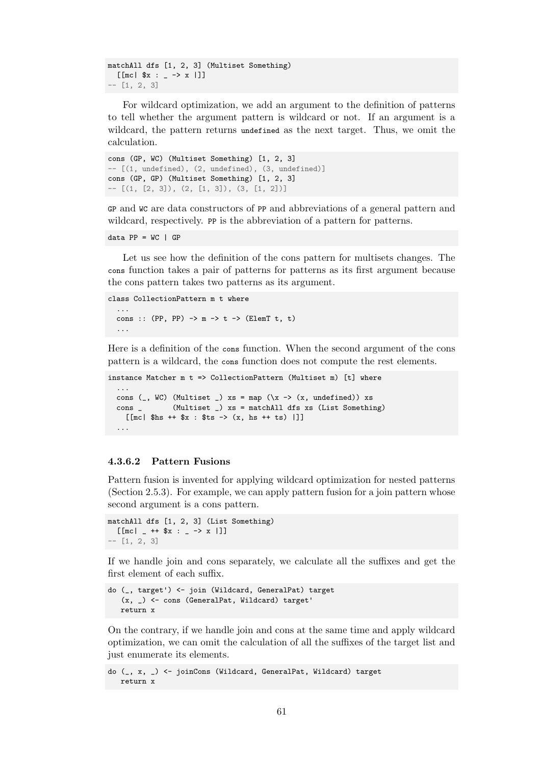```
matchAll dfs [1, 2, 3] (Multiset Something)
  [[mc| x : _ - \rightarrow x ]]]
-- [1, 2, 3]
```
For wildcard optimization, we add an argument to the definition of patterns to tell whether the argument pattern is wildcard or not. If an argument is a wildcard, the pattern returns undefined as the next target. Thus, we omit the calculation.

```
cons (GP, WC) (Multiset Something) [1, 2, 3]
-- [(1, undefined), (2, undefined), (3, undefined)]
cons (GP, GP) (Multiset Something) [1, 2, 3]
- [(1, [2, 3]), (2, [1, 3]), (3, [1, 2])]
```
GP and WC are data constructors of PP and abbreviations of a general pattern and wildcard, respectively. PP is the abbreviation of a pattern for patterns.

data  $PP = WC$  |  $GP$ 

Let us see how the definition of the cons pattern for multisets changes. The cons function takes a pair of patterns for patterns as its first argument because the cons pattern takes two patterns as its argument.

```
class CollectionPattern m t where
  ...
  cons :: (PP, PP) \rightarrow m \rightarrow t \rightarrow (Element t, t)...
```
Here is a definition of the cons function. When the second argument of the cons pattern is a wildcard, the cons function does not compute the rest elements.

```
instance Matcher m t => CollectionPattern (Multiset m) [t] where
  ...
 cons (_, WC) (Multiset _) xs = map (\x \rightarrow (x, undefined)) xs
 cons _ (Multiset _) xs = matchAll dfs xs (List Something)
    [[mc| $hs ++ $x : $ts -> (x, hs ++ ts) |]]
  ...
```
#### **4.3.6.2 Pattern Fusions**

Pattern fusion is invented for applying wildcard optimization for nested patterns (Section 2.5.3). For example, we can apply pattern fusion for a join pattern whose second argument is a cons pattern.

```
matchAll dfs [1, 2, 3] (List Something)
  [[mc| _ ++ x : _ -> x |]]
-- [1, 2, 3]
```
If we handle join and cons separately, we calculate all the suffixes and get the first element of each suffix.

```
do (_, target') <- join (Wildcard, GeneralPat) target
   (x, _) <- cons (GeneralPat, Wildcard) target'
  return x
```
On the contrary, if we handle join and cons at the same time and apply wildcard optimization, we can omit the calculation of all the suffixes of the target list and just enumerate its elements.

```
do (_, x, _) <- joinCons (Wildcard, GeneralPat, Wildcard) target
  return x
```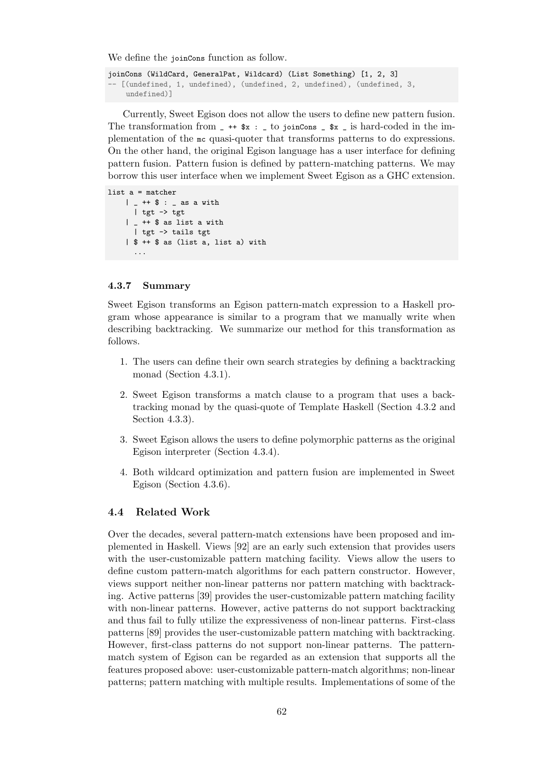We define the joinCons function as follow.

```
joinCons (WildCard, GeneralPat, Wildcard) (List Something) [1, 2, 3]
-- [(undefined, 1, undefined), (undefined, 2, undefined), (undefined, 3,
    undefined)]
```
Currently, Sweet Egison does not allow the users to define new pattern fusion. The transformation from  $-$  ++  $x : -$  to joinCons  $x -$  is hard-coded in the implementation of the mc quasi-quoter that transforms patterns to do expressions. On the other hand, the original Egison language has a user interface for defining pattern fusion. Pattern fusion is defined by pattern-matching patterns. We may borrow this user interface when we implement Sweet Egison as a GHC extension.

```
list a = matcher
    | _- ++ \frac{6}{3} : _ - as a with
       | tgt -> tgt
    \vert \vert ++ \ as list a with
       | tgt -> tails tgt
    | $ ++ $ as (list a, list a) with
       ...
```
## **4.3.7 Summary**

Sweet Egison transforms an Egison pattern-match expression to a Haskell program whose appearance is similar to a program that we manually write when describing backtracking. We summarize our method for this transformation as follows.

- 1. The users can define their own search strategies by defining a backtracking monad (Section 4.3.1).
- 2. Sweet Egison transforms a match clause to a program that uses a backtracking monad by the quasi-quote of Template Haskell (Section 4.3.2 and Section 4.3.3).
- 3. Sweet Egison allows the users to define polymorphic patterns as the original Egison interpreter (Section 4.3.4).
- 4. Both w[ildcar](#page-65-0)d optimization and pattern fusion are implemented in Sweet Egison (Section 4.3.6).

## **4.4 Related Work**

Over the decades, sev[eral p](#page-69-0)attern-match extensions have been proposed and implemented in Haskell. Views [92] are an early such extension that provides users with the user-customizable pattern matching facility. Views allow the users to define custom pattern-match algorithms for each pattern constructor. However, views support neither non-linear patterns nor pattern matching with backtracking. Active patterns [39] provi[des](#page-106-2) the user-customizable pattern matching facility with non-linear patterns. However, active patterns do not support backtracking and thus fail to fully utilize the expressiveness of non-linear patterns. First-class patterns [89] provides the user-customizable pattern matching with backtracking. However, first-class [pat](#page-102-0)terns do not support non-linear patterns. The patternmatch system of Egison can be regarded as an extension that supports all the features proposed above: user-customizable pattern-match algorithms; non-linear patterns; [pa](#page-106-0)ttern matching with multiple results. Implementations of some of the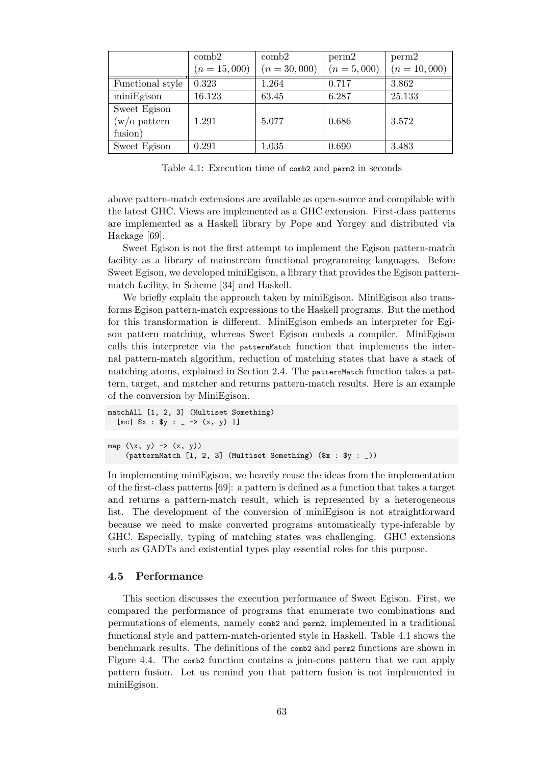|                  | $\mathrm{comb}2$ | $\cosh^2$      | perm2         | perm2          |
|------------------|------------------|----------------|---------------|----------------|
|                  | $(n = 15,000)$   | $(n = 30,000)$ | $(n = 5,000)$ | $(n = 10,000)$ |
| Functional style | 0.323            | 1.264          | 0.717         | 3.862          |
| miniEgison       | 16.123           | 63.45          | 6.287         | 25.133         |
| Sweet Egison     |                  |                |               |                |
| $(w/o$ pattern   | 1.291            | 5.077          | 0.686         | 3.572          |
| fusion)          |                  |                |               |                |
| Sweet Egison     | 0.291            | 1.035          | 0.690         | 3.483          |

Table 4.1: Execution time of comb2 and perm2 in seconds

above pattern-match extensions are available as open-source and compilable with the latest GHC. Views are implemented as a GHC extension. First-class patterns are implemented as a Haskell library by Pope and Yorgey and distributed via Hackage [69].

Sweet Egison is not the first attempt to implement the Egison pattern-match facility as a library of mainstream functional programming languages. Before Sweet Egison, we developed miniEgison, a library that provides the Egison patternmatch fa[cilit](#page-104-0)y, in Scheme [34] and Haskell.

We briefly explain the approach taken by miniEgison. MiniEgison also transforms Egison pattern-match expressions to the Haskell programs. But the method for this transformation is different. MiniEgison embeds an interpreter for Egison pattern matching, w[here](#page-102-0)as Sweet Egison embeds a compiler. MiniEgison calls this interpreter via the patternMatch function that implements the internal pattern-match algorithm, reduction of matching states that have a stack of matching atoms, explained in Section 2.4. The pattern Match function takes a pattern, target, and matcher and returns pattern-match results. Here is an example of the conversion by MiniEgison.

```
matchAll [1, 2, 3] (Multiset Something)
  [mc] x : xy : _ - \rightarrow (x, y) ]map (\x, y) \rightarrow (x, y)
```

```
(patternMatch [1, 2, 3] (Multiset Something) ($x : $y : _))
```
In implementing miniEgison, we heavily reuse the ideas from the implementation of the first-class patterns [69]: a pattern is defined as a function that takes a target and returns a pattern-match result, which is represented by a heterogeneous list. The development of the conversion of miniEgison is not straightforward because we need to make converted programs automatically type-inferable by GHC. Especially, typing [of](#page-104-0) matching states was challenging. GHC extensions such as GADTs and existential types play essential roles for this purpose.

## **4.5 Performance**

This section discusses the execution performance of Sweet Egison. First, we compared the performance of programs that enumerate two combinations and permutations of elements, namely comb2 and perm2, implemented in a traditional functional style and pattern-match-oriented style in Haskell. Table 4.1 shows the benchmark results. The definitions of the comb2 and perm2 functions are shown in Figure 4.4. The comb2 function contains a join-cons pattern that we can apply pattern fusion. Let us remind you that pattern fusion is not implemented in miniEgison.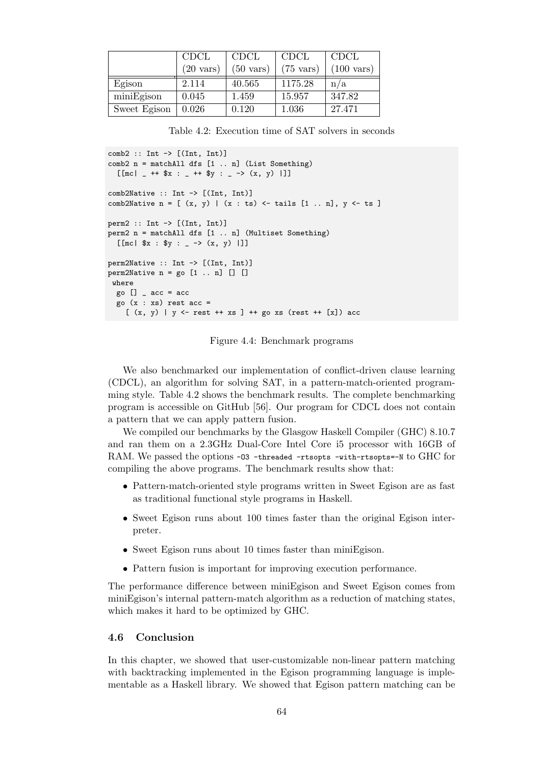<span id="page-73-0"></span>

|              | <b>CDCL</b>         | <b>CDCL</b>         | <b>CDCL</b>         | <b>CDCL</b>          |
|--------------|---------------------|---------------------|---------------------|----------------------|
|              | $(20 \text{ vars})$ | $(50 \text{ vars})$ | $(75 \text{ vars})$ | $(100 \text{ vars})$ |
| Egison       | 2.114               | 40.565              | 1175.28             | n/a                  |
| miniEgison   | 0.045               | 1.459               | 15.957              | 347.82               |
| Sweet Egison | 0.026               | 0.120               | 1.036               | 27.471               |

Table 4.2: Execution time of SAT solvers in seconds

```
comb2 :: Int \rightarrow [(Int, Int)]comb2 n = matchAll dfs [1 .. n] (List Something)
  [[mc| _ ++ x : _ ++ y : _ -> (x, y) |]]
comb2Native :: Int -> [(Int, Int)]
comb2Native n = [(x, y) | (x : ts) \leftarrow tails [1 ... n], y \leftarrow ts]perm2 :: Int -> [(Int, Int)]
perm2 n = matchAll dfs [1 .. n] (Multiset Something)
  [[mc| $x : $y : _ -> (x, y) |]]
perm2Native :: Int -> [(Int, Int)]
perm2Native n = go [1 ... n] [ ]where
 go [] \angle acc = acc
 go (x : xs) rest acc =
    [(x, y) | y \leftarrow \text{rest} + x s] + \text{go xs} (\text{rest} + x * \text{fs}) acc
```
Figure 4.4: Benchmark programs

We also benchmarked our implementation of conflict-driven clause learning (CDCL), an algorithm for solving SAT, in a pattern-match-oriented programming style. Table 4.2 shows the benchmark results. The complete benchmarking program is accessible on GitHub [56]. Our program for CDCL does not contain a pattern that we can apply pattern fusion.

We compiled our benchmarks by the Glasgow Haskell Compiler (GHC) 8.10.7 and ran them on [a](#page-73-0) 2.3GHz Dual-Core Intel Core i5 processor with 16GB of RAM. We passed the options -03 [-th](#page-103-0)readed -rtsopts -with-rtsopts=-N to GHC for compiling the above programs. The benchmark results show that:

- Pattern-match-oriented style programs written in Sweet Egison are as fast as traditional functional style programs in Haskell.
- Sweet Egison runs about 100 times faster than the original Egison interpreter.
- Sweet Egison runs about 10 times faster than miniEgison.
- Pattern fusion is important for improving execution performance.

The performance difference between miniEgison and Sweet Egison comes from miniEgison's internal pattern-match algorithm as a reduction of matching states, which makes it hard to be optimized by GHC.

# **4.6 Conclusion**

In this chapter, we showed that user-customizable non-linear pattern matching with backtracking implemented in the Egison programming language is implementable as a Haskell library. We showed that Egison pattern matching can be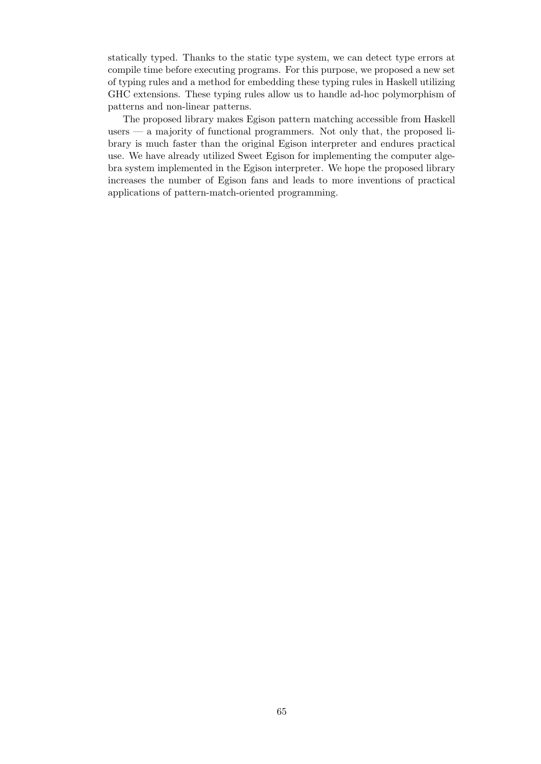statically typed. Thanks to the static type system, we can detect type errors at compile time before executing programs. For this purpose, we proposed a new set of typing rules and a method for embedding these typing rules in Haskell utilizing GHC extensions. These typing rules allow us to handle ad-hoc polymorphism of patterns and non-linear patterns.

The proposed library makes Egison pattern matching accessible from Haskell users — a majority of functional programmers. Not only that, the proposed library is much faster than the original Egison interpreter and endures practical use. We have already utilized Sweet Egison for implementing the computer algebra system implemented in the Egison interpreter. We hope the proposed library increases the number of Egison fans and leads to more inventions of practical applications of pattern-match-oriented programming.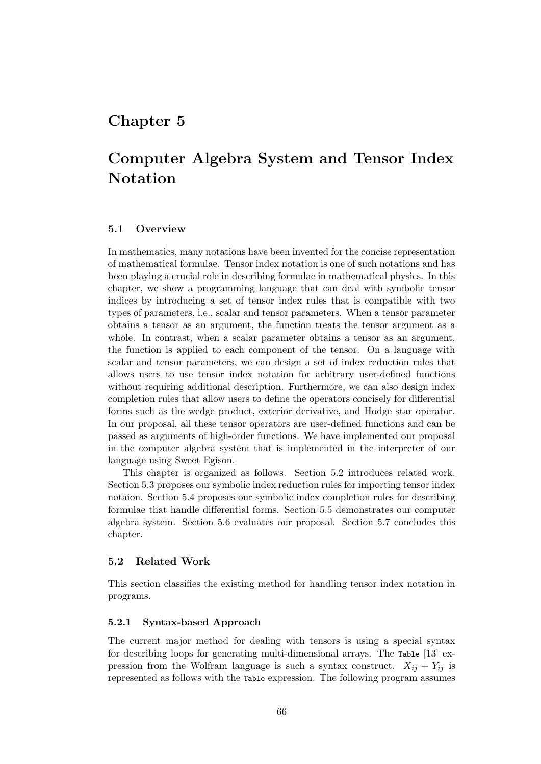# <span id="page-75-1"></span>**Chapter 5**

# **Computer Algebra System and Tensor Index Notation**

### **5.1 Overview**

In mathematics, many notations have been invented for the concise representation of mathematical formulae. Tensor index notation is one of such notations and has been playing a crucial role in describing formulae in mathematical physics. In this chapter, we show a programming language that can deal with symbolic tensor indices by introducing a set of tensor index rules that is compatible with two types of parameters, i.e., scalar and tensor parameters. When a tensor parameter obtains a tensor as an argument, the function treats the tensor argument as a whole. In contrast, when a scalar parameter obtains a tensor as an argument, the function is applied to each component of the tensor. On a language with scalar and tensor parameters, we can design a set of index reduction rules that allows users to use tensor index notation for arbitrary user-defined functions without requiring additional description. Furthermore, we can also design index completion rules that allow users to define the operators concisely for differential forms such as the wedge product, exterior derivative, and Hodge star operator. In our proposal, all these tensor operators are user-defined functions and can be passed as arguments of high-order functions. We have implemented our proposal in the computer algebra system that is implemented in the interpreter of our language using Sweet Egison.

This chapter is organized as follows. Section 5.2 introduces related work. Section 5.3 proposes our symbolic index reduction rules for importing tensor index notaion. Section 5.4 proposes our symbolic index completion rules for describing formulae that handle differential forms. Section 5.5 demonstrates our computer algebra system. Section 5.6 evaluates our proposa[l. S](#page-75-0)ection 5.7 concludes this chapter[.](#page-78-0)

## **5.2 Related Work**

<span id="page-75-0"></span>This section classifies the existing method for handling tensor index notation in programs.

#### **5.2.1 Syntax-based Approach**

The current major method for dealing with tensors is using a special syntax for describing loops for generating multi-dimensional arrays. The Table [13] expression from the Wolfram language is such a syntax construct.  $X_{ij} + Y_{ij}$  is represented as follows with the Table expression. The following program assumes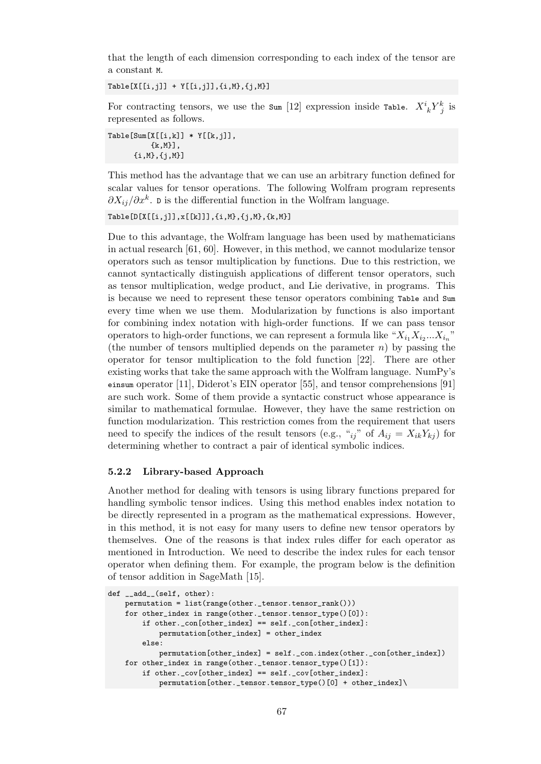that the length of each dimension corresponding to each index of the tensor are a constant M.

 $Table[X[[i,j]] + Y[[i,j]], \{i,M\}, \{j,M\}]$ 

For contracting tensors, we use the sum [12] expression inside Table.  $X^i_{\ k}Y^k_{\ j}$  is represented as follows.

 $Table[Sum[X[[i,k]] * Y[[k,j]],$ {k,M}], {i,M},{j,M}]

This method has the advantage that we can use an arbitrary function defined for scalar values for tensor operations. The following Wolfram program represents *∂Xij/∂x<sup>k</sup>* . D is the differential function in the Wolfram language.

Table[D[X[[i,j]],x[[k]]],{i,M},{j,M},{k,M}]

Due to this advantage, the Wolfram language has been used by mathematicians in actual research [61, 60]. However, in this method, we cannot modularize tensor operators such as tensor multiplication by functions. Due to this restriction, we cannot syntactically distinguish applications of different tensor operators, such as tensor multiplication, wedge product, and Lie derivative, in programs. This is because we nee[d to](#page-104-1) [re](#page-104-2)present these tensor operators combining Table and Sum every time when we use them. Modularization by functions is also important for combining index notation with high-order functions. If we can pass tensor operators to high-order functions, we can represent a formula like  $"X_{i_1}X_{i_2}...X_{i_n}"$ (the number of tensors multiplied depends on the parameter *n*) by passing the operator for tensor multiplication to the fold function [22]. There are other existing works that take the same approach with the Wolfram language. NumPy's einsum operator [11], Diderot's EIN operator [55], and tensor comprehensions [91] are such work. Some of them provide a syntactic construct whose appearance is similar to mathematical formulae. However, they have t[he](#page-101-0) same restriction on function modularization. This restriction comes from the requirement that users need to specify [the](#page-100-0) indices of the result ten[sors](#page-103-1) (e.g., "*ij*" of  $A_{ij} = X_{ik}Y_{kj}$ ) [for](#page-106-0) determining whether to contract a pair of identical symbolic indices.

## **5.2.2 Library-based Approach**

Another method for dealing with tensors is using library functions prepared for handling symbolic tensor indices. Using this method enables index notation to be directly represented in a program as the mathematical expressions. However, in this method, it is not easy for many users to define new tensor operators by themselves. One of the reasons is that index rules differ for each operator as mentioned in Introduction. We need to describe the index rules for each tensor operator when defining them. For example, the program below is the definition of tensor addition in SageMath [15].

```
def __add__(self, other):
   permutation = list(range(other._tensor.tensor_rank()))
   for other_index in range(other._tensor.tensor_type()[0]):
        if other._con[other_index] == self._con[other_index]:
            permutation[other_index] = other_index
       else:
            permutation[other_index] = self._con.index(other._con[other_index])
    for other_index in range(other._tensor.tensor_type()[1]):
        if other._cov[other_index] == self._cov[other_index]:
           permutation[other._tensor.tensor_type()[0] + other_index]\
```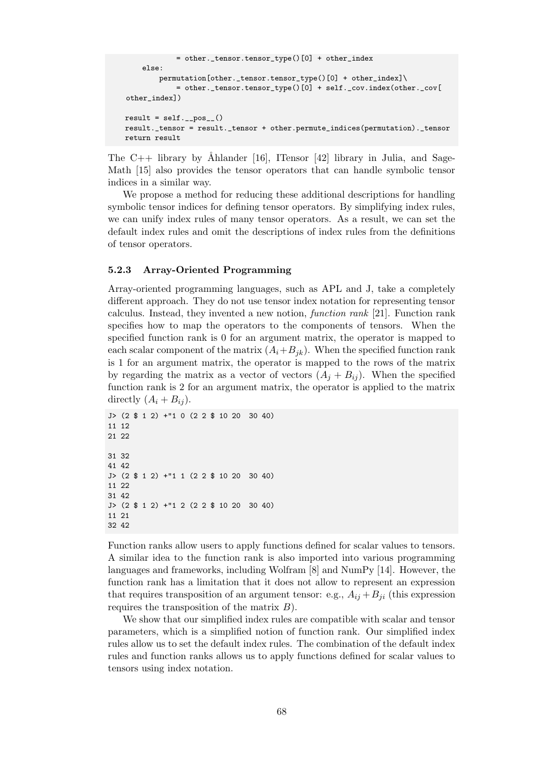```
= other._tensor.tensor_type()[0] + other_index
    else:
        permutation[other._tensor.tensor_type()[0] + other_index]\
            = other._tensor.tensor_type()[0] + self._cov.index(other._cov[
other_index])
result = self._{-pos_{-}}()result._tensor = result._tensor + other.permute_indices(permutation)._tensor
return result
```
The C++ library by Ahlander [16], ITensor [42] library in Julia, and Sage-Math [15] also provides the tensor operators that can handle symbolic tensor indices in a similar way.

We propose a method for reducing these additional descriptions for handling symbolic tensor indices for definin[g t](#page-101-1)ensor opera[tor](#page-102-1)s. By simplifying index rules, we can [un](#page-100-1)ify index rules of many tensor operators. As a result, we can set the default index rules and omit the descriptions of index rules from the definitions of tensor operators.

#### **5.2.3 Array-Oriented Programming**

Array-oriented programming languages, such as APL and J, take a completely different approach. They do not use tensor index notation for representing tensor calculus. Instead, they invented a new notion, *function rank* [21]. Function rank specifies how to map the operators to the components of tensors. When the specified function rank is 0 for an argument matrix, the operator is mapped to each scalar component of the matrix  $(A_i + B_{ik})$ . When the specified function rank is 1 for an argument matrix, the operator is mapped to the [row](#page-101-2)s of the matrix by regarding the matrix as a vector of vectors  $(A_i + B_i)$ . When the specified function rank is 2 for an argument matrix, the operator is applied to the matrix directly  $(A_i + B_{ij})$ .

```
J> (2 $ 1 2) +"1 0 (2 2 $ 10 20 30 40)
11 12
21 22
31 32
41 42
J> (2 $ 1 2) +"1 1 (2 2 $ 10 20 30 40)
11 22
31 42
J> (2 $ 1 2) +"1 2 (2 2 $ 10 20 30 40)
11 21
32 42
```
Function ranks allow users to apply functions defined for scalar values to tensors. A similar idea to the function rank is also imported into various programming languages and frameworks, including Wolfram [8] and NumPy [14]. However, the function rank has a limitation that it does not allow to represent an expression that requires transposition of an argument tensor: e.g.,  $A_{ij} + B_{ji}$  (this expression requires the transposition of the matrix *B*).

We show that our simplified index rules are [co](#page-100-2)mpatible with [sc](#page-100-3)alar and tensor parameters, which is a simplified notion of function rank. Our simplified index rules allow us to set the default index rules. The combination of the default index rules and function ranks allows us to apply functions defined for scalar values to tensors using index notation.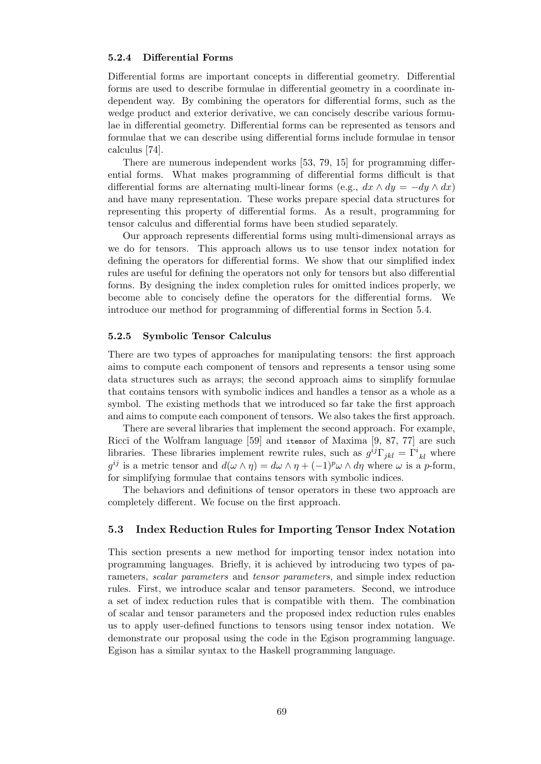#### **5.2.4 Differential Forms**

Differential forms are important concepts in differential geometry. Differential forms are used to describe formulae in differential geometry in a coordinate independent way. By combining the operators for differential forms, such as the wedge product and exterior derivative, we can concisely describe various formulae in differential geometry. Differential forms can be represented as tensors and formulae that we can describe using differential forms include formulae in tensor calculus [74].

There are numerous independent works [53, 79, 15] for programming differential forms. What makes programming of differential forms difficult is that differential forms are alternating multi-linear forms (e.g.,  $dx \wedge dy = -dy \wedge dx$ ) and have [m](#page-105-0)any representation. These works prepare special data structures for representing this property of differential for[ms](#page-103-2). [A](#page-105-1)s [a](#page-100-1) result, programming for tensor calculus and differential forms have been studied separately.

Our approach represents differential forms using multi-dimensional arrays as we do for tensors. This approach allows us to use tensor index notation for defining the operators for differential forms. We show that our simplified index rules are useful for defining the operators not only for tensors but also differential forms. By designing the index completion rules for omitted indices properly, we become able to concisely define the operators for the differential forms. We introduce our method for programming of differential forms in Section 5.4.

#### **5.2.5 Symbolic Tensor Calculus**

There are two types of approaches for manipulating tensors: the first [app](#page-87-0)roach aims to compute each component of tensors and represents a tensor using some data structures such as arrays; the second approach aims to simplify formulae that contains tensors with symbolic indices and handles a tensor as a whole as a symbol. The existing methods that we introduced so far take the first approach and aims to compute each component of tensors. We also takes the first approach.

There are several libraries that implement the second approach. For example, Ricci of the Wolfram language [59] and itensor of Maxima [9, 87, 77] are such libraries. These libraries implement rewrite rules, such as  $g^{ij}\Gamma_{jkl} = \Gamma^i{}_{kl}$  where  $g^{ij}$  is a metric tensor and  $d(\omega \wedge \eta) = d\omega \wedge \eta + (-1)^p \omega \wedge d\eta$  where  $\omega$  is a *p*-form, for simplifying formulae that contains tensors with symbolic indices.

The behaviors and definition[s o](#page-104-3)f tensor operators in thes[e](#page-100-4) t[wo](#page-105-2) [app](#page-105-3)roach are completely different. We focuse on the first approach.

# **5.3 Index Reduction Rules for Importing Tensor Index Notation**

<span id="page-78-0"></span>This section presents a new method for importing tensor index notation into programming languages. Briefly, it is achieved by introducing two types of parameters, *scalar parameters* and *tensor parameters*, and simple index reduction rules. First, we introduce scalar and tensor parameters. Second, we introduce a set of index reduction rules that is compatible with them. The combination of scalar and tensor parameters and the proposed index reduction rules enables us to apply user-defined functions to tensors using tensor index notation. We demonstrate our proposal using the code in the Egison programming language. Egison has a similar syntax to the Haskell programming language.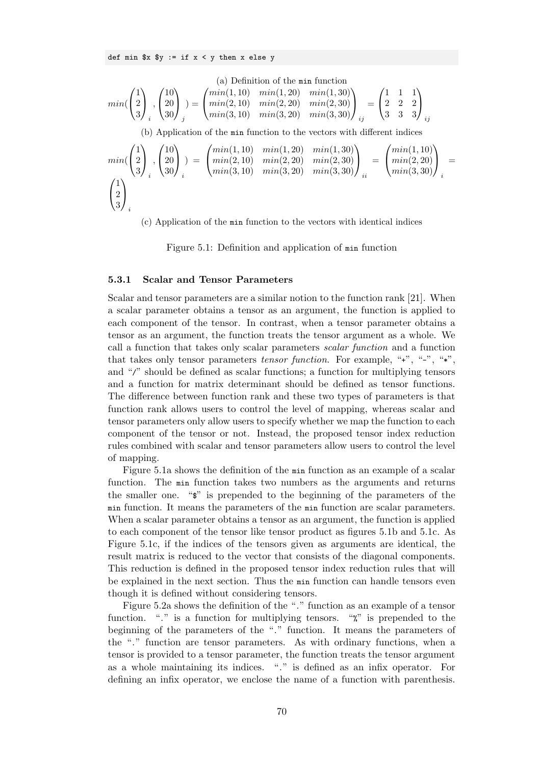def min  $x \ y := \text{if } x < y \ \text{then } x \ \text{else } y$ 

<span id="page-79-0"></span>(a) Definition of the 
$$
\min
$$
 function  
\n
$$
min(\begin{pmatrix} 1 \\ 2 \\ 3 \end{pmatrix}, \begin{pmatrix} 10 \\ 20 \\ 30 \end{pmatrix}) = \begin{pmatrix} min(1, 10) & min(1, 20) & min(1, 30) \\ min(2, 10) & min(2, 20) & min(2, 30) \\ min(3, 10) & min(3, 20) & min(3, 30) \end{pmatrix}_{ij} = \begin{pmatrix} 1 & 1 & 1 \\ 2 & 2 & 2 \\ 3 & 3 & 3 \end{pmatrix}_{ij}
$$
\n(b) Application of the  $\min$  function to the vectors with different indices  
\n
$$
min(\begin{pmatrix} 1 \\ 2 \\ 3 \end{pmatrix}, \begin{pmatrix} 10 \\ 20 \\ 30 \end{pmatrix}) = \begin{pmatrix} min(1, 10) & min(1, 20) & min(1, 30) \\ min(2, 10) & min(2, 20) & min(2, 30) \\ min(3, 10) & min(3, 20) & min(3, 30) \end{pmatrix}_{ii} = \begin{pmatrix} min(1, 10) \\ min(2, 20) \\ min(3, 30) \end{pmatrix}_{i}
$$

(c) Application of the min function to the vectors with identical indices

Figure 5.1: Definition and application of min function

#### **5.3.1 Scalar and Tensor Parameters**

Scalar and tensor parameters are a similar notion to the function rank [21]. When a scalar parameter obtains a tensor as an argument, the function is applied to each component of the tensor. In contrast, when a tensor parameter obtains a tensor as an argument, the function treats the tensor argument as a whole. We call a function that takes only scalar parameters *scalar function* and [a f](#page-101-2)unction that takes only tensor parameters *tensor function*. For example, "+", "-", "\*", and "/" should be defined as scalar functions; a function for multiplying tensors and a function for matrix determinant should be defined as tensor functions. The difference between function rank and these two types of parameters is that function rank allows users to control the level of mapping, whereas scalar and tensor parameters only allow users to specify whether we map the function to each component of the tensor or not. Instead, the proposed tensor index reduction rules combined with scalar and tensor parameters allow users to control the level of mapping.

Figure 5.1a shows the definition of the min function as an example of a scalar function. The min function takes two numbers as the arguments and returns the smaller one. "\$" is prepended to the beginning of the parameters of the min function. It means the parameters of the min function are scalar parameters. When a sc[alar p](#page-79-0)arameter obtains a tensor as an argument, the function is applied to each component of the tensor like tensor product as figures 5.1b and 5.1c. As Figure 5.1c, if the indices of the tensors given as arguments are identical, the result matrix is reduced to the vector that consists of the diagonal components. This reduction is defined in the proposed tensor index reduction rules that will be explained in the next section. Thus the min function can h[andle](#page-79-0) ten[sors e](#page-79-0)ven though [it is](#page-79-0) defined without considering tensors.

Figure 5.2a shows the definition of the "." function as an example of a tensor function. "." is a function for multiplying tensors. ""," is prepended to the beginning of the parameters of the "." function. It means the parameters of the "." function are tensor parameters. As with ordinary functions, when a tensor is p[rovid](#page-80-0)ed to a tensor parameter, the function treats the tensor argument as a whole maintaining its indices. "." is defined as an infix operator. For defining an infix operator, we enclose the name of a function with parenthesis.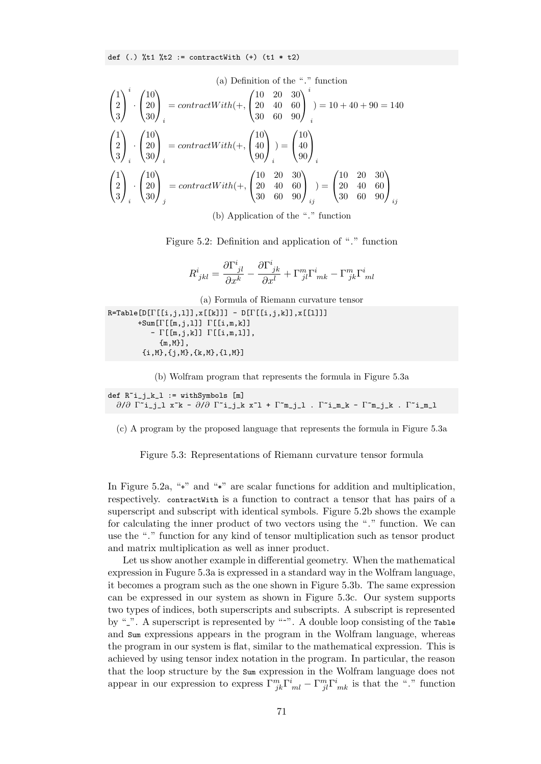def (.)  $\text{Nt1 } \text{Nt2} := \text{contractWith } (+)$  (t1 \* t2)

<span id="page-80-0"></span>(a) Definition of the "." function  
\n
$$
\begin{pmatrix}\n1 \\
2 \\
3\n\end{pmatrix}^i \cdot \begin{pmatrix}\n10 \\
20 \\
30\n\end{pmatrix}_i = contractWith(+, \begin{pmatrix}\n10 & 20 & 30 \\
20 & 40 & 60 \\
30 & 60 & 90\n\end{pmatrix}_i^i) = 10 + 40 + 90 = 140
$$
\n
$$
\begin{pmatrix}\n1 \\
2 \\
3\n\end{pmatrix}_i \cdot \begin{pmatrix}\n10 \\
20 \\
30\n\end{pmatrix}_i = contractWith(+, \begin{pmatrix}\n10 \\
40 \\
90\n\end{pmatrix}_i) = \begin{pmatrix}\n10 \\
40 \\
90\n\end{pmatrix}_i
$$
\n
$$
\begin{pmatrix}\n1 \\
2 \\
3\n\end{pmatrix}_i \cdot \begin{pmatrix}\n10 \\
20 \\
30\n\end{pmatrix}_j = contractWith(+, \begin{pmatrix}\n10 & 20 & 30 \\
20 & 40 & 60 \\
30 & 60 & 90\n\end{pmatrix}_{ij} = \begin{pmatrix}\n10 & 20 & 30 \\
20 & 40 & 60 \\
30 & 60 & 90\n\end{pmatrix}_{ij}
$$

(b) Application of the "." function

Figure 5.2: Definition and application of "." function

$$
R^i_{\phantom{i}jkl}=\frac{\partial\Gamma^i_{\phantom{i}jl}}{\partial x^k}-\frac{\partial\Gamma^i_{\phantom{i}jk}}{\partial x^l}+\Gamma^m_{\phantom{m}jl}\Gamma^i_{\phantom{i}mk}-\Gamma^m_{\phantom{m}jk}\Gamma^i_{\phantom{i}ml}
$$

(a) Formula of Riemann curvature tensor

<span id="page-80-1"></span> $R = Table[D[\Gamma[[i,j,1]], x[[k]]] - D[\Gamma[[i,j,k]], x[[1]]]$ +Sum[Γ[[m,j,l]] Γ[[i,m,k]] - Γ[[m,j,k]] Γ[[i,m,l]], {m,M}], {i,M},{j,M},{k,M},{l,M}]

(b) Wolfram program that represents the formula in Figure 5.3a

$$
\begin{array}{ll}\texttt{def } R^i_j_k_l := \texttt{with} \texttt{Symbols [m]}\\ \partial/\partial \Gamma^i_j_l \ x^k - \partial/\partial \Gamma^i_j_k x^l + \Gamma^m_j_l \ . \ \Gamma^i_m_k - \Gamma^m_j_k \ . \ \Gamma^i_m_l \end{array}
$$

(c) A program by the proposed language that represents the formula in Figure 5.3a

Figure 5.3: Representations of Riemann curvature tensor formula

In Figure 5.2a, "+" and "\*" are scalar functions for addition and multiplication, respectively. contractWith is a function to contract a tensor that has pairs of a superscript and subscript with identical symbols. Figure 5.2b shows the example for calculating the inner product of two vectors using the "." function. We can use the ".[" fun](#page-80-0)ction for any kind of tensor multiplication such as tensor product and matrix multiplication as well as inner product.

Let us show another example in differential geometry. [Whe](#page-80-0)n the mathematical expression in Fugure 5.3a is expressed in a standard way in the Wolfram language, it becomes a program such as the one shown in Figure 5.3b. The same expression can be expressed in our system as shown in Figure 5.3c. Our system supports two types of indices, both superscripts and subscripts. A subscript is represented by "\_". A superscrip[t is r](#page-80-1)epresented by "~". A double loop consisting of the Table and Sum expressions appears in the program in the [Wolfra](#page-80-1)m language, whereas the program in our system is flat, similar to the math[emat](#page-80-1)ical expression. This is achieved by using tensor index notation in the program. In particular, the reason that the loop structure by the Sum expression in the Wolfram language does not appear in our expression to express  $\Gamma_{jk}^m \Gamma_{ml}^i - \Gamma_{jl}^m \Gamma_{mk}^i$  is that the "." function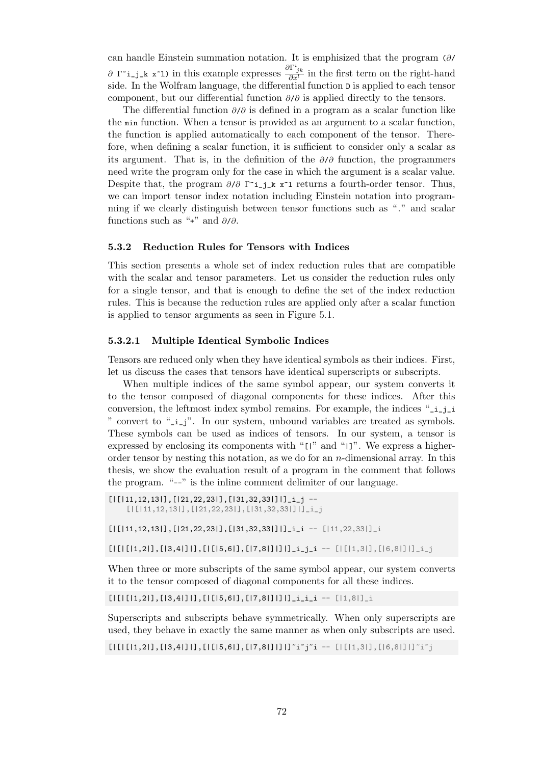can handle Einstein summation notation. It is emphisized that the program (*∂*/ *∂* Γ<sup>\*</sup>**i**\_**j**<sub></sub>**k**</sub>  $\mathbf{x}$ <sup> $\infty$ </sup>**l**) in this example expresses  $\frac{\partial \Gamma^i_{jk}}{\partial x^l}$  in the first term on the right-hand side. In the Wolfram language, the differential function D is applied to each tensor component, but our differential function *∂*/*∂* is applied directly to the tensors.

The differential function *∂*/*∂* is defined in a program as a scalar function like the min function. When a tensor is provided as an argument to a scalar function, the function is applied automatically to each component of the tensor. Therefore, when defining a scalar function, it is sufficient to consider only a scalar as its argument. That is, in the definition of the *∂*/*∂* function, the programmers need write the program only for the case in which the argument is a scalar value. Despite that, the program *∂*/*∂* Γ~i\_j\_k x~l returns a fourth-order tensor. Thus, we can import tensor index notation including Einstein notation into programming if we clearly distinguish between tensor functions such as "." and scalar functions such as "+" and *∂*/*∂*.

#### **5.3.2 Reduction Rules for Tensors with Indices**

This section presents a whole set of index reduction rules that are compatible with the scalar and tensor parameters. Let us consider the reduction rules only for a single tensor, and that is enough to define the set of the index reduction rules. This is because the reduction rules are applied only after a scalar function is applied to tensor arguments as seen in Figure 5.1.

### **5.3.2.1 Multiple Identical Symbolic Indices**

Tensors are reduced only when they have identica[l sy](#page-79-0)mbols as their indices. First, let us discuss the cases that tensors have identical superscripts or subscripts.

When multiple indices of the same symbol appear, our system converts it to the tensor composed of diagonal components for these indices. After this conversion, the leftmost index symbol remains. For example, the indices "\_i\_j\_i " convert to "\_i\_j". In our system, unbound variables are treated as symbols. These symbols can be used as indices of tensors. In our system, a tensor is expressed by enclosing its components with "[|" and "|]". We express a higherorder tensor by nesting this notation, as we do for an *n*-dimensional array. In this thesis, we show the evaluation result of a program in the comment that follows the program. "--" is the inline comment delimiter of our language.

```
[|11,12,13|], [|21,22,23|], [|31,32,33|]]]<sub>1</sub> --
    [|[|11,12,13|],[|21,22,23|],[|31,32,33|]|]_i_j
```
[|[|11,12,13|],[|21,22,23|],[|31,32,33|]|]\_i\_i -- [|11,22,33|]\_i

 $[|[1][1,2|], [13,4|]1], [1[15,6|], [17,8|]]1]$ ]\_i\_j\_i --  $[|[1,3|], [16,8|]1]$ ]\_i\_j

When three or more subscripts of the same symbol appear, our system converts it to the tensor composed of diagonal components for all these indices.

[|[|[|1,2|],[|3,4|]|],[|[|5,6|],[|7,8|]|]|]\_i\_i\_i -- [|1,8|]\_i

Superscripts and subscripts behave symmetrically. When only superscripts are used, they behave in exactly the same manner as when only subscripts are used.

 $[|1|1,2|], [13,4|]1], [1[15,6], [17,8]]1]1]^T$ i~j~i --  $[|11,3|], [16,8|]1]^T$ i~j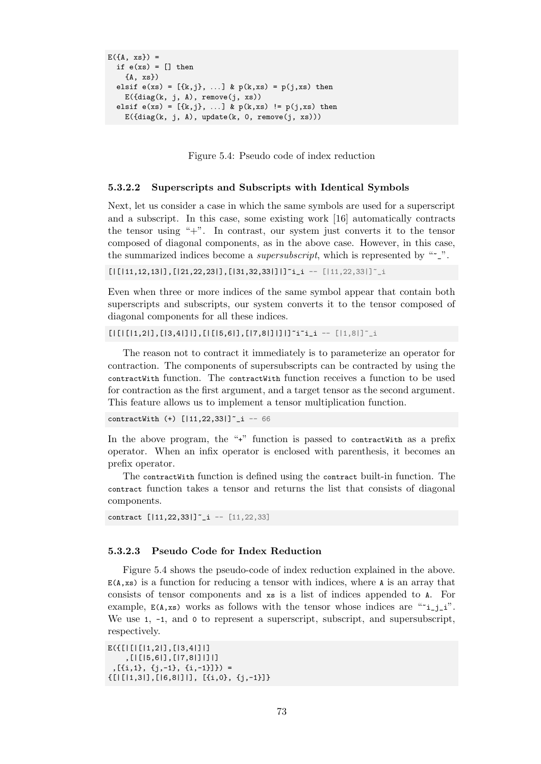```
E({A, xs}) =
  if e(xs) = [] then
    {A, xs})
  elsif e(xs) = [{k,j}, ...] & p(k, xs) = p(j, xs) then
    E(\text{diag}(k, j, A), \text{remove}(j, xs))elsif e(xs) = [{k,j}, ...] & p(k, xs) := p(j, xs) then
    E(\text{diag}(k, j, A), \text{update}(k, 0, \text{remove}(j, xs)))
```
Figure 5.4: Pseudo code of index reduction

#### **5.3.2.2 Superscripts and Subscripts with Identical Symbols**

Next, let us consider a case in which the same symbols are used for a superscript and a subscript. In this case, some existing work [16] automatically contracts the tensor using " $+$ ". In contrast, our system just converts it to the tensor composed of diagonal components, as in the above case. However, in this case, the summarized indices become a *supersubscript*, wh[ich](#page-101-1) is represented by "~\_".

 $[|[11,12,13|],[21,22,23|],[31,32,33|]]$ <sup>\*</sup>i\_i --  $[|11,22,33|]'$ <sup>\*</sup>\_i

Even when three or more indices of the same symbol appear that contain both superscripts and subscripts, our system converts it to the tensor composed of diagonal components for all these indices.

 $[|1|1,2|],[13,4|]1],[|15,6|],[17,8|]1]1]$ "i"i\_i --  $[|1,8|]$ "\_i

The reason not to contract it immediately is to parameterize an operator for contraction. The components of supersubscripts can be contracted by using the contractWith function. The contractWith function receives a function to be used for contraction as the first argument, and a target tensor as the second argument. This feature allows us to implement a tensor multiplication function.

contractWith (+)  $[|11, 22, 33|]$ <sup>-</sup>\_i -- 66

In the above program, the "+" function is passed to contract with as a prefix operator. When an infix operator is enclosed with parenthesis, it becomes an prefix operator.

The contractWith function is defined using the contract built-in function. The contract function takes a tensor and returns the list that consists of diagonal components.

```
contract [|11,22,33|]~_i -- [11,22,33]
```
### **5.3.2.3 Pseudo Code for Index Reduction**

Figure 5.4 shows the pseudo-code of index reduction explained in the above.  $E(A, xs)$  is a function for reducing a tensor with indices, where A is an array that consists of tensor components and xs is a list of indices appended to A. For example,  $E(A, xs)$  works as follows with the tensor whose indices are " $i_{j,i}$ ". We use 1,  $-1$ , and 0 to represent a superscript, subscript, and supersubscript, respectively.

```
E({[|[|[|1,2|],[|3,4|]|]
    ,[|[|5,6|],[|7,8|]|]|]
 ,[{i,1}, {j,-1}, {i,-1}]}) =
{[|[|1,3|],[|6,8|]|], [{i,0}, {j,-1}]}
```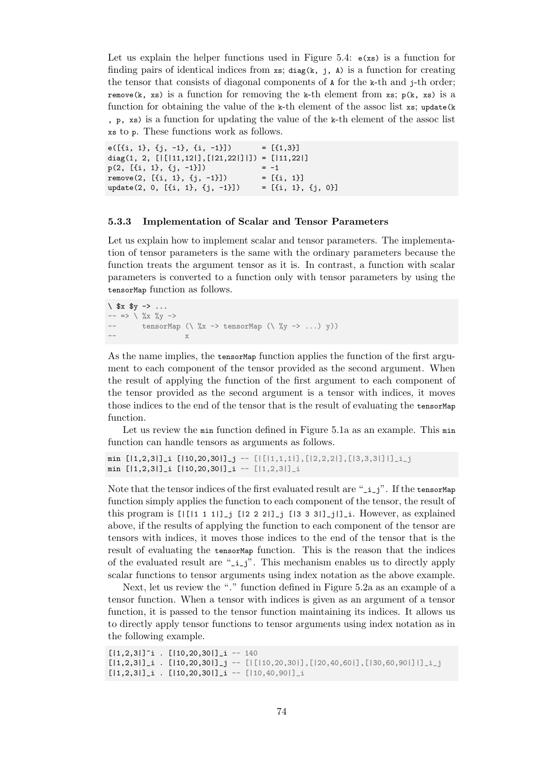Let us explain the helper functions used in Figure 5.4:  $\epsilon$ (xs) is a function for finding pairs of identical indices from  $xs$ ; diag(k, j, A) is a function for creating the tensor that consists of diagonal components of A for the k-th and j-th order; remove(k, xs) is a function for removing the k-th element from xs;  $p(k, xs)$  is a function for obtaining the value [of t](#page-82-0)he k-th element of the assoc list  $xs$ ; update(k , p, xs) is a function for updating the value of the k-th element of the assoc list xs to p. These functions work as follows.

e( $[\{i, 1\}, \{j, -1\}, \{i, -1\}]$ ) =  $[\{1, 3\}]$ diag(1, 2, [|[|11,12|],[|21,22|]|]) = [|11,22|]  $p(2, [\{i, 1\}, \{j, -1\}]) = -1$ remove(2,  $[\{i, 1\}, \{j, -1\}]$ ) =  $[\{i, 1\}]$ update(2, 0,  $[\{i, 1\}, \{j, -1\}]$ ) =  $[\{i, 1\}, \{j, 0\}]$ 

#### **5.3.3 Implementation of Scalar and Tensor Parameters**

Let us explain how to implement scalar and tensor parameters. The implementation of tensor parameters is the same with the ordinary parameters because the function treats the argument tensor as it is. In contrast, a function with scalar parameters is converted to a function only with tensor parameters by using the tensorMap function as follows.

```
\ \ \ \ $x \ $y \ \ \text{-&} \ \ \ldots-- \Rightarrow \sqrt{\ } %x %y ->
-- tensorMap (\frac{1}{2}x \rightarrow \text{tensorMap } (\frac{1}{2}y \rightarrow ... )y))-- x
```
As the name implies, the tensorMap function applies the function of the first argument to each component of the tensor provided as the second argument. When the result of applying the function of the first argument to each component of the tensor provided as the second argument is a tensor with indices, it moves those indices to the end of the tensor that is the result of evaluating the tensor Map function.

Let us review the min function defined in Figure 5.1a as an example. This min function can handle tensors as arguments as follows.

```
min [|1,2,3|]_i [|10,20,30|]_j -- [|[1,1,1|], [12,2,2|], [13,3,3|]|]_i_j
min [|1,2,3|]_i [|10,20,30|]_i -- [|1,2,3|]_i
```
Note that the tensor indices of the first evaluated result are " $-i-j$ ". If the tensorMap function simply applies the function to each component of the tensor, the result of this program is  $[|11111]_j$   $[1222]_j$   $[1333]_j]_j$ . However, as explained above, if the results of applying the function to each component of the tensor are tensors with indices, it moves those indices to the end of the tensor that is the result of evaluating the tensor Map function. This is the reason that the indices of the evaluated result are "\_i\_j". This mechanism enables us to directly apply scalar functions to tensor arguments using index notation as the above example.

Next, let us review the "." function defined in Figure 5.2a as an example of a tensor function. When a tensor with indices is given as an argument of a tensor function, it is passed to the tensor function maintaining its indices. It allows us to directly apply tensor functions to tensor arguments using index notation as in the following example.

```
[|1,2,3|]<sup>*</sup>i . [|10,20,30|]<sub>1</sub> -- 140
[|1,2,3|]_i . [|10,20,30|]_j -- [|10,20,30|],[|20,40,60|],[|30,60,90|]|]_i[|1,2,3|]_i . [|10,20,30|]_i -- [|10,40,90|]_i
```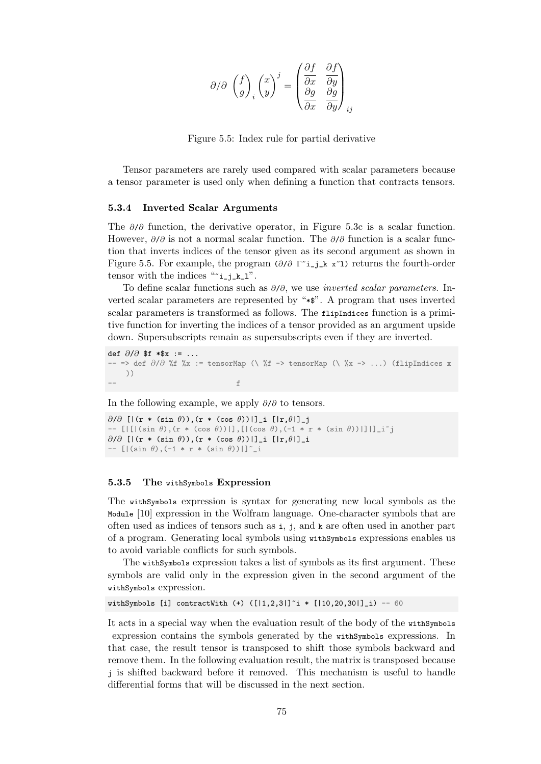$$
\partial/\partial\;\left(\frac{f}{g}\right)_i\left(\frac{x}{y}\right)^j=\begin{pmatrix}\frac{\partial f}{\partial x} & \frac{\partial f}{\partial y} \\ \frac{\partial g}{\partial x} & \frac{\partial g}{\partial y}\end{pmatrix}_{ij}
$$

Figure 5.5: Index rule for partial derivative

<span id="page-84-0"></span>Tensor parameters are rarely used compared with scalar parameters because a tensor parameter is used only when defining a function that contracts tensors.

#### **5.3.4 Inverted Scalar Arguments**

<span id="page-84-1"></span>The *∂*/*∂* function, the derivative operator, in Figure 5.3c is a scalar function. However, *∂*/*∂* is not a normal scalar function. The *∂*/*∂* function is a scalar function that inverts indices of the tensor given as its second argument as shown in Figure 5.5. For example, the program (*∂*/*∂* Γ~i\_j\_k x~l) [ret](#page-80-1)urns the fourth-order tensor with the indices " $i$ <sub>-j\_k\_l</sub>".

To define scalar functions such as *∂*/*∂*, we use *inverted scalar parameters*. Inverted scalar parameters are represented by "\*\$". A program that uses inverted scalar [para](#page-84-0)meters is transformed as follows. The flipIndices function is a primitive function for inverting the indices of a tensor provided as an argument upside down. Supersubscripts remain as supersubscripts even if they are inverted.

def *∂*/*∂* \$f \*\$x := ... -- => def *∂*/*∂* %f %x := tensorMap (\ %f -> tensorMap (\ %x -> ...) (flipIndices x ))  $\leftarrow$  for  $f$ 

In the following example, we apply *∂*/*∂* to tensors.

```
∂/∂ [|(r * (sin θ)),(r * (cos θ))|]_i [|r,θ|]_j
-- [|[|(sin θ),(r * (cos θ))|],[|(cos θ),(-1 * r * (sin θ))|]|]_i~j
∂/∂ [|(r * (sin θ)),(r * (cos θ))|]_i [|r,θ|]_i
-- [|(sin θ),(-1 * r * (sin θ))|]~_i
```
### **5.3.5 The** withSymbols **Expression**

The withSymbols expression is syntax for generating new local symbols as the Module [10] expression in the Wolfram language. One-character symbols that are often used as indices of tensors such as  $i$ , j, and  $k$  are often used in another part of a program. Generating local symbols using withSymbols expressions enables us to avoid variable conflicts for such symbols.

The [wi](#page-100-5)thSymbols expression takes a list of symbols as its first argument. These symbols are valid only in the expression given in the second argument of the withSymbols expression.

withSymbols [i] contractWith  $(+)$   $([1,2,3]]$ <sup> $\sim$ </sup>  $*$   $[10,20,30]]$ <sub>1</sub>) -- 60

It acts in a special way when the evaluation result of the body of the withSymbols expression contains the symbols generated by the withSymbols expressions. In that case, the result tensor is transposed to shift those symbols backward and remove them. In the following evaluation result, the matrix is transposed because j is shifted backward before it removed. This mechanism is useful to handle differential forms that will be discussed in the next section.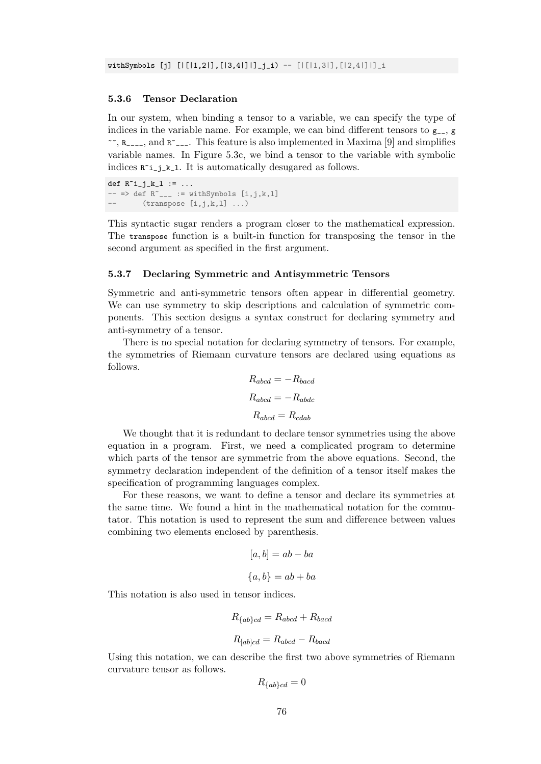### **5.3.6 Tensor Declaration**

<span id="page-85-1"></span>In our system, when binding a tensor to a variable, we can specify the type of indices in the variable name. For example, we can bind different tensors to  $g_{--}$ , g  $\sim$ ,  $R_{\text{max}}$ , and  $R_{\text{max}}$ . This feature is also implemented in Maxima [9] and simplifies variable names. In Figure 5.3c, we bind a tensor to the variable with symbolic indices  $R^i$ **\_j\_k\_1**. It is automatically desugared as follows.

def  $R^i$ i\_j\_k\_l := ...  $- \Rightarrow$  def  $R^{\sim}$   $==$   $\text{with}$  Symbols  $[i,j,k,l]$  $(\text{transpose } [i,j,k,l] \dots)$ 

This syntactic sugar renders a program closer to the mathematical expression. The transpose function is a built-in function for transposing the tensor in the second argument as specified in the first argument.

#### **5.3.7 Declaring Symmetric and Antisymmetric Tensors**

<span id="page-85-0"></span>Symmetric and anti-symmetric tensors often appear in differential geometry. We can use symmetry to skip descriptions and calculation of symmetric components. This section designs a syntax construct for declaring symmetry and anti-symmetry of a tensor.

There is no special notation for declaring symmetry of tensors. For example, the symmetries of Riemann curvature tensors are declared using equations as follows.

$$
R_{abcd} = -R_{bacd}
$$

$$
R_{abcd} = -R_{abdc}
$$

$$
R_{abcd} = R_{cdab}
$$

We thought that it is redundant to declare tensor symmetries using the above equation in a program. First, we need a complicated program to determine which parts of the tensor are symmetric from the above equations. Second, the symmetry declaration independent of the definition of a tensor itself makes the specification of programming languages complex.

For these reasons, we want to define a tensor and declare its symmetries at the same time. We found a hint in the mathematical notation for the commutator. This notation is used to represent the sum and difference between values combining two elements enclosed by parenthesis.

$$
[a, b] = ab - ba
$$

$$
\{a, b\} = ab + ba
$$

This notation is also used in tensor indices.

$$
R_{\{ab\}cd} = R_{abcd} + R_{bacd}
$$

$$
R_{[ab]cd} = R_{abcd} - R_{bacd}
$$

Using this notation, we can describe the first two above symmetries of Riemann curvature tensor as follows.

$$
R_{\{ab\}cd} = 0
$$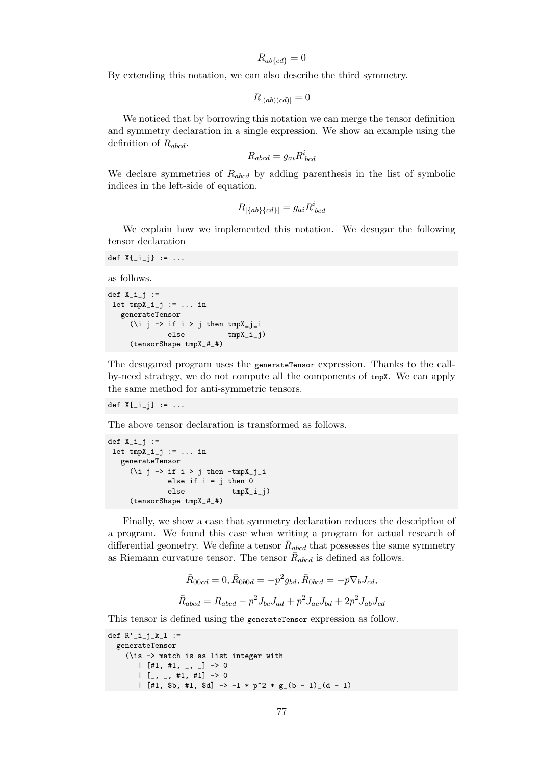$R_{ab{c}d} = 0$ 

By extending this notation, we can also describe the third symmetry.

$$
R_{[(ab)(cd)]} = 0
$$

We noticed that by borrowing this notation we can merge the tensor definition and symmetry declaration in a single expression. We show an example using the definition of *Rabcd*.

$$
R_{abcd} = g_{ai} R^i_{\ bcd}
$$

We declare symmetries of *Rabcd* by adding parenthesis in the list of symbolic indices in the left-side of equation.

$$
R_{[\{ab\}\{cd\}]}=g_{ai}R^i_{~bcd}
$$

We explain how we implemented this notation. We desugar the following tensor declaration

```
def X_{[-i]}\} := ...
```
as follows.

```
def X_i_i_j :=let tmpX_i_j := ... in
   generateTensor
      (\iota \text{ i } j \rightarrow \text{ if } i > j \text{ then } \text{tmpX}_j_ielse tmpX_i_j)(tensorShape tmpX_#_#)
```
The desugared program uses the generateTensor expression. Thanks to the callby-need strategy, we do not compute all the components of tmpX. We can apply the same method for anti-symmetric tensors.

def  $X[\_i_j] := \ldots$ 

The above tensor declaration is transformed as follows.

```
def X_i_j :=let tmpX_i_j := ... in
   generateTensor
      (\iota \text{ i } \rightarrow \text{ if } i > j \text{ then } -\text{tmpX}_i \text{ i }else if i = j then 0
                  else tmpX_i_j)(tensorShape tmpX_#_#)
```
Finally, we show a case that symmetry declaration reduces the description of a program. We found this case when writing a program for actual research of differential geometry. We define a tensor  $\bar{R}_{abcd}$  that possesses the same symmetry as Riemann curvature tensor. The tensor  $\bar{R}_{abcd}$  is defined as follows.

$$
\bar{R}_{00cd} = 0, \bar{R}_{0b0d} = -p^2 g_{bd}, \bar{R}_{0bcd} = -p \nabla_b J_{cd},
$$
  

$$
\bar{R}_{abcd} = R_{abcd} - p^2 J_{bc} J_{ad} + p^2 J_{ac} J_{bd} + 2p^2 J_{ab} J_{cd}
$$

This tensor is defined using the generateTensor expression as follow.

```
def R'_{i,j,k} :=
  generateTensor
     (\is -> match is as list integer with
         | [#1, #1, , _] -> 0
         | [<sub>-</sub>, <sub>-</sub>, #1, #1] -> 0
         | [#1, $b, #1, $d] -> -1 * p<sup>2</sup> * g<sub>-</sub>(b - 1)<sub>-</sub>(d - 1)
```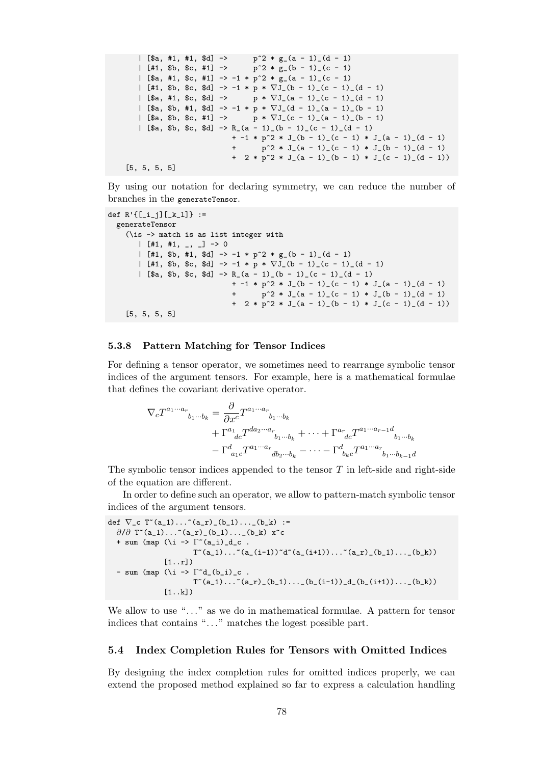```
| [\$a, #1, #1, \$d] -> p<sup>2</sup> * g<sub>(a</sub> - 1)(d - 1)
  | [#1, $b, $c, #1] -> p^2 * g_-(b - 1) (c - 1)| [\$a, #1, \$c, #1] \rightarrow -1 * p^2 * g_-(a - 1) (c - 1)| [#1, $b, $c, $d] -> -1 * p * ∇J_(b - 1)_(c - 1)_(d - 1)
                             p * \nabla J_{-}(a - 1)_{-}(c - 1)_{-}(d - 1)| [$a, $b, #1, $d] -> -1 * p * ∇J_(d - 1)_(a - 1)_(b - 1)
  | [$a, $b, $c, #1] -> p * ∇J_(c - 1)_(a - 1)_(b - 1)
   | [$a, $b, $c, $d] -> R_(a - 1)_(b - 1)_(c - 1)_(d - 1)
                         + -1 * p^2 * J_(b - 1)_(c - 1) * J_(a - 1)_(d - 1)
                         + p^2 * J(a - 1)(c - 1) * J(b - 1)(d - 1)+ 2 * p^2 * J_(a - 1)_(b - 1) * J_(c - 1)_(d - 1))
[5, 5, 5, 5]
```
By using our notation for declaring symmetry, we can reduce the number of branches in the generateTensor.

```
def R'{[_i_j][_k_l]} :=
  generateTensor
    (\is -> match is as list integer with
       | [#1, #1, , ] -> 0
       | [#1, $b, #1, $d] \rightarrow -1 * p^2 * g_-(b - 1) (d - 1)| [#1, $b, $c, $d] -> -1 * p * ∇J_(b - 1)_(c - 1)_(d - 1)
       | [$a, $b, $c, $d] \rightarrow R_{(a - 1)_{(b - 1)_{(c - 1)_{(d - 1)}}+ -1 * p^2 * J(b - 1)(c - 1) * J(a - 1)(d - 1)+ p^2 * J(a - 1)(c - 1) * J(b - 1)(d - 1)+ 2 * p^2 * J_(a - 1)_(b - 1) * J_(c - 1)_(d - 1))
    [5, 5, 5, 5]
```
#### <span id="page-87-1"></span>**5.3.8 Pattern Matching for Tensor Indices**

For defining a tensor operator, we sometimes need to rearrange symbolic tensor indices of the argument tensors. For example, here is a mathematical formulae that defines the covariant derivative operator.

$$
\nabla_c T^{a_1 \cdots a_r}_{b_1 \cdots b_k} = \frac{\partial}{\partial x^c} T^{a_1 \cdots a_r}_{b_1 \cdots b_k} + \Gamma^{a_1}_{dc} T^{d a_2 \cdots a_r}_{b_1 \cdots b_k} + \cdots + \Gamma^{a_r}_{dc} T^{a_1 \cdots a_{r-1}d}_{b_1 \cdots b_k} - \Gamma^{d}_{a_1 c} T^{a_1 \cdots a_r}_{db_2 \cdots b_k} - \cdots - \Gamma^{d}_{b_k c} T^{a_1 \cdots a_r}_{b_1 \cdots b_{k-1}d}
$$

The symbolic tensor indices appended to the tensor *T* in left-side and right-side of the equation are different.

In order to define such an operator, we allow to pattern-match symbolic tensor indices of the argument tensors.

```
def \nabla<sub>-</sub>c T<sup>~</sup>(a<sub>-</sub>1)...<sup>~</sup>(a<sub>-</sub>r)<sub>-</sub>(b<sub>-</sub>1)...<sub>-</sub>(b<sub>-</sub>k) :=
   ∂/∂ T<sup>~</sup>(a_1)...<sup>~</sup>(a_r)_(b_1)..._(b_k) x<sup>~</sup>c
   + sum (map (\iota \iota \rightarrow \Gamma^*(a_i)_d_c.
                                 T^{(a_1)\ldots (a_1-i_1)^d} T^{(a_1+i_1)\ldots (a_r)}[1..r]- sum (map (\iota \iota \rightarrow \Gamma^*d_{(b_i)}_c.
                                 T^*(a_1)\ldots^*(a_r)(b_1)\ldots(b_i)(i-1))d(b_i(i+1))\ldots(b_k)[1..k]
```
We allow to use "..." as we do in mathematical formulae. A pattern for tensor indices that contains "..." matches the logest possible part.

#### <span id="page-87-0"></span>**5.4 Index Completion Rules for Tensors with Omitted Indices**

By designing the index completion rules for omitted indices properly, we can extend the proposed method explained so far to express a calculation handling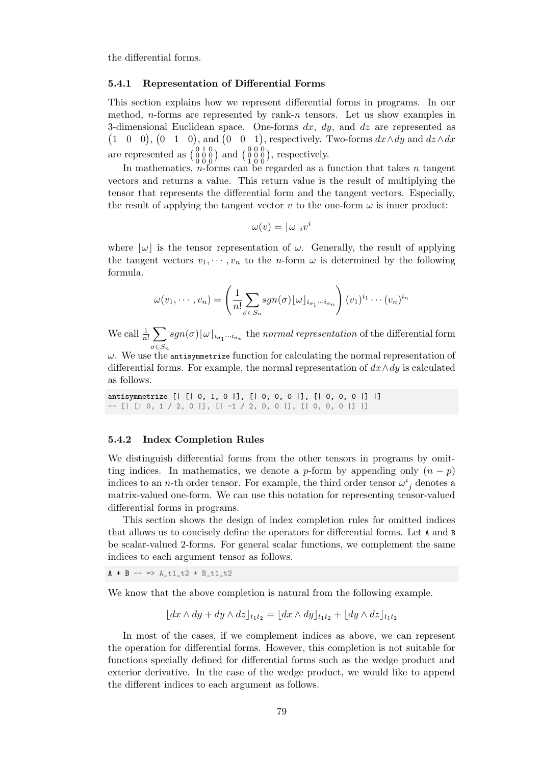the differential forms.

#### **5.4.1 Representation of Differential Forms**

This section explains how we represent differential forms in programs. In our method, *n*-forms are represented by rank-*n* tensors. Let us show examples in 3-dimensional Euclidean space. One-forms *dx*, *dy*, and *dz* are represented as  $(1 \ 0 \ 0)$ ,  $(0 \ 1 \ 0)$ , and  $(0 \ 0 \ 1)$ , respectively. Two-forms  $dx \wedge dy$  and  $dz \wedge dx$ are represented as  $\begin{pmatrix} 0 & 1 & 0 \\ 0 & 0 & 0 \\ 0 & 0 & 0 \end{pmatrix}$  and  $\begin{pmatrix} 0 & 0 & 0 \\ 0 & 0 & 0 \\ 1 & 0 & 0 \end{pmatrix}$ , respectively.

In mathematics, *n*-forms can be regarded as a function that takes *n* tangent vectors and returns a value. This return value is the result of multiplying the tensor that represents the differential form and the tangent vectors. Especially, the result of applying the tangent vector  $v$  to the one-form  $\omega$  is inner product:

$$
\omega(v) = \lfloor \omega \rfloor_i v^i
$$

where  $|\omega|$  is the tensor representation of  $\omega$ . Generally, the result of applying the tangent vectors  $v_1, \dots, v_n$  to the *n*-form  $\omega$  is determined by the following formula.

$$
\omega(v_1,\dots,v_n) = \left(\frac{1}{n!}\sum_{\sigma \in S_n} sgn(\sigma) \lfloor \omega \rfloor_{i_{\sigma_1}\cdots i_{\sigma_n}}\right) (v_1)^{i_1} \cdots (v_n)^{i_n}
$$

We call  $\frac{1}{n!} \sum$ *σ∈Sn*  $sgn(\sigma)$  $\lfloor \omega \rfloor$ <sup>*i*</sup> $\sigma_1 \cdots \sigma_n$  the *normal representation* of the differential form

 $\omega$ . We use the antisymmetrize function for calculating the normal representation of differential forms. For example, the normal representation of *dx∧dy* is calculated as follows.

antisymmetrize [| [| 0, 1, 0 |], [| 0, 0, 0 |], [| 0, 0, 0 |] |] -- [| [| 0, 1 / 2, 0 |], [| -1 / 2, 0, 0 |], [| 0, 0, 0 |] |]

#### <span id="page-88-0"></span>**5.4.2 Index Completion Rules**

We distinguish differential forms from the other tensors in programs by omitting indices. In mathematics, we denote a *p*-form by appending only  $(n - p)$ indices to an *n*-th order tensor. For example, the third order tensor  $\omega^i_{\ j}$  denotes a matrix-valued one-form. We can use this notation for representing tensor-valued differential forms in programs.

This section shows the design of index completion rules for omitted indices that allows us to concisely define the operators for differential forms. Let A and B be scalar-valued 2-forms. For general scalar functions, we complement the same indices to each argument tensor as follows.

 $A + B \rightarrow \text{A} t1_t2 + B_t1_t2$ 

We know that the above completion is natural from the following example.

$$
\left\lfloor dx \wedge dy + dy \wedge dz \right\rfloor_{t_1 t_2} = \left\lfloor dx \wedge dy \right\rfloor_{t_1 t_2} + \left\lfloor dy \wedge dz \right\rfloor_{t_1 t_2}
$$

In most of the cases, if we complement indices as above, we can represent the operation for differential forms. However, this completion is not suitable for functions specially defined for differential forms such as the wedge product and exterior derivative. In the case of the wedge product, we would like to append the different indices to each argument as follows.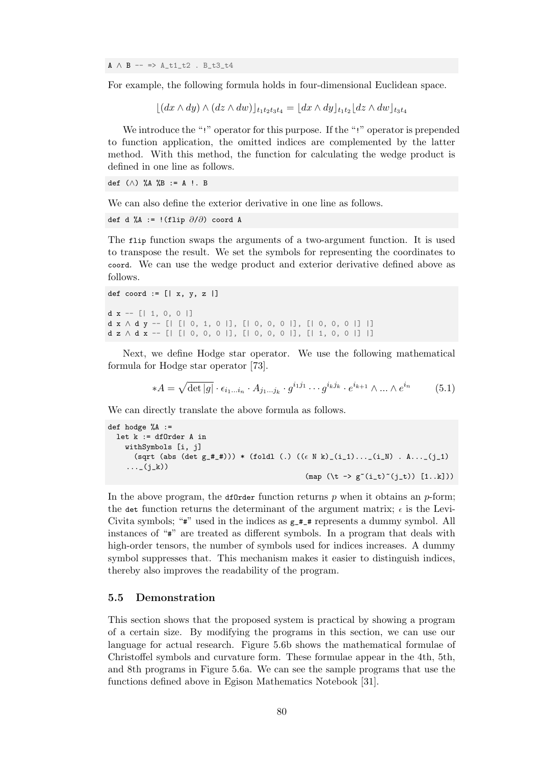A *∧* B -- => A\_t1\_t2 . B\_t3\_t4

For example, the following formula holds in four-dimensional Euclidean space.

 $\lfloor (dx \wedge dy) \wedge (dz \wedge dw) \rfloor_{t_1t_2t_3t_4} = \lfloor dx \wedge dy \rfloor_{t_1t_2} \lfloor dz \wedge dw \rfloor_{t_3t_4}$ 

We introduce the "!" operator for this purpose. If the "!" operator is prepended to function application, the omitted indices are complemented by the latter method. With this method, the function for calculating the wedge product is defined in one line as follows.

def (*∧*) %A %B := A !. B

We can also define the exterior derivative in one line as follows.

```
def d %A := !(flip ∂/∂) coord A
```
The flip function swaps the arguments of a two-argument function. It is used to transpose the result. We set the symbols for representing the coordinates to coord. We can use the wedge product and exterior derivative defined above as follows.

```
def coord := [ | x, y, z |]d \mathbf{x} -- [| 1, 0, 0 |]
d x ∧ d y -- [| [| 0, 1, 0 |], [| 0, 0, 0 |], [| 0, 0, 0 |] |]
d z ∧ d x -- [| [| 0, 0, 0 |], [| 0, 0, 0 |], [| 1, 0, 0 |] |]
```
Next, we define Hodge star operator. We use the following mathematical formula for Hodge star operator [73].

$$
*A = \sqrt{\det|g|} \cdot \epsilon_{i_1...i_n} \cdot A_{j_1...j_k} \cdot g^{i_1 j_1} \cdots g^{i_k j_k} \cdot e^{i_{k+1}} \wedge \dots \wedge e^{i_n}
$$
 (5.1)

We can directly translate the ab[ove](#page-105-4) formula as follows.

```
def hodge \%A :=
  let k := dfOrder A in
    withSymbols [i, j]
       (sqrt (abs (det g_#_#))) * (foldl (.) ((ϵ N k)_(i_1)..._(i_N) . A..._(j_1)
     \ldots (j_k))
                                                       (\text{map } (\forall t \rightarrow g^*(i_t)^*(j_t)) [1..k]))
```
In the above program, the determation returns  $p$  when it obtains an  $p$ -form; the det function returns the determinant of the argument matrix;  $\epsilon$  is the Levi-Civita symbols; " $\#$ " used in the indices as  $g_{\#}$  represents a dummy symbol. All instances of "#" are treated as different symbols. In a program that deals with high-order tensors, the number of symbols used for indices increases. A dummy symbol suppresses that. This mechanism makes it easier to distinguish indices, thereby also improves the readability of the program.

#### **5.5 Demonstration**

This section shows that the proposed system is practical by showing a program of a certain size. By modifying the programs in this section, we can use our language for actual research. Figure 5.6b shows the mathematical formulae of Christoffel symbols and curvature form. These formulae appear in the 4th, 5th, and 8th programs in Figure 5.6a. We can see the sample programs that use the functions defined above in Egison Ma[them](#page-90-0)atics Notebook [31].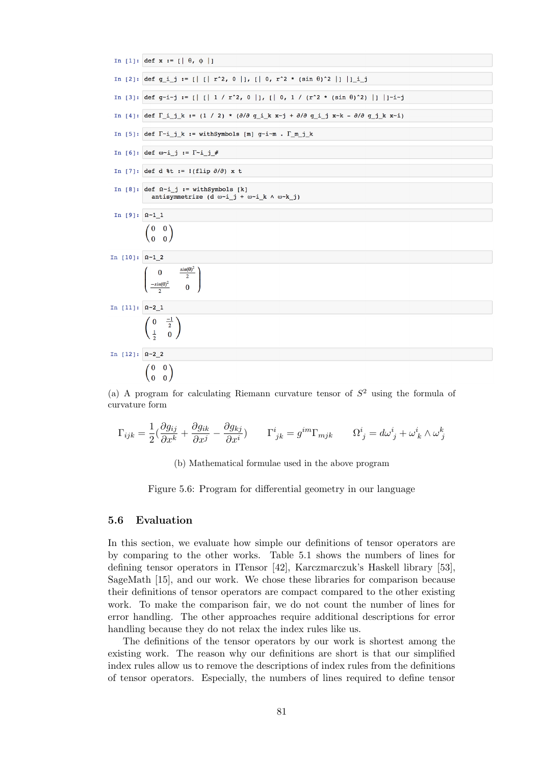<span id="page-90-0"></span>

(a) A program for calculating Riemann curvature tensor of *S* <sup>2</sup> using the formula of curvature form

$$
\Gamma_{ijk} = \frac{1}{2}(\frac{\partial g_{ij}}{\partial x^k} + \frac{\partial g_{ik}}{\partial x^j} - \frac{\partial g_{kj}}{\partial x^i}) \qquad \Gamma^i_{\ jk} = g^{im}\Gamma_{mjk} \qquad \Omega^i_{\ j} = d\omega^i_{\ j} + \omega^i_{\ k} \wedge \omega^k_{\ j}
$$

(b) Mathematical formulae used in the above program

Figure 5.6: Program for differential geometry in our language

#### **5.6 Evaluation**

In this section, we evaluate how simple our definitions of tensor operators are by comparing to the other works. Table 5.1 shows the numbers of lines for defining tensor operators in ITensor [42], Karczmarczuk's Haskell library [53], SageMath [15], and our work. We chose these libraries for comparison because their definitions of tensor operators are compact compared to the other existing work. To make the comparison fair, we d[o no](#page-91-0)t count the number of lines for error handling. The other approache[s re](#page-102-1)quire additional descriptions fore[rro](#page-103-2)r handling b[eca](#page-100-1)use they do not relax the index rules like us.

The definitions of the tensor operators by our work is shortest among the existing work. The reason why our definitions are short is that our simplified index rules allow us to remove the descriptions of index rules from the definitions of tensor operators. Especially, the numbers of lines required to define tensor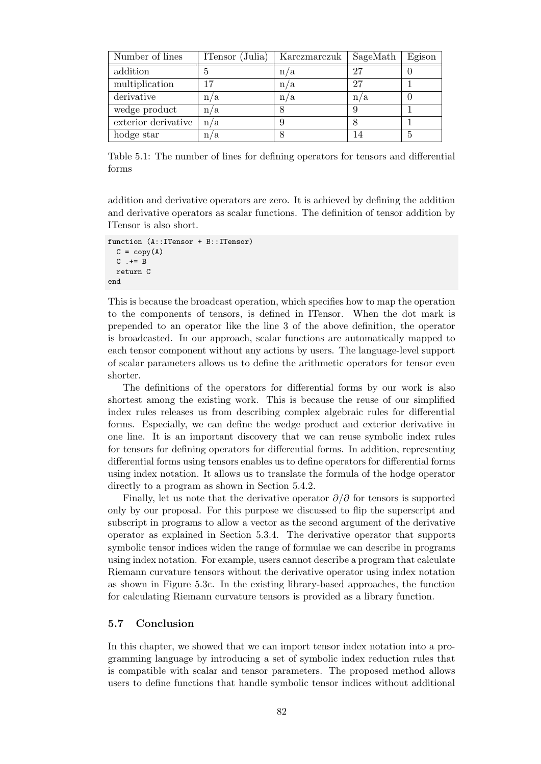<span id="page-91-0"></span>

| Number of lines     | ITensor (Julia) | Karczmarczuk | SageMath | Egison |
|---------------------|-----------------|--------------|----------|--------|
| addition            | 5               | n/a          | 27       |        |
| multiplication      | 17              | n/a          | 27       |        |
| derivative          | n/a             | n/a          | n/a      |        |
| wedge product       | n/a             |              |          |        |
| exterior derivative | n/a             |              |          |        |
| hodge star          | n/a             |              | 14       | 5      |

Table 5.1: The number of lines for defining operators for tensors and differential forms

addition and derivative operators are zero. It is achieved by defining the addition and derivative operators as scalar functions. The definition of tensor addition by ITensor is also short.

```
function (A::ITensor + B::ITensor)
 C = copy(A)C .+= B
 return C
end
```
This is because the broadcast operation, which specifies how to map the operation to the components of tensors, is defined in ITensor. When the dot mark is prepended to an operator like the line 3 of the above definition, the operator is broadcasted. In our approach, scalar functions are automatically mapped to each tensor component without any actions by users. The language-level support of scalar parameters allows us to define the arithmetic operators for tensor even shorter.

The definitions of the operators for differential forms by our work is also shortest among the existing work. This is because the reuse of our simplified index rules releases us from describing complex algebraic rules for differential forms. Especially, we can define the wedge product and exterior derivative in one line. It is an important discovery that we can reuse symbolic index rules for tensors for defining operators for differential forms. In addition, representing differential forms using tensors enables us to define operators for differential forms using index notation. It allows us to translate the formula of the hodge operator directly to a program as shown in Section 5.4.2.

Finally, let us note that the derivative operator *∂/∂* for tensors is supported only by our proposal. For this purpose we discussed to flip the superscript and subscript in programs to allow a vector as the second argument of the derivative operator as explained in Section 5.3.4. [The d](#page-88-0)erivative operator that supports symbolic tensor indices widen the range of formulae we can describe in programs using index notation. For example, users cannot describe a program that calculate Riemann curvature tensors without the derivative operator using index notation as shown in Figure 5.3c. In thee[xistin](#page-84-1)g library-based approaches, the function for calculating Riemann curvature tensors is provided as a library function.

# **5.7 Conclusion**

In this chapter, we showed that we can import tensor index notation into a programming language by introducing a set of symbolic index reduction rules that is compatible with scalar and tensor parameters. The proposed method allows users to define functions that handle symbolic tensor indices without additional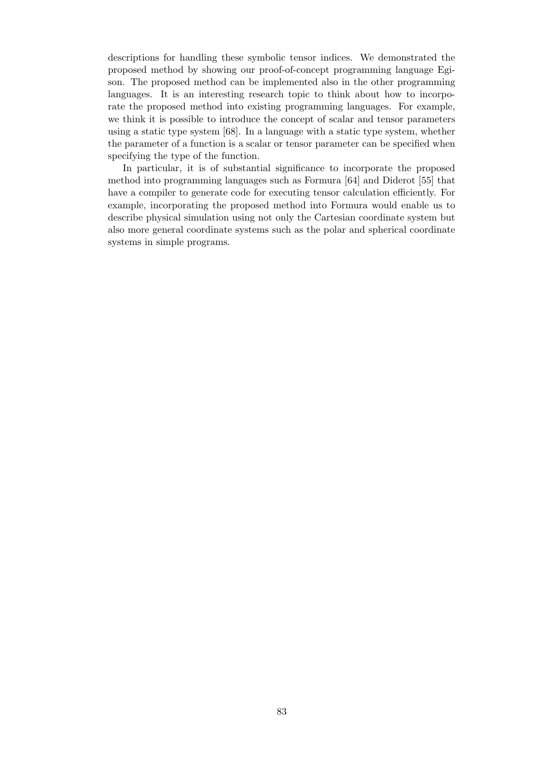descriptions for handling these symbolic tensor indices. We demonstrated the proposed method by showing our proof-of-concept programming language Egison. The proposed method can be implemented also in the other programming languages. It is an interesting research topic to think about how to incorporate the proposed method into existing programming languages. For example, we think it is possible to introduce the concept of scalar and tensor parameters using a static type system [68]. In a language with a static type system, whether the parameter of a function is a scalar or tensor parameter can be specified when specifying the type of the function.

In particular, it is of substantial significance to incorporate the proposed method into programming [lan](#page-104-4)guages such as Formura [64] and Diderot [55] that have a compiler to generate code for executing tensor calculation efficiently. For example, incorporating the proposed method into Formura would enable us to describe physical simulation using not only the Cartesian coordinate system but also more general coordinate systems such as the polar [an](#page-104-5)d spherical co[ord](#page-103-1)inate systems in simple programs.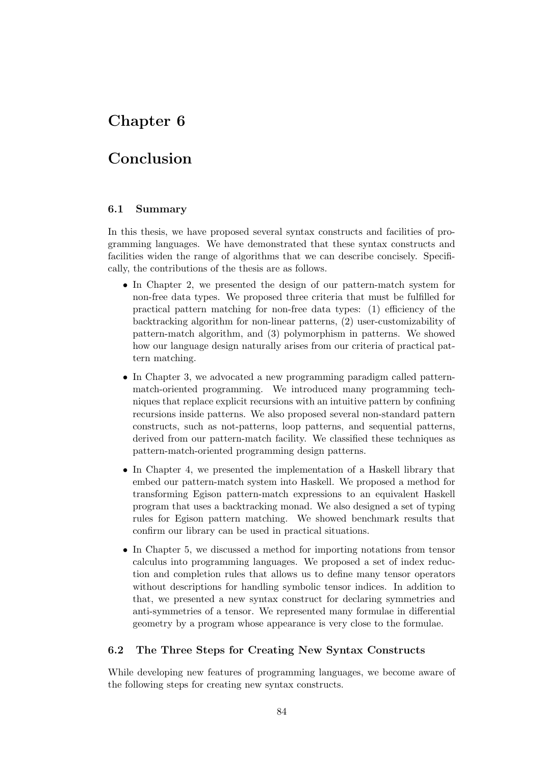# **Chapter 6**

# **Conclusion**

# **6.1 Summary**

In this thesis, we have proposed several syntax constructs and facilities of programming languages. We have demonstrated that these syntax constructs and facilities widen the range of algorithms that we can describe concisely. Specifically, the contributions of the thesis are as follows.

- In Chapter 2, we presented the design of our pattern-match system for non-free data types. We proposed three criteria that must be fulfilled for practical pattern matching for non-free data types: (1) efficiency of the backtracking algorithm for non-linear patterns, (2) user-customizability of pattern-mat[ch](#page-17-0) algorithm, and (3) polymorphism in patterns. We showed how our language design naturally arises from our criteria of practical pattern matching.
- In Chapter 3, we advocated a new programming paradigm called patternmatch-oriented programming. We introduced many programming techniques that replace explicit recursions with an intuitive pattern by confining recursions inside patterns. We also proposed several non-standard pattern constructs, [su](#page-37-0)ch as not-patterns, loop patterns, and sequential patterns, derived from our pattern-match facility. We classified these techniques as pattern-match-oriented programming design patterns.
- In Chapter 4, we presented the implementation of a Haskell library that embed our pattern-match system into Haskell. We proposed a method for transforming Egison pattern-match expressions to an equivalent Haskell program that uses a backtracking monad. We also designed a set of typing rules for E[gis](#page-58-0)on pattern matching. We showed benchmark results that confirm our library can be used in practical situations.
- In Chapter 5, we discussed a method for importing notations from tensor calculus into programming languages. We proposed a set of index reduction and completion rules that allows us to define many tensor operators without descriptions for handling symbolic tensor indices. In addition to that, we pr[es](#page-75-1)ented a new syntax construct for declaring symmetries and anti-symmetries of a tensor. We represented many formulae in differential geometry by a program whose appearance is very close to the formulae.

# **6.2 The Three Steps for Creating New Syntax Constructs**

While developing new features of programming languages, we become aware of the following steps for creating new syntax constructs.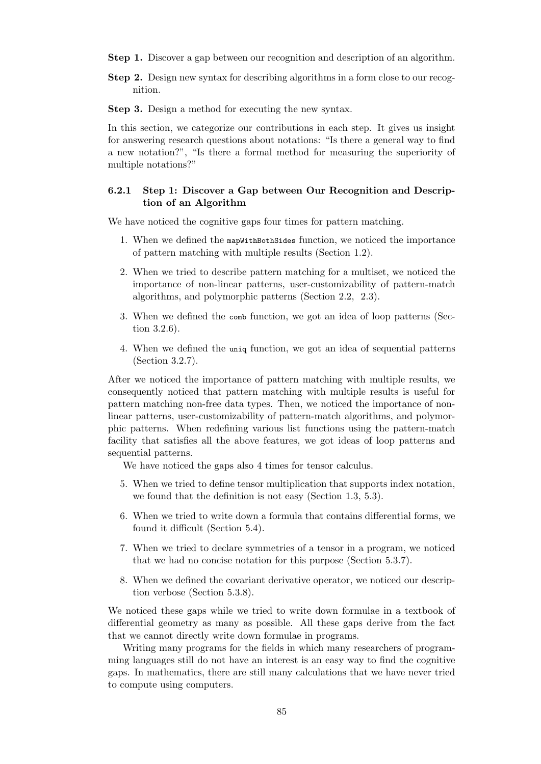- **Step 1.** Discover a gap between our recognition and description of an algorithm.
- **Step 2.** Design new syntax for describing algorithms in a form close to our recognition.

**Step 3.** Design a method for executing the new syntax.

In this section, we categorize our contributions in each step. It gives us insight for answering research questions about notations: "Is there a general way to find a new notation?", "Is there a formal method for measuring the superiority of multiple notations?"

# **6.2.1 Step 1: Discover a Gap between Our Recognition and Description of an Algorithm**

We have noticed the cognitive gaps four times for pattern matching.

- 1. When we defined the mapWithBothSides function, we noticed the importance of pattern matching with multiple results (Section 1.2).
- 2. When we tried to describe pattern matching for a multiset, we noticed the importance of non-linear patterns, user-customizability of pattern-match algorithms, and polymorphic patterns (Section 2.2, [2.](#page-11-0)3).
- 3. When we defined the comb function, we got an idea of loop patterns (Section 3.2.6).
- 4. When we defined the uniq function, we got an [ide](#page-19-0)a [of s](#page-21-0)equential patterns (Section 3.2.7).

After we [notice](#page-40-0)d the importance of pattern matching with multiple results, we consequently noticed that pattern matching with multiple results is useful for pattern match[ing n](#page-41-0)on-free data types. Then, we noticed the importance of nonlinear patterns, user-customizability of pattern-match algorithms, and polymorphic patterns. When redefining various list functions using the pattern-match facility that satisfies all the above features, we got ideas of loop patterns and sequential patterns.

We have noticed the gaps also 4 times for tensor calculus.

- 5. When we tried to define tensor multiplication that supports index notation, we found that the definition is not easy (Section 1.3, 5.3).
- 6. When we tried to write down a formula that contains differential forms, we found it difficult (Section 5.4).
- 7. When we tried to declare symmetries of a tensor [in](#page-14-0)a [pro](#page-78-0)gram, we noticed that we had no concise notation for this purpose (Section 5.3.7).
- 8. When we defined the cova[rian](#page-87-0)t derivative operator, we noticed our description verbose (Section 5.3.8).

We noticed these gaps while we tried to write down formulae [in a t](#page-85-0)extbook of differential geometry as many as possible. All these gaps derive from the fact that we cannot directly wri[te dow](#page-87-1)n formulae in programs.

Writing many programs for the fields in which many researchers of programming languages still do not have an interest is an easy way to find the cognitive gaps. In mathematics, there are still many calculations that we have never tried to compute using computers.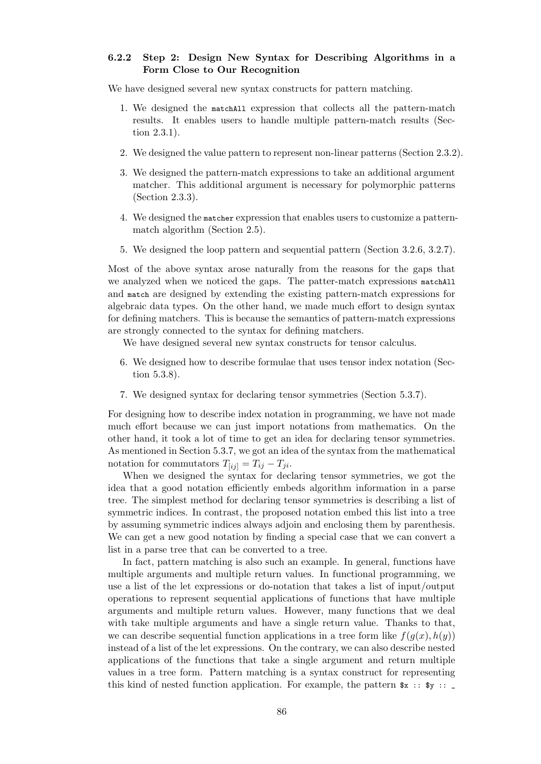# **6.2.2 Step 2: Design New Syntax for Describing Algorithms in a Form Close to Our Recognition**

We have designed several new syntax constructs for pattern matching.

- 1. We designed the matchAll expression that collects all the pattern-match results. It enables users to handle multiple pattern-match results (Section 2.3.1).
- 2. We designed the value pattern to represent non-linear patterns (Section 2.3.2).
- 3. We [design](#page-21-1)ed the pattern-match expressions to take an additional argument matcher. This additional argument is necessary for polymorphic patterns (Section 2.3.3).
- 4. We designed the matcher expression that enables users to customize a patternmatch algorithm (Section 2.5).
- 5. We desig[ned t](#page-23-0)he loop pattern and sequential pattern (Section 3.2.6, 3.2.7).

Most of the above syntax aros[e n](#page-28-0)aturally from the reasons for the gaps that we analyzed when we noticed the gaps. The patter-match expressions matchall and match are designed by extending the existing pattern-match ex[pressi](#page-40-0)[ons fo](#page-41-0)r algebraic data types. On the other hand, we made much effort to design syntax for defining matchers. This is because the semantics of pattern-match expressions are strongly connected to the syntax for defining matchers.

We have designed several new syntax constructs for tensor calculus.

- 6. We designed how to describe formulae that uses tensor index notation (Section 5.3.8).
- 7. We designed syntax for declaring tensor symmetries (Section 5.3.7).

For design[ing h](#page-87-1)ow to describe index notation in programming, we have not made much effort because we can just import notations from mathematics. On the other hand, it took a lot of time to get an idea for declaring tenso[r sym](#page-85-0)metries. As mentioned in Section 5.3.7, we got an idea of the syntax from the mathematical notation for commutators  $T_{[ij]} = T_{ij} - T_{ji}$ .

When we designed the syntax for declaring tensor symmetries, we got the idea that a good notation efficiently embeds algorithm information in a parse tree. The simplest meth[od fo](#page-85-0)r declaring tensor symmetries is describing a list of symmetric indices. In contrast, the proposed notation embed this list into a tree by assuming symmetric indices always adjoin and enclosing them by parenthesis. We can get a new good notation by finding a special case that we can convert a list in a parse tree that can be converted to a tree.

In fact, pattern matching is also such an example. In general, functions have multiple arguments and multiple return values. In functional programming, we use a list of the let expressions or do-notation that takes a list of input/output operations to represent sequential applications of functions that have multiple arguments and multiple return values. However, many functions that we deal with take multiple arguments and have a single return value. Thanks to that, we can describe sequential function applications in a tree form like  $f(q(x), h(y))$ instead of a list of the let expressions. On the contrary, we can also describe nested applications of the functions that take a single argument and return multiple values in a tree form. Pattern matching is a syntax construct for representing this kind of nested function application. For example, the pattern  $x : : y : \square$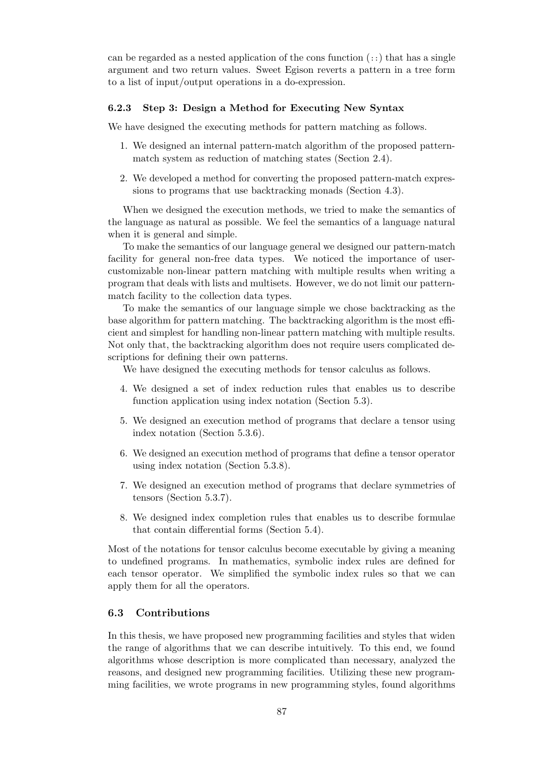can be regarded as a nested application of the cons function  $(::)$  that has a single argument and two return values. Sweet Egison reverts a pattern in a tree form to a list of input/output operations in a do-expression.

## **6.2.3 Step 3: Design a Method for Executing New Syntax**

We have designed the executing methods for pattern matching as follows.

- 1. We designed an internal pattern-match algorithm of the proposed patternmatch system as reduction of matching states (Section 2.4).
- 2. We developed a method for converting the proposed pattern-match expressions to programs that use backtracking monads (Section 4.3).

When we designed the execution methods, we tried to ma[ke t](#page-25-0)he semantics of the language as natural as possible. We feel the semantics of a language natural when it is general and simple.

To make the semantics of our language general we designed our pattern-match facility for general non-free data types. We noticed the importance of usercustomizable non-linear pattern matching with multiple results when writing a program that deals with lists and multisets. However, we do not limit our patternmatch facility to the collection data types.

To make the semantics of our language simple we chose backtracking as the base algorithm for pattern matching. The backtracking algorithm is the most efficient and simplest for handling non-linear pattern matching with multiple results. Not only that, the backtracking algorithm does not require users complicated descriptions for defining their own patterns.

We have designed the executing methods for tensor calculus as follows.

- 4. We designed a set of index reduction rules that enables us to describe function application using index notation (Section 5.3).
- 5. We designed an execution method of programs that declare a tensor using index notation (Section 5.3.6).
- 6. We designed an execution method of programs that [defi](#page-78-0)ne a tensor operator using index notation (Section 5.3.8).
- 7. We designed an executi[on me](#page-85-1)thod of programs that declare symmetries of tensors (Section 5.3.7).
- 8. We designed index completio[n rule](#page-87-1)s that enables us to describe formulae that contain differential forms (Section 5.4).

Most of the notations [for te](#page-85-0)nsor calculus become executable by giving a meaning to undefined programs. In mathematics, symbolic index rules are defined for each tensor operator. We simplified the sy[mbo](#page-87-0)lic index rules so that we can apply them for all the operators.

# **6.3 Contributions**

In this thesis, we have proposed new programming facilities and styles that widen the range of algorithms that we can describe intuitively. To this end, we found algorithms whose description is more complicated than necessary, analyzed the reasons, and designed new programming facilities. Utilizing these new programming facilities, we wrote programs in new programming styles, found algorithms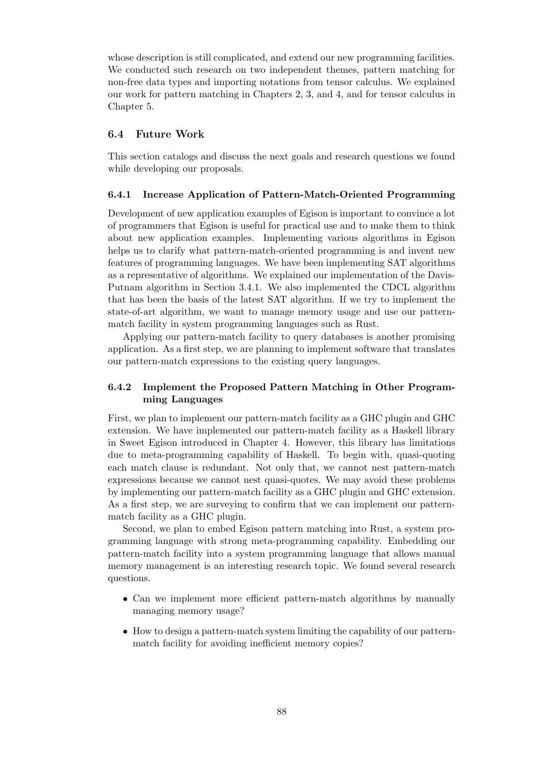whose description is still complicated, and extend our new programming facilities. We conducted such research on two independent themes, pattern matching for non-free data types and importing notations from tensor calculus. We explained our work for pattern matching in Chapters 2, 3, and 4, and for tensor calculus in Chapter 5.

# **6.4 Future Work**

This sec[tio](#page-75-1)n catalogs and discuss the next goals and research questions we found while developing our proposals.

## **6.4.1 Increase Application of Pattern-Match-Oriented Programming**

Development of new application examples of Egison is important to convince a lot of programmers that Egison is useful for practical use and to make them to think about new application examples. Implementing various algorithms in Egison helps us to clarify what pattern-match-oriented programming is and invent new features of programming languages. We have been implementing SAT algorithms as a representative of algorithms. We explained our implementation of the Davis-Putnam algorithm in Section 3.4.1. We also implemented the CDCL algorithm that has been the basis of the latest SAT algorithm. If we try to implement the state-of-art algorithm, we want to manage memory usage and use our patternmatch facility in system programming languages such as Rust.

Applying our pattern-mat[ch fac](#page-48-0)ility to query databases is another promising application. As a first step, we are planning to implement software that translates our pattern-match expressions to the existing query languages.

# **6.4.2 Implement the Proposed Pattern Matching in Other Programming Languages**

First, we plan to implement our pattern-match facility as a GHC plugin and GHC extension. We have implemented our pattern-match facility as a Haskell library in Sweet Egison introduced in Chapter 4. However, this library has limitations due to meta-programming capability of Haskell. To begin with, quasi-quoting each match clause is redundant. Not only that, we cannot nest pattern-match expressions because we cannot nest quasi-quotes. We may avoid these problems by implementing our pattern-match facil[it](#page-58-0)y as a GHC plugin and GHC extension. As a first step, we are surveying to confirm that we can implement our patternmatch facility as a GHC plugin.

Second, we plan to embed Egison pattern matching into Rust, a system programming language with strong meta-programming capability. Embedding our pattern-match facility into a system programming language that allows manual memory management is an interesting research topic. We found several research questions.

- Can we implement more efficient pattern-match algorithms by manually managing memory usage?
- How to design a pattern-match system limiting the capability of our patternmatch facility for avoiding inefficient memory copies?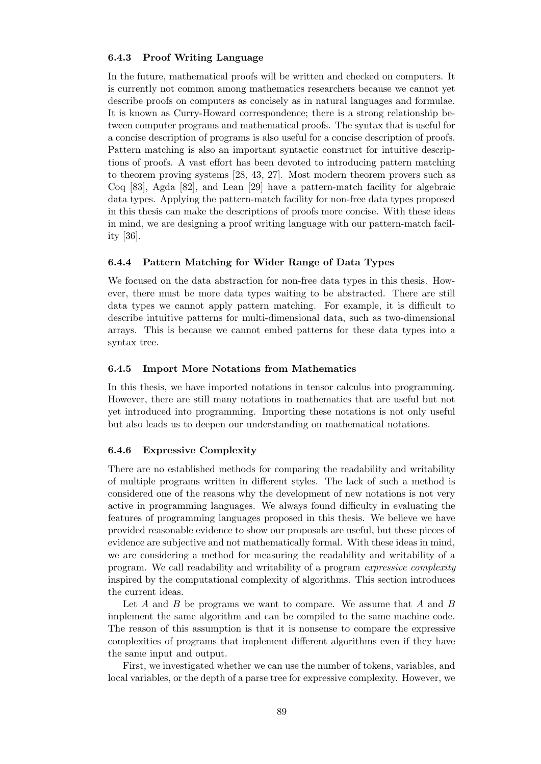# **6.4.3 Proof Writing Language**

In the future, mathematical proofs will be written and checked on computers. It is currently not common among mathematics researchers because we cannot yet describe proofs on computers as concisely as in natural languages and formulae. It is known as Curry-Howard correspondence; there is a strong relationship between computer programs and mathematical proofs. The syntax that is useful for a concise description of programs is also useful for a concise description of proofs. Pattern matching is also an important syntactic construct for intuitive descriptions of proofs. A vast effort has been devoted to introducing pattern matching to theorem proving systems [28, 43, 27]. Most modern theorem provers such as Coq [83], Agda [82], and Lean [29] have a pattern-match facility for algebraic data types. Applying the pattern-match facility for non-free data types proposed in this thesis can make the descriptions of proofs more concise. With these ideas in mind, we are designing a p[roo](#page-101-3)f [w](#page-103-3)r[itin](#page-101-4)g language with our pattern-match facility [3[6\].](#page-105-5)

## **6.4.4 Pattern Matching for Wider Range of Data Types**

We [foc](#page-102-2)used on the data abstraction for non-free data types in this thesis. However, there must be more data types waiting to be abstracted. There are still data types we cannot apply pattern matching. For example, it is difficult to describe intuitive patterns for multi-dimensional data, such as two-dimensional arrays. This is because we cannot embed patterns for these data types into a syntax tree.

# **6.4.5 Import More Notations from Mathematics**

In this thesis, we have imported notations in tensor calculus into programming. However, there are still many notations in mathematics that are useful but not yet introduced into programming. Importing these notations is not only useful but also leads us to deepen our understanding on mathematical notations.

#### **6.4.6 Expressive Complexity**

There are no established methods for comparing the readability and writability of multiple programs written in different styles. The lack of such a method is considered one of the reasons why the development of new notations is not very active in programming languages. We always found difficulty in evaluating the features of programming languages proposed in this thesis. We believe we have provided reasonable evidence to show our proposals are useful, but these pieces of evidence are subjective and not mathematically formal. With these ideas in mind, we are considering a method for measuring the readability and writability of a program. We call readability and writability of a program *expressive complexity* inspired by the computational complexity of algorithms. This section introduces the current ideas.

Let *A* and *B* be programs we want to compare. We assume that *A* and *B* implement the same algorithm and can be compiled to the same machine code. The reason of this assumption is that it is nonsense to compare the expressive complexities of programs that implement different algorithms even if they have the same input and output.

First, we investigated whether we can use the number of tokens, variables, and local variables, or the depth of a parse tree for expressive complexity. However, we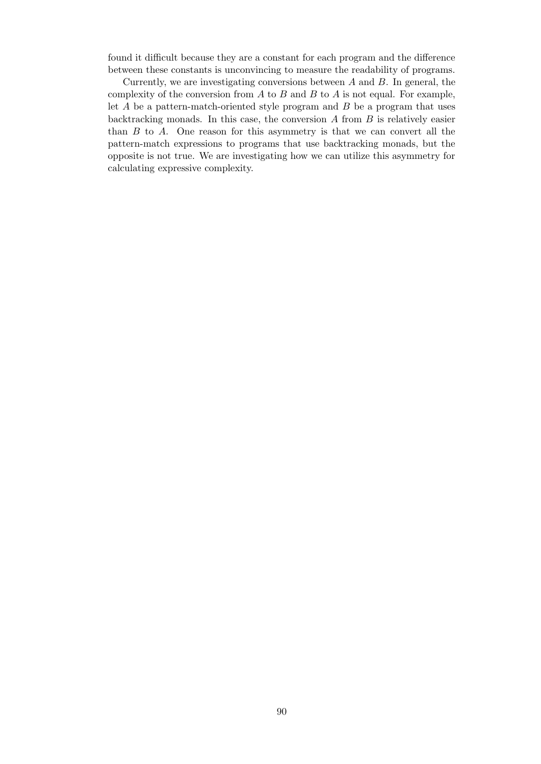found it difficult because they are a constant for each program and the difference between these constants is unconvincing to measure the readability of programs.

Currently, we are investigating conversions between *A* and *B*. In general, the complexity of the conversion from *A* to *B* and *B* to *A* is not equal. For example, let *A* be a pattern-match-oriented style program and *B* be a program that uses backtracking monads. In this case, the conversion *A* from *B* is relatively easier than *B* to *A*. One reason for this asymmetry is that we can convert all the pattern-match expressions to programs that use backtracking monads, but the opposite is not true. We are investigating how we can utilize this asymmetry for calculating expressive complexity.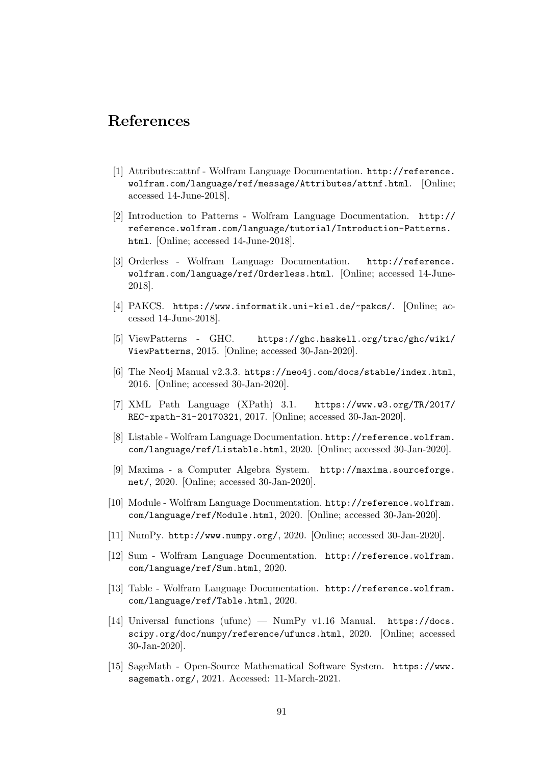# **References**

- [1] Attributes::attnf Wolfram Language Documentation. http://reference. wolfram.com/language/ref/message/Attributes/attnf.html. [Online; accessed 14-June-2018].
- [2] Introduction to Patterns Wolfram Language Docu[mentation.](http://reference.wolfram.com/language/ref/message/Attributes/attnf.html) http:// [reference.wolfram.com/language/tutorial/Introduction-P](http://reference.wolfram.com/language/ref/message/Attributes/attnf.html)atterns. html. [Online; accessed 14-June-2018].
- [3] Orderless Wolfram Language Documentation. http://re[ference.](http://reference.wolfram.com/language/tutorial/Introduction-Patterns.html) [wolfram.com/language/ref/Orderless.html](http://reference.wolfram.com/language/tutorial/Introduction-Patterns.html). [Online; accessed 14-June-[2018\]](http://reference.wolfram.com/language/tutorial/Introduction-Patterns.html).
- [4] PAKCS. https://www.informatik.uni-kiel.de/~pakcs/[. \[Online; ac](http://reference.wolfram.com/language/ref/Orderless.html)[cessed 14-June-2018\].](http://reference.wolfram.com/language/ref/Orderless.html)
- [5] ViewPatterns GHC. https://ghc.haskell.org/trac/ghc/wiki/ ViewPatterns[, 2015. \[Online; accessed 30-Jan-2020\].](https://www.informatik.uni-kiel.de/~pakcs/)
- [6] The Neo4j Manual v2.3.3. https://neo4j.com/docs/stable/index.html, 2016. [Online; accessed 30-Ja[n-2020\].](https://ghc.haskell.org/trac/ghc/wiki/ViewPatterns)
- [7] [XML Path L](https://ghc.haskell.org/trac/ghc/wiki/ViewPatterns)anguage (XPath) 3.1. https://www.w3.org/TR/2017/ REC-xpath-31-20170321, [2017. \[Online; accessed 30-Jan-2020\].](https://neo4j.com/docs/stable/index.html)
- [8] Listable Wolfram Language Documentation. http://reference.wolfram. com/language/ref/Listable.html, 2020. [\[Online; accessed 30-Jan-2020\].](https://www.w3.org/TR/2017/REC-xpath-31-20170321)
- <span id="page-100-2"></span>[9] [Maxima - a Computer A](https://www.w3.org/TR/2017/REC-xpath-31-20170321)lgebra System. http://maxima.sourceforge. net/, 2020. [Online; accessed 30-Jan-2020].
- <span id="page-100-4"></span>[10] [Module - Wolfram Language Docume](http://reference.wolfram.com/language/ref/Listable.html)ntation. http://reference.wolfram. com/language/ref/Module.html, 2020. [O[nline; accessed 30-Jan-2020\].](http://maxima.sourceforge.net/)
- <span id="page-100-5"></span>[11] [Num](http://maxima.sourceforge.net/)Py. http://www.numpy.org/, 2020. [Online; accessed 30-Jan-2020].
- [12] [Sum Wolfram Language Docum](http://reference.wolfram.com/language/ref/Module.html)entation. [http://reference.wolfram.](http://reference.wolfram.com/language/ref/Module.html) com/language/ref/Sum.html, 2020.
- <span id="page-100-0"></span>[13] Table - [Wolfram Language Docum](http://www.numpy.org/)entation. http://reference.wolfram. com/language/ref/Table.html, 2020.
- [14] [Universal functions \(ufunc\) —](http://reference.wolfram.com/language/ref/Sum.html) NumPy v1.16 Manual. https://docs. scipy.org/doc/numpy/reference/ufuncs.html[, 2020. \[Online; accessed](http://reference.wolfram.com/language/ref/Table.html) [30-Jan-2020\].](http://reference.wolfram.com/language/ref/Table.html)
- <span id="page-100-3"></span><span id="page-100-1"></span>[15] SageMath - Open-Source Mathematical Software System. [https://www.](https://docs.scipy.org/doc/numpy/reference/ufuncs.html) sagemath.org/[, 2021. Accessed: 11-March-2021.](https://docs.scipy.org/doc/numpy/reference/ufuncs.html)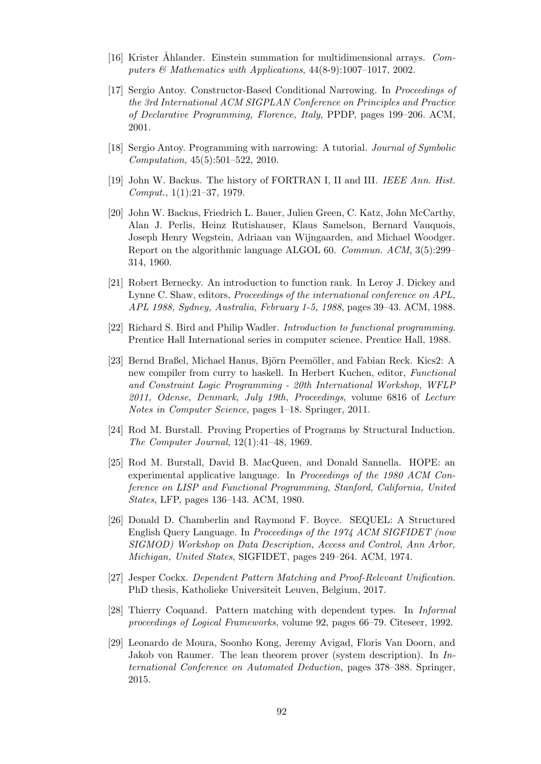- <span id="page-101-1"></span>[16] Krister Ahlander. Einstein summation for multidimensional arrays. *Computers & Mathematics with Applications*, 44(8-9):1007–1017, 2002.
- [17] Sergio Antoy. Constructor-Based Conditional Narrowing. In *Proceedings of the 3rd International ACM SIGPLAN Conference on Principles and Practice of Declarative Programming, Florence, Italy*, PPDP, pages 199–206. ACM, 2001.
- [18] Sergio Antoy. Programming with narrowing: A tutorial. *Journal of Symbolic Computation*, 45(5):501–522, 2010.
- [19] John W. Backus. The history of FORTRAN I, II and III. *IEEE Ann. Hist. Comput.*, 1(1):21–37, 1979.
- [20] John W. Backus, Friedrich L. Bauer, Julien Green, C. Katz, John McCarthy, Alan J. Perlis, Heinz Rutishauser, Klaus Samelson, Bernard Vauquois, Joseph Henry Wegstein, Adriaan van Wijngaarden, and Michael Woodger. Report on the algorithmic language ALGOL 60. *Commun. ACM*, 3(5):299– 314, 1960.
- <span id="page-101-2"></span>[21] Robert Bernecky. An introduction to function rank. In Leroy J. Dickey and Lynne C. Shaw, editors, *Proceedings of the international conference on APL, APL 1988, Sydney, Australia, February 1-5, 1988*, pages 39–43. ACM, 1988.
- <span id="page-101-0"></span>[22] Richard S. Bird and Philip Wadler. *Introduction to functional programming*. Prentice Hall International series in computer science. Prentice Hall, 1988.
- [23] Bernd Braßel, Michael Hanus, Björn Peemöller, and Fabian Reck. Kics2: A new compiler from curry to haskell. In Herbert Kuchen, editor, *Functional and Constraint Logic Programming - 20th International Workshop, WFLP 2011, Odense, Denmark, July 19th, Proceedings*, volume 6816 of *Lecture Notes in Computer Science*, pages 1–18. Springer, 2011.
- [24] Rod M. Burstall. Proving Properties of Programs by Structural Induction. *The Computer Journal*, 12(1):41–48, 1969.
- [25] Rod M. Burstall, David B. MacQueen, and Donald Sannella. HOPE: an experimental applicative language. In *Proceedings of the 1980 ACM Conference on LISP and Functional Programming, Stanford, California, United States*, LFP, pages 136–143. ACM, 1980.
- [26] Donald D. Chamberlin and Raymond F. Boyce. SEQUEL: A Structured English Query Language. In *Proceedings of the 1974 ACM SIGFIDET (now SIGMOD) Workshop on Data Description, Access and Control, Ann Arbor, Michigan, United States*, SIGFIDET, pages 249–264. ACM, 1974.
- <span id="page-101-4"></span>[27] Jesper Cockx. *Dependent Pattern Matching and Proof-Relevant Unification*. PhD thesis, Katholieke Universiteit Leuven, Belgium, 2017.
- <span id="page-101-3"></span>[28] Thierry Coquand. Pattern matching with dependent types. In *Informal proceedings of Logical Frameworks*, volume 92, pages 66–79. Citeseer, 1992.
- [29] Leonardo de Moura, Soonho Kong, Jeremy Avigad, Floris Van Doorn, and Jakob von Raumer. The lean theorem prover (system description). In *International Conference on Automated Deduction*, pages 378–388. Springer, 2015.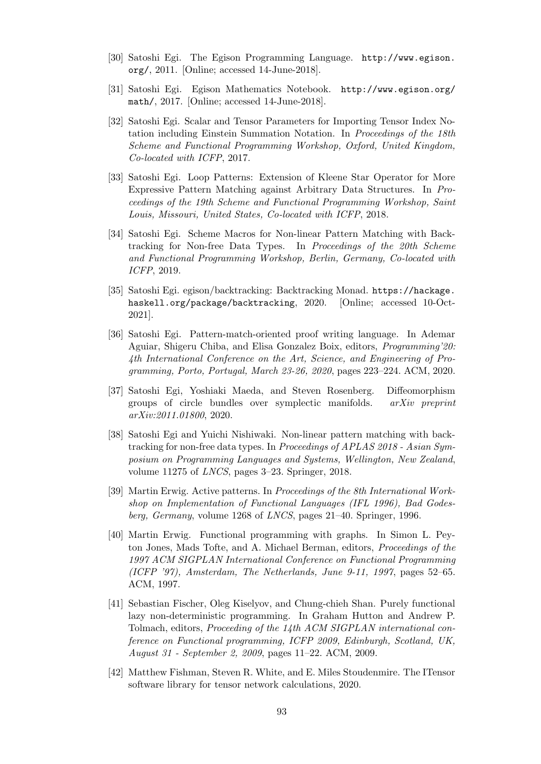- [30] Satoshi Egi. The Egison Programming Language. http://www.egison. org/, 2011. [Online; accessed 14-June-2018].
- [31] Satoshi Egi. Egison Mathematics Notebook. http://www.egison.org/ math/, 2017. [Online; accessed 14-June-2018].
- [32] [Satos](http://www.egison.org/)hi Egi. Scalar and Tensor Parameters for Importing Tensor Index Notation including Einstein Summation Notation. In *[Proceedings of the 18th](http://www.egison.org/math/) [Schem](http://www.egison.org/math/)e and Functional Programming Workshop, Oxford, United Kingdom, Co-located with ICFP*, 2017.
- [33] Satoshi Egi. Loop Patterns: Extension of Kleene Star Operator for More Expressive Pattern Matching against Arbitrary Data Structures. In *Proceedings of the 19th Scheme and Functional Programming Workshop, Saint Louis, Missouri, United States, Co-located with ICFP*, 2018.
- [34] Satoshi Egi. Scheme Macros for Non-linear Pattern Matching with Backtracking for Non-free Data Types. In *Proceedings of the 20th Scheme and Functional Programming Workshop, Berlin, Germany, Co-located with ICFP*, 2019.
- <span id="page-102-0"></span>[35] Satoshi Egi. egison/backtracking: Backtracking Monad. https://hackage. haskell.org/package/backtracking, 2020. [Online; accessed 10-Oct-2021].
- [36] Satoshi Egi. Pattern-match-oriented proof writing lan[guage. In Ademar](https://hackage.haskell.org/package/backtracking) [Aguiar, Shigeru Chiba, and Elisa Gonz](https://hackage.haskell.org/package/backtracking)alez Boix, editors, *Programming'20: 4th International Conference on the Art, Science, and Engineering of Programming, Porto, Portugal, March 23-26, 2020*, pages 223–224. ACM, 2020.
- <span id="page-102-2"></span>[37] Satoshi Egi, Yoshiaki Maeda, and Steven Rosenberg. Diffeomorphism groups of circle bundles over symplectic manifolds. *arXiv preprint arXiv:2011.01800*, 2020.
- [38] Satoshi Egi and Yuichi Nishiwaki. Non-linear pattern matching with backtracking for non-free data types. In *Proceedings of APLAS 2018 - Asian Symposium on Programming Languages and Systems, Wellington, New Zealand*, volume 11275 of *LNCS*, pages 3–23. Springer, 2018.
- [39] Martin Erwig. Active patterns. In *Proceedings of the 8th International Workshop on Implementation of Functional Languages (IFL 1996), Bad Godesberg, Germany*, volume 1268 of *LNCS*, pages 21–40. Springer, 1996.
- [40] Martin Erwig. Functional programming with graphs. In Simon L. Peyton Jones, Mads Tofte, and A. Michael Berman, editors, *Proceedings of the 1997 ACM SIGPLAN International Conference on Functional Programming (ICFP '97), Amsterdam, The Netherlands, June 9-11, 1997*, pages 52–65. ACM, 1997.
- [41] Sebastian Fischer, Oleg Kiselyov, and Chung-chieh Shan. Purely functional lazy non-deterministic programming. In Graham Hutton and Andrew P. Tolmach, editors, *Proceeding of the 14th ACM SIGPLAN international conference on Functional programming, ICFP 2009, Edinburgh, Scotland, UK, August 31 - September 2, 2009*, pages 11–22. ACM, 2009.
- <span id="page-102-1"></span>[42] Matthew Fishman, Steven R. White, and E. Miles Stoudenmire. The ITensor software library for tensor network calculations, 2020.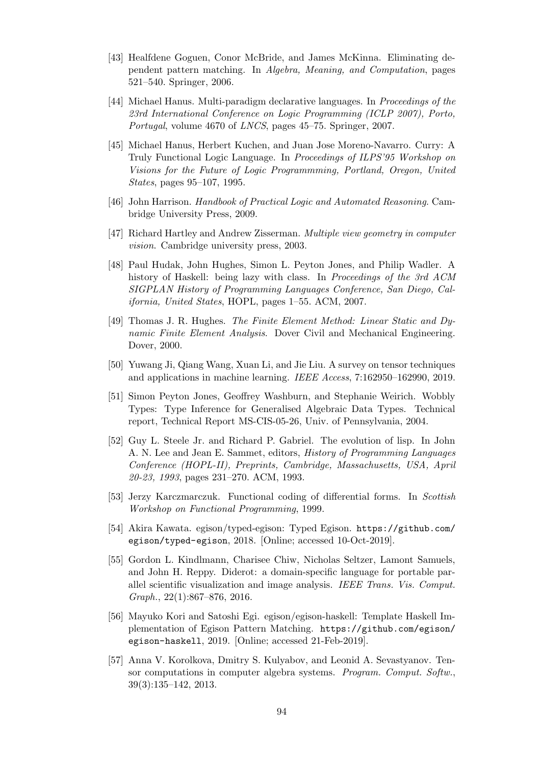- [43] Healfdene Goguen, Conor McBride, and James McKinna. Eliminating dependent pattern matching. In *Algebra, Meaning, and Computation*, pages 521–540. Springer, 2006.
- <span id="page-103-3"></span>[44] Michael Hanus. Multi-paradigm declarative languages. In *Proceedings of the 23rd International Conference on Logic Programming (ICLP 2007), Porto, Portugal*, volume 4670 of *LNCS*, pages 45–75. Springer, 2007.
- [45] Michael Hanus, Herbert Kuchen, and Juan Jose Moreno-Navarro. Curry: A Truly Functional Logic Language. In *Proceedings of ILPS'95 Workshop on Visions for the Future of Logic Programmming, Portland, Oregon, United States*, pages 95–107, 1995.
- [46] John Harrison. *Handbook of Practical Logic and Automated Reasoning*. Cambridge University Press, 2009.
- [47] Richard Hartley and Andrew Zisserman. *Multiple view geometry in computer vision*. Cambridge university press, 2003.
- [48] Paul Hudak, John Hughes, Simon L. Peyton Jones, and Philip Wadler. A history of Haskell: being lazy with class. In *Proceedings of the 3rd ACM SIGPLAN History of Programming Languages Conference, San Diego, California, United States*, HOPL, pages 1–55. ACM, 2007.
- [49] Thomas J. R. Hughes. *The Finite Element Method: Linear Static and Dynamic Finite Element Analysis*. Dover Civil and Mechanical Engineering. Dover, 2000.
- [50] Yuwang Ji, Qiang Wang, Xuan Li, and Jie Liu. A survey on tensor techniques and applications in machine learning. *IEEE Access*, 7:162950–162990, 2019.
- [51] Simon Peyton Jones, Geoffrey Washburn, and Stephanie Weirich. Wobbly Types: Type Inference for Generalised Algebraic Data Types. Technical report, Technical Report MS-CIS-05-26, Univ. of Pennsylvania, 2004.
- [52] Guy L. Steele Jr. and Richard P. Gabriel. The evolution of lisp. In John A. N. Lee and Jean E. Sammet, editors, *History of Programming Languages Conference (HOPL-II), Preprints, Cambridge, Massachusetts, USA, April 20-23, 1993*, pages 231–270. ACM, 1993.
- [53] Jerzy Karczmarczuk. Functional coding of differential forms. In *Scottish Workshop on Functional Programming*, 1999.
- <span id="page-103-2"></span>[54] Akira Kawata. egison/typed-egison: Typed Egison. https://github.com/ egison/typed-egison, 2018. [Online; accessed 10-Oct-2019].
- [55] Gordon L. Kindlmann, Charisee Chiw, Nicholas Seltzer, Lamont Samuels, and John H. Reppy. Diderot: a domain-specific lan[guage for portable par](https://github.com/egison/typed-egison)[allel scientific visualizat](https://github.com/egison/typed-egison)ion and image analysis. *IEEE Trans. Vis. Comput. Graph.*, 22(1):867–876, 2016.
- <span id="page-103-1"></span>[56] Mayuko Kori and Satoshi Egi. egison/egison-haskell: Template Haskell Implementation of Egison Pattern Matching. https://github.com/egison/ egison-haskell, 2019. [Online; accessed 21-Feb-2019].
- <span id="page-103-0"></span>[57] Anna V. Korolkova, Dmitry S. Kulyabov, and Leonid A. Sevastyanov. Tensor computations in computer algebra systems. *[Program. Comput. Softw.](https://github.com/egison/egison-haskell)*, [39\(3\):135–142, 20](https://github.com/egison/egison-haskell)13.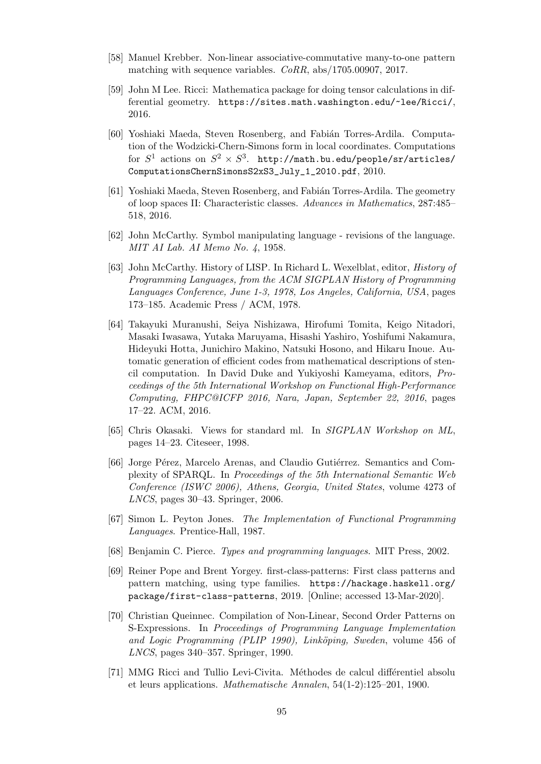- [58] Manuel Krebber. Non-linear associative-commutative many-to-one pattern matching with sequence variables. *CoRR*, abs/1705.00907, 2017.
- [59] John M Lee. Ricci: Mathematica package for doing tensor calculations in differential geometry. https://sites.math.washington.edu/~lee/Ricci/, 2016.
- <span id="page-104-3"></span>[60] Yoshiaki Maeda, Steven Rosenberg, and Fabián Torres-Ardila. Computation of the Wodzicki-[Chern-Simons form in local coordinates. Computations](https://sites.math.washington.edu/~lee/Ricci/) for  $S^1$  actions on  $S^2 \times S^3$ . http://math.bu.edu/people/sr/articles/ ComputationsChernSimonsS2xS3\_July\_1\_2010.pdf, 2010.
- <span id="page-104-2"></span>[61] Yoshiaki Maeda, Steven Rosenberg, and Fabián Torres-Ardila. The geometry of loop spaces II: Characteristic classes. *[Advances in Mathematics](http://math.bu.edu/people/sr/articles/ComputationsChernSimonsS2xS3_July_1_2010.pdf)*, 287:485– [518, 2016.](http://math.bu.edu/people/sr/articles/ComputationsChernSimonsS2xS3_July_1_2010.pdf)
- <span id="page-104-1"></span>[62] John McCarthy. Symbol manipulating language - revisions of the language. *MIT AI Lab. AI Memo No. 4*, 1958.
- [63] John McCarthy. History of LISP. In Richard L. Wexelblat, editor, *History of Programming Languages, from the ACM SIGPLAN History of Programming Languages Conference, June 1-3, 1978, Los Angeles, California, USA*, pages 173–185. Academic Press / ACM, 1978.
- <span id="page-104-5"></span>[64] Takayuki Muranushi, Seiya Nishizawa, Hirofumi Tomita, Keigo Nitadori, Masaki Iwasawa, Yutaka Maruyama, Hisashi Yashiro, Yoshifumi Nakamura, Hideyuki Hotta, Junichiro Makino, Natsuki Hosono, and Hikaru Inoue. Automatic generation of efficient codes from mathematical descriptions of stencil computation. In David Duke and Yukiyoshi Kameyama, editors, *Proceedings of the 5th International Workshop on Functional High-Performance Computing, FHPC@ICFP 2016, Nara, Japan, September 22, 2016*, pages 17–22. ACM, 2016.
- [65] Chris Okasaki. Views for standard ml. In *SIGPLAN Workshop on ML*, pages 14–23. Citeseer, 1998.
- [66] Jorge Pérez, Marcelo Arenas, and Claudio Gutiérrez. Semantics and Complexity of SPARQL. In *Proceedings of the 5th International Semantic Web Conference (ISWC 2006), Athens, Georgia, United States*, volume 4273 of *LNCS*, pages 30–43. Springer, 2006.
- [67] Simon L. Peyton Jones. *The Implementation of Functional Programming Languages*. Prentice-Hall, 1987.
- [68] Benjamin C. Pierce. *Types and programming languages*. MIT Press, 2002.
- <span id="page-104-4"></span>[69] Reiner Pope and Brent Yorgey. first-class-patterns: First class patterns and pattern matching, using type families. https://hackage.haskell.org/ package/first-class-patterns, 2019. [Online; accessed 13-Mar-2020].
- <span id="page-104-0"></span>[70] Christian Queinnec. Compilation of Non-Linear, Second Order Patterns on S-Expressions. In *Proceedings of Progra[mming Language Implementation](https://hackage.haskell.org/package/first-class-patterns)* [and Logic Programming \(PLIP 1](https://hackage.haskell.org/package/first-class-patterns)990), Linköping, Sweden, volume 456 of *LNCS*, pages 340–357. Springer, 1990.
- [71] MMG Ricci and Tullio Levi-Civita. Méthodes de calcul différentiel absolu et leurs applications. *Mathematische Annalen*, 54(1-2):125–201, 1900.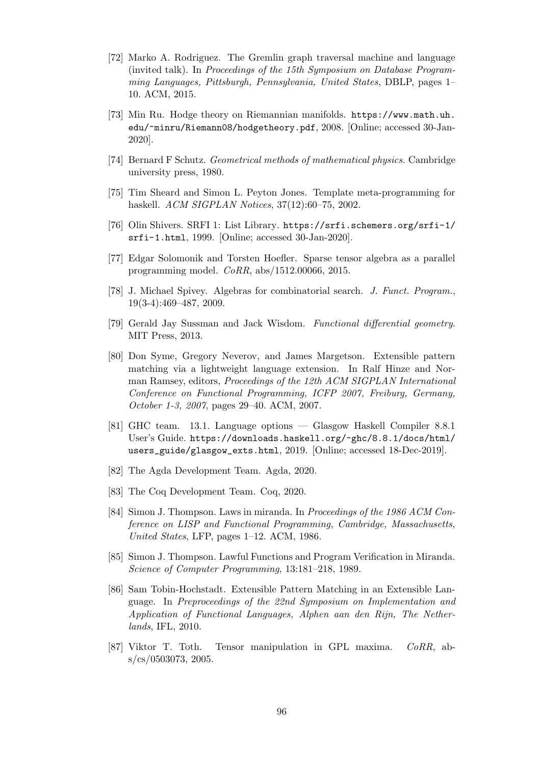- [72] Marko A. Rodriguez. The Gremlin graph traversal machine and language (invited talk). In *Proceedings of the 15th Symposium on Database Programming Languages, Pittsburgh, Pennsylvania, United States*, DBLP, pages 1– 10. ACM, 2015.
- [73] Min Ru. Hodge theory on Riemannian manifolds. https://www.math.uh. edu/~minru/Riemann08/hodgetheory.pdf, 2008. [Online; accessed 30-Jan-2020].
- <span id="page-105-4"></span>[74] Bernard F Schutz. *Geometrical methods of mathematical physics*[. Cambridge](https://www.math.uh.edu/~minru/Riemann08/hodgetheory.pdf) [university press, 1980.](https://www.math.uh.edu/~minru/Riemann08/hodgetheory.pdf)
- <span id="page-105-0"></span>[75] Tim Sheard and Simon L. Peyton Jones. Template meta-programming for haskell. *ACM SIGPLAN Notices*, 37(12):60–75, 2002.
- [76] Olin Shivers. SRFI 1: List Library. https://srfi.schemers.org/srfi-1/ srfi-1.html, 1999. [Online; accessed 30-Jan-2020].
- [77] Edgar Solomonik and Torsten Hoefler. Sparse tensor algebra as a parallel programming model. *CoRR*, abs/1[512.00066, 2015.](https://srfi.schemers.org/srfi-1/srfi-1.html)
- <span id="page-105-3"></span>[78] [J. Michael Sp](https://srfi.schemers.org/srfi-1/srfi-1.html)ivey. Algebras for combinatorial search. *J. Funct. Program.*, 19(3-4):469–487, 2009.
- [79] Gerald Jay Sussman and Jack Wisdom. *Functional differential geometry*. MIT Press, 2013.
- <span id="page-105-1"></span>[80] Don Syme, Gregory Neverov, and James Margetson. Extensible pattern matching via a lightweight language extension. In Ralf Hinze and Norman Ramsey, editors, *Proceedings of the 12th ACM SIGPLAN International Conference on Functional Programming, ICFP 2007, Freiburg, Germany, October 1-3, 2007*, pages 29–40. ACM, 2007.
- [81] GHC team. 13.1. Language options Glasgow Haskell Compiler 8.8.1 User's Guide. https://downloads.haskell.org/~ghc/8.8.1/docs/html/ users\_guide/glasgow\_exts.html, 2019. [Online; accessed 18-Dec-2019].
- [82] The Agda Development Team. Agda, 2020.
- [83] [The Coq Development Team. Coq, 2020.](https://downloads.haskell.org/~ghc/8.8.1/docs/html/users_guide/glasgow_exts.html)
- <span id="page-105-5"></span>[84] Simon J. Thompson. Laws in miranda. In *Proceedings of the 1986 ACM Conference on LISP and Functional Programming, Cambridge, Massachusetts, United States*, LFP, pages 1–12. ACM, 1986.
- [85] Simon J. Thompson. Lawful Functions and Program Verification in Miranda. *Science of Computer Programming*, 13:181–218, 1989.
- [86] Sam Tobin-Hochstadt. Extensible Pattern Matching in an Extensible Language. In *Preproceedings of the 22nd Symposium on Implementation and Application of Functional Languages, Alphen aan den Rijn, The Netherlands*, IFL, 2010.
- <span id="page-105-2"></span>[87] Viktor T. Toth. Tensor manipulation in GPL maxima. *CoRR*, abs/cs/0503073, 2005.